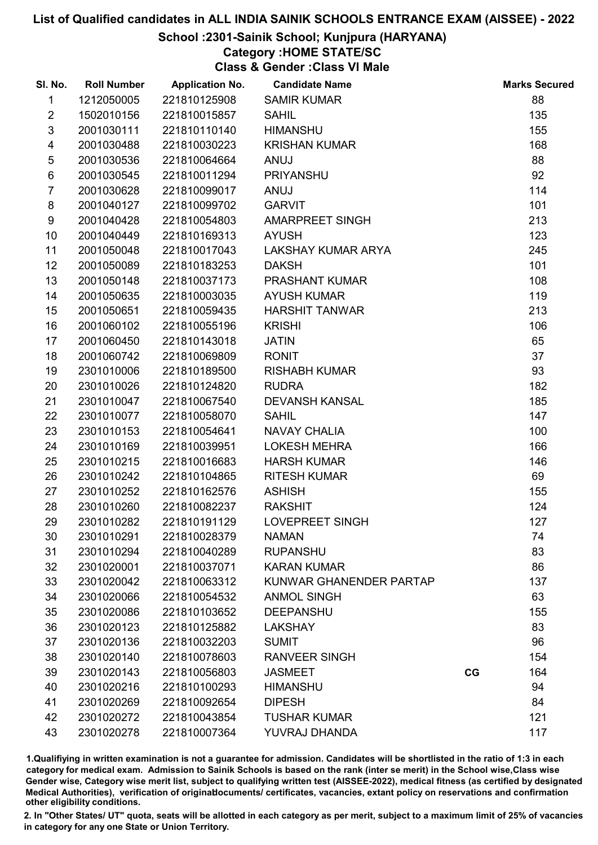### School :2301-Sainik School; Kunjpura (HARYANA)

## Category :HOME STATE/SC

Class & Gender :Class VI Male

| SI. No.        | <b>Roll Number</b> | <b>Application No.</b> | <b>Candidate Name</b>   |    | <b>Marks Secured</b> |
|----------------|--------------------|------------------------|-------------------------|----|----------------------|
| 1              | 1212050005         | 221810125908           | <b>SAMIR KUMAR</b>      |    | 88                   |
| $\overline{2}$ | 1502010156         | 221810015857           | <b>SAHIL</b>            |    | 135                  |
| $\mathfrak{S}$ | 2001030111         | 221810110140           | <b>HIMANSHU</b>         |    | 155                  |
| 4              | 2001030488         | 221810030223           | <b>KRISHAN KUMAR</b>    |    | 168                  |
| $\sqrt{5}$     | 2001030536         | 221810064664           | ANUJ                    |    | 88                   |
| 6              | 2001030545         | 221810011294           | <b>PRIYANSHU</b>        |    | 92                   |
| $\overline{7}$ | 2001030628         | 221810099017           | ANUJ                    |    | 114                  |
| 8              | 2001040127         | 221810099702           | <b>GARVIT</b>           |    | 101                  |
| 9              | 2001040428         | 221810054803           | <b>AMARPREET SINGH</b>  |    | 213                  |
| 10             | 2001040449         | 221810169313           | <b>AYUSH</b>            |    | 123                  |
| 11             | 2001050048         | 221810017043           | LAKSHAY KUMAR ARYA      |    | 245                  |
| 12             | 2001050089         | 221810183253           | <b>DAKSH</b>            |    | 101                  |
| 13             | 2001050148         | 221810037173           | PRASHANT KUMAR          |    | 108                  |
| 14             | 2001050635         | 221810003035           | <b>AYUSH KUMAR</b>      |    | 119                  |
| 15             | 2001050651         | 221810059435           | <b>HARSHIT TANWAR</b>   |    | 213                  |
| 16             | 2001060102         | 221810055196           | <b>KRISHI</b>           |    | 106                  |
| 17             | 2001060450         | 221810143018           | <b>JATIN</b>            |    | 65                   |
| 18             | 2001060742         | 221810069809           | <b>RONIT</b>            |    | 37                   |
| 19             | 2301010006         | 221810189500           | <b>RISHABH KUMAR</b>    |    | 93                   |
| 20             | 2301010026         | 221810124820           | <b>RUDRA</b>            |    | 182                  |
| 21             | 2301010047         | 221810067540           | <b>DEVANSH KANSAL</b>   |    | 185                  |
| 22             | 2301010077         | 221810058070           | <b>SAHIL</b>            |    | 147                  |
| 23             | 2301010153         | 221810054641           | <b>NAVAY CHALIA</b>     |    | 100                  |
| 24             | 2301010169         | 221810039951           | <b>LOKESH MEHRA</b>     |    | 166                  |
| 25             | 2301010215         | 221810016683           | <b>HARSH KUMAR</b>      |    | 146                  |
| 26             | 2301010242         | 221810104865           | <b>RITESH KUMAR</b>     |    | 69                   |
| 27             | 2301010252         | 221810162576           | <b>ASHISH</b>           |    | 155                  |
| 28             | 2301010260         | 221810082237           | <b>RAKSHIT</b>          |    | 124                  |
| 29             | 2301010282         | 221810191129           | <b>LOVEPREET SINGH</b>  |    | 127                  |
| 30             | 2301010291         | 221810028379           | <b>NAMAN</b>            |    | 74                   |
| 31             | 2301010294         | 221810040289           | <b>RUPANSHU</b>         |    | 83                   |
| 32             | 2301020001         | 221810037071           | <b>KARAN KUMAR</b>      |    | 86                   |
| 33             | 2301020042         | 221810063312           | KUNWAR GHANENDER PARTAP |    | 137                  |
| 34             | 2301020066         | 221810054532           | <b>ANMOL SINGH</b>      |    | 63                   |
| 35             | 2301020086         | 221810103652           | <b>DEEPANSHU</b>        |    | 155                  |
| 36             | 2301020123         | 221810125882           | <b>LAKSHAY</b>          |    | 83                   |
| 37             | 2301020136         | 221810032203           | <b>SUMIT</b>            |    | 96                   |
| 38             | 2301020140         | 221810078603           | <b>RANVEER SINGH</b>    |    | 154                  |
| 39             | 2301020143         | 221810056803           | <b>JASMEET</b>          | CG | 164                  |
| 40             | 2301020216         | 221810100293           | <b>HIMANSHU</b>         |    | 94                   |
| 41             | 2301020269         | 221810092654           | <b>DIPESH</b>           |    | 84                   |
| 42             | 2301020272         | 221810043854           | <b>TUSHAR KUMAR</b>     |    | 121                  |
| 43             | 2301020278         | 221810007364           | YUVRAJ DHANDA           |    | 117                  |

1.Qualifiying in written examination is not a guarantee for admission. Candidates will be shortlisted in the ratio of 1:3 in each category for medical exam. Admission to Sainik Schools is based on the rank (inter se merit) in the School wise,Class wise Gender wise, Category wise merit list, subject to qualifying written test (AISSEE-2022), medical fitness (as certified by designated Medical Authorities), verification of originablocuments/ certificates, vacancies, extant policy on reservations and confirmation other eligibility conditions.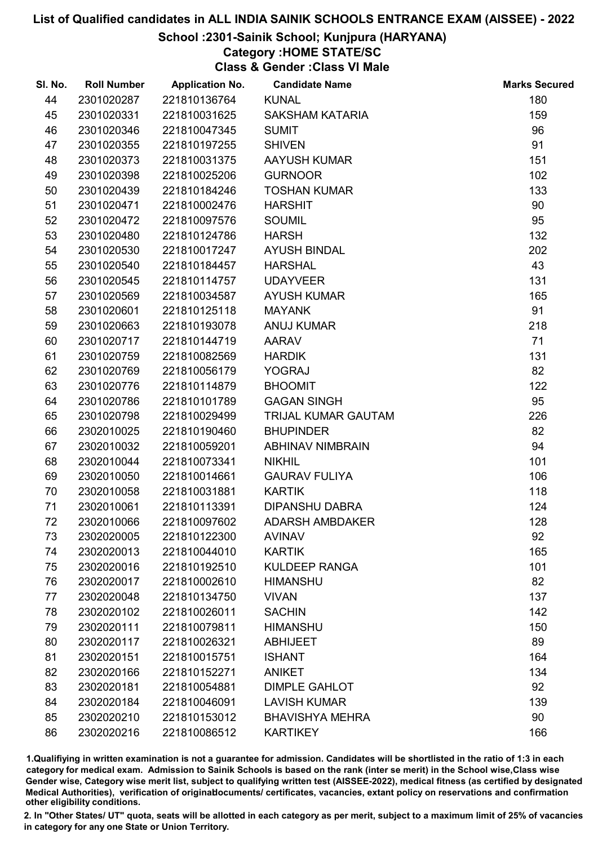## School :2301-Sainik School; Kunjpura (HARYANA)

## Category :HOME STATE/SC

Class & Gender :Class VI Male

| SI. No. | <b>Roll Number</b> | <b>Application No.</b> | <b>Candidate Name</b>   | <b>Marks Secured</b> |
|---------|--------------------|------------------------|-------------------------|----------------------|
| 44      | 2301020287         | 221810136764           | <b>KUNAL</b>            | 180                  |
| 45      | 2301020331         | 221810031625           | <b>SAKSHAM KATARIA</b>  | 159                  |
| 46      | 2301020346         | 221810047345           | <b>SUMIT</b>            | 96                   |
| 47      | 2301020355         | 221810197255           | <b>SHIVEN</b>           | 91                   |
| 48      | 2301020373         | 221810031375           | AAYUSH KUMAR            | 151                  |
| 49      | 2301020398         | 221810025206           | <b>GURNOOR</b>          | 102                  |
| 50      | 2301020439         | 221810184246           | <b>TOSHAN KUMAR</b>     | 133                  |
| 51      | 2301020471         | 221810002476           | <b>HARSHIT</b>          | 90                   |
| 52      | 2301020472         | 221810097576           | <b>SOUMIL</b>           | 95                   |
| 53      | 2301020480         | 221810124786           | <b>HARSH</b>            | 132                  |
| 54      | 2301020530         | 221810017247           | <b>AYUSH BINDAL</b>     | 202                  |
| 55      | 2301020540         | 221810184457           | <b>HARSHAL</b>          | 43                   |
| 56      | 2301020545         | 221810114757           | <b>UDAYVEER</b>         | 131                  |
| 57      | 2301020569         | 221810034587           | <b>AYUSH KUMAR</b>      | 165                  |
| 58      | 2301020601         | 221810125118           | <b>MAYANK</b>           | 91                   |
| 59      | 2301020663         | 221810193078           | <b>ANUJ KUMAR</b>       | 218                  |
| 60      | 2301020717         | 221810144719           | <b>AARAV</b>            | 71                   |
| 61      | 2301020759         | 221810082569           | <b>HARDIK</b>           | 131                  |
| 62      | 2301020769         | 221810056179           | <b>YOGRAJ</b>           | 82                   |
| 63      | 2301020776         | 221810114879           | <b>BHOOMIT</b>          | 122                  |
| 64      | 2301020786         | 221810101789           | <b>GAGAN SINGH</b>      | 95                   |
| 65      | 2301020798         | 221810029499           | TRIJAL KUMAR GAUTAM     | 226                  |
| 66      | 2302010025         | 221810190460           | <b>BHUPINDER</b>        | 82                   |
| 67      | 2302010032         | 221810059201           | <b>ABHINAV NIMBRAIN</b> | 94                   |
| 68      | 2302010044         | 221810073341           | <b>NIKHIL</b>           | 101                  |
| 69      | 2302010050         | 221810014661           | <b>GAURAV FULIYA</b>    | 106                  |
| 70      | 2302010058         | 221810031881           | <b>KARTIK</b>           | 118                  |
| 71      | 2302010061         | 221810113391           | <b>DIPANSHU DABRA</b>   | 124                  |
| 72      | 2302010066         | 221810097602           | <b>ADARSH AMBDAKER</b>  | 128                  |
| 73      | 2302020005         | 221810122300           | <b>AVINAV</b>           | 92                   |
| 74      | 2302020013         | 221810044010           | <b>KARTIK</b>           | 165                  |
| 75      | 2302020016         | 221810192510           | <b>KULDEEP RANGA</b>    | 101                  |
| 76      | 2302020017         | 221810002610           | <b>HIMANSHU</b>         | 82                   |
| 77      | 2302020048         | 221810134750           | <b>VIVAN</b>            | 137                  |
| 78      | 2302020102         | 221810026011           | <b>SACHIN</b>           | 142                  |
| 79      | 2302020111         | 221810079811           | <b>HIMANSHU</b>         | 150                  |
| 80      | 2302020117         | 221810026321           | <b>ABHIJEET</b>         | 89                   |
| 81      | 2302020151         | 221810015751           | <b>ISHANT</b>           | 164                  |
| 82      | 2302020166         | 221810152271           | <b>ANIKET</b>           | 134                  |
| 83      | 2302020181         | 221810054881           | <b>DIMPLE GAHLOT</b>    | 92                   |
| 84      | 2302020184         | 221810046091           | <b>LAVISH KUMAR</b>     | 139                  |
| 85      | 2302020210         | 221810153012           | <b>BHAVISHYA MEHRA</b>  | 90                   |
| 86      | 2302020216         | 221810086512           | <b>KARTIKEY</b>         | 166                  |

1.Qualifiying in written examination is not a guarantee for admission. Candidates will be shortlisted in the ratio of 1:3 in each category for medical exam. Admission to Sainik Schools is based on the rank (inter se merit) in the School wise,Class wise Gender wise, Category wise merit list, subject to qualifying written test (AISSEE-2022), medical fitness (as certified by designated Medical Authorities), verification of originablocuments/ certificates, vacancies, extant policy on reservations and confirmation other eligibility conditions.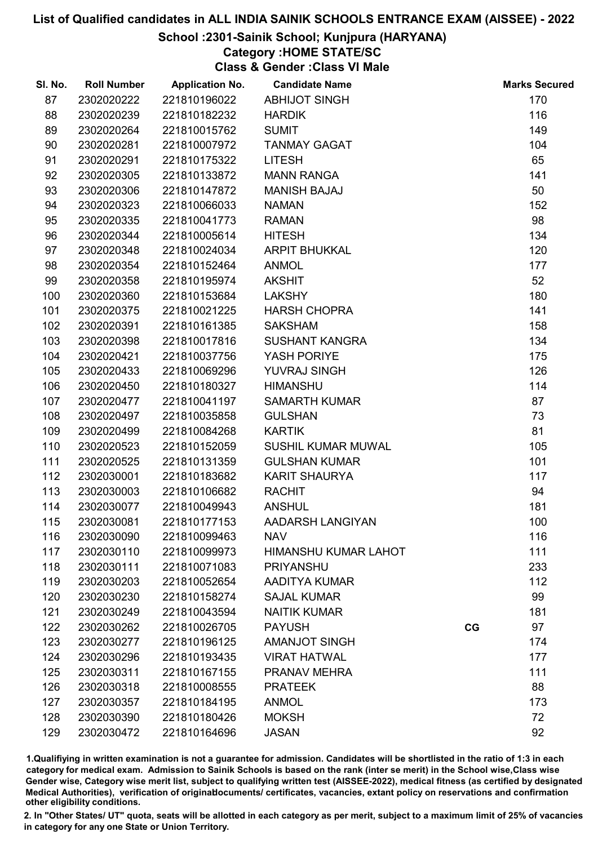### School :2301-Sainik School; Kunjpura (HARYANA)

## Category :HOME STATE/SC

Class & Gender :Class VI Male

| SI. No. | <b>Roll Number</b> | <b>Application No.</b> | <b>Candidate Name</b>       |    | <b>Marks Secured</b> |
|---------|--------------------|------------------------|-----------------------------|----|----------------------|
| 87      | 2302020222         | 221810196022           | <b>ABHIJOT SINGH</b>        |    | 170                  |
| 88      | 2302020239         | 221810182232           | <b>HARDIK</b>               |    | 116                  |
| 89      | 2302020264         | 221810015762           | <b>SUMIT</b>                |    | 149                  |
| 90      | 2302020281         | 221810007972           | <b>TANMAY GAGAT</b>         |    | 104                  |
| 91      | 2302020291         | 221810175322           | <b>LITESH</b>               |    | 65                   |
| 92      | 2302020305         | 221810133872           | <b>MANN RANGA</b>           |    | 141                  |
| 93      | 2302020306         | 221810147872           | <b>MANISH BAJAJ</b>         |    | 50                   |
| 94      | 2302020323         | 221810066033           | <b>NAMAN</b>                |    | 152                  |
| 95      | 2302020335         | 221810041773           | <b>RAMAN</b>                |    | 98                   |
| 96      | 2302020344         | 221810005614           | <b>HITESH</b>               |    | 134                  |
| 97      | 2302020348         | 221810024034           | <b>ARPIT BHUKKAL</b>        |    | 120                  |
| 98      | 2302020354         | 221810152464           | <b>ANMOL</b>                |    | 177                  |
| 99      | 2302020358         | 221810195974           | <b>AKSHIT</b>               |    | 52                   |
| 100     | 2302020360         | 221810153684           | <b>LAKSHY</b>               |    | 180                  |
| 101     | 2302020375         | 221810021225           | <b>HARSH CHOPRA</b>         |    | 141                  |
| 102     | 2302020391         | 221810161385           | <b>SAKSHAM</b>              |    | 158                  |
| 103     | 2302020398         | 221810017816           | <b>SUSHANT KANGRA</b>       |    | 134                  |
| 104     | 2302020421         | 221810037756           | YASH PORIYE                 |    | 175                  |
| 105     | 2302020433         | 221810069296           | YUVRAJ SINGH                |    | 126                  |
| 106     | 2302020450         | 221810180327           | <b>HIMANSHU</b>             |    | 114                  |
| 107     | 2302020477         | 221810041197           | <b>SAMARTH KUMAR</b>        |    | 87                   |
| 108     | 2302020497         | 221810035858           | <b>GULSHAN</b>              |    | 73                   |
| 109     | 2302020499         | 221810084268           | <b>KARTIK</b>               |    | 81                   |
| 110     | 2302020523         | 221810152059           | <b>SUSHIL KUMAR MUWAL</b>   |    | 105                  |
| 111     | 2302020525         | 221810131359           | <b>GULSHAN KUMAR</b>        |    | 101                  |
| 112     | 2302030001         | 221810183682           | <b>KARIT SHAURYA</b>        |    | 117                  |
| 113     | 2302030003         | 221810106682           | <b>RACHIT</b>               |    | 94                   |
| 114     | 2302030077         | 221810049943           | <b>ANSHUL</b>               |    | 181                  |
| 115     | 2302030081         | 221810177153           | AADARSH LANGIYAN            |    | 100                  |
| 116     | 2302030090         | 221810099463           | <b>NAV</b>                  |    | 116                  |
| 117     | 2302030110         | 221810099973           | <b>HIMANSHU KUMAR LAHOT</b> |    | 111                  |
| 118     | 2302030111         | 221810071083           | <b>PRIYANSHU</b>            |    | 233                  |
| 119     | 2302030203         | 221810052654           | AADITYA KUMAR               |    | 112                  |
| 120     | 2302030230         | 221810158274           | <b>SAJAL KUMAR</b>          |    | 99                   |
| 121     | 2302030249         | 221810043594           | <b>NAITIK KUMAR</b>         |    | 181                  |
| 122     | 2302030262         | 221810026705           | <b>PAYUSH</b>               | CG | 97                   |
| 123     | 2302030277         | 221810196125           | <b>AMANJOT SINGH</b>        |    | 174                  |
| 124     | 2302030296         | 221810193435           | <b>VIRAT HATWAL</b>         |    | 177                  |
| 125     | 2302030311         | 221810167155           | PRANAV MEHRA                |    | 111                  |
| 126     | 2302030318         | 221810008555           | <b>PRATEEK</b>              |    | 88                   |
| 127     | 2302030357         | 221810184195           | <b>ANMOL</b>                |    | 173                  |
| 128     | 2302030390         | 221810180426           | <b>MOKSH</b>                |    | 72                   |
| 129     | 2302030472         | 221810164696           | <b>JASAN</b>                |    | 92                   |

1.Qualifiying in written examination is not a guarantee for admission. Candidates will be shortlisted in the ratio of 1:3 in each category for medical exam. Admission to Sainik Schools is based on the rank (inter se merit) in the School wise,Class wise Gender wise, Category wise merit list, subject to qualifying written test (AISSEE-2022), medical fitness (as certified by designated Medical Authorities), verification of originablocuments/ certificates, vacancies, extant policy on reservations and confirmation other eligibility conditions.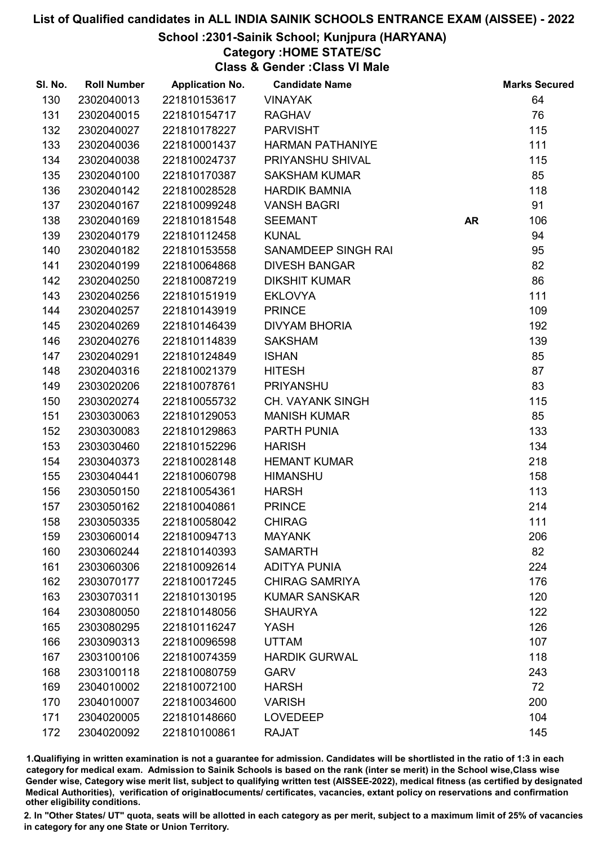## School :2301-Sainik School; Kunjpura (HARYANA)

## Category :HOME STATE/SC

Class & Gender :Class VI Male

| SI. No. | <b>Roll Number</b> | <b>Application No.</b> | <b>Candidate Name</b>   |           | <b>Marks Secured</b> |
|---------|--------------------|------------------------|-------------------------|-----------|----------------------|
| 130     | 2302040013         | 221810153617           | <b>VINAYAK</b>          |           | 64                   |
| 131     | 2302040015         | 221810154717           | <b>RAGHAV</b>           |           | 76                   |
| 132     | 2302040027         | 221810178227           | <b>PARVISHT</b>         |           | 115                  |
| 133     | 2302040036         | 221810001437           | <b>HARMAN PATHANIYE</b> |           | 111                  |
| 134     | 2302040038         | 221810024737           | PRIYANSHU SHIVAL        |           | 115                  |
| 135     | 2302040100         | 221810170387           | <b>SAKSHAM KUMAR</b>    |           | 85                   |
| 136     | 2302040142         | 221810028528           | <b>HARDIK BAMNIA</b>    |           | 118                  |
| 137     | 2302040167         | 221810099248           | <b>VANSH BAGRI</b>      |           | 91                   |
| 138     | 2302040169         | 221810181548           | <b>SEEMANT</b>          | <b>AR</b> | 106                  |
| 139     | 2302040179         | 221810112458           | <b>KUNAL</b>            |           | 94                   |
| 140     | 2302040182         | 221810153558           | SANAMDEEP SINGH RAI     |           | 95                   |
| 141     | 2302040199         | 221810064868           | <b>DIVESH BANGAR</b>    |           | 82                   |
| 142     | 2302040250         | 221810087219           | <b>DIKSHIT KUMAR</b>    |           | 86                   |
| 143     | 2302040256         | 221810151919           | <b>EKLOVYA</b>          |           | 111                  |
| 144     | 2302040257         | 221810143919           | <b>PRINCE</b>           |           | 109                  |
| 145     | 2302040269         | 221810146439           | <b>DIVYAM BHORIA</b>    |           | 192                  |
| 146     | 2302040276         | 221810114839           | <b>SAKSHAM</b>          |           | 139                  |
| 147     | 2302040291         | 221810124849           | <b>ISHAN</b>            |           | 85                   |
| 148     | 2302040316         | 221810021379           | <b>HITESH</b>           |           | 87                   |
| 149     | 2303020206         | 221810078761           | <b>PRIYANSHU</b>        |           | 83                   |
| 150     | 2303020274         | 221810055732           | <b>CH. VAYANK SINGH</b> |           | 115                  |
| 151     | 2303030063         | 221810129053           | <b>MANISH KUMAR</b>     |           | 85                   |
| 152     | 2303030083         | 221810129863           | PARTH PUNIA             |           | 133                  |
| 153     | 2303030460         | 221810152296           | <b>HARISH</b>           |           | 134                  |
| 154     | 2303040373         | 221810028148           | <b>HEMANT KUMAR</b>     |           | 218                  |
| 155     | 2303040441         | 221810060798           | <b>HIMANSHU</b>         |           | 158                  |
| 156     | 2303050150         | 221810054361           | <b>HARSH</b>            |           | 113                  |
| 157     | 2303050162         | 221810040861           | <b>PRINCE</b>           |           | 214                  |
| 158     | 2303050335         | 221810058042           | <b>CHIRAG</b>           |           | 111                  |
| 159     | 2303060014         | 221810094713           | <b>MAYANK</b>           |           | 206                  |
| 160     | 2303060244         | 221810140393           | <b>SAMARTH</b>          |           | 82                   |
| 161     | 2303060306         | 221810092614           | <b>ADITYA PUNIA</b>     |           | 224                  |
| 162     | 2303070177         | 221810017245           | <b>CHIRAG SAMRIYA</b>   |           | 176                  |
| 163     | 2303070311         | 221810130195           | <b>KUMAR SANSKAR</b>    |           | 120                  |
| 164     | 2303080050         | 221810148056           | <b>SHAURYA</b>          |           | 122                  |
| 165     | 2303080295         | 221810116247           | <b>YASH</b>             |           | 126                  |
| 166     | 2303090313         | 221810096598           | <b>UTTAM</b>            |           | 107                  |
| 167     | 2303100106         | 221810074359           | <b>HARDIK GURWAL</b>    |           | 118                  |
| 168     | 2303100118         | 221810080759           | <b>GARV</b>             |           | 243                  |
| 169     | 2304010002         | 221810072100           | <b>HARSH</b>            |           | 72                   |
| 170     | 2304010007         | 221810034600           | <b>VARISH</b>           |           | 200                  |
| 171     | 2304020005         | 221810148660           | <b>LOVEDEEP</b>         |           | 104                  |
| 172     | 2304020092         | 221810100861           | <b>RAJAT</b>            |           | 145                  |

1.Qualifiying in written examination is not a guarantee for admission. Candidates will be shortlisted in the ratio of 1:3 in each category for medical exam. Admission to Sainik Schools is based on the rank (inter se merit) in the School wise,Class wise Gender wise, Category wise merit list, subject to qualifying written test (AISSEE-2022), medical fitness (as certified by designated Medical Authorities), verification of originablocuments/ certificates, vacancies, extant policy on reservations and confirmation other eligibility conditions.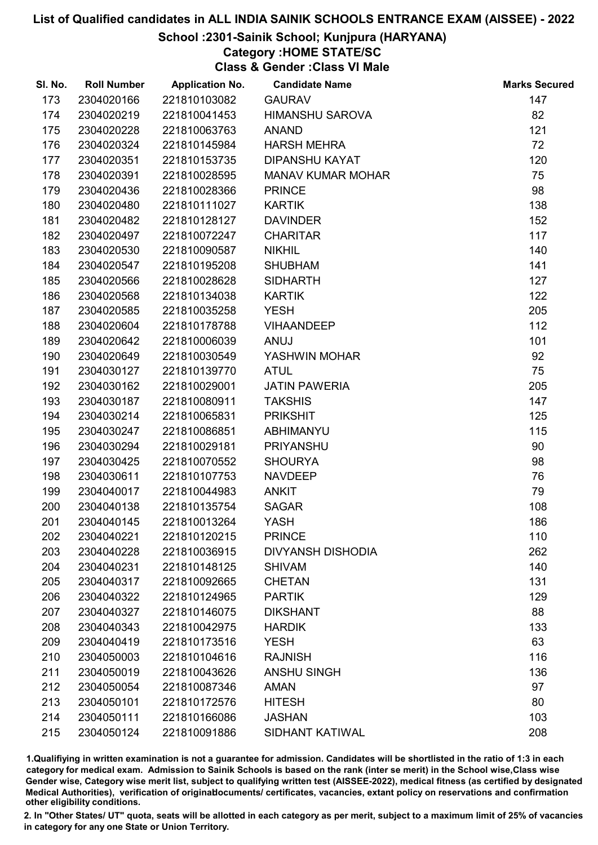## School :2301-Sainik School; Kunjpura (HARYANA)

## Category :HOME STATE/SC

Class & Gender :Class VI Male

| SI. No. | <b>Roll Number</b> | <b>Application No.</b> | <b>Candidate Name</b>    | <b>Marks Secured</b> |
|---------|--------------------|------------------------|--------------------------|----------------------|
| 173     | 2304020166         | 221810103082           | <b>GAURAV</b>            | 147                  |
| 174     | 2304020219         | 221810041453           | <b>HIMANSHU SAROVA</b>   | 82                   |
| 175     | 2304020228         | 221810063763           | <b>ANAND</b>             | 121                  |
| 176     | 2304020324         | 221810145984           | <b>HARSH MEHRA</b>       | 72                   |
| 177     | 2304020351         | 221810153735           | <b>DIPANSHU KAYAT</b>    | 120                  |
| 178     | 2304020391         | 221810028595           | <b>MANAV KUMAR MOHAR</b> | 75                   |
| 179     | 2304020436         | 221810028366           | <b>PRINCE</b>            | 98                   |
| 180     | 2304020480         | 221810111027           | <b>KARTIK</b>            | 138                  |
| 181     | 2304020482         | 221810128127           | <b>DAVINDER</b>          | 152                  |
| 182     | 2304020497         | 221810072247           | <b>CHARITAR</b>          | 117                  |
| 183     | 2304020530         | 221810090587           | <b>NIKHIL</b>            | 140                  |
| 184     | 2304020547         | 221810195208           | <b>SHUBHAM</b>           | 141                  |
| 185     | 2304020566         | 221810028628           | <b>SIDHARTH</b>          | 127                  |
| 186     | 2304020568         | 221810134038           | <b>KARTIK</b>            | 122                  |
| 187     | 2304020585         | 221810035258           | <b>YESH</b>              | 205                  |
| 188     | 2304020604         | 221810178788           | <b>VIHAANDEEP</b>        | 112                  |
| 189     | 2304020642         | 221810006039           | <b>ANUJ</b>              | 101                  |
| 190     | 2304020649         | 221810030549           | YASHWIN MOHAR            | 92                   |
| 191     | 2304030127         | 221810139770           | <b>ATUL</b>              | 75                   |
| 192     | 2304030162         | 221810029001           | <b>JATIN PAWERIA</b>     | 205                  |
| 193     | 2304030187         | 221810080911           | <b>TAKSHIS</b>           | 147                  |
| 194     | 2304030214         | 221810065831           | <b>PRIKSHIT</b>          | 125                  |
| 195     | 2304030247         | 221810086851           | ABHIMANYU                | 115                  |
| 196     | 2304030294         | 221810029181           | <b>PRIYANSHU</b>         | 90                   |
| 197     | 2304030425         | 221810070552           | <b>SHOURYA</b>           | 98                   |
| 198     | 2304030611         | 221810107753           | <b>NAVDEEP</b>           | 76                   |
| 199     | 2304040017         | 221810044983           | <b>ANKIT</b>             | 79                   |
| 200     | 2304040138         | 221810135754           | <b>SAGAR</b>             | 108                  |
| 201     | 2304040145         | 221810013264           | <b>YASH</b>              | 186                  |
| 202     | 2304040221         | 221810120215           | <b>PRINCE</b>            | 110                  |
| 203     | 2304040228         | 221810036915           | <b>DIVYANSH DISHODIA</b> | 262                  |
| 204     | 2304040231         | 221810148125           | <b>SHIVAM</b>            | 140                  |
| 205     | 2304040317         | 221810092665           | <b>CHETAN</b>            | 131                  |
| 206     | 2304040322         | 221810124965           | <b>PARTIK</b>            | 129                  |
| 207     | 2304040327         | 221810146075           | <b>DIKSHANT</b>          | 88                   |
| 208     | 2304040343         | 221810042975           | <b>HARDIK</b>            | 133                  |
| 209     | 2304040419         | 221810173516           | <b>YESH</b>              | 63                   |
| 210     | 2304050003         | 221810104616           | <b>RAJNISH</b>           | 116                  |
| 211     | 2304050019         | 221810043626           | <b>ANSHU SINGH</b>       | 136                  |
| 212     | 2304050054         | 221810087346           | <b>AMAN</b>              | 97                   |
| 213     | 2304050101         | 221810172576           | <b>HITESH</b>            | 80                   |
| 214     | 2304050111         | 221810166086           | <b>JASHAN</b>            | 103                  |
| 215     | 2304050124         | 221810091886           | SIDHANT KATIWAL          | 208                  |

1.Qualifiying in written examination is not a guarantee for admission. Candidates will be shortlisted in the ratio of 1:3 in each category for medical exam. Admission to Sainik Schools is based on the rank (inter se merit) in the School wise,Class wise Gender wise, Category wise merit list, subject to qualifying written test (AISSEE-2022), medical fitness (as certified by designated Medical Authorities), verification of originablocuments/ certificates, vacancies, extant policy on reservations and confirmation other eligibility conditions.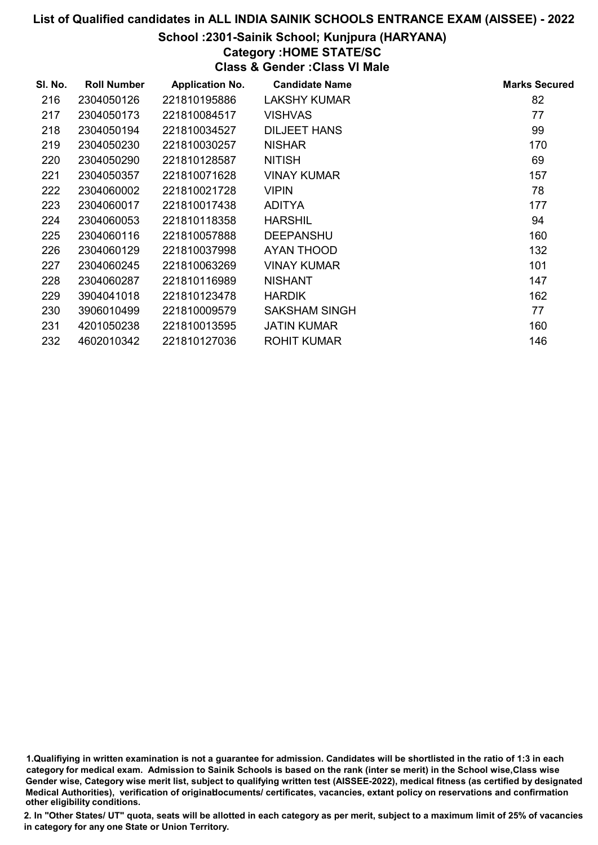#### School :2301-Sainik School; Kunjpura (HARYANA)

## Category :HOME STATE/SC

Class & Gender :Class VI Male

| SI. No. | <b>Roll Number</b> | <b>Application No.</b> | <b>Candidate Name</b> | <b>Marks Secured</b> |
|---------|--------------------|------------------------|-----------------------|----------------------|
| 216     | 2304050126         | 221810195886           | <b>LAKSHY KUMAR</b>   | 82                   |
| 217     | 2304050173         | 221810084517           | <b>VISHVAS</b>        | 77                   |
| 218     | 2304050194         | 221810034527           | <b>DILJEET HANS</b>   | 99                   |
| 219     | 2304050230         | 221810030257           | <b>NISHAR</b>         | 170                  |
| 220     | 2304050290         | 221810128587           | <b>NITISH</b>         | 69                   |
| 221     | 2304050357         | 221810071628           | <b>VINAY KUMAR</b>    | 157                  |
| 222     | 2304060002         | 221810021728           | <b>VIPIN</b>          | 78                   |
| 223     | 2304060017         | 221810017438           | <b>ADITYA</b>         | 177                  |
| 224     | 2304060053         | 221810118358           | <b>HARSHIL</b>        | 94                   |
| 225     | 2304060116         | 221810057888           | <b>DEEPANSHU</b>      | 160                  |
| 226     | 2304060129         | 221810037998           | AYAN THOOD            | 132                  |
| 227     | 2304060245         | 221810063269           | <b>VINAY KUMAR</b>    | 101                  |
| 228     | 2304060287         | 221810116989           | <b>NISHANT</b>        | 147                  |
| 229     | 3904041018         | 221810123478           | <b>HARDIK</b>         | 162                  |
| 230     | 3906010499         | 221810009579           | <b>SAKSHAM SINGH</b>  | 77                   |
| 231     | 4201050238         | 221810013595           | <b>JATIN KUMAR</b>    | 160                  |
| 232     | 4602010342         | 221810127036           | <b>ROHIT KUMAR</b>    | 146                  |

1.Qualifiying in written examination is not a guarantee for admission. Candidates will be shortlisted in the ratio of 1:3 in each category for medical exam. Admission to Sainik Schools is based on the rank (inter se merit) in the School wise,Class wise Gender wise, Category wise merit list, subject to qualifying written test (AISSEE-2022), medical fitness (as certified by designated Medical Authorities), verification of originablocuments/ certificates, vacancies, extant policy on reservations and confirmation other eligibility conditions.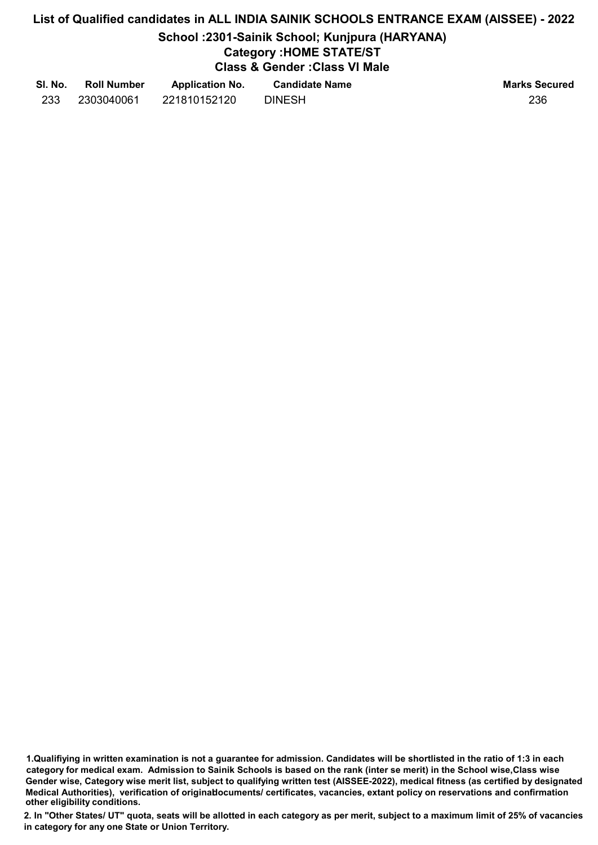# List of Qualified candidates in ALL INDIA SAINIK SCHOOLS ENTRANCE EXAM (AISSEE) - 2022 School :2301-Sainik School; Kunjpura (HARYANA) Category :HOME STATE/ST

Class & Gender :Class VI Male

| SI. No. | <b>Roll Number</b> | <b>Application No.</b> | <b>Candidate Name</b> | <b>Marks Secured</b> |
|---------|--------------------|------------------------|-----------------------|----------------------|
|         | 2303040061         | 221810152120           | <b>DINESH</b>         | 236                  |

1.Qualifiying in written examination is not a guarantee for admission. Candidates will be shortlisted in the ratio of 1:3 in each category for medical exam. Admission to Sainik Schools is based on the rank (inter se merit) in the School wise,Class wise Gender wise, Category wise merit list, subject to qualifying written test (AISSEE-2022), medical fitness (as certified by designated Medical Authorities), verification of originablocuments/ certificates, vacancies, extant policy on reservations and confirmation other eligibility conditions.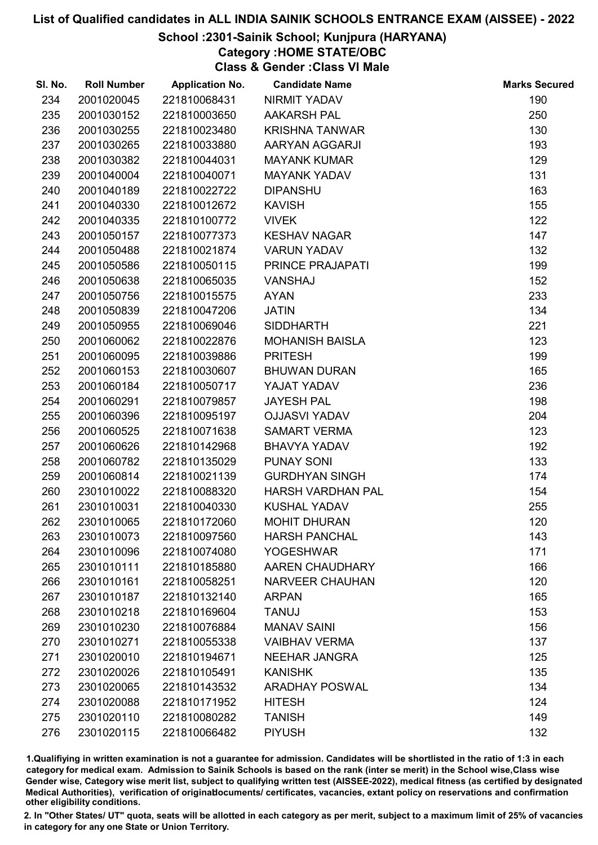## School :2301-Sainik School; Kunjpura (HARYANA)

Category :HOME STATE/OBC

Class & Gender :Class VI Male

| SI. No. | <b>Roll Number</b> | <b>Application No.</b> | <b>Candidate Name</b>    | <b>Marks Secured</b> |
|---------|--------------------|------------------------|--------------------------|----------------------|
| 234     | 2001020045         | 221810068431           | <b>NIRMIT YADAV</b>      | 190                  |
| 235     | 2001030152         | 221810003650           | <b>AAKARSH PAL</b>       | 250                  |
| 236     | 2001030255         | 221810023480           | <b>KRISHNA TANWAR</b>    | 130                  |
| 237     | 2001030265         | 221810033880           | AARYAN AGGARJI           | 193                  |
| 238     | 2001030382         | 221810044031           | <b>MAYANK KUMAR</b>      | 129                  |
| 239     | 2001040004         | 221810040071           | <b>MAYANK YADAV</b>      | 131                  |
| 240     | 2001040189         | 221810022722           | <b>DIPANSHU</b>          | 163                  |
| 241     | 2001040330         | 221810012672           | <b>KAVISH</b>            | 155                  |
| 242     | 2001040335         | 221810100772           | <b>VIVEK</b>             | 122                  |
| 243     | 2001050157         | 221810077373           | <b>KESHAV NAGAR</b>      | 147                  |
| 244     | 2001050488         | 221810021874           | <b>VARUN YADAV</b>       | 132                  |
| 245     | 2001050586         | 221810050115           | PRINCE PRAJAPATI         | 199                  |
| 246     | 2001050638         | 221810065035           | <b>VANSHAJ</b>           | 152                  |
| 247     | 2001050756         | 221810015575           | <b>AYAN</b>              | 233                  |
| 248     | 2001050839         | 221810047206           | <b>JATIN</b>             | 134                  |
| 249     | 2001050955         | 221810069046           | <b>SIDDHARTH</b>         | 221                  |
| 250     | 2001060062         | 221810022876           | <b>MOHANISH BAISLA</b>   | 123                  |
| 251     | 2001060095         | 221810039886           | <b>PRITESH</b>           | 199                  |
| 252     | 2001060153         | 221810030607           | <b>BHUWAN DURAN</b>      | 165                  |
| 253     | 2001060184         | 221810050717           | YAJAT YADAV              | 236                  |
| 254     | 2001060291         | 221810079857           | <b>JAYESH PAL</b>        | 198                  |
| 255     | 2001060396         | 221810095197           | <b>OJJASVI YADAV</b>     | 204                  |
| 256     | 2001060525         | 221810071638           | <b>SAMART VERMA</b>      | 123                  |
| 257     | 2001060626         | 221810142968           | BHAVYA YADAV             | 192                  |
| 258     | 2001060782         | 221810135029           | <b>PUNAY SONI</b>        | 133                  |
| 259     | 2001060814         | 221810021139           | <b>GURDHYAN SINGH</b>    | 174                  |
| 260     | 2301010022         | 221810088320           | <b>HARSH VARDHAN PAL</b> | 154                  |
| 261     | 2301010031         | 221810040330           | <b>KUSHAL YADAV</b>      | 255                  |
| 262     | 2301010065         | 221810172060           | <b>MOHIT DHURAN</b>      | 120                  |
| 263     | 2301010073         | 221810097560           | <b>HARSH PANCHAL</b>     | 143                  |
| 264     | 2301010096         | 221810074080           | <b>YOGESHWAR</b>         | 171                  |
| 265     | 2301010111         | 221810185880           | <b>AAREN CHAUDHARY</b>   | 166                  |
| 266     | 2301010161         | 221810058251           | <b>NARVEER CHAUHAN</b>   | 120                  |
| 267     | 2301010187         | 221810132140           | <b>ARPAN</b>             | 165                  |
| 268     | 2301010218         | 221810169604           | <b>TANUJ</b>             | 153                  |
| 269     | 2301010230         | 221810076884           | <b>MANAV SAINI</b>       | 156                  |
| 270     | 2301010271         | 221810055338           | <b>VAIBHAV VERMA</b>     | 137                  |
| 271     | 2301020010         | 221810194671           | <b>NEEHAR JANGRA</b>     | 125                  |
| 272     | 2301020026         | 221810105491           | <b>KANISHK</b>           | 135                  |
| 273     | 2301020065         | 221810143532           | <b>ARADHAY POSWAL</b>    | 134                  |
| 274     | 2301020088         | 221810171952           | <b>HITESH</b>            | 124                  |
| 275     | 2301020110         | 221810080282           | <b>TANISH</b>            | 149                  |
| 276     | 2301020115         | 221810066482           | <b>PIYUSH</b>            | 132                  |

1.Qualifiying in written examination is not a guarantee for admission. Candidates will be shortlisted in the ratio of 1:3 in each category for medical exam. Admission to Sainik Schools is based on the rank (inter se merit) in the School wise,Class wise Gender wise, Category wise merit list, subject to qualifying written test (AISSEE-2022), medical fitness (as certified by designated Medical Authorities), verification of originablocuments/ certificates, vacancies, extant policy on reservations and confirmation other eligibility conditions.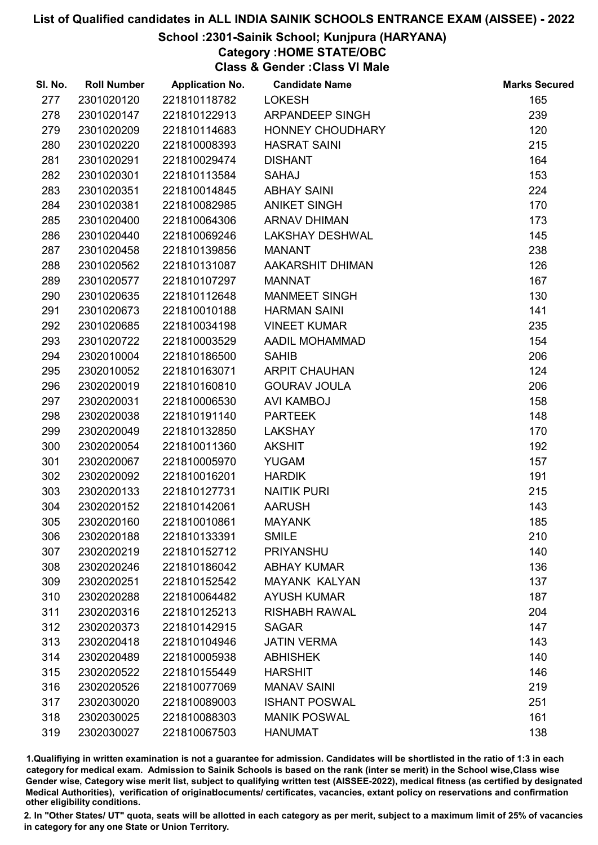## School :2301-Sainik School; Kunjpura (HARYANA)

Category :HOME STATE/OBC

Class & Gender :Class VI Male

| SI. No. | <b>Roll Number</b> | <b>Application No.</b> | <b>Candidate Name</b>  | <b>Marks Secured</b> |
|---------|--------------------|------------------------|------------------------|----------------------|
| 277     | 2301020120         | 221810118782           | <b>LOKESH</b>          | 165                  |
| 278     | 2301020147         | 221810122913           | <b>ARPANDEEP SINGH</b> | 239                  |
| 279     | 2301020209         | 221810114683           | HONNEY CHOUDHARY       | 120                  |
| 280     | 2301020220         | 221810008393           | <b>HASRAT SAINI</b>    | 215                  |
| 281     | 2301020291         | 221810029474           | <b>DISHANT</b>         | 164                  |
| 282     | 2301020301         | 221810113584           | SAHAJ                  | 153                  |
| 283     | 2301020351         | 221810014845           | <b>ABHAY SAINI</b>     | 224                  |
| 284     | 2301020381         | 221810082985           | <b>ANIKET SINGH</b>    | 170                  |
| 285     | 2301020400         | 221810064306           | <b>ARNAV DHIMAN</b>    | 173                  |
| 286     | 2301020440         | 221810069246           | <b>LAKSHAY DESHWAL</b> | 145                  |
| 287     | 2301020458         | 221810139856           | <b>MANANT</b>          | 238                  |
| 288     | 2301020562         | 221810131087           | AAKARSHIT DHIMAN       | 126                  |
| 289     | 2301020577         | 221810107297           | <b>MANNAT</b>          | 167                  |
| 290     | 2301020635         | 221810112648           | <b>MANMEET SINGH</b>   | 130                  |
| 291     | 2301020673         | 221810010188           | <b>HARMAN SAINI</b>    | 141                  |
| 292     | 2301020685         | 221810034198           | <b>VINEET KUMAR</b>    | 235                  |
| 293     | 2301020722         | 221810003529           | <b>AADIL MOHAMMAD</b>  | 154                  |
| 294     | 2302010004         | 221810186500           | <b>SAHIB</b>           | 206                  |
| 295     | 2302010052         | 221810163071           | <b>ARPIT CHAUHAN</b>   | 124                  |
| 296     | 2302020019         | 221810160810           | <b>GOURAV JOULA</b>    | 206                  |
| 297     | 2302020031         | 221810006530           | <b>AVI KAMBOJ</b>      | 158                  |
| 298     | 2302020038         | 221810191140           | <b>PARTEEK</b>         | 148                  |
| 299     | 2302020049         | 221810132850           | <b>LAKSHAY</b>         | 170                  |
| 300     | 2302020054         | 221810011360           | <b>AKSHIT</b>          | 192                  |
| 301     | 2302020067         | 221810005970           | <b>YUGAM</b>           | 157                  |
| 302     | 2302020092         | 221810016201           | <b>HARDIK</b>          | 191                  |
| 303     | 2302020133         | 221810127731           | <b>NAITIK PURI</b>     | 215                  |
| 304     | 2302020152         | 221810142061           | <b>AARUSH</b>          | 143                  |
| 305     | 2302020160         | 221810010861           | <b>MAYANK</b>          | 185                  |
| 306     | 2302020188         | 221810133391           | <b>SMILE</b>           | 210                  |
| 307     | 2302020219         | 221810152712           | <b>PRIYANSHU</b>       | 140                  |
| 308     | 2302020246         | 221810186042           | <b>ABHAY KUMAR</b>     | 136                  |
| 309     | 2302020251         | 221810152542           | <b>MAYANK KALYAN</b>   | 137                  |
| 310     | 2302020288         | 221810064482           | <b>AYUSH KUMAR</b>     | 187                  |
| 311     | 2302020316         | 221810125213           | <b>RISHABH RAWAL</b>   | 204                  |
| 312     | 2302020373         | 221810142915           | <b>SAGAR</b>           | 147                  |
| 313     | 2302020418         | 221810104946           | <b>JATIN VERMA</b>     | 143                  |
| 314     | 2302020489         | 221810005938           | <b>ABHISHEK</b>        | 140                  |
| 315     | 2302020522         | 221810155449           | <b>HARSHIT</b>         | 146                  |
| 316     | 2302020526         | 221810077069           | <b>MANAV SAINI</b>     | 219                  |
| 317     | 2302030020         | 221810089003           | <b>ISHANT POSWAL</b>   | 251                  |
| 318     | 2302030025         | 221810088303           | <b>MANIK POSWAL</b>    | 161                  |
| 319     | 2302030027         | 221810067503           | <b>HANUMAT</b>         | 138                  |

1.Qualifiying in written examination is not a guarantee for admission. Candidates will be shortlisted in the ratio of 1:3 in each category for medical exam. Admission to Sainik Schools is based on the rank (inter se merit) in the School wise,Class wise Gender wise, Category wise merit list, subject to qualifying written test (AISSEE-2022), medical fitness (as certified by designated Medical Authorities), verification of originablocuments/ certificates, vacancies, extant policy on reservations and confirmation other eligibility conditions.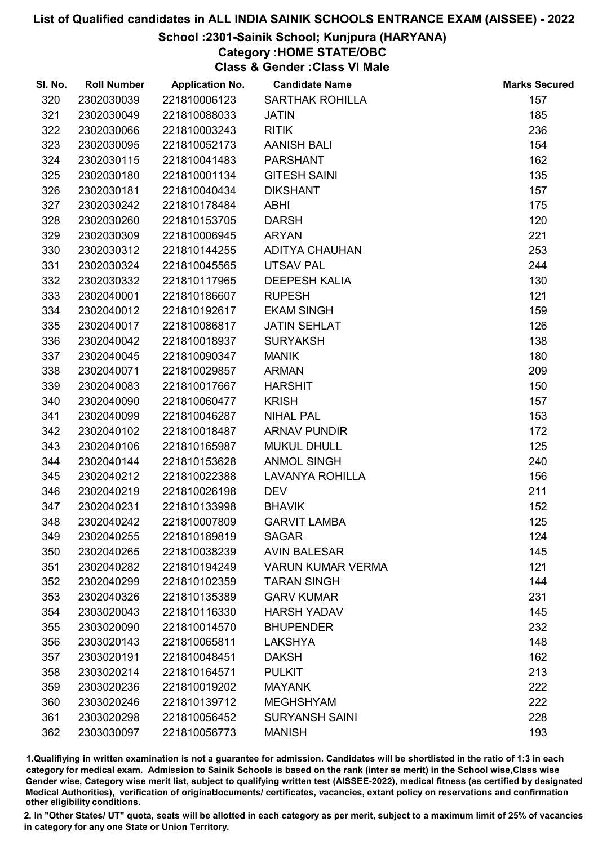## School :2301-Sainik School; Kunjpura (HARYANA)

## Category :HOME STATE/OBC

Class & Gender :Class VI Male

| SI. No. | <b>Roll Number</b> | <b>Application No.</b> | <b>Candidate Name</b>    | <b>Marks Secured</b> |
|---------|--------------------|------------------------|--------------------------|----------------------|
| 320     | 2302030039         | 221810006123           | <b>SARTHAK ROHILLA</b>   | 157                  |
| 321     | 2302030049         | 221810088033           | <b>JATIN</b>             | 185                  |
| 322     | 2302030066         | 221810003243           | <b>RITIK</b>             | 236                  |
| 323     | 2302030095         | 221810052173           | <b>AANISH BALI</b>       | 154                  |
| 324     | 2302030115         | 221810041483           | <b>PARSHANT</b>          | 162                  |
| 325     | 2302030180         | 221810001134           | <b>GITESH SAINI</b>      | 135                  |
| 326     | 2302030181         | 221810040434           | <b>DIKSHANT</b>          | 157                  |
| 327     | 2302030242         | 221810178484           | <b>ABHI</b>              | 175                  |
| 328     | 2302030260         | 221810153705           | <b>DARSH</b>             | 120                  |
| 329     | 2302030309         | 221810006945           | <b>ARYAN</b>             | 221                  |
| 330     | 2302030312         | 221810144255           | <b>ADITYA CHAUHAN</b>    | 253                  |
| 331     | 2302030324         | 221810045565           | <b>UTSAV PAL</b>         | 244                  |
| 332     | 2302030332         | 221810117965           | <b>DEEPESH KALIA</b>     | 130                  |
| 333     | 2302040001         | 221810186607           | <b>RUPESH</b>            | 121                  |
| 334     | 2302040012         | 221810192617           | <b>EKAM SINGH</b>        | 159                  |
| 335     | 2302040017         | 221810086817           | <b>JATIN SEHLAT</b>      | 126                  |
| 336     | 2302040042         | 221810018937           | <b>SURYAKSH</b>          | 138                  |
| 337     | 2302040045         | 221810090347           | <b>MANIK</b>             | 180                  |
| 338     | 2302040071         | 221810029857           | <b>ARMAN</b>             | 209                  |
| 339     | 2302040083         | 221810017667           | <b>HARSHIT</b>           | 150                  |
| 340     | 2302040090         | 221810060477           | <b>KRISH</b>             | 157                  |
| 341     | 2302040099         | 221810046287           | <b>NIHAL PAL</b>         | 153                  |
| 342     | 2302040102         | 221810018487           | <b>ARNAV PUNDIR</b>      | 172                  |
| 343     | 2302040106         | 221810165987           | <b>MUKUL DHULL</b>       | 125                  |
| 344     | 2302040144         | 221810153628           | <b>ANMOL SINGH</b>       | 240                  |
| 345     | 2302040212         | 221810022388           | <b>LAVANYA ROHILLA</b>   | 156                  |
| 346     | 2302040219         | 221810026198           | <b>DEV</b>               | 211                  |
| 347     | 2302040231         | 221810133998           | <b>BHAVIK</b>            | 152                  |
| 348     | 2302040242         | 221810007809           | <b>GARVIT LAMBA</b>      | 125                  |
| 349     | 2302040255         | 221810189819           | <b>SAGAR</b>             | 124                  |
| 350     | 2302040265         | 221810038239           | <b>AVIN BALESAR</b>      | 145                  |
| 351     | 2302040282         | 221810194249           | <b>VARUN KUMAR VERMA</b> | 121                  |
| 352     | 2302040299         | 221810102359           | <b>TARAN SINGH</b>       | 144                  |
| 353     | 2302040326         | 221810135389           | <b>GARV KUMAR</b>        | 231                  |
| 354     | 2303020043         | 221810116330           | <b>HARSH YADAV</b>       | 145                  |
| 355     | 2303020090         | 221810014570           | <b>BHUPENDER</b>         | 232                  |
| 356     | 2303020143         | 221810065811           | <b>LAKSHYA</b>           | 148                  |
| 357     | 2303020191         | 221810048451           | <b>DAKSH</b>             | 162                  |
| 358     | 2303020214         | 221810164571           | <b>PULKIT</b>            | 213                  |
| 359     | 2303020236         | 221810019202           | <b>MAYANK</b>            | 222                  |
| 360     | 2303020246         | 221810139712           | <b>MEGHSHYAM</b>         | 222                  |
| 361     | 2303020298         | 221810056452           | <b>SURYANSH SAINI</b>    | 228                  |
| 362     | 2303030097         | 221810056773           | <b>MANISH</b>            | 193                  |

1.Qualifiying in written examination is not a guarantee for admission. Candidates will be shortlisted in the ratio of 1:3 in each category for medical exam. Admission to Sainik Schools is based on the rank (inter se merit) in the School wise,Class wise Gender wise, Category wise merit list, subject to qualifying written test (AISSEE-2022), medical fitness (as certified by designated Medical Authorities), verification of originablocuments/ certificates, vacancies, extant policy on reservations and confirmation other eligibility conditions.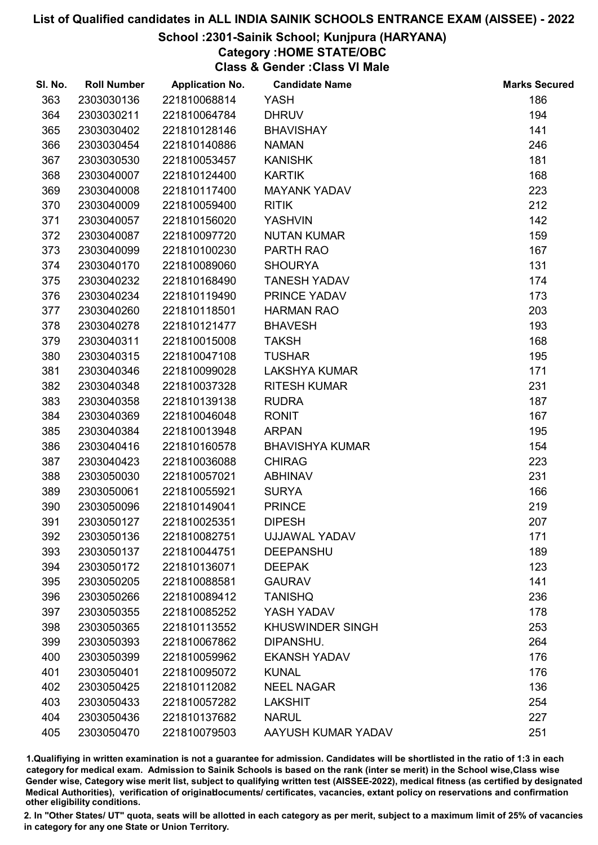#### School :2301-Sainik School; Kunjpura (HARYANA)

Category :HOME STATE/OBC

Class & Gender :Class VI Male

| SI. No. | <b>Roll Number</b> | <b>Application No.</b> | <b>Candidate Name</b>   | <b>Marks Secured</b> |
|---------|--------------------|------------------------|-------------------------|----------------------|
| 363     | 2303030136         | 221810068814           | <b>YASH</b>             | 186                  |
| 364     | 2303030211         | 221810064784           | <b>DHRUV</b>            | 194                  |
| 365     | 2303030402         | 221810128146           | <b>BHAVISHAY</b>        | 141                  |
| 366     | 2303030454         | 221810140886           | <b>NAMAN</b>            | 246                  |
| 367     | 2303030530         | 221810053457           | <b>KANISHK</b>          | 181                  |
| 368     | 2303040007         | 221810124400           | <b>KARTIK</b>           | 168                  |
| 369     | 2303040008         | 221810117400           | <b>MAYANK YADAV</b>     | 223                  |
| 370     | 2303040009         | 221810059400           | <b>RITIK</b>            | 212                  |
| 371     | 2303040057         | 221810156020           | <b>YASHVIN</b>          | 142                  |
| 372     | 2303040087         | 221810097720           | <b>NUTAN KUMAR</b>      | 159                  |
| 373     | 2303040099         | 221810100230           | PARTH RAO               | 167                  |
| 374     | 2303040170         | 221810089060           | <b>SHOURYA</b>          | 131                  |
| 375     | 2303040232         | 221810168490           | <b>TANESH YADAV</b>     | 174                  |
| 376     | 2303040234         | 221810119490           | PRINCE YADAV            | 173                  |
| 377     | 2303040260         | 221810118501           | <b>HARMAN RAO</b>       | 203                  |
| 378     | 2303040278         | 221810121477           | <b>BHAVESH</b>          | 193                  |
| 379     | 2303040311         | 221810015008           | <b>TAKSH</b>            | 168                  |
| 380     | 2303040315         | 221810047108           | <b>TUSHAR</b>           | 195                  |
| 381     | 2303040346         | 221810099028           | <b>LAKSHYA KUMAR</b>    | 171                  |
| 382     | 2303040348         | 221810037328           | <b>RITESH KUMAR</b>     | 231                  |
| 383     | 2303040358         | 221810139138           | <b>RUDRA</b>            | 187                  |
| 384     | 2303040369         | 221810046048           | <b>RONIT</b>            | 167                  |
| 385     | 2303040384         | 221810013948           | <b>ARPAN</b>            | 195                  |
| 386     | 2303040416         | 221810160578           | <b>BHAVISHYA KUMAR</b>  | 154                  |
| 387     | 2303040423         | 221810036088           | <b>CHIRAG</b>           | 223                  |
| 388     | 2303050030         | 221810057021           | <b>ABHINAV</b>          | 231                  |
| 389     | 2303050061         | 221810055921           | <b>SURYA</b>            | 166                  |
| 390     | 2303050096         | 221810149041           | <b>PRINCE</b>           | 219                  |
| 391     | 2303050127         | 221810025351           | <b>DIPESH</b>           | 207                  |
| 392     | 2303050136         | 221810082751           | UJJAWAL YADAV           | 171                  |
| 393     | 2303050137         | 221810044751           | <b>DEEPANSHU</b>        | 189                  |
| 394     | 2303050172         | 221810136071           | <b>DEEPAK</b>           | 123                  |
| 395     | 2303050205         | 221810088581           | <b>GAURAV</b>           | 141                  |
| 396     | 2303050266         | 221810089412           | <b>TANISHQ</b>          | 236                  |
| 397     | 2303050355         | 221810085252           | YASH YADAV              | 178                  |
| 398     | 2303050365         | 221810113552           | <b>KHUSWINDER SINGH</b> | 253                  |
| 399     | 2303050393         | 221810067862           | DIPANSHU.               | 264                  |
| 400     | 2303050399         | 221810059962           | <b>EKANSH YADAV</b>     | 176                  |
| 401     | 2303050401         | 221810095072           | <b>KUNAL</b>            | 176                  |
| 402     | 2303050425         | 221810112082           | <b>NEEL NAGAR</b>       | 136                  |
| 403     | 2303050433         | 221810057282           | <b>LAKSHIT</b>          | 254                  |
| 404     | 2303050436         | 221810137682           | <b>NARUL</b>            | 227                  |
| 405     | 2303050470         | 221810079503           | AAYUSH KUMAR YADAV      | 251                  |

1.Qualifiying in written examination is not a guarantee for admission. Candidates will be shortlisted in the ratio of 1:3 in each category for medical exam. Admission to Sainik Schools is based on the rank (inter se merit) in the School wise,Class wise Gender wise, Category wise merit list, subject to qualifying written test (AISSEE-2022), medical fitness (as certified by designated Medical Authorities), verification of originablocuments/ certificates, vacancies, extant policy on reservations and confirmation other eligibility conditions.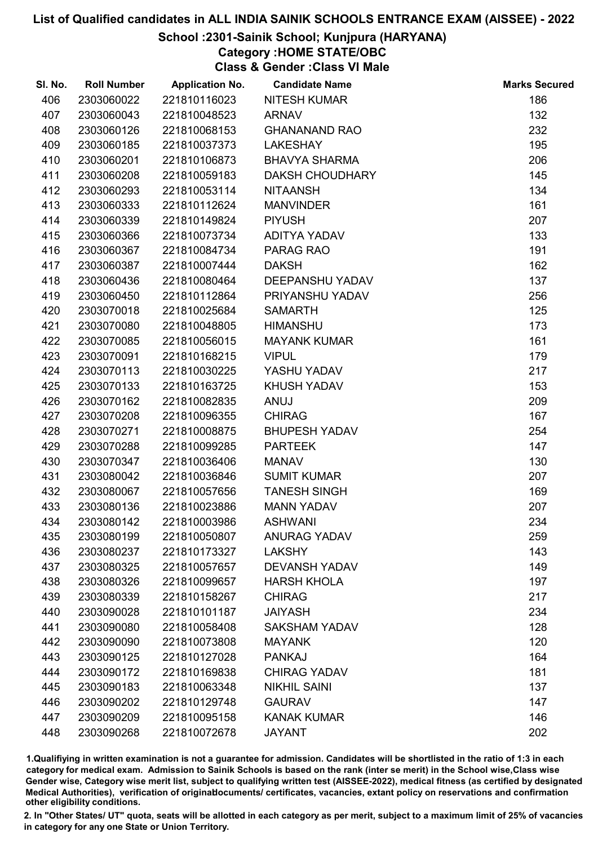## School :2301-Sainik School; Kunjpura (HARYANA)

# Category :HOME STATE/OBC

Class & Gender :Class VI Male

| SI. No. | <b>Roll Number</b> | <b>Application No.</b> | <b>Candidate Name</b>  | <b>Marks Secured</b> |
|---------|--------------------|------------------------|------------------------|----------------------|
| 406     | 2303060022         | 221810116023           | <b>NITESH KUMAR</b>    | 186                  |
| 407     | 2303060043         | 221810048523           | <b>ARNAV</b>           | 132                  |
| 408     | 2303060126         | 221810068153           | <b>GHANANAND RAO</b>   | 232                  |
| 409     | 2303060185         | 221810037373           | <b>LAKESHAY</b>        | 195                  |
| 410     | 2303060201         | 221810106873           | <b>BHAVYA SHARMA</b>   | 206                  |
| 411     | 2303060208         | 221810059183           | <b>DAKSH CHOUDHARY</b> | 145                  |
| 412     | 2303060293         | 221810053114           | <b>NITAANSH</b>        | 134                  |
| 413     | 2303060333         | 221810112624           | <b>MANVINDER</b>       | 161                  |
| 414     | 2303060339         | 221810149824           | <b>PIYUSH</b>          | 207                  |
| 415     | 2303060366         | 221810073734           | ADITYA YADAV           | 133                  |
| 416     | 2303060367         | 221810084734           | PARAG RAO              | 191                  |
| 417     | 2303060387         | 221810007444           | <b>DAKSH</b>           | 162                  |
| 418     | 2303060436         | 221810080464           | DEEPANSHU YADAV        | 137                  |
| 419     | 2303060450         | 221810112864           | PRIYANSHU YADAV        | 256                  |
| 420     | 2303070018         | 221810025684           | <b>SAMARTH</b>         | 125                  |
| 421     | 2303070080         | 221810048805           | <b>HIMANSHU</b>        | 173                  |
| 422     | 2303070085         | 221810056015           | <b>MAYANK KUMAR</b>    | 161                  |
| 423     | 2303070091         | 221810168215           | <b>VIPUL</b>           | 179                  |
| 424     | 2303070113         | 221810030225           | YASHU YADAV            | 217                  |
| 425     | 2303070133         | 221810163725           | <b>KHUSH YADAV</b>     | 153                  |
| 426     | 2303070162         | 221810082835           | ANUJ                   | 209                  |
| 427     | 2303070208         | 221810096355           | <b>CHIRAG</b>          | 167                  |
| 428     | 2303070271         | 221810008875           | <b>BHUPESH YADAV</b>   | 254                  |
| 429     | 2303070288         | 221810099285           | <b>PARTEEK</b>         | 147                  |
| 430     | 2303070347         | 221810036406           | <b>MANAV</b>           | 130                  |
| 431     | 2303080042         | 221810036846           | <b>SUMIT KUMAR</b>     | 207                  |
| 432     | 2303080067         | 221810057656           | <b>TANESH SINGH</b>    | 169                  |
| 433     | 2303080136         | 221810023886           | <b>MANN YADAV</b>      | 207                  |
| 434     | 2303080142         | 221810003986           | <b>ASHWANI</b>         | 234                  |
| 435     | 2303080199         | 221810050807           | <b>ANURAG YADAV</b>    | 259                  |
| 436     | 2303080237         | 221810173327           | <b>LAKSHY</b>          | 143                  |
| 437     | 2303080325         | 221810057657           | <b>DEVANSH YADAV</b>   | 149                  |
| 438     | 2303080326         | 221810099657           | <b>HARSH KHOLA</b>     | 197                  |
| 439     | 2303080339         | 221810158267           | <b>CHIRAG</b>          | 217                  |
| 440     | 2303090028         | 221810101187           | <b>JAIYASH</b>         | 234                  |
| 441     | 2303090080         | 221810058408           | <b>SAKSHAM YADAV</b>   | 128                  |
| 442     | 2303090090         | 221810073808           | <b>MAYANK</b>          | 120                  |
| 443     | 2303090125         | 221810127028           | <b>PANKAJ</b>          | 164                  |
| 444     | 2303090172         | 221810169838           | <b>CHIRAG YADAV</b>    | 181                  |
| 445     | 2303090183         | 221810063348           | <b>NIKHIL SAINI</b>    | 137                  |
| 446     | 2303090202         | 221810129748           | <b>GAURAV</b>          | 147                  |
| 447     | 2303090209         | 221810095158           | <b>KANAK KUMAR</b>     | 146                  |
| 448     | 2303090268         | 221810072678           | <b>JAYANT</b>          | 202                  |

1.Qualifiying in written examination is not a guarantee for admission. Candidates will be shortlisted in the ratio of 1:3 in each category for medical exam. Admission to Sainik Schools is based on the rank (inter se merit) in the School wise,Class wise Gender wise, Category wise merit list, subject to qualifying written test (AISSEE-2022), medical fitness (as certified by designated Medical Authorities), verification of originablocuments/ certificates, vacancies, extant policy on reservations and confirmation other eligibility conditions.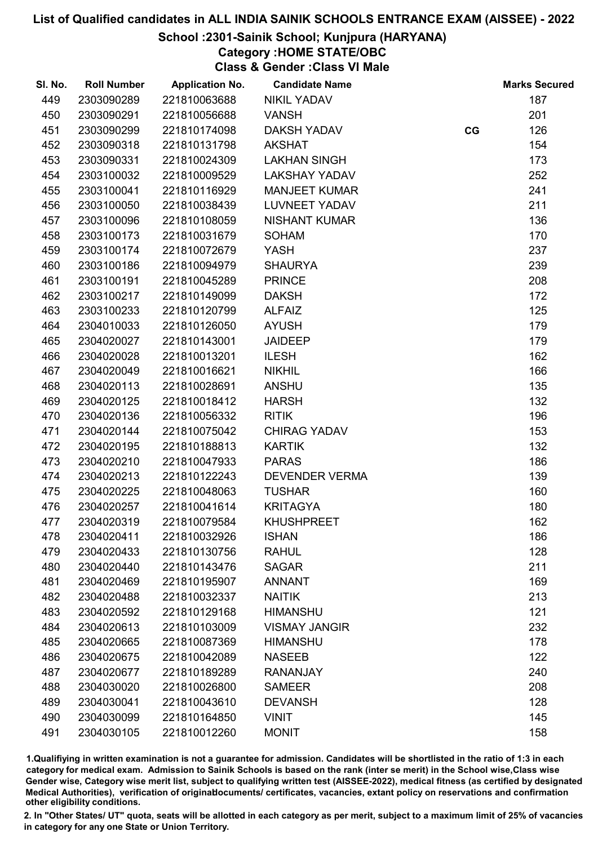## School :2301-Sainik School; Kunjpura (HARYANA)

Category :HOME STATE/OBC

Class & Gender :Class VI Male

| SI. No. | <b>Roll Number</b> | <b>Application No.</b> | <b>Candidate Name</b> |    | <b>Marks Secured</b> |
|---------|--------------------|------------------------|-----------------------|----|----------------------|
| 449     | 2303090289         | 221810063688           | <b>NIKIL YADAV</b>    |    | 187                  |
| 450     | 2303090291         | 221810056688           | <b>VANSH</b>          |    | 201                  |
| 451     | 2303090299         | 221810174098           | <b>DAKSH YADAV</b>    | CG | 126                  |
| 452     | 2303090318         | 221810131798           | <b>AKSHAT</b>         |    | 154                  |
| 453     | 2303090331         | 221810024309           | <b>LAKHAN SINGH</b>   |    | 173                  |
| 454     | 2303100032         | 221810009529           | <b>LAKSHAY YADAV</b>  |    | 252                  |
| 455     | 2303100041         | 221810116929           | <b>MANJEET KUMAR</b>  |    | 241                  |
| 456     | 2303100050         | 221810038439           | LUVNEET YADAV         |    | 211                  |
| 457     | 2303100096         | 221810108059           | <b>NISHANT KUMAR</b>  |    | 136                  |
| 458     | 2303100173         | 221810031679           | <b>SOHAM</b>          |    | 170                  |
| 459     | 2303100174         | 221810072679           | <b>YASH</b>           |    | 237                  |
| 460     | 2303100186         | 221810094979           | <b>SHAURYA</b>        |    | 239                  |
| 461     | 2303100191         | 221810045289           | <b>PRINCE</b>         |    | 208                  |
| 462     | 2303100217         | 221810149099           | <b>DAKSH</b>          |    | 172                  |
| 463     | 2303100233         | 221810120799           | <b>ALFAIZ</b>         |    | 125                  |
| 464     | 2304010033         | 221810126050           | <b>AYUSH</b>          |    | 179                  |
| 465     | 2304020027         | 221810143001           | <b>JAIDEEP</b>        |    | 179                  |
| 466     | 2304020028         | 221810013201           | <b>ILESH</b>          |    | 162                  |
| 467     | 2304020049         | 221810016621           | <b>NIKHIL</b>         |    | 166                  |
| 468     | 2304020113         | 221810028691           | <b>ANSHU</b>          |    | 135                  |
| 469     | 2304020125         | 221810018412           | <b>HARSH</b>          |    | 132                  |
| 470     | 2304020136         | 221810056332           | <b>RITIK</b>          |    | 196                  |
| 471     | 2304020144         | 221810075042           | <b>CHIRAG YADAV</b>   |    | 153                  |
| 472     | 2304020195         | 221810188813           | <b>KARTIK</b>         |    | 132                  |
| 473     | 2304020210         | 221810047933           | <b>PARAS</b>          |    | 186                  |
| 474     | 2304020213         | 221810122243           | <b>DEVENDER VERMA</b> |    | 139                  |
| 475     | 2304020225         | 221810048063           | <b>TUSHAR</b>         |    | 160                  |
| 476     | 2304020257         | 221810041614           | <b>KRITAGYA</b>       |    | 180                  |
| 477     | 2304020319         | 221810079584           | <b>KHUSHPREET</b>     |    | 162                  |
| 478     | 2304020411         | 221810032926           | <b>ISHAN</b>          |    | 186                  |
| 479     | 2304020433         | 221810130756           | <b>RAHUL</b>          |    | 128                  |
| 480     | 2304020440         | 221810143476           | <b>SAGAR</b>          |    | 211                  |
| 481     | 2304020469         | 221810195907           | <b>ANNANT</b>         |    | 169                  |
| 482     | 2304020488         | 221810032337           | <b>NAITIK</b>         |    | 213                  |
| 483     | 2304020592         | 221810129168           | <b>HIMANSHU</b>       |    | 121                  |
| 484     | 2304020613         | 221810103009           | <b>VISMAY JANGIR</b>  |    | 232                  |
| 485     | 2304020665         | 221810087369           | <b>HIMANSHU</b>       |    | 178                  |
| 486     | 2304020675         | 221810042089           | <b>NASEEB</b>         |    | 122                  |
| 487     | 2304020677         | 221810189289           | <b>RANANJAY</b>       |    | 240                  |
| 488     | 2304030020         | 221810026800           | <b>SAMEER</b>         |    | 208                  |
| 489     | 2304030041         | 221810043610           | <b>DEVANSH</b>        |    | 128                  |
| 490     | 2304030099         | 221810164850           | <b>VINIT</b>          |    | 145                  |
| 491     | 2304030105         | 221810012260           | <b>MONIT</b>          |    | 158                  |

1.Qualifiying in written examination is not a guarantee for admission. Candidates will be shortlisted in the ratio of 1:3 in each category for medical exam. Admission to Sainik Schools is based on the rank (inter se merit) in the School wise,Class wise Gender wise, Category wise merit list, subject to qualifying written test (AISSEE-2022), medical fitness (as certified by designated Medical Authorities), verification of originablocuments/ certificates, vacancies, extant policy on reservations and confirmation other eligibility conditions.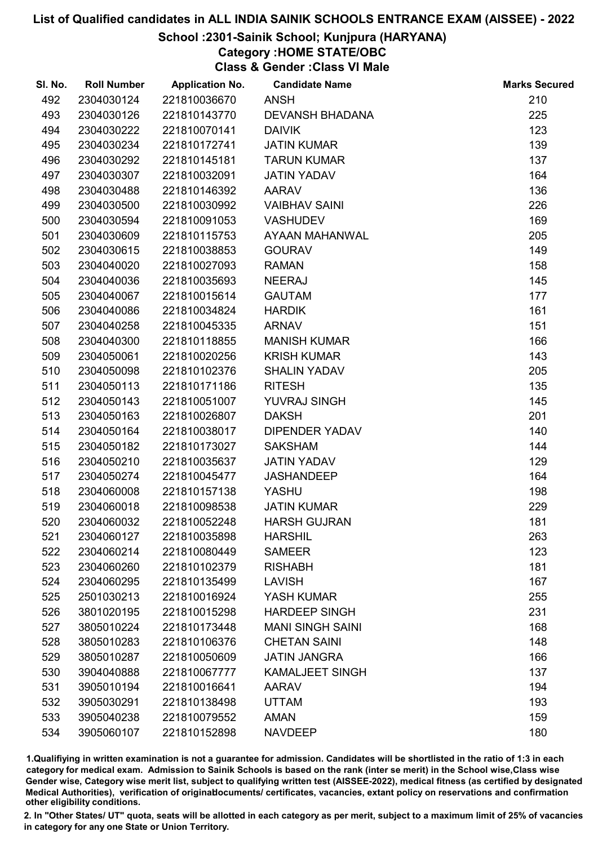#### School :2301-Sainik School; Kunjpura (HARYANA)

Category :HOME STATE/OBC

Class & Gender :Class VI Male

| SI. No. | <b>Roll Number</b> | <b>Application No.</b> | <b>Candidate Name</b>   | <b>Marks Secured</b> |
|---------|--------------------|------------------------|-------------------------|----------------------|
| 492     | 2304030124         | 221810036670           | <b>ANSH</b>             | 210                  |
| 493     | 2304030126         | 221810143770           | <b>DEVANSH BHADANA</b>  | 225                  |
| 494     | 2304030222         | 221810070141           | <b>DAIVIK</b>           | 123                  |
| 495     | 2304030234         | 221810172741           | <b>JATIN KUMAR</b>      | 139                  |
| 496     | 2304030292         | 221810145181           | <b>TARUN KUMAR</b>      | 137                  |
| 497     | 2304030307         | 221810032091           | <b>JATIN YADAV</b>      | 164                  |
| 498     | 2304030488         | 221810146392           | <b>AARAV</b>            | 136                  |
| 499     | 2304030500         | 221810030992           | <b>VAIBHAV SAINI</b>    | 226                  |
| 500     | 2304030594         | 221810091053           | <b>VASHUDEV</b>         | 169                  |
| 501     | 2304030609         | 221810115753           | AYAAN MAHANWAL          | 205                  |
| 502     | 2304030615         | 221810038853           | <b>GOURAV</b>           | 149                  |
| 503     | 2304040020         | 221810027093           | <b>RAMAN</b>            | 158                  |
| 504     | 2304040036         | 221810035693           | <b>NEERAJ</b>           | 145                  |
| 505     | 2304040067         | 221810015614           | <b>GAUTAM</b>           | 177                  |
| 506     | 2304040086         | 221810034824           | <b>HARDIK</b>           | 161                  |
| 507     | 2304040258         | 221810045335           | <b>ARNAV</b>            | 151                  |
| 508     | 2304040300         | 221810118855           | <b>MANISH KUMAR</b>     | 166                  |
| 509     | 2304050061         | 221810020256           | <b>KRISH KUMAR</b>      | 143                  |
| 510     | 2304050098         | 221810102376           | <b>SHALIN YADAV</b>     | 205                  |
| 511     | 2304050113         | 221810171186           | <b>RITESH</b>           | 135                  |
| 512     | 2304050143         | 221810051007           | YUVRAJ SINGH            | 145                  |
| 513     | 2304050163         | 221810026807           | <b>DAKSH</b>            | 201                  |
| 514     | 2304050164         | 221810038017           | <b>DIPENDER YADAV</b>   | 140                  |
| 515     | 2304050182         | 221810173027           | <b>SAKSHAM</b>          | 144                  |
| 516     | 2304050210         | 221810035637           | <b>JATIN YADAV</b>      | 129                  |
| 517     | 2304050274         | 221810045477           | <b>JASHANDEEP</b>       | 164                  |
| 518     | 2304060008         | 221810157138           | YASHU                   | 198                  |
| 519     | 2304060018         | 221810098538           | <b>JATIN KUMAR</b>      | 229                  |
| 520     | 2304060032         | 221810052248           | <b>HARSH GUJRAN</b>     | 181                  |
| 521     | 2304060127         | 221810035898           | <b>HARSHIL</b>          | 263                  |
| 522     | 2304060214         | 221810080449           | <b>SAMEER</b>           | 123                  |
| 523     | 2304060260         | 221810102379           | <b>RISHABH</b>          | 181                  |
| 524     | 2304060295         | 221810135499           | LAVISH                  | 167                  |
| 525     | 2501030213         | 221810016924           | YASH KUMAR              | 255                  |
| 526     | 3801020195         | 221810015298           | <b>HARDEEP SINGH</b>    | 231                  |
| 527     | 3805010224         | 221810173448           | <b>MANI SINGH SAINI</b> | 168                  |
| 528     | 3805010283         | 221810106376           | <b>CHETAN SAINI</b>     | 148                  |
| 529     | 3805010287         | 221810050609           | <b>JATIN JANGRA</b>     | 166                  |
| 530     | 3904040888         | 221810067777           | <b>KAMALJEET SINGH</b>  | 137                  |
| 531     | 3905010194         | 221810016641           | <b>AARAV</b>            | 194                  |
| 532     | 3905030291         | 221810138498           | <b>UTTAM</b>            | 193                  |
| 533     | 3905040238         | 221810079552           | <b>AMAN</b>             | 159                  |
| 534     | 3905060107         | 221810152898           | <b>NAVDEEP</b>          | 180                  |

1.Qualifiying in written examination is not a guarantee for admission. Candidates will be shortlisted in the ratio of 1:3 in each category for medical exam. Admission to Sainik Schools is based on the rank (inter se merit) in the School wise,Class wise Gender wise, Category wise merit list, subject to qualifying written test (AISSEE-2022), medical fitness (as certified by designated Medical Authorities), verification of originablocuments/ certificates, vacancies, extant policy on reservations and confirmation other eligibility conditions.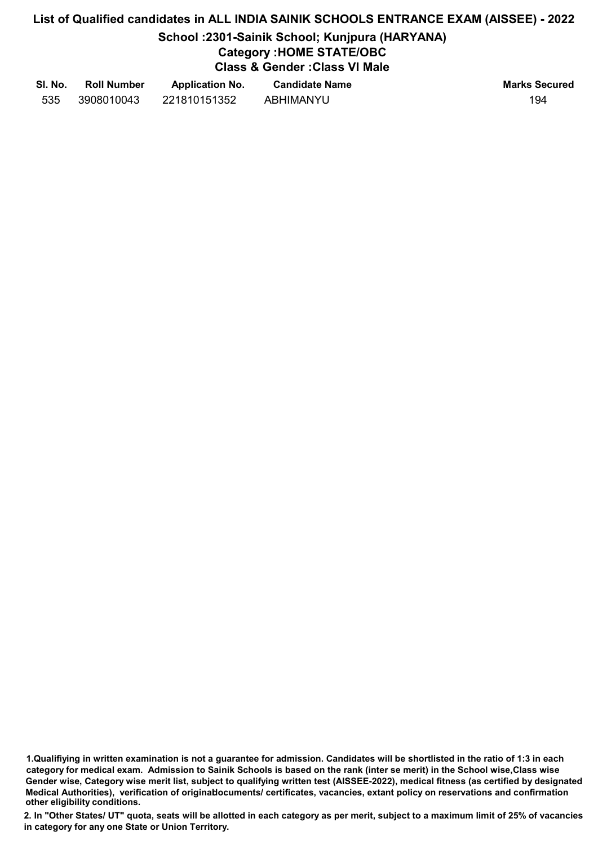## List of Qualified candidates in ALL INDIA SAINIK SCHOOLS ENTRANCE EXAM (AISSEE) - 2022 School :2301-Sainik School; Kunjpura (HARYANA) Category :HOME STATE/OBC Class & Gender :Class VI Male

| SI. No. | <b>Roll Number</b> | <b>Application No.</b> | <b>Candidate Name</b> | <b>Marks Secured</b> |
|---------|--------------------|------------------------|-----------------------|----------------------|
| 535     | 3908010043         | 221810151352           | ABHIMANYU             | 194                  |

<sup>1.</sup>Qualifiying in written examination is not a guarantee for admission. Candidates will be shortlisted in the ratio of 1:3 in each category for medical exam. Admission to Sainik Schools is based on the rank (inter se merit) in the School wise,Class wise Gender wise, Category wise merit list, subject to qualifying written test (AISSEE-2022), medical fitness (as certified by designated Medical Authorities), verification of originablocuments/ certificates, vacancies, extant policy on reservations and confirmation other eligibility conditions.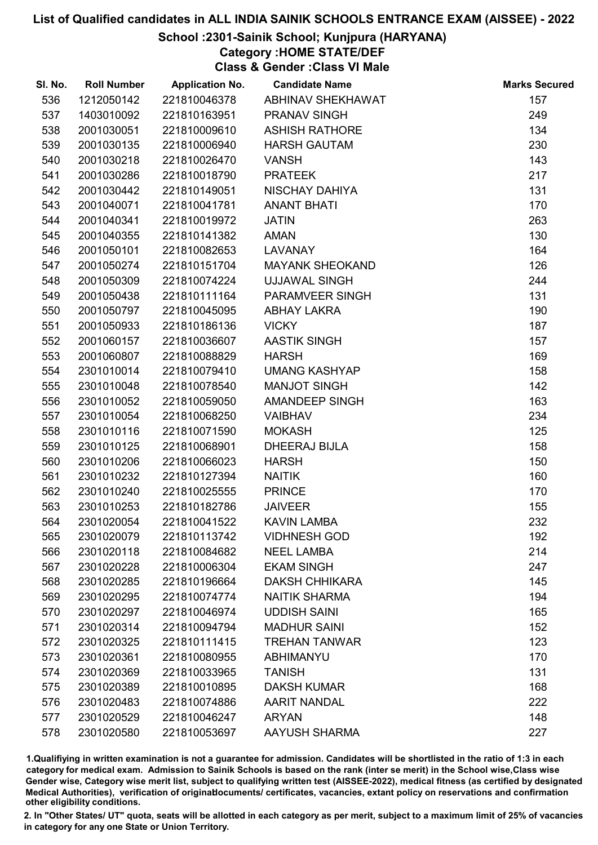## School :2301-Sainik School; Kunjpura (HARYANA)

## Category :HOME STATE/DEF

Class & Gender :Class VI Male

| SI. No. | <b>Roll Number</b> | <b>Application No.</b> | <b>Candidate Name</b>  | <b>Marks Secured</b> |
|---------|--------------------|------------------------|------------------------|----------------------|
| 536     | 1212050142         | 221810046378           | ABHINAV SHEKHAWAT      | 157                  |
| 537     | 1403010092         | 221810163951           | PRANAV SINGH           | 249                  |
| 538     | 2001030051         | 221810009610           | <b>ASHISH RATHORE</b>  | 134                  |
| 539     | 2001030135         | 221810006940           | <b>HARSH GAUTAM</b>    | 230                  |
| 540     | 2001030218         | 221810026470           | <b>VANSH</b>           | 143                  |
| 541     | 2001030286         | 221810018790           | <b>PRATEEK</b>         | 217                  |
| 542     | 2001030442         | 221810149051           | NISCHAY DAHIYA         | 131                  |
| 543     | 2001040071         | 221810041781           | <b>ANANT BHATI</b>     | 170                  |
| 544     | 2001040341         | 221810019972           | <b>JATIN</b>           | 263                  |
| 545     | 2001040355         | 221810141382           | <b>AMAN</b>            | 130                  |
| 546     | 2001050101         | 221810082653           | <b>LAVANAY</b>         | 164                  |
| 547     | 2001050274         | 221810151704           | <b>MAYANK SHEOKAND</b> | 126                  |
| 548     | 2001050309         | 221810074224           | <b>UJJAWAL SINGH</b>   | 244                  |
| 549     | 2001050438         | 221810111164           | PARAMVEER SINGH        | 131                  |
| 550     | 2001050797         | 221810045095           | <b>ABHAY LAKRA</b>     | 190                  |
| 551     | 2001050933         | 221810186136           | <b>VICKY</b>           | 187                  |
| 552     | 2001060157         | 221810036607           | <b>AASTIK SINGH</b>    | 157                  |
| 553     | 2001060807         | 221810088829           | <b>HARSH</b>           | 169                  |
| 554     | 2301010014         | 221810079410           | <b>UMANG KASHYAP</b>   | 158                  |
| 555     | 2301010048         | 221810078540           | <b>MANJOT SINGH</b>    | 142                  |
| 556     | 2301010052         | 221810059050           | AMANDEEP SINGH         | 163                  |
| 557     | 2301010054         | 221810068250           | <b>VAIBHAV</b>         | 234                  |
| 558     | 2301010116         | 221810071590           | <b>MOKASH</b>          | 125                  |
| 559     | 2301010125         | 221810068901           | <b>DHEERAJ BIJLA</b>   | 158                  |
| 560     | 2301010206         | 221810066023           | <b>HARSH</b>           | 150                  |
| 561     | 2301010232         | 221810127394           | <b>NAITIK</b>          | 160                  |
| 562     | 2301010240         | 221810025555           | <b>PRINCE</b>          | 170                  |
| 563     | 2301010253         | 221810182786           | <b>JAIVEER</b>         | 155                  |
| 564     | 2301020054         | 221810041522           | <b>KAVIN LAMBA</b>     | 232                  |
| 565     | 2301020079         | 221810113742           | <b>VIDHNESH GOD</b>    | 192                  |
| 566     | 2301020118         | 221810084682           | <b>NEEL LAMBA</b>      | 214                  |
| 567     | 2301020228         | 221810006304           | <b>EKAM SINGH</b>      | 247                  |
| 568     | 2301020285         | 221810196664           | <b>DAKSH CHHIKARA</b>  | 145                  |
| 569     | 2301020295         | 221810074774           | <b>NAITIK SHARMA</b>   | 194                  |
| 570     | 2301020297         | 221810046974           | <b>UDDISH SAINI</b>    | 165                  |
| 571     | 2301020314         | 221810094794           | <b>MADHUR SAINI</b>    | 152                  |
| 572     | 2301020325         | 221810111415           | <b>TREHAN TANWAR</b>   | 123                  |
| 573     | 2301020361         | 221810080955           | <b>ABHIMANYU</b>       | 170                  |
| 574     | 2301020369         | 221810033965           | <b>TANISH</b>          | 131                  |
| 575     | 2301020389         | 221810010895           | <b>DAKSH KUMAR</b>     | 168                  |
| 576     | 2301020483         | 221810074886           | <b>AARIT NANDAL</b>    | 222                  |
| 577     | 2301020529         | 221810046247           | <b>ARYAN</b>           | 148                  |
| 578     | 2301020580         | 221810053697           | AAYUSH SHARMA          | 227                  |

1.Qualifiying in written examination is not a guarantee for admission. Candidates will be shortlisted in the ratio of 1:3 in each category for medical exam. Admission to Sainik Schools is based on the rank (inter se merit) in the School wise,Class wise Gender wise, Category wise merit list, subject to qualifying written test (AISSEE-2022), medical fitness (as certified by designated Medical Authorities), verification of originablocuments/ certificates, vacancies, extant policy on reservations and confirmation other eligibility conditions.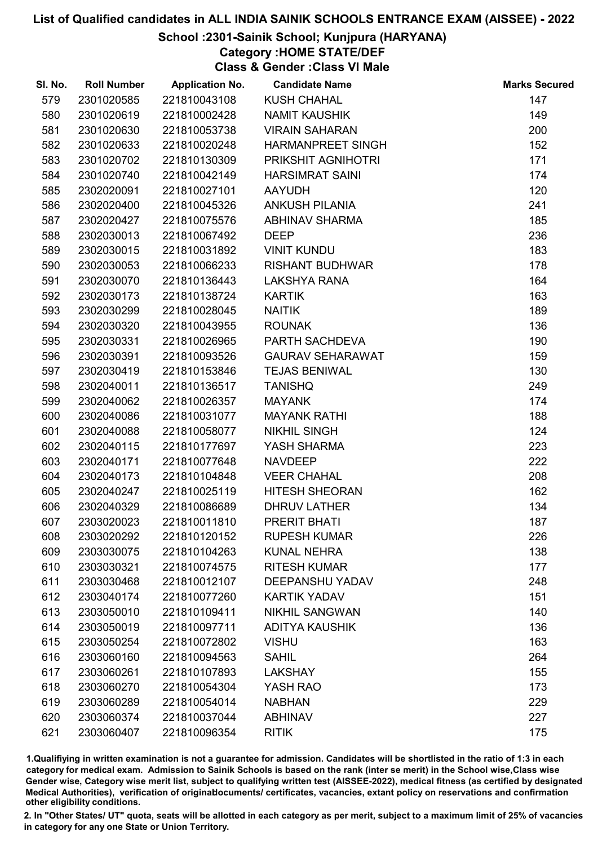## School :2301-Sainik School; Kunjpura (HARYANA)

## Category :HOME STATE/DEF

Class & Gender :Class VI Male

| SI. No. | <b>Roll Number</b> | <b>Application No.</b> | <b>Candidate Name</b>    | <b>Marks Secured</b> |
|---------|--------------------|------------------------|--------------------------|----------------------|
| 579     | 2301020585         | 221810043108           | <b>KUSH CHAHAL</b>       | 147                  |
| 580     | 2301020619         | 221810002428           | <b>NAMIT KAUSHIK</b>     | 149                  |
| 581     | 2301020630         | 221810053738           | <b>VIRAIN SAHARAN</b>    | 200                  |
| 582     | 2301020633         | 221810020248           | <b>HARMANPREET SINGH</b> | 152                  |
| 583     | 2301020702         | 221810130309           | PRIKSHIT AGNIHOTRI       | 171                  |
| 584     | 2301020740         | 221810042149           | <b>HARSIMRAT SAINI</b>   | 174                  |
| 585     | 2302020091         | 221810027101           | <b>AAYUDH</b>            | 120                  |
| 586     | 2302020400         | 221810045326           | <b>ANKUSH PILANIA</b>    | 241                  |
| 587     | 2302020427         | 221810075576           | <b>ABHINAV SHARMA</b>    | 185                  |
| 588     | 2302030013         | 221810067492           | <b>DEEP</b>              | 236                  |
| 589     | 2302030015         | 221810031892           | <b>VINIT KUNDU</b>       | 183                  |
| 590     | 2302030053         | 221810066233           | <b>RISHANT BUDHWAR</b>   | 178                  |
| 591     | 2302030070         | 221810136443           | <b>LAKSHYA RANA</b>      | 164                  |
| 592     | 2302030173         | 221810138724           | <b>KARTIK</b>            | 163                  |
| 593     | 2302030299         | 221810028045           | <b>NAITIK</b>            | 189                  |
| 594     | 2302030320         | 221810043955           | <b>ROUNAK</b>            | 136                  |
| 595     | 2302030331         | 221810026965           | PARTH SACHDEVA           | 190                  |
| 596     | 2302030391         | 221810093526           | <b>GAURAV SEHARAWAT</b>  | 159                  |
| 597     | 2302030419         | 221810153846           | <b>TEJAS BENIWAL</b>     | 130                  |
| 598     | 2302040011         | 221810136517           | <b>TANISHQ</b>           | 249                  |
| 599     | 2302040062         | 221810026357           | <b>MAYANK</b>            | 174                  |
| 600     | 2302040086         | 221810031077           | <b>MAYANK RATHI</b>      | 188                  |
| 601     | 2302040088         | 221810058077           | <b>NIKHIL SINGH</b>      | 124                  |
| 602     | 2302040115         | 221810177697           | YASH SHARMA              | 223                  |
| 603     | 2302040171         | 221810077648           | <b>NAVDEEP</b>           | 222                  |
| 604     | 2302040173         | 221810104848           | <b>VEER CHAHAL</b>       | 208                  |
| 605     | 2302040247         | 221810025119           | <b>HITESH SHEORAN</b>    | 162                  |
| 606     | 2302040329         | 221810086689           | <b>DHRUV LATHER</b>      | 134                  |
| 607     | 2303020023         | 221810011810           | PRERIT BHATI             | 187                  |
| 608     | 2303020292         | 221810120152           | <b>RUPESH KUMAR</b>      | 226                  |
| 609     | 2303030075         | 221810104263           | <b>KUNAL NEHRA</b>       | 138                  |
| 610     | 2303030321         | 221810074575           | <b>RITESH KUMAR</b>      | 177                  |
| 611     | 2303030468         | 221810012107           | <b>DEEPANSHU YADAV</b>   | 248                  |
| 612     | 2303040174         | 221810077260           | <b>KARTIK YADAV</b>      | 151                  |
| 613     | 2303050010         | 221810109411           | <b>NIKHIL SANGWAN</b>    | 140                  |
| 614     | 2303050019         | 221810097711           | <b>ADITYA KAUSHIK</b>    | 136                  |
| 615     | 2303050254         | 221810072802           | <b>VISHU</b>             | 163                  |
| 616     | 2303060160         | 221810094563           | <b>SAHIL</b>             | 264                  |
| 617     | 2303060261         | 221810107893           | <b>LAKSHAY</b>           | 155                  |
| 618     | 2303060270         | 221810054304           | YASH RAO                 | 173                  |
| 619     | 2303060289         | 221810054014           | <b>NABHAN</b>            | 229                  |
| 620     | 2303060374         | 221810037044           | <b>ABHINAV</b>           | 227                  |
| 621     | 2303060407         | 221810096354           | <b>RITIK</b>             | 175                  |

1.Qualifiying in written examination is not a guarantee for admission. Candidates will be shortlisted in the ratio of 1:3 in each category for medical exam. Admission to Sainik Schools is based on the rank (inter se merit) in the School wise,Class wise Gender wise, Category wise merit list, subject to qualifying written test (AISSEE-2022), medical fitness (as certified by designated Medical Authorities), verification of originablocuments/ certificates, vacancies, extant policy on reservations and confirmation other eligibility conditions.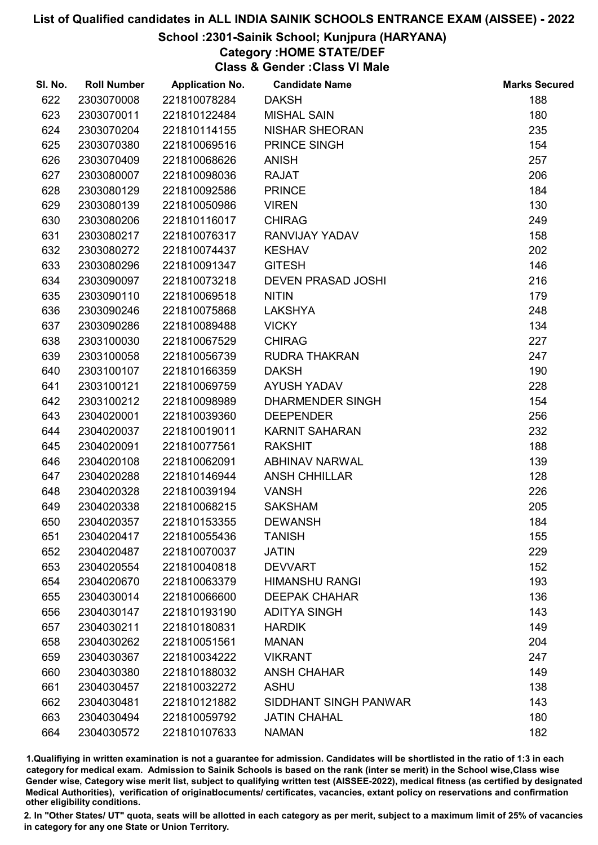## School :2301-Sainik School; Kunjpura (HARYANA)

## Category :HOME STATE/DEF

Class & Gender :Class VI Male

| SI. No. | <b>Roll Number</b> | <b>Application No.</b> | <b>Candidate Name</b>     | <b>Marks Secured</b> |
|---------|--------------------|------------------------|---------------------------|----------------------|
| 622     | 2303070008         | 221810078284           | <b>DAKSH</b>              | 188                  |
| 623     | 2303070011         | 221810122484           | <b>MISHAL SAIN</b>        | 180                  |
| 624     | 2303070204         | 221810114155           | <b>NISHAR SHEORAN</b>     | 235                  |
| 625     | 2303070380         | 221810069516           | PRINCE SINGH              | 154                  |
| 626     | 2303070409         | 221810068626           | <b>ANISH</b>              | 257                  |
| 627     | 2303080007         | 221810098036           | <b>RAJAT</b>              | 206                  |
| 628     | 2303080129         | 221810092586           | <b>PRINCE</b>             | 184                  |
| 629     | 2303080139         | 221810050986           | <b>VIREN</b>              | 130                  |
| 630     | 2303080206         | 221810116017           | <b>CHIRAG</b>             | 249                  |
| 631     | 2303080217         | 221810076317           | RANVIJAY YADAV            | 158                  |
| 632     | 2303080272         | 221810074437           | <b>KESHAV</b>             | 202                  |
| 633     | 2303080296         | 221810091347           | <b>GITESH</b>             | 146                  |
| 634     | 2303090097         | 221810073218           | <b>DEVEN PRASAD JOSHI</b> | 216                  |
| 635     | 2303090110         | 221810069518           | <b>NITIN</b>              | 179                  |
| 636     | 2303090246         | 221810075868           | <b>LAKSHYA</b>            | 248                  |
| 637     | 2303090286         | 221810089488           | <b>VICKY</b>              | 134                  |
| 638     | 2303100030         | 221810067529           | <b>CHIRAG</b>             | 227                  |
| 639     | 2303100058         | 221810056739           | <b>RUDRA THAKRAN</b>      | 247                  |
| 640     | 2303100107         | 221810166359           | <b>DAKSH</b>              | 190                  |
| 641     | 2303100121         | 221810069759           | <b>AYUSH YADAV</b>        | 228                  |
| 642     | 2303100212         | 221810098989           | <b>DHARMENDER SINGH</b>   | 154                  |
| 643     | 2304020001         | 221810039360           | <b>DEEPENDER</b>          | 256                  |
| 644     | 2304020037         | 221810019011           | <b>KARNIT SAHARAN</b>     | 232                  |
| 645     | 2304020091         | 221810077561           | <b>RAKSHIT</b>            | 188                  |
| 646     | 2304020108         | 221810062091           | <b>ABHINAV NARWAL</b>     | 139                  |
| 647     | 2304020288         | 221810146944           | <b>ANSH CHHILLAR</b>      | 128                  |
| 648     | 2304020328         | 221810039194           | <b>VANSH</b>              | 226                  |
| 649     | 2304020338         | 221810068215           | <b>SAKSHAM</b>            | 205                  |
| 650     | 2304020357         | 221810153355           | <b>DEWANSH</b>            | 184                  |
| 651     | 2304020417         | 221810055436           | <b>TANISH</b>             | 155                  |
| 652     | 2304020487         | 221810070037           | <b>JATIN</b>              | 229                  |
| 653     | 2304020554         | 221810040818           | <b>DEVVART</b>            | 152                  |
| 654     | 2304020670         | 221810063379           | <b>HIMANSHU RANGI</b>     | 193                  |
| 655     | 2304030014         | 221810066600           | <b>DEEPAK CHAHAR</b>      | 136                  |
| 656     | 2304030147         | 221810193190           | <b>ADITYA SINGH</b>       | 143                  |
| 657     | 2304030211         | 221810180831           | <b>HARDIK</b>             | 149                  |
| 658     | 2304030262         | 221810051561           | <b>MANAN</b>              | 204                  |
| 659     | 2304030367         | 221810034222           | <b>VIKRANT</b>            | 247                  |
| 660     | 2304030380         | 221810188032           | <b>ANSH CHAHAR</b>        | 149                  |
| 661     | 2304030457         | 221810032272           | <b>ASHU</b>               | 138                  |
| 662     | 2304030481         | 221810121882           | SIDDHANT SINGH PANWAR     | 143                  |
| 663     | 2304030494         | 221810059792           | <b>JATIN CHAHAL</b>       | 180                  |
| 664     | 2304030572         | 221810107633           | <b>NAMAN</b>              | 182                  |

1.Qualifiying in written examination is not a guarantee for admission. Candidates will be shortlisted in the ratio of 1:3 in each category for medical exam. Admission to Sainik Schools is based on the rank (inter se merit) in the School wise,Class wise Gender wise, Category wise merit list, subject to qualifying written test (AISSEE-2022), medical fitness (as certified by designated Medical Authorities), verification of originablocuments/ certificates, vacancies, extant policy on reservations and confirmation other eligibility conditions.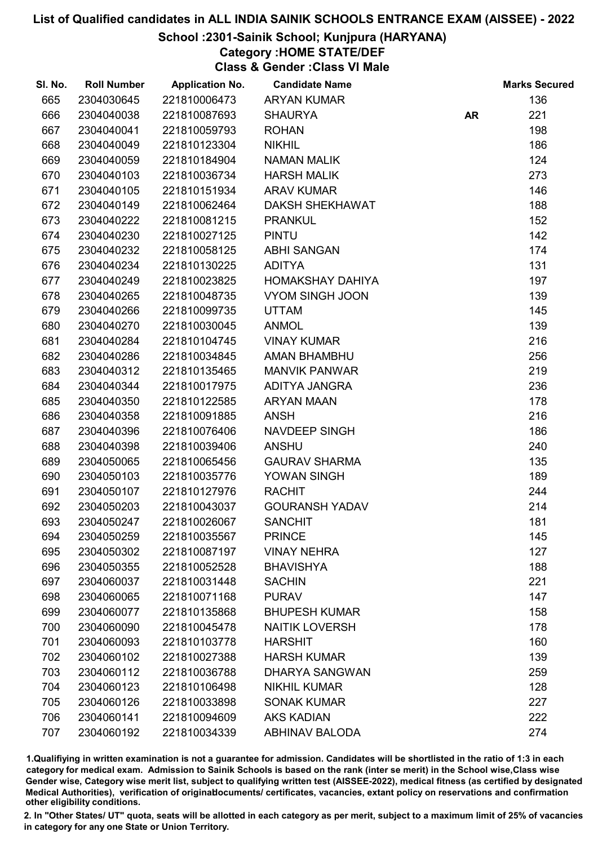## School :2301-Sainik School; Kunjpura (HARYANA)

## Category :HOME STATE/DEF

Class & Gender :Class VI Male

| SI. No. | <b>Roll Number</b> | <b>Application No.</b> | <b>Candidate Name</b>   |           | <b>Marks Secured</b> |
|---------|--------------------|------------------------|-------------------------|-----------|----------------------|
| 665     | 2304030645         | 221810006473           | <b>ARYAN KUMAR</b>      |           | 136                  |
| 666     | 2304040038         | 221810087693           | <b>SHAURYA</b>          | <b>AR</b> | 221                  |
| 667     | 2304040041         | 221810059793           | <b>ROHAN</b>            |           | 198                  |
| 668     | 2304040049         | 221810123304           | <b>NIKHIL</b>           |           | 186                  |
| 669     | 2304040059         | 221810184904           | <b>NAMAN MALIK</b>      |           | 124                  |
| 670     | 2304040103         | 221810036734           | <b>HARSH MALIK</b>      |           | 273                  |
| 671     | 2304040105         | 221810151934           | <b>ARAV KUMAR</b>       |           | 146                  |
| 672     | 2304040149         | 221810062464           | <b>DAKSH SHEKHAWAT</b>  |           | 188                  |
| 673     | 2304040222         | 221810081215           | <b>PRANKUL</b>          |           | 152                  |
| 674     | 2304040230         | 221810027125           | <b>PINTU</b>            |           | 142                  |
| 675     | 2304040232         | 221810058125           | <b>ABHI SANGAN</b>      |           | 174                  |
| 676     | 2304040234         | 221810130225           | <b>ADITYA</b>           |           | 131                  |
| 677     | 2304040249         | 221810023825           | <b>HOMAKSHAY DAHIYA</b> |           | 197                  |
| 678     | 2304040265         | 221810048735           | <b>VYOM SINGH JOON</b>  |           | 139                  |
| 679     | 2304040266         | 221810099735           | <b>UTTAM</b>            |           | 145                  |
| 680     | 2304040270         | 221810030045           | <b>ANMOL</b>            |           | 139                  |
| 681     | 2304040284         | 221810104745           | <b>VINAY KUMAR</b>      |           | 216                  |
| 682     | 2304040286         | 221810034845           | AMAN BHAMBHU            |           | 256                  |
| 683     | 2304040312         | 221810135465           | <b>MANVIK PANWAR</b>    |           | 219                  |
| 684     | 2304040344         | 221810017975           | ADITYA JANGRA           |           | 236                  |
| 685     | 2304040350         | 221810122585           | <b>ARYAN MAAN</b>       |           | 178                  |
| 686     | 2304040358         | 221810091885           | <b>ANSH</b>             |           | 216                  |
| 687     | 2304040396         | 221810076406           | NAVDEEP SINGH           |           | 186                  |
| 688     | 2304040398         | 221810039406           | <b>ANSHU</b>            |           | 240                  |
| 689     | 2304050065         | 221810065456           | <b>GAURAV SHARMA</b>    |           | 135                  |
| 690     | 2304050103         | 221810035776           | YOWAN SINGH             |           | 189                  |
| 691     | 2304050107         | 221810127976           | <b>RACHIT</b>           |           | 244                  |
| 692     | 2304050203         | 221810043037           | <b>GOURANSH YADAV</b>   |           | 214                  |
| 693     | 2304050247         | 221810026067           | <b>SANCHIT</b>          |           | 181                  |
| 694     | 2304050259         | 221810035567           | <b>PRINCE</b>           |           | 145                  |
| 695     | 2304050302         | 221810087197           | <b>VINAY NEHRA</b>      |           | 127                  |
| 696     | 2304050355         | 221810052528           | <b>BHAVISHYA</b>        |           | 188                  |
| 697     | 2304060037         | 221810031448           | <b>SACHIN</b>           |           | 221                  |
| 698     | 2304060065         | 221810071168           | <b>PURAV</b>            |           | 147                  |
| 699     | 2304060077         | 221810135868           | <b>BHUPESH KUMAR</b>    |           | 158                  |
| 700     | 2304060090         | 221810045478           | <b>NAITIK LOVERSH</b>   |           | 178                  |
| 701     | 2304060093         | 221810103778           | <b>HARSHIT</b>          |           | 160                  |
| 702     | 2304060102         | 221810027388           | <b>HARSH KUMAR</b>      |           | 139                  |
| 703     | 2304060112         | 221810036788           | <b>DHARYA SANGWAN</b>   |           | 259                  |
| 704     | 2304060123         | 221810106498           | <b>NIKHIL KUMAR</b>     |           | 128                  |
| 705     | 2304060126         | 221810033898           | <b>SONAK KUMAR</b>      |           | 227                  |
| 706     | 2304060141         | 221810094609           | <b>AKS KADIAN</b>       |           | 222                  |
| 707     | 2304060192         | 221810034339           | <b>ABHINAV BALODA</b>   |           | 274                  |

1.Qualifiying in written examination is not a guarantee for admission. Candidates will be shortlisted in the ratio of 1:3 in each category for medical exam. Admission to Sainik Schools is based on the rank (inter se merit) in the School wise,Class wise Gender wise, Category wise merit list, subject to qualifying written test (AISSEE-2022), medical fitness (as certified by designated Medical Authorities), verification of originablocuments/ certificates, vacancies, extant policy on reservations and confirmation other eligibility conditions.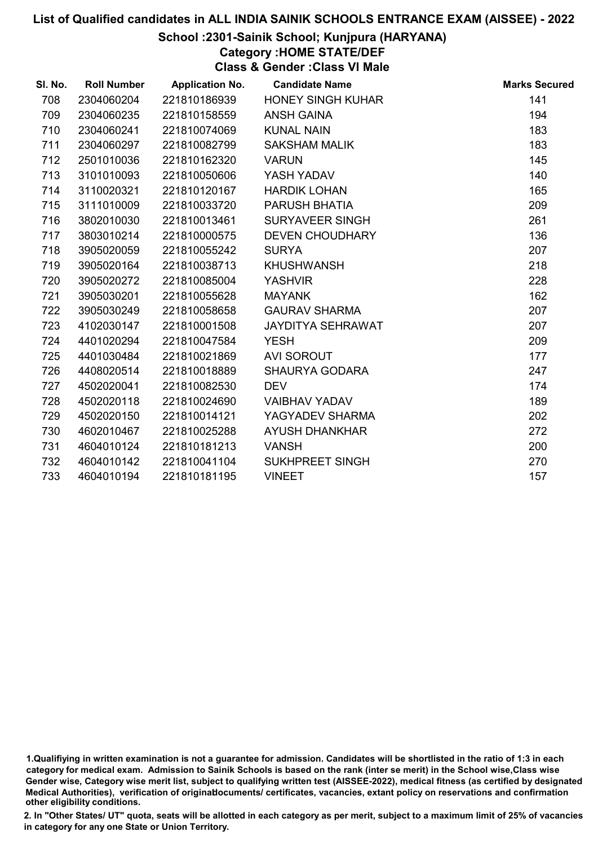## School :2301-Sainik School; Kunjpura (HARYANA)

## Category :HOME STATE/DEF

Class & Gender :Class VI Male

| SI. No. | <b>Roll Number</b> | <b>Application No.</b> | <b>Candidate Name</b>    | <b>Marks Secured</b> |
|---------|--------------------|------------------------|--------------------------|----------------------|
| 708     | 2304060204         | 221810186939           | <b>HONEY SINGH KUHAR</b> | 141                  |
| 709     | 2304060235         | 221810158559           | <b>ANSH GAINA</b>        | 194                  |
| 710     | 2304060241         | 221810074069           | <b>KUNAL NAIN</b>        | 183                  |
| 711     | 2304060297         | 221810082799           | <b>SAKSHAM MALIK</b>     | 183                  |
| 712     | 2501010036         | 221810162320           | <b>VARUN</b>             | 145                  |
| 713     | 3101010093         | 221810050606           | YASH YADAV               | 140                  |
| 714     | 3110020321         | 221810120167           | <b>HARDIK LOHAN</b>      | 165                  |
| 715     | 3111010009         | 221810033720           | PARUSH BHATIA            | 209                  |
| 716     | 3802010030         | 221810013461           | SURYAVEER SINGH          | 261                  |
| 717     | 3803010214         | 221810000575           | <b>DEVEN CHOUDHARY</b>   | 136                  |
| 718     | 3905020059         | 221810055242           | <b>SURYA</b>             | 207                  |
| 719     | 3905020164         | 221810038713           | <b>KHUSHWANSH</b>        | 218                  |
| 720     | 3905020272         | 221810085004           | <b>YASHVIR</b>           | 228                  |
| 721     | 3905030201         | 221810055628           | <b>MAYANK</b>            | 162                  |
| 722     | 3905030249         | 221810058658           | <b>GAURAV SHARMA</b>     | 207                  |
| 723     | 4102030147         | 221810001508           | <b>JAYDITYA SEHRAWAT</b> | 207                  |
| 724     | 4401020294         | 221810047584           | <b>YESH</b>              | 209                  |
| 725     | 4401030484         | 221810021869           | <b>AVI SOROUT</b>        | 177                  |
| 726     | 4408020514         | 221810018889           | <b>SHAURYA GODARA</b>    | 247                  |
| 727     | 4502020041         | 221810082530           | <b>DEV</b>               | 174                  |
| 728     | 4502020118         | 221810024690           | <b>VAIBHAV YADAV</b>     | 189                  |
| 729     | 4502020150         | 221810014121           | YAGYADEV SHARMA          | 202                  |
| 730     | 4602010467         | 221810025288           | <b>AYUSH DHANKHAR</b>    | 272                  |
| 731     | 4604010124         | 221810181213           | <b>VANSH</b>             | 200                  |
| 732     | 4604010142         | 221810041104           | SUKHPREET SINGH          | 270                  |
| 733     | 4604010194         | 221810181195           | <b>VINEET</b>            | 157                  |

<sup>1.</sup>Qualifiying in written examination is not a guarantee for admission. Candidates will be shortlisted in the ratio of 1:3 in each category for medical exam. Admission to Sainik Schools is based on the rank (inter se merit) in the School wise,Class wise Gender wise, Category wise merit list, subject to qualifying written test (AISSEE-2022), medical fitness (as certified by designated Medical Authorities), verification of originablocuments/ certificates, vacancies, extant policy on reservations and confirmation other eligibility conditions.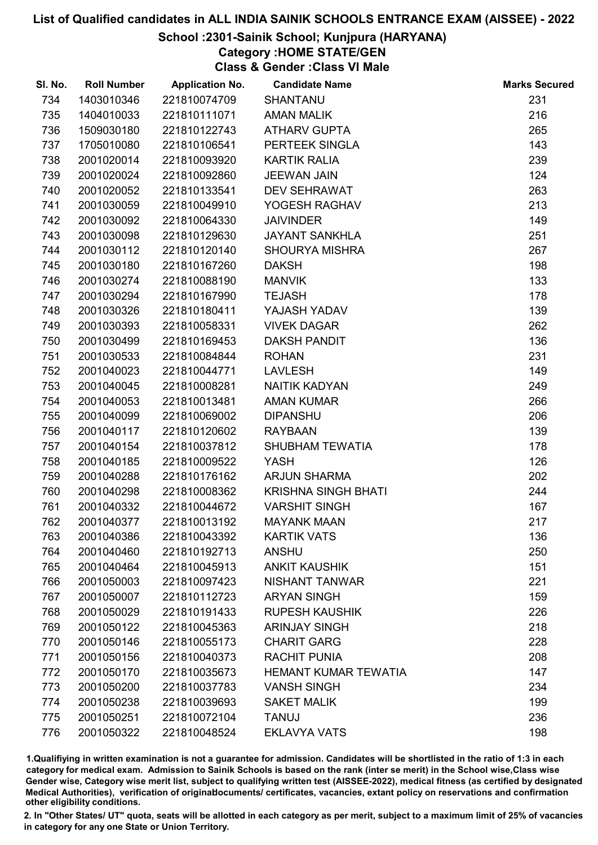## School :2301-Sainik School; Kunjpura (HARYANA)

Category :HOME STATE/GEN

Class & Gender :Class VI Male

| SI. No. | <b>Roll Number</b> | <b>Application No.</b> | <b>Candidate Name</b>       | <b>Marks Secured</b> |
|---------|--------------------|------------------------|-----------------------------|----------------------|
| 734     | 1403010346         | 221810074709           | <b>SHANTANU</b>             | 231                  |
| 735     | 1404010033         | 221810111071           | <b>AMAN MALIK</b>           | 216                  |
| 736     | 1509030180         | 221810122743           | <b>ATHARV GUPTA</b>         | 265                  |
| 737     | 1705010080         | 221810106541           | PERTEEK SINGLA              | 143                  |
| 738     | 2001020014         | 221810093920           | <b>KARTIK RALIA</b>         | 239                  |
| 739     | 2001020024         | 221810092860           | <b>JEEWAN JAIN</b>          | 124                  |
| 740     | 2001020052         | 221810133541           | <b>DEV SEHRAWAT</b>         | 263                  |
| 741     | 2001030059         | 221810049910           | YOGESH RAGHAV               | 213                  |
| 742     | 2001030092         | 221810064330           | <b>JAIVINDER</b>            | 149                  |
| 743     | 2001030098         | 221810129630           | <b>JAYANT SANKHLA</b>       | 251                  |
| 744     | 2001030112         | 221810120140           | <b>SHOURYA MISHRA</b>       | 267                  |
| 745     | 2001030180         | 221810167260           | <b>DAKSH</b>                | 198                  |
| 746     | 2001030274         | 221810088190           | <b>MANVIK</b>               | 133                  |
| 747     | 2001030294         | 221810167990           | <b>TEJASH</b>               | 178                  |
| 748     | 2001030326         | 221810180411           | YAJASH YADAV                | 139                  |
| 749     | 2001030393         | 221810058331           | <b>VIVEK DAGAR</b>          | 262                  |
| 750     | 2001030499         | 221810169453           | <b>DAKSH PANDIT</b>         | 136                  |
| 751     | 2001030533         | 221810084844           | <b>ROHAN</b>                | 231                  |
| 752     | 2001040023         | 221810044771           | <b>LAVLESH</b>              | 149                  |
| 753     | 2001040045         | 221810008281           | <b>NAITIK KADYAN</b>        | 249                  |
| 754     | 2001040053         | 221810013481           | <b>AMAN KUMAR</b>           | 266                  |
| 755     | 2001040099         | 221810069002           | <b>DIPANSHU</b>             | 206                  |
| 756     | 2001040117         | 221810120602           | <b>RAYBAAN</b>              | 139                  |
| 757     | 2001040154         | 221810037812           | <b>SHUBHAM TEWATIA</b>      | 178                  |
| 758     | 2001040185         | 221810009522           | <b>YASH</b>                 | 126                  |
| 759     | 2001040288         | 221810176162           | <b>ARJUN SHARMA</b>         | 202                  |
| 760     | 2001040298         | 221810008362           | <b>KRISHNA SINGH BHATI</b>  | 244                  |
| 761     | 2001040332         | 221810044672           | <b>VARSHIT SINGH</b>        | 167                  |
| 762     | 2001040377         | 221810013192           | <b>MAYANK MAAN</b>          | 217                  |
| 763     | 2001040386         | 221810043392           | <b>KARTIK VATS</b>          | 136                  |
| 764     | 2001040460         | 221810192713           | <b>ANSHU</b>                | 250                  |
| 765     | 2001040464         | 221810045913           | <b>ANKIT KAUSHIK</b>        | 151                  |
| 766     | 2001050003         | 221810097423           | <b>NISHANT TANWAR</b>       | 221                  |
| 767     | 2001050007         | 221810112723           | <b>ARYAN SINGH</b>          | 159                  |
| 768     | 2001050029         | 221810191433           | <b>RUPESH KAUSHIK</b>       | 226                  |
| 769     | 2001050122         | 221810045363           | <b>ARINJAY SINGH</b>        | 218                  |
| 770     | 2001050146         | 221810055173           | <b>CHARIT GARG</b>          | 228                  |
| 771     | 2001050156         | 221810040373           | <b>RACHIT PUNIA</b>         | 208                  |
| 772     | 2001050170         | 221810035673           | <b>HEMANT KUMAR TEWATIA</b> | 147                  |
| 773     | 2001050200         | 221810037783           | <b>VANSH SINGH</b>          | 234                  |
| 774     | 2001050238         | 221810039693           | <b>SAKET MALIK</b>          | 199                  |
| 775     | 2001050251         | 221810072104           | <b>TANUJ</b>                | 236                  |
| 776     | 2001050322         | 221810048524           | <b>EKLAVYA VATS</b>         | 198                  |

1.Qualifiying in written examination is not a guarantee for admission. Candidates will be shortlisted in the ratio of 1:3 in each category for medical exam. Admission to Sainik Schools is based on the rank (inter se merit) in the School wise,Class wise Gender wise, Category wise merit list, subject to qualifying written test (AISSEE-2022), medical fitness (as certified by designated Medical Authorities), verification of originablocuments/ certificates, vacancies, extant policy on reservations and confirmation other eligibility conditions.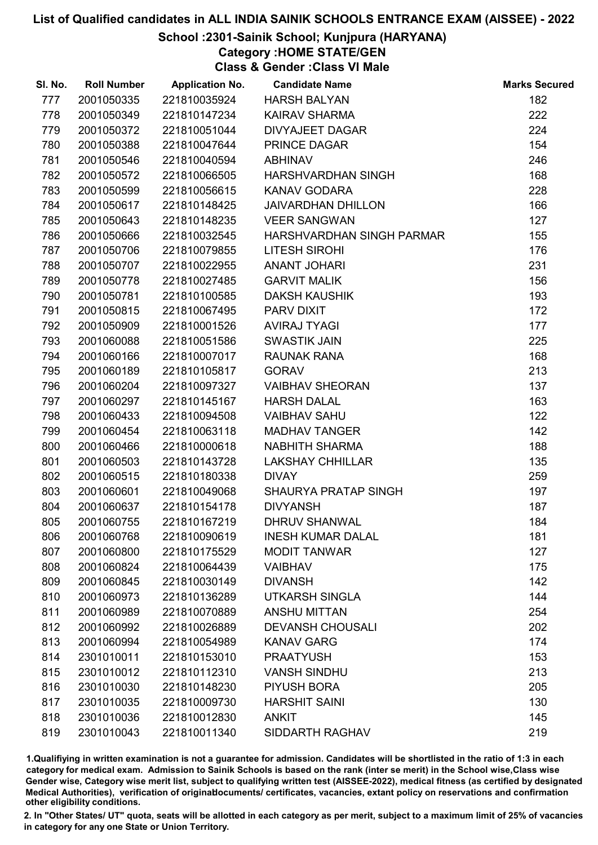## School :2301-Sainik School; Kunjpura (HARYANA)

Category :HOME STATE/GEN

Class & Gender :Class VI Male

| SI. No. | <b>Roll Number</b> | <b>Application No.</b> | <b>Candidate Name</b>       | <b>Marks Secured</b> |
|---------|--------------------|------------------------|-----------------------------|----------------------|
| 777     | 2001050335         | 221810035924           | <b>HARSH BALYAN</b>         | 182                  |
| 778     | 2001050349         | 221810147234           | <b>KAIRAV SHARMA</b>        | 222                  |
| 779     | 2001050372         | 221810051044           | <b>DIVYAJEET DAGAR</b>      | 224                  |
| 780     | 2001050388         | 221810047644           | PRINCE DAGAR                | 154                  |
| 781     | 2001050546         | 221810040594           | <b>ABHINAV</b>              | 246                  |
| 782     | 2001050572         | 221810066505           | HARSHVARDHAN SINGH          | 168                  |
| 783     | 2001050599         | 221810056615           | <b>KANAV GODARA</b>         | 228                  |
| 784     | 2001050617         | 221810148425           | <b>JAIVARDHAN DHILLON</b>   | 166                  |
| 785     | 2001050643         | 221810148235           | <b>VEER SANGWAN</b>         | 127                  |
| 786     | 2001050666         | 221810032545           | HARSHVARDHAN SINGH PARMAR   | 155                  |
| 787     | 2001050706         | 221810079855           | <b>LITESH SIROHI</b>        | 176                  |
| 788     | 2001050707         | 221810022955           | <b>ANANT JOHARI</b>         | 231                  |
| 789     | 2001050778         | 221810027485           | <b>GARVIT MALIK</b>         | 156                  |
| 790     | 2001050781         | 221810100585           | <b>DAKSH KAUSHIK</b>        | 193                  |
| 791     | 2001050815         | 221810067495           | PARV DIXIT                  | 172                  |
| 792     | 2001050909         | 221810001526           | <b>AVIRAJ TYAGI</b>         | 177                  |
| 793     | 2001060088         | 221810051586           | <b>SWASTIK JAIN</b>         | 225                  |
| 794     | 2001060166         | 221810007017           | <b>RAUNAK RANA</b>          | 168                  |
| 795     | 2001060189         | 221810105817           | <b>GORAV</b>                | 213                  |
| 796     | 2001060204         | 221810097327           | <b>VAIBHAV SHEORAN</b>      | 137                  |
| 797     | 2001060297         | 221810145167           | <b>HARSH DALAL</b>          | 163                  |
| 798     | 2001060433         | 221810094508           | <b>VAIBHAV SAHU</b>         | 122                  |
| 799     | 2001060454         | 221810063118           | <b>MADHAV TANGER</b>        | 142                  |
| 800     | 2001060466         | 221810000618           | <b>NABHITH SHARMA</b>       | 188                  |
| 801     | 2001060503         | 221810143728           | <b>LAKSHAY CHHILLAR</b>     | 135                  |
| 802     | 2001060515         | 221810180338           | <b>DIVAY</b>                | 259                  |
| 803     | 2001060601         | 221810049068           | <b>SHAURYA PRATAP SINGH</b> | 197                  |
| 804     | 2001060637         | 221810154178           | <b>DIVYANSH</b>             | 187                  |
| 805     | 2001060755         | 221810167219           | <b>DHRUV SHANWAL</b>        | 184                  |
| 806     | 2001060768         | 221810090619           | <b>INESH KUMAR DALAL</b>    | 181                  |
| 807     | 2001060800         | 221810175529           | <b>MODIT TANWAR</b>         | 127                  |
| 808     | 2001060824         | 221810064439           | <b>VAIBHAV</b>              | 175                  |
| 809     | 2001060845         | 221810030149           | <b>DIVANSH</b>              | 142                  |
| 810     | 2001060973         | 221810136289           | <b>UTKARSH SINGLA</b>       | 144                  |
| 811     | 2001060989         | 221810070889           | <b>ANSHU MITTAN</b>         | 254                  |
| 812     | 2001060992         | 221810026889           | <b>DEVANSH CHOUSALI</b>     | 202                  |
| 813     | 2001060994         | 221810054989           | <b>KANAV GARG</b>           | 174                  |
| 814     | 2301010011         | 221810153010           | <b>PRAATYUSH</b>            | 153                  |
| 815     | 2301010012         | 221810112310           | <b>VANSH SINDHU</b>         | 213                  |
| 816     | 2301010030         | 221810148230           | PIYUSH BORA                 | 205                  |
| 817     | 2301010035         | 221810009730           | <b>HARSHIT SAINI</b>        | 130                  |
| 818     | 2301010036         | 221810012830           | <b>ANKIT</b>                | 145                  |
| 819     | 2301010043         | 221810011340           | SIDDARTH RAGHAV             | 219                  |

1.Qualifiying in written examination is not a guarantee for admission. Candidates will be shortlisted in the ratio of 1:3 in each category for medical exam. Admission to Sainik Schools is based on the rank (inter se merit) in the School wise,Class wise Gender wise, Category wise merit list, subject to qualifying written test (AISSEE-2022), medical fitness (as certified by designated Medical Authorities), verification of originablocuments/ certificates, vacancies, extant policy on reservations and confirmation other eligibility conditions.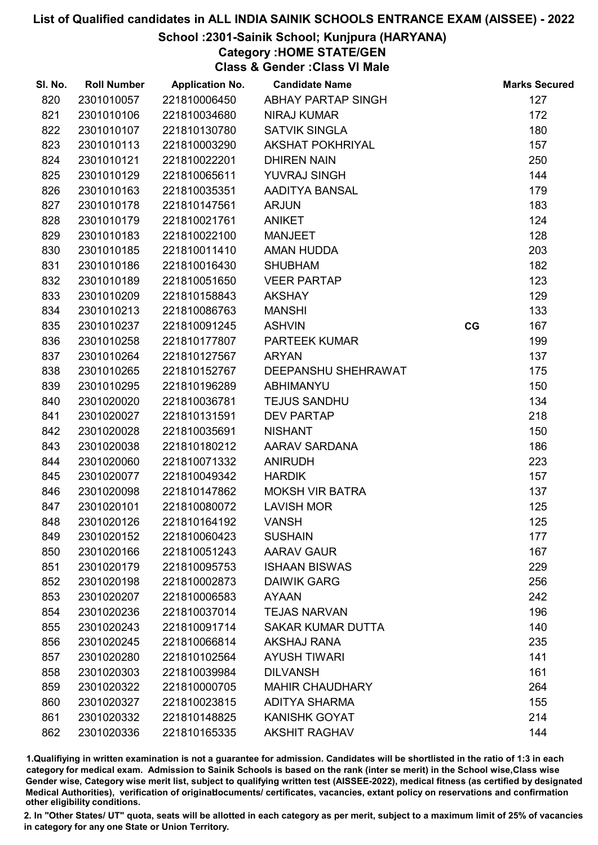## School :2301-Sainik School; Kunjpura (HARYANA)

Category :HOME STATE/GEN

Class & Gender :Class VI Male

| SI. No. | <b>Roll Number</b> | <b>Application No.</b> | <b>Candidate Name</b>    |    | <b>Marks Secured</b> |
|---------|--------------------|------------------------|--------------------------|----|----------------------|
| 820     | 2301010057         | 221810006450           | ABHAY PARTAP SINGH       |    | 127                  |
| 821     | 2301010106         | 221810034680           | <b>NIRAJ KUMAR</b>       |    | 172                  |
| 822     | 2301010107         | 221810130780           | <b>SATVIK SINGLA</b>     |    | 180                  |
| 823     | 2301010113         | 221810003290           | <b>AKSHAT POKHRIYAL</b>  |    | 157                  |
| 824     | 2301010121         | 221810022201           | <b>DHIREN NAIN</b>       |    | 250                  |
| 825     | 2301010129         | 221810065611           | YUVRAJ SINGH             |    | 144                  |
| 826     | 2301010163         | 221810035351           | AADITYA BANSAL           |    | 179                  |
| 827     | 2301010178         | 221810147561           | <b>ARJUN</b>             |    | 183                  |
| 828     | 2301010179         | 221810021761           | <b>ANIKET</b>            |    | 124                  |
| 829     | 2301010183         | 221810022100           | <b>MANJEET</b>           |    | 128                  |
| 830     | 2301010185         | 221810011410           | AMAN HUDDA               |    | 203                  |
| 831     | 2301010186         | 221810016430           | <b>SHUBHAM</b>           |    | 182                  |
| 832     | 2301010189         | 221810051650           | <b>VEER PARTAP</b>       |    | 123                  |
| 833     | 2301010209         | 221810158843           | <b>AKSHAY</b>            |    | 129                  |
| 834     | 2301010213         | 221810086763           | <b>MANSHI</b>            |    | 133                  |
| 835     | 2301010237         | 221810091245           | <b>ASHVIN</b>            | CG | 167                  |
| 836     | 2301010258         | 221810177807           | <b>PARTEEK KUMAR</b>     |    | 199                  |
| 837     | 2301010264         | 221810127567           | <b>ARYAN</b>             |    | 137                  |
| 838     | 2301010265         | 221810152767           | DEEPANSHU SHEHRAWAT      |    | 175                  |
| 839     | 2301010295         | 221810196289           | ABHIMANYU                |    | 150                  |
| 840     | 2301020020         | 221810036781           | <b>TEJUS SANDHU</b>      |    | 134                  |
| 841     | 2301020027         | 221810131591           | <b>DEV PARTAP</b>        |    | 218                  |
| 842     | 2301020028         | 221810035691           | <b>NISHANT</b>           |    | 150                  |
| 843     | 2301020038         | 221810180212           | AARAV SARDANA            |    | 186                  |
| 844     | 2301020060         | 221810071332           | <b>ANIRUDH</b>           |    | 223                  |
| 845     | 2301020077         | 221810049342           | <b>HARDIK</b>            |    | 157                  |
| 846     | 2301020098         | 221810147862           | <b>MOKSH VIR BATRA</b>   |    | 137                  |
| 847     | 2301020101         | 221810080072           | <b>LAVISH MOR</b>        |    | 125                  |
| 848     | 2301020126         | 221810164192           | <b>VANSH</b>             |    | 125                  |
| 849     | 2301020152         | 221810060423           | <b>SUSHAIN</b>           |    | 177                  |
| 850     | 2301020166         | 221810051243           | <b>AARAV GAUR</b>        |    | 167                  |
| 851     | 2301020179         | 221810095753           | <b>ISHAAN BISWAS</b>     |    | 229                  |
| 852     | 2301020198         | 221810002873           | <b>DAIWIK GARG</b>       |    | 256                  |
| 853     | 2301020207         | 221810006583           | <b>AYAAN</b>             |    | 242                  |
| 854     | 2301020236         | 221810037014           | <b>TEJAS NARVAN</b>      |    | 196                  |
| 855     | 2301020243         | 221810091714           | <b>SAKAR KUMAR DUTTA</b> |    | 140                  |
| 856     | 2301020245         | 221810066814           | <b>AKSHAJ RANA</b>       |    | 235                  |
| 857     | 2301020280         | 221810102564           | <b>AYUSH TIWARI</b>      |    | 141                  |
| 858     | 2301020303         | 221810039984           | <b>DILVANSH</b>          |    | 161                  |
| 859     | 2301020322         | 221810000705           | <b>MAHIR CHAUDHARY</b>   |    | 264                  |
| 860     | 2301020327         | 221810023815           | <b>ADITYA SHARMA</b>     |    | 155                  |
| 861     | 2301020332         | 221810148825           | <b>KANISHK GOYAT</b>     |    | 214                  |
| 862     | 2301020336         | 221810165335           | <b>AKSHIT RAGHAV</b>     |    | 144                  |

1.Qualifiying in written examination is not a guarantee for admission. Candidates will be shortlisted in the ratio of 1:3 in each category for medical exam. Admission to Sainik Schools is based on the rank (inter se merit) in the School wise,Class wise Gender wise, Category wise merit list, subject to qualifying written test (AISSEE-2022), medical fitness (as certified by designated Medical Authorities), verification of originablocuments/ certificates, vacancies, extant policy on reservations and confirmation other eligibility conditions.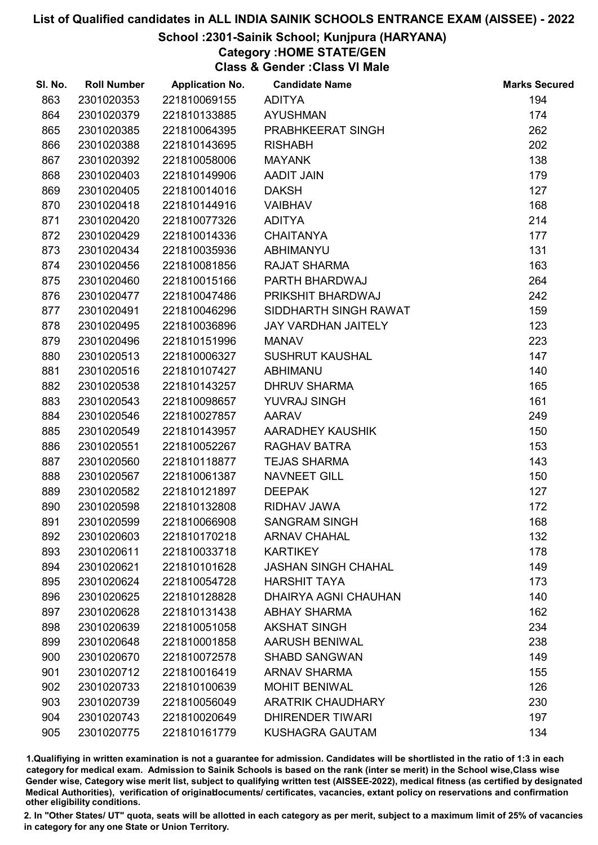## School :2301-Sainik School; Kunjpura (HARYANA)

## Category :HOME STATE/GEN

Class & Gender :Class VI Male

| SI. No. | <b>Roll Number</b> | <b>Application No.</b> | <b>Candidate Name</b>       | <b>Marks Secured</b> |
|---------|--------------------|------------------------|-----------------------------|----------------------|
| 863     | 2301020353         | 221810069155           | <b>ADITYA</b>               | 194                  |
| 864     | 2301020379         | 221810133885           | <b>AYUSHMAN</b>             | 174                  |
| 865     | 2301020385         | 221810064395           | PRABHKEERAT SINGH           | 262                  |
| 866     | 2301020388         | 221810143695           | <b>RISHABH</b>              | 202                  |
| 867     | 2301020392         | 221810058006           | <b>MAYANK</b>               | 138                  |
| 868     | 2301020403         | 221810149906           | <b>AADIT JAIN</b>           | 179                  |
| 869     | 2301020405         | 221810014016           | <b>DAKSH</b>                | 127                  |
| 870     | 2301020418         | 221810144916           | <b>VAIBHAV</b>              | 168                  |
| 871     | 2301020420         | 221810077326           | ADITYA                      | 214                  |
| 872     | 2301020429         | 221810014336           | <b>CHAITANYA</b>            | 177                  |
| 873     | 2301020434         | 221810035936           | ABHIMANYU                   | 131                  |
| 874     | 2301020456         | 221810081856           | <b>RAJAT SHARMA</b>         | 163                  |
| 875     | 2301020460         | 221810015166           | PARTH BHARDWAJ              | 264                  |
| 876     | 2301020477         | 221810047486           | PRIKSHIT BHARDWAJ           | 242                  |
| 877     | 2301020491         | 221810046296           | SIDDHARTH SINGH RAWAT       | 159                  |
| 878     | 2301020495         | 221810036896           | <b>JAY VARDHAN JAITELY</b>  | 123                  |
| 879     | 2301020496         | 221810151996           | <b>MANAV</b>                | 223                  |
| 880     | 2301020513         | 221810006327           | <b>SUSHRUT KAUSHAL</b>      | 147                  |
| 881     | 2301020516         | 221810107427           | <b>ABHIMANU</b>             | 140                  |
| 882     | 2301020538         | 221810143257           | <b>DHRUV SHARMA</b>         | 165                  |
| 883     | 2301020543         | 221810098657           | <b>YUVRAJ SINGH</b>         | 161                  |
| 884     | 2301020546         | 221810027857           | <b>AARAV</b>                | 249                  |
| 885     | 2301020549         | 221810143957           | AARADHEY KAUSHIK            | 150                  |
| 886     | 2301020551         | 221810052267           | RAGHAV BATRA                | 153                  |
| 887     | 2301020560         | 221810118877           | <b>TEJAS SHARMA</b>         | 143                  |
| 888     | 2301020567         | 221810061387           | <b>NAVNEET GILL</b>         | 150                  |
| 889     | 2301020582         | 221810121897           | <b>DEEPAK</b>               | 127                  |
| 890     | 2301020598         | 221810132808           | RIDHAV JAWA                 | 172                  |
| 891     | 2301020599         | 221810066908           | <b>SANGRAM SINGH</b>        | 168                  |
| 892     | 2301020603         | 221810170218           | <b>ARNAV CHAHAL</b>         | 132                  |
| 893     | 2301020611         | 221810033718           | <b>KARTIKEY</b>             | 178                  |
| 894     | 2301020621         | 221810101628           | <b>JASHAN SINGH CHAHAL</b>  | 149                  |
| 895     | 2301020624         | 221810054728           | <b>HARSHIT TAYA</b>         | 173                  |
| 896     | 2301020625         | 221810128828           | <b>DHAIRYA AGNI CHAUHAN</b> | 140                  |
| 897     | 2301020628         | 221810131438           | <b>ABHAY SHARMA</b>         | 162                  |
| 898     | 2301020639         | 221810051058           | <b>AKSHAT SINGH</b>         | 234                  |
| 899     | 2301020648         | 221810001858           | <b>AARUSH BENIWAL</b>       | 238                  |
| 900     | 2301020670         | 221810072578           | <b>SHABD SANGWAN</b>        | 149                  |
| 901     | 2301020712         | 221810016419           | <b>ARNAV SHARMA</b>         | 155                  |
| 902     | 2301020733         | 221810100639           | <b>MOHIT BENIWAL</b>        | 126                  |
| 903     | 2301020739         | 221810056049           | <b>ARATRIK CHAUDHARY</b>    | 230                  |
| 904     | 2301020743         | 221810020649           | <b>DHIRENDER TIWARI</b>     | 197                  |
| 905     | 2301020775         | 221810161779           | <b>KUSHAGRA GAUTAM</b>      | 134                  |

1.Qualifiying in written examination is not a guarantee for admission. Candidates will be shortlisted in the ratio of 1:3 in each category for medical exam. Admission to Sainik Schools is based on the rank (inter se merit) in the School wise,Class wise Gender wise, Category wise merit list, subject to qualifying written test (AISSEE-2022), medical fitness (as certified by designated Medical Authorities), verification of originablocuments/ certificates, vacancies, extant policy on reservations and confirmation other eligibility conditions.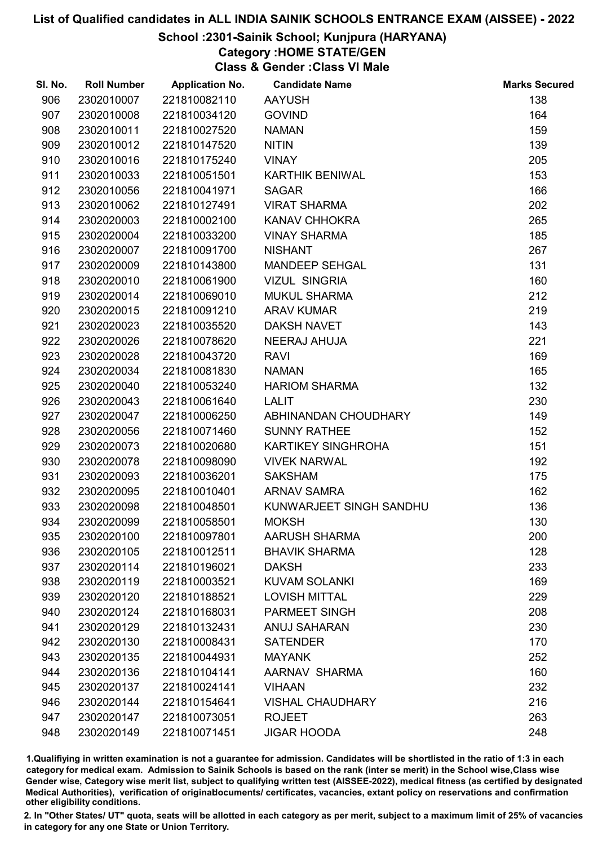### School :2301-Sainik School; Kunjpura (HARYANA)

Category :HOME STATE/GEN

Class & Gender :Class VI Male

| SI. No. | <b>Roll Number</b> | <b>Application No.</b> | <b>Candidate Name</b>     | <b>Marks Secured</b> |
|---------|--------------------|------------------------|---------------------------|----------------------|
| 906     | 2302010007         | 221810082110           | <b>AAYUSH</b>             | 138                  |
| 907     | 2302010008         | 221810034120           | <b>GOVIND</b>             | 164                  |
| 908     | 2302010011         | 221810027520           | <b>NAMAN</b>              | 159                  |
| 909     | 2302010012         | 221810147520           | <b>NITIN</b>              | 139                  |
| 910     | 2302010016         | 221810175240           | <b>VINAY</b>              | 205                  |
| 911     | 2302010033         | 221810051501           | <b>KARTHIK BENIWAL</b>    | 153                  |
| 912     | 2302010056         | 221810041971           | <b>SAGAR</b>              | 166                  |
| 913     | 2302010062         | 221810127491           | <b>VIRAT SHARMA</b>       | 202                  |
| 914     | 2302020003         | 221810002100           | <b>KANAV CHHOKRA</b>      | 265                  |
| 915     | 2302020004         | 221810033200           | <b>VINAY SHARMA</b>       | 185                  |
| 916     | 2302020007         | 221810091700           | <b>NISHANT</b>            | 267                  |
| 917     | 2302020009         | 221810143800           | <b>MANDEEP SEHGAL</b>     | 131                  |
| 918     | 2302020010         | 221810061900           | <b>VIZUL SINGRIA</b>      | 160                  |
| 919     | 2302020014         | 221810069010           | <b>MUKUL SHARMA</b>       | 212                  |
| 920     | 2302020015         | 221810091210           | <b>ARAV KUMAR</b>         | 219                  |
| 921     | 2302020023         | 221810035520           | <b>DAKSH NAVET</b>        | 143                  |
| 922     | 2302020026         | 221810078620           | NEERAJ AHUJA              | 221                  |
| 923     | 2302020028         | 221810043720           | <b>RAVI</b>               | 169                  |
| 924     | 2302020034         | 221810081830           | <b>NAMAN</b>              | 165                  |
| 925     | 2302020040         | 221810053240           | <b>HARIOM SHARMA</b>      | 132                  |
| 926     | 2302020043         | 221810061640           | <b>LALIT</b>              | 230                  |
| 927     | 2302020047         | 221810006250           | ABHINANDAN CHOUDHARY      | 149                  |
| 928     | 2302020056         | 221810071460           | <b>SUNNY RATHEE</b>       | 152                  |
| 929     | 2302020073         | 221810020680           | <b>KARTIKEY SINGHROHA</b> | 151                  |
| 930     | 2302020078         | 221810098090           | <b>VIVEK NARWAL</b>       | 192                  |
| 931     | 2302020093         | 221810036201           | <b>SAKSHAM</b>            | 175                  |
| 932     | 2302020095         | 221810010401           | <b>ARNAV SAMRA</b>        | 162                  |
| 933     | 2302020098         | 221810048501           | KUNWARJEET SINGH SANDHU   | 136                  |
| 934     | 2302020099         | 221810058501           | <b>MOKSH</b>              | 130                  |
| 935     | 2302020100         | 221810097801           | <b>AARUSH SHARMA</b>      | 200                  |
| 936     | 2302020105         | 221810012511           | <b>BHAVIK SHARMA</b>      | 128                  |
| 937     | 2302020114         | 221810196021           | <b>DAKSH</b>              | 233                  |
| 938     | 2302020119         | 221810003521           | <b>KUVAM SOLANKI</b>      | 169                  |
| 939     | 2302020120         | 221810188521           | <b>LOVISH MITTAL</b>      | 229                  |
| 940     | 2302020124         | 221810168031           | <b>PARMEET SINGH</b>      | 208                  |
| 941     | 2302020129         | 221810132431           | <b>ANUJ SAHARAN</b>       | 230                  |
| 942     | 2302020130         | 221810008431           | <b>SATENDER</b>           | 170                  |
| 943     | 2302020135         | 221810044931           | <b>MAYANK</b>             | 252                  |
| 944     | 2302020136         | 221810104141           | AARNAV SHARMA             | 160                  |
| 945     | 2302020137         | 221810024141           | <b>VIHAAN</b>             | 232                  |
| 946     | 2302020144         | 221810154641           | <b>VISHAL CHAUDHARY</b>   | 216                  |
| 947     | 2302020147         | 221810073051           | <b>ROJEET</b>             | 263                  |
| 948     | 2302020149         | 221810071451           | <b>JIGAR HOODA</b>        | 248                  |

1.Qualifiying in written examination is not a guarantee for admission. Candidates will be shortlisted in the ratio of 1:3 in each category for medical exam. Admission to Sainik Schools is based on the rank (inter se merit) in the School wise,Class wise Gender wise, Category wise merit list, subject to qualifying written test (AISSEE-2022), medical fitness (as certified by designated Medical Authorities), verification of originablocuments/ certificates, vacancies, extant policy on reservations and confirmation other eligibility conditions.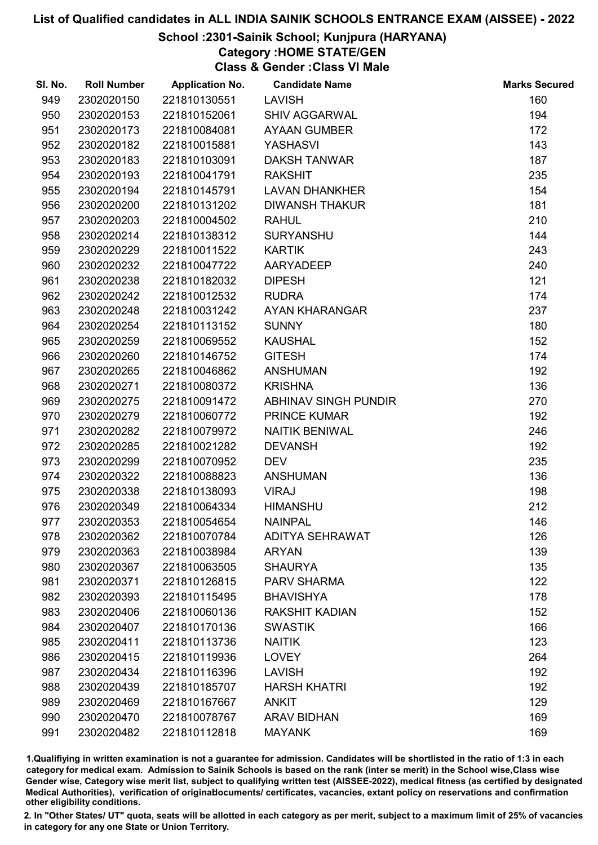## School :2301-Sainik School; Kunjpura (HARYANA)

Category :HOME STATE/GEN

Class & Gender :Class VI Male

| SI. No. | <b>Roll Number</b> | <b>Application No.</b> | <b>Candidate Name</b>       | <b>Marks Secured</b> |
|---------|--------------------|------------------------|-----------------------------|----------------------|
| 949     | 2302020150         | 221810130551           | <b>LAVISH</b>               | 160                  |
| 950     | 2302020153         | 221810152061           | <b>SHIV AGGARWAL</b>        | 194                  |
| 951     | 2302020173         | 221810084081           | <b>AYAAN GUMBER</b>         | 172                  |
| 952     | 2302020182         | 221810015881           | <b>YASHASVI</b>             | 143                  |
| 953     | 2302020183         | 221810103091           | <b>DAKSH TANWAR</b>         | 187                  |
| 954     | 2302020193         | 221810041791           | <b>RAKSHIT</b>              | 235                  |
| 955     | 2302020194         | 221810145791           | <b>LAVAN DHANKHER</b>       | 154                  |
| 956     | 2302020200         | 221810131202           | <b>DIWANSH THAKUR</b>       | 181                  |
| 957     | 2302020203         | 221810004502           | <b>RAHUL</b>                | 210                  |
| 958     | 2302020214         | 221810138312           | <b>SURYANSHU</b>            | 144                  |
| 959     | 2302020229         | 221810011522           | <b>KARTIK</b>               | 243                  |
| 960     | 2302020232         | 221810047722           | <b>AARYADEEP</b>            | 240                  |
| 961     | 2302020238         | 221810182032           | <b>DIPESH</b>               | 121                  |
| 962     | 2302020242         | 221810012532           | <b>RUDRA</b>                | 174                  |
| 963     | 2302020248         | 221810031242           | AYAN KHARANGAR              | 237                  |
| 964     | 2302020254         | 221810113152           | <b>SUNNY</b>                | 180                  |
| 965     | 2302020259         | 221810069552           | <b>KAUSHAL</b>              | 152                  |
| 966     | 2302020260         | 221810146752           | <b>GITESH</b>               | 174                  |
| 967     | 2302020265         | 221810046862           | <b>ANSHUMAN</b>             | 192                  |
| 968     | 2302020271         | 221810080372           | <b>KRISHNA</b>              | 136                  |
| 969     | 2302020275         | 221810091472           | <b>ABHINAV SINGH PUNDIR</b> | 270                  |
| 970     | 2302020279         | 221810060772           | <b>PRINCE KUMAR</b>         | 192                  |
| 971     | 2302020282         | 221810079972           | <b>NAITIK BENIWAL</b>       | 246                  |
| 972     | 2302020285         | 221810021282           | <b>DEVANSH</b>              | 192                  |
| 973     | 2302020299         | 221810070952           | <b>DEV</b>                  | 235                  |
| 974     | 2302020322         | 221810088823           | <b>ANSHUMAN</b>             | 136                  |
| 975     | 2302020338         | 221810138093           | <b>VIRAJ</b>                | 198                  |
| 976     | 2302020349         | 221810064334           | <b>HIMANSHU</b>             | 212                  |
| 977     | 2302020353         | 221810054654           | <b>NAINPAL</b>              | 146                  |
| 978     | 2302020362         | 221810070784           | <b>ADITYA SEHRAWAT</b>      | 126                  |
| 979     | 2302020363         | 221810038984           | <b>ARYAN</b>                | 139                  |
| 980     | 2302020367         | 221810063505           | <b>SHAURYA</b>              | 135                  |
| 981     | 2302020371         | 221810126815           | <b>PARV SHARMA</b>          | 122                  |
| 982     | 2302020393         | 221810115495           | <b>BHAVISHYA</b>            | 178                  |
| 983     | 2302020406         | 221810060136           | <b>RAKSHIT KADIAN</b>       | 152                  |
| 984     | 2302020407         | 221810170136           | <b>SWASTIK</b>              | 166                  |
| 985     | 2302020411         | 221810113736           | <b>NAITIK</b>               | 123                  |
| 986     | 2302020415         | 221810119936           | <b>LOVEY</b>                | 264                  |
| 987     | 2302020434         | 221810116396           | <b>LAVISH</b>               | 192                  |
| 988     | 2302020439         | 221810185707           | <b>HARSH KHATRI</b>         | 192                  |
| 989     | 2302020469         | 221810167667           | <b>ANKIT</b>                | 129                  |
| 990     | 2302020470         | 221810078767           | <b>ARAV BIDHAN</b>          | 169                  |
| 991     | 2302020482         | 221810112818           | <b>MAYANK</b>               | 169                  |

1.Qualifiying in written examination is not a guarantee for admission. Candidates will be shortlisted in the ratio of 1:3 in each category for medical exam. Admission to Sainik Schools is based on the rank (inter se merit) in the School wise,Class wise Gender wise, Category wise merit list, subject to qualifying written test (AISSEE-2022), medical fitness (as certified by designated Medical Authorities), verification of originablocuments/ certificates, vacancies, extant policy on reservations and confirmation other eligibility conditions.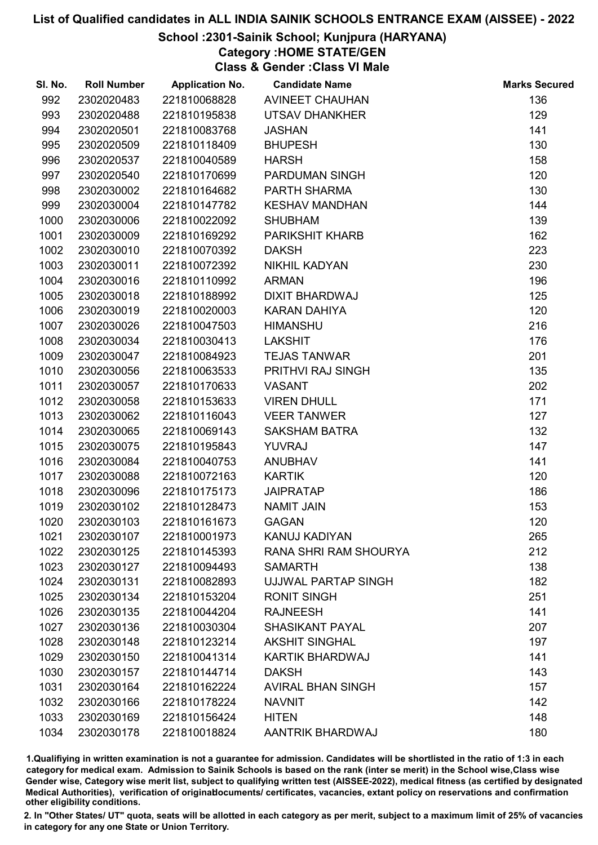## School :2301-Sainik School; Kunjpura (HARYANA)

Category :HOME STATE/GEN

Class & Gender :Class VI Male

| SI. No. | <b>Roll Number</b> | <b>Application No.</b> | <b>Candidate Name</b>    | <b>Marks Secured</b> |
|---------|--------------------|------------------------|--------------------------|----------------------|
| 992     | 2302020483         | 221810068828           | <b>AVINEET CHAUHAN</b>   | 136                  |
| 993     | 2302020488         | 221810195838           | UTSAV DHANKHER           | 129                  |
| 994     | 2302020501         | 221810083768           | <b>JASHAN</b>            | 141                  |
| 995     | 2302020509         | 221810118409           | <b>BHUPESH</b>           | 130                  |
| 996     | 2302020537         | 221810040589           | <b>HARSH</b>             | 158                  |
| 997     | 2302020540         | 221810170699           | <b>PARDUMAN SINGH</b>    | 120                  |
| 998     | 2302030002         | 221810164682           | PARTH SHARMA             | 130                  |
| 999     | 2302030004         | 221810147782           | <b>KESHAV MANDHAN</b>    | 144                  |
| 1000    | 2302030006         | 221810022092           | <b>SHUBHAM</b>           | 139                  |
| 1001    | 2302030009         | 221810169292           | <b>PARIKSHIT KHARB</b>   | 162                  |
| 1002    | 2302030010         | 221810070392           | <b>DAKSH</b>             | 223                  |
| 1003    | 2302030011         | 221810072392           | <b>NIKHIL KADYAN</b>     | 230                  |
| 1004    | 2302030016         | 221810110992           | <b>ARMAN</b>             | 196                  |
| 1005    | 2302030018         | 221810188992           | <b>DIXIT BHARDWAJ</b>    | 125                  |
| 1006    | 2302030019         | 221810020003           | <b>KARAN DAHIYA</b>      | 120                  |
| 1007    | 2302030026         | 221810047503           | <b>HIMANSHU</b>          | 216                  |
| 1008    | 2302030034         | 221810030413           | <b>LAKSHIT</b>           | 176                  |
| 1009    | 2302030047         | 221810084923           | <b>TEJAS TANWAR</b>      | 201                  |
| 1010    | 2302030056         | 221810063533           | PRITHVI RAJ SINGH        | 135                  |
| 1011    | 2302030057         | 221810170633           | <b>VASANT</b>            | 202                  |
| 1012    | 2302030058         | 221810153633           | <b>VIREN DHULL</b>       | 171                  |
| 1013    | 2302030062         | 221810116043           | <b>VEER TANWER</b>       | 127                  |
| 1014    | 2302030065         | 221810069143           | <b>SAKSHAM BATRA</b>     | 132                  |
| 1015    | 2302030075         | 221810195843           | <b>YUVRAJ</b>            | 147                  |
| 1016    | 2302030084         | 221810040753           | <b>ANUBHAV</b>           | 141                  |
| 1017    | 2302030088         | 221810072163           | <b>KARTIK</b>            | 120                  |
| 1018    | 2302030096         | 221810175173           | <b>JAIPRATAP</b>         | 186                  |
| 1019    | 2302030102         | 221810128473           | <b>NAMIT JAIN</b>        | 153                  |
| 1020    | 2302030103         | 221810161673           | <b>GAGAN</b>             | 120                  |
| 1021    | 2302030107         | 221810001973           | <b>KANUJ KADIYAN</b>     | 265                  |
| 1022    | 2302030125         | 221810145393           | RANA SHRI RAM SHOURYA    | 212                  |
| 1023    | 2302030127         | 221810094493           | <b>SAMARTH</b>           | 138                  |
| 1024    | 2302030131         | 221810082893           | UJJWAL PARTAP SINGH      | 182                  |
| 1025    | 2302030134         | 221810153204           | <b>RONIT SINGH</b>       | 251                  |
| 1026    | 2302030135         | 221810044204           | <b>RAJNEESH</b>          | 141                  |
| 1027    | 2302030136         | 221810030304           | <b>SHASIKANT PAYAL</b>   | 207                  |
| 1028    | 2302030148         | 221810123214           | <b>AKSHIT SINGHAL</b>    | 197                  |
| 1029    | 2302030150         | 221810041314           | <b>KARTIK BHARDWAJ</b>   | 141                  |
| 1030    | 2302030157         | 221810144714           | <b>DAKSH</b>             | 143                  |
| 1031    | 2302030164         | 221810162224           | <b>AVIRAL BHAN SINGH</b> | 157                  |
| 1032    | 2302030166         | 221810178224           | <b>NAVNIT</b>            | 142                  |
| 1033    | 2302030169         | 221810156424           | <b>HITEN</b>             | 148                  |
| 1034    | 2302030178         | 221810018824           | AANTRIK BHARDWAJ         | 180                  |

1.Qualifiying in written examination is not a guarantee for admission. Candidates will be shortlisted in the ratio of 1:3 in each category for medical exam. Admission to Sainik Schools is based on the rank (inter se merit) in the School wise,Class wise Gender wise, Category wise merit list, subject to qualifying written test (AISSEE-2022), medical fitness (as certified by designated Medical Authorities), verification of originablocuments/ certificates, vacancies, extant policy on reservations and confirmation other eligibility conditions.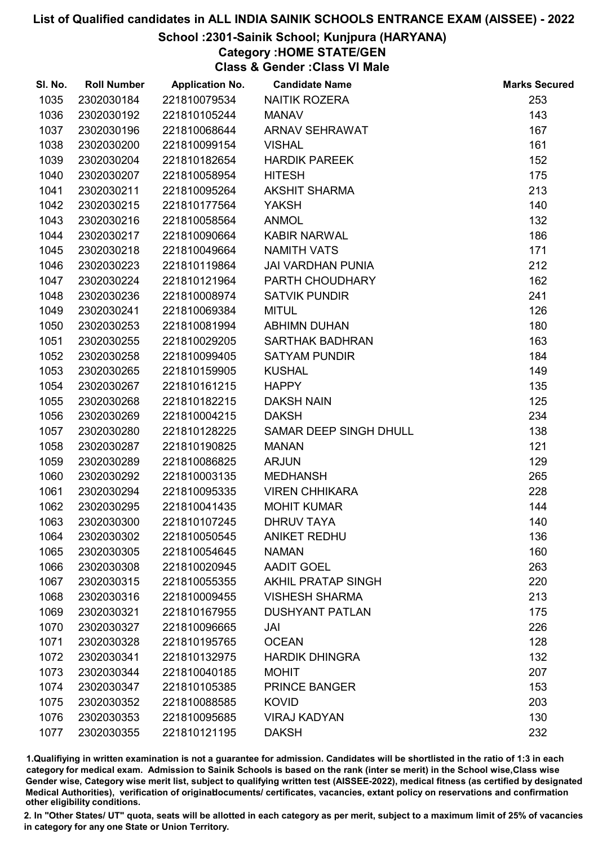### School :2301-Sainik School; Kunjpura (HARYANA)

## Category :HOME STATE/GEN

Class & Gender :Class VI Male

| SI. No. | <b>Roll Number</b> | <b>Application No.</b> | <b>Candidate Name</b>         | <b>Marks Secured</b> |
|---------|--------------------|------------------------|-------------------------------|----------------------|
| 1035    | 2302030184         | 221810079534           | NAITIK ROZERA                 | 253                  |
| 1036    | 2302030192         | 221810105244           | <b>MANAV</b>                  | 143                  |
| 1037    | 2302030196         | 221810068644           | <b>ARNAV SEHRAWAT</b>         | 167                  |
| 1038    | 2302030200         | 221810099154           | <b>VISHAL</b>                 | 161                  |
| 1039    | 2302030204         | 221810182654           | <b>HARDIK PAREEK</b>          | 152                  |
| 1040    | 2302030207         | 221810058954           | <b>HITESH</b>                 | 175                  |
| 1041    | 2302030211         | 221810095264           | <b>AKSHIT SHARMA</b>          | 213                  |
| 1042    | 2302030215         | 221810177564           | <b>YAKSH</b>                  | 140                  |
| 1043    | 2302030216         | 221810058564           | <b>ANMOL</b>                  | 132                  |
| 1044    | 2302030217         | 221810090664           | <b>KABIR NARWAL</b>           | 186                  |
| 1045    | 2302030218         | 221810049664           | <b>NAMITH VATS</b>            | 171                  |
| 1046    | 2302030223         | 221810119864           | <b>JAI VARDHAN PUNIA</b>      | 212                  |
| 1047    | 2302030224         | 221810121964           | PARTH CHOUDHARY               | 162                  |
| 1048    | 2302030236         | 221810008974           | <b>SATVIK PUNDIR</b>          | 241                  |
| 1049    | 2302030241         | 221810069384           | <b>MITUL</b>                  | 126                  |
| 1050    | 2302030253         | 221810081994           | <b>ABHIMN DUHAN</b>           | 180                  |
| 1051    | 2302030255         | 221810029205           | <b>SARTHAK BADHRAN</b>        | 163                  |
| 1052    | 2302030258         | 221810099405           | <b>SATYAM PUNDIR</b>          | 184                  |
| 1053    | 2302030265         | 221810159905           | <b>KUSHAL</b>                 | 149                  |
| 1054    | 2302030267         | 221810161215           | <b>HAPPY</b>                  | 135                  |
| 1055    | 2302030268         | 221810182215           | <b>DAKSH NAIN</b>             | 125                  |
| 1056    | 2302030269         | 221810004215           | <b>DAKSH</b>                  | 234                  |
| 1057    | 2302030280         | 221810128225           | <b>SAMAR DEEP SINGH DHULL</b> | 138                  |
| 1058    | 2302030287         | 221810190825           | <b>MANAN</b>                  | 121                  |
| 1059    | 2302030289         | 221810086825           | <b>ARJUN</b>                  | 129                  |
| 1060    | 2302030292         | 221810003135           | <b>MEDHANSH</b>               | 265                  |
| 1061    | 2302030294         | 221810095335           | <b>VIREN CHHIKARA</b>         | 228                  |
| 1062    | 2302030295         | 221810041435           | <b>MOHIT KUMAR</b>            | 144                  |
| 1063    | 2302030300         | 221810107245           | <b>DHRUV TAYA</b>             | 140                  |
| 1064    | 2302030302         | 221810050545           | <b>ANIKET REDHU</b>           | 136                  |
| 1065    | 2302030305         | 221810054645           | <b>NAMAN</b>                  | 160                  |
| 1066    | 2302030308         | 221810020945           | <b>AADIT GOEL</b>             | 263                  |
| 1067    | 2302030315         | 221810055355           | <b>AKHIL PRATAP SINGH</b>     | 220                  |
| 1068    | 2302030316         | 221810009455           | <b>VISHESH SHARMA</b>         | 213                  |
| 1069    | 2302030321         | 221810167955           | <b>DUSHYANT PATLAN</b>        | 175                  |
| 1070    | 2302030327         | 221810096665           | JAI                           | 226                  |
| 1071    | 2302030328         | 221810195765           | <b>OCEAN</b>                  | 128                  |
| 1072    | 2302030341         | 221810132975           | <b>HARDIK DHINGRA</b>         | 132                  |
| 1073    | 2302030344         | 221810040185           | <b>MOHIT</b>                  | 207                  |
| 1074    | 2302030347         | 221810105385           | <b>PRINCE BANGER</b>          | 153                  |
| 1075    | 2302030352         | 221810088585           | <b>KOVID</b>                  | 203                  |
| 1076    | 2302030353         | 221810095685           | <b>VIRAJ KADYAN</b>           | 130                  |
| 1077    | 2302030355         | 221810121195           | <b>DAKSH</b>                  | 232                  |

1.Qualifiying in written examination is not a guarantee for admission. Candidates will be shortlisted in the ratio of 1:3 in each category for medical exam. Admission to Sainik Schools is based on the rank (inter se merit) in the School wise,Class wise Gender wise, Category wise merit list, subject to qualifying written test (AISSEE-2022), medical fitness (as certified by designated Medical Authorities), verification of originablocuments/ certificates, vacancies, extant policy on reservations and confirmation other eligibility conditions.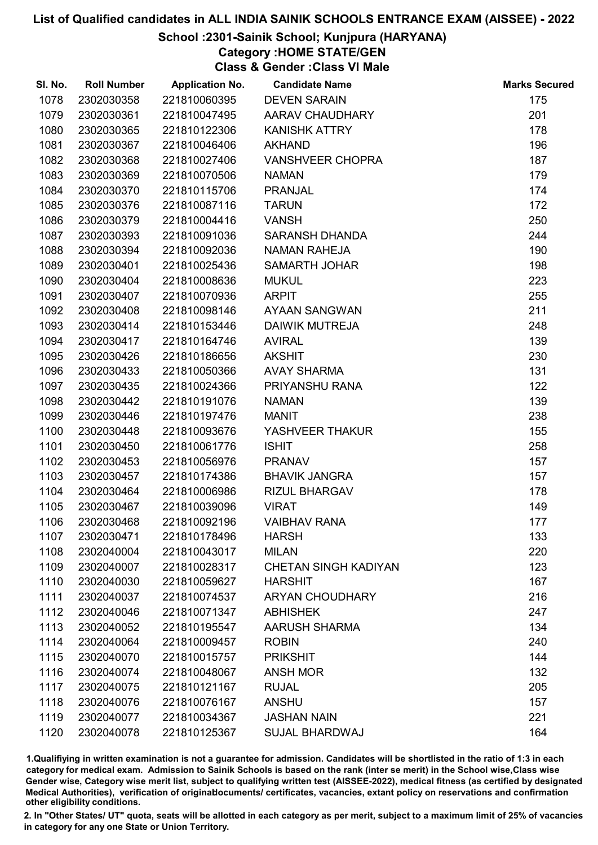## School :2301-Sainik School; Kunjpura (HARYANA)

Category :HOME STATE/GEN

Class & Gender :Class VI Male

| SI. No. | <b>Roll Number</b> | <b>Application No.</b> | <b>Candidate Name</b>       | <b>Marks Secured</b> |
|---------|--------------------|------------------------|-----------------------------|----------------------|
| 1078    | 2302030358         | 221810060395           | <b>DEVEN SARAIN</b>         | 175                  |
| 1079    | 2302030361         | 221810047495           | AARAV CHAUDHARY             | 201                  |
| 1080    | 2302030365         | 221810122306           | <b>KANISHK ATTRY</b>        | 178                  |
| 1081    | 2302030367         | 221810046406           | <b>AKHAND</b>               | 196                  |
| 1082    | 2302030368         | 221810027406           | <b>VANSHVEER CHOPRA</b>     | 187                  |
| 1083    | 2302030369         | 221810070506           | <b>NAMAN</b>                | 179                  |
| 1084    | 2302030370         | 221810115706           | <b>PRANJAL</b>              | 174                  |
| 1085    | 2302030376         | 221810087116           | <b>TARUN</b>                | 172                  |
| 1086    | 2302030379         | 221810004416           | <b>VANSH</b>                | 250                  |
| 1087    | 2302030393         | 221810091036           | <b>SARANSH DHANDA</b>       | 244                  |
| 1088    | 2302030394         | 221810092036           | <b>NAMAN RAHEJA</b>         | 190                  |
| 1089    | 2302030401         | 221810025436           | <b>SAMARTH JOHAR</b>        | 198                  |
| 1090    | 2302030404         | 221810008636           | <b>MUKUL</b>                | 223                  |
| 1091    | 2302030407         | 221810070936           | <b>ARPIT</b>                | 255                  |
| 1092    | 2302030408         | 221810098146           | <b>AYAAN SANGWAN</b>        | 211                  |
| 1093    | 2302030414         | 221810153446           | <b>DAIWIK MUTREJA</b>       | 248                  |
| 1094    | 2302030417         | 221810164746           | <b>AVIRAL</b>               | 139                  |
| 1095    | 2302030426         | 221810186656           | <b>AKSHIT</b>               | 230                  |
| 1096    | 2302030433         | 221810050366           | <b>AVAY SHARMA</b>          | 131                  |
| 1097    | 2302030435         | 221810024366           | PRIYANSHU RANA              | 122                  |
| 1098    | 2302030442         | 221810191076           | <b>NAMAN</b>                | 139                  |
| 1099    | 2302030446         | 221810197476           | <b>MANIT</b>                | 238                  |
| 1100    | 2302030448         | 221810093676           | YASHVEER THAKUR             | 155                  |
| 1101    | 2302030450         | 221810061776           | <b>ISHIT</b>                | 258                  |
| 1102    | 2302030453         | 221810056976           | <b>PRANAV</b>               | 157                  |
| 1103    | 2302030457         | 221810174386           | <b>BHAVIK JANGRA</b>        | 157                  |
| 1104    | 2302030464         | 221810006986           | <b>RIZUL BHARGAV</b>        | 178                  |
| 1105    | 2302030467         | 221810039096           | <b>VIRAT</b>                | 149                  |
| 1106    | 2302030468         | 221810092196           | <b>VAIBHAV RANA</b>         | 177                  |
| 1107    | 2302030471         | 221810178496           | <b>HARSH</b>                | 133                  |
| 1108    | 2302040004         | 221810043017           | <b>MILAN</b>                | 220                  |
| 1109    | 2302040007         | 221810028317           | <b>CHETAN SINGH KADIYAN</b> | 123                  |
| 1110    | 2302040030         | 221810059627           | <b>HARSHIT</b>              | 167                  |
| 1111    | 2302040037         | 221810074537           | <b>ARYAN CHOUDHARY</b>      | 216                  |
| 1112    | 2302040046         | 221810071347           | <b>ABHISHEK</b>             | 247                  |
| 1113    | 2302040052         | 221810195547           | <b>AARUSH SHARMA</b>        | 134                  |
| 1114    | 2302040064         | 221810009457           | <b>ROBIN</b>                | 240                  |
| 1115    | 2302040070         | 221810015757           | <b>PRIKSHIT</b>             | 144                  |
| 1116    | 2302040074         | 221810048067           | <b>ANSH MOR</b>             | 132                  |
| 1117    | 2302040075         | 221810121167           | <b>RUJAL</b>                | 205                  |
| 1118    | 2302040076         | 221810076167           | <b>ANSHU</b>                | 157                  |
| 1119    | 2302040077         | 221810034367           | <b>JASHAN NAIN</b>          | 221                  |
| 1120    | 2302040078         | 221810125367           | <b>SUJAL BHARDWAJ</b>       | 164                  |

1.Qualifiying in written examination is not a guarantee for admission. Candidates will be shortlisted in the ratio of 1:3 in each category for medical exam. Admission to Sainik Schools is based on the rank (inter se merit) in the School wise,Class wise Gender wise, Category wise merit list, subject to qualifying written test (AISSEE-2022), medical fitness (as certified by designated Medical Authorities), verification of originablocuments/ certificates, vacancies, extant policy on reservations and confirmation other eligibility conditions.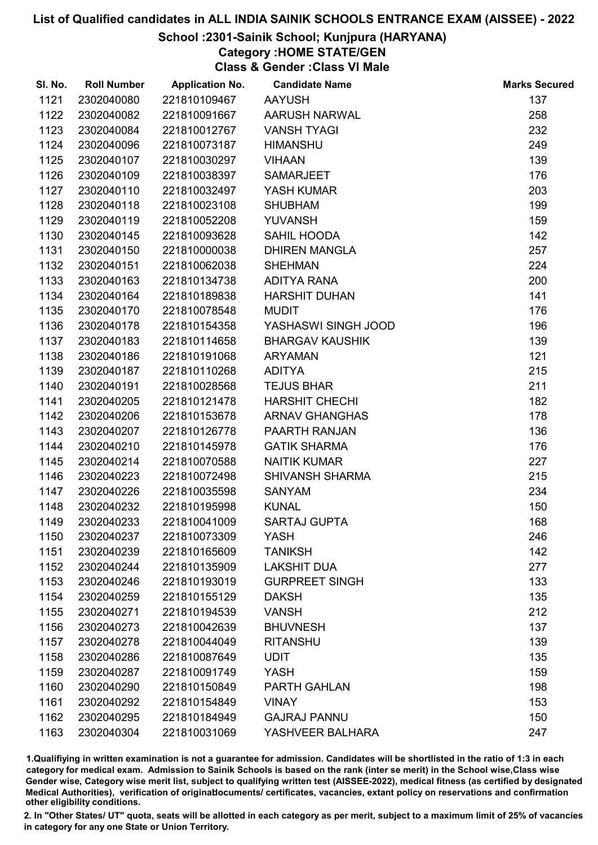### School :2301-Sainik School; Kunjpura (HARYANA)

Category :HOME STATE/GEN

Class & Gender :Class VI Male

| SI. No. | <b>Roll Number</b> | <b>Application No.</b> | <b>Candidate Name</b>  | <b>Marks Secured</b> |
|---------|--------------------|------------------------|------------------------|----------------------|
| 1121    | 2302040080         | 221810109467           | <b>AAYUSH</b>          | 137                  |
| 1122    | 2302040082         | 221810091667           | <b>AARUSH NARWAL</b>   | 258                  |
| 1123    | 2302040084         | 221810012767           | <b>VANSH TYAGI</b>     | 232                  |
| 1124    | 2302040096         | 221810073187           | <b>HIMANSHU</b>        | 249                  |
| 1125    | 2302040107         | 221810030297           | <b>VIHAAN</b>          | 139                  |
| 1126    | 2302040109         | 221810038397           | <b>SAMARJEET</b>       | 176                  |
| 1127    | 2302040110         | 221810032497           | YASH KUMAR             | 203                  |
| 1128    | 2302040118         | 221810023108           | <b>SHUBHAM</b>         | 199                  |
| 1129    | 2302040119         | 221810052208           | <b>YUVANSH</b>         | 159                  |
| 1130    | 2302040145         | 221810093628           | SAHIL HOODA            | 142                  |
| 1131    | 2302040150         | 221810000038           | <b>DHIREN MANGLA</b>   | 257                  |
| 1132    | 2302040151         | 221810062038           | <b>SHEHMAN</b>         | 224                  |
| 1133    | 2302040163         | 221810134738           | ADITYA RANA            | 200                  |
| 1134    | 2302040164         | 221810189838           | <b>HARSHIT DUHAN</b>   | 141                  |
| 1135    | 2302040170         | 221810078548           | <b>MUDIT</b>           | 176                  |
| 1136    | 2302040178         | 221810154358           | YASHASWI SINGH JOOD    | 196                  |
| 1137    | 2302040183         | 221810114658           | <b>BHARGAV KAUSHIK</b> | 139                  |
| 1138    | 2302040186         | 221810191068           | <b>ARYAMAN</b>         | 121                  |
| 1139    | 2302040187         | 221810110268           | <b>ADITYA</b>          | 215                  |
| 1140    | 2302040191         | 221810028568           | <b>TEJUS BHAR</b>      | 211                  |
| 1141    | 2302040205         | 221810121478           | <b>HARSHIT CHECHI</b>  | 182                  |
| 1142    | 2302040206         | 221810153678           | <b>ARNAV GHANGHAS</b>  | 178                  |
| 1143    | 2302040207         | 221810126778           | PAARTH RANJAN          | 136                  |
| 1144    | 2302040210         | 221810145978           | <b>GATIK SHARMA</b>    | 176                  |
| 1145    | 2302040214         | 221810070588           | <b>NAITIK KUMAR</b>    | 227                  |
| 1146    | 2302040223         | 221810072498           | <b>SHIVANSH SHARMA</b> | 215                  |
| 1147    | 2302040226         | 221810035598           | <b>SANYAM</b>          | 234                  |
| 1148    | 2302040232         | 221810195998           | <b>KUNAL</b>           | 150                  |
| 1149    | 2302040233         | 221810041009           | <b>SARTAJ GUPTA</b>    | 168                  |
| 1150    | 2302040237         | 221810073309           | <b>YASH</b>            | 246                  |
| 1151    | 2302040239         | 221810165609           | <b>TANIKSH</b>         | 142                  |
| 1152    | 2302040244         | 221810135909           | <b>LAKSHIT DUA</b>     | 277                  |
| 1153    | 2302040246         | 221810193019           | <b>GURPREET SINGH</b>  | 133                  |
| 1154    | 2302040259         | 221810155129           | <b>DAKSH</b>           | 135                  |
| 1155    | 2302040271         | 221810194539           | <b>VANSH</b>           | 212                  |
| 1156    | 2302040273         | 221810042639           | <b>BHUVNESH</b>        | 137                  |
| 1157    | 2302040278         | 221810044049           | <b>RITANSHU</b>        | 139                  |
| 1158    | 2302040286         | 221810087649           | <b>UDIT</b>            | 135                  |
| 1159    | 2302040287         | 221810091749           | <b>YASH</b>            | 159                  |
| 1160    | 2302040290         | 221810150849           | PARTH GAHLAN           | 198                  |
| 1161    | 2302040292         | 221810154849           | <b>VINAY</b>           | 153                  |
| 1162    | 2302040295         | 221810184949           | <b>GAJRAJ PANNU</b>    | 150                  |
| 1163    | 2302040304         | 221810031069           | YASHVEER BALHARA       | 247                  |

1.Qualifiying in written examination is not a guarantee for admission. Candidates will be shortlisted in the ratio of 1:3 in each category for medical exam. Admission to Sainik Schools is based on the rank (inter se merit) in the School wise,Class wise Gender wise, Category wise merit list, subject to qualifying written test (AISSEE-2022), medical fitness (as certified by designated Medical Authorities), verification of originablocuments/ certificates, vacancies, extant policy on reservations and confirmation other eligibility conditions.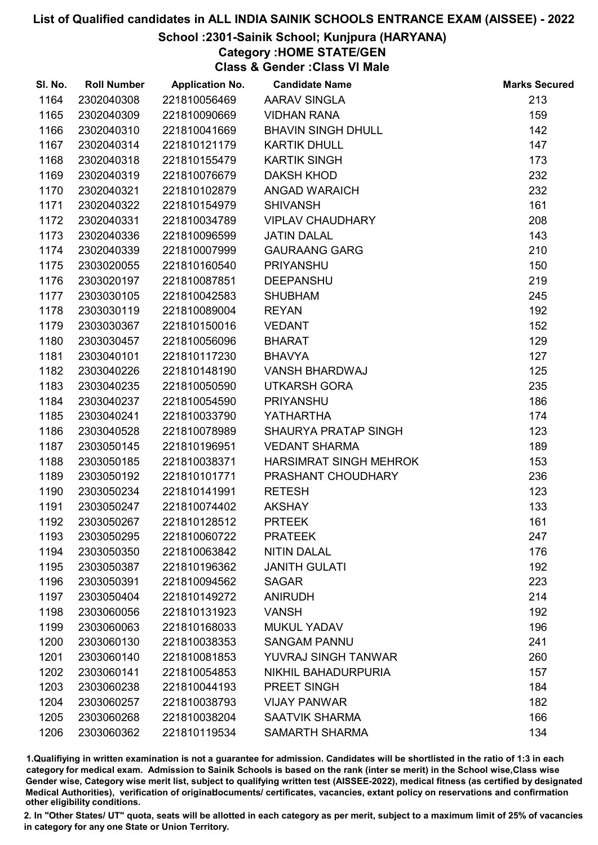## School :2301-Sainik School; Kunjpura (HARYANA)

Category :HOME STATE/GEN

Class & Gender :Class VI Male

| SI. No. | <b>Roll Number</b> | <b>Application No.</b> | <b>Candidate Name</b>         | <b>Marks Secured</b> |
|---------|--------------------|------------------------|-------------------------------|----------------------|
| 1164    | 2302040308         | 221810056469           | <b>AARAV SINGLA</b>           | 213                  |
| 1165    | 2302040309         | 221810090669           | <b>VIDHAN RANA</b>            | 159                  |
| 1166    | 2302040310         | 221810041669           | <b>BHAVIN SINGH DHULL</b>     | 142                  |
| 1167    | 2302040314         | 221810121179           | <b>KARTIK DHULL</b>           | 147                  |
| 1168    | 2302040318         | 221810155479           | <b>KARTIK SINGH</b>           | 173                  |
| 1169    | 2302040319         | 221810076679           | <b>DAKSH KHOD</b>             | 232                  |
| 1170    | 2302040321         | 221810102879           | <b>ANGAD WARAICH</b>          | 232                  |
| 1171    | 2302040322         | 221810154979           | <b>SHIVANSH</b>               | 161                  |
| 1172    | 2302040331         | 221810034789           | <b>VIPLAV CHAUDHARY</b>       | 208                  |
| 1173    | 2302040336         | 221810096599           | <b>JATIN DALAL</b>            | 143                  |
| 1174    | 2302040339         | 221810007999           | <b>GAURAANG GARG</b>          | 210                  |
| 1175    | 2303020055         | 221810160540           | <b>PRIYANSHU</b>              | 150                  |
| 1176    | 2303020197         | 221810087851           | <b>DEEPANSHU</b>              | 219                  |
| 1177    | 2303030105         | 221810042583           | <b>SHUBHAM</b>                | 245                  |
| 1178    | 2303030119         | 221810089004           | <b>REYAN</b>                  | 192                  |
| 1179    | 2303030367         | 221810150016           | <b>VEDANT</b>                 | 152                  |
| 1180    | 2303030457         | 221810056096           | <b>BHARAT</b>                 | 129                  |
| 1181    | 2303040101         | 221810117230           | <b>BHAVYA</b>                 | 127                  |
| 1182    | 2303040226         | 221810148190           | <b>VANSH BHARDWAJ</b>         | 125                  |
| 1183    | 2303040235         | 221810050590           | <b>UTKARSH GORA</b>           | 235                  |
| 1184    | 2303040237         | 221810054590           | <b>PRIYANSHU</b>              | 186                  |
| 1185    | 2303040241         | 221810033790           | <b>YATHARTHA</b>              | 174                  |
| 1186    | 2303040528         | 221810078989           | <b>SHAURYA PRATAP SINGH</b>   | 123                  |
| 1187    | 2303050145         | 221810196951           | <b>VEDANT SHARMA</b>          | 189                  |
| 1188    | 2303050185         | 221810038371           | <b>HARSIMRAT SINGH MEHROK</b> | 153                  |
| 1189    | 2303050192         | 221810101771           | PRASHANT CHOUDHARY            | 236                  |
| 1190    | 2303050234         | 221810141991           | <b>RETESH</b>                 | 123                  |
| 1191    | 2303050247         | 221810074402           | <b>AKSHAY</b>                 | 133                  |
| 1192    | 2303050267         | 221810128512           | <b>PRTEEK</b>                 | 161                  |
| 1193    | 2303050295         | 221810060722           | <b>PRATEEK</b>                | 247                  |
| 1194    | 2303050350         | 221810063842           | <b>NITIN DALAL</b>            | 176                  |
| 1195    | 2303050387         | 221810196362           | <b>JANITH GULATI</b>          | 192                  |
| 1196    | 2303050391         | 221810094562           | <b>SAGAR</b>                  | 223                  |
| 1197    | 2303050404         | 221810149272           | <b>ANIRUDH</b>                | 214                  |
| 1198    | 2303060056         | 221810131923           | <b>VANSH</b>                  | 192                  |
| 1199    | 2303060063         | 221810168033           | <b>MUKUL YADAV</b>            | 196                  |
| 1200    | 2303060130         | 221810038353           | <b>SANGAM PANNU</b>           | 241                  |
| 1201    | 2303060140         | 221810081853           | <b>YUVRAJ SINGH TANWAR</b>    | 260                  |
| 1202    | 2303060141         | 221810054853           | NIKHIL BAHADURPURIA           | 157                  |
| 1203    | 2303060238         | 221810044193           | PREET SINGH                   | 184                  |
| 1204    | 2303060257         | 221810038793           | <b>VIJAY PANWAR</b>           | 182                  |
| 1205    | 2303060268         | 221810038204           | <b>SAATVIK SHARMA</b>         | 166                  |
| 1206    | 2303060362         | 221810119534           | <b>SAMARTH SHARMA</b>         | 134                  |

1.Qualifiying in written examination is not a guarantee for admission. Candidates will be shortlisted in the ratio of 1:3 in each category for medical exam. Admission to Sainik Schools is based on the rank (inter se merit) in the School wise,Class wise Gender wise, Category wise merit list, subject to qualifying written test (AISSEE-2022), medical fitness (as certified by designated Medical Authorities), verification of originablocuments/ certificates, vacancies, extant policy on reservations and confirmation other eligibility conditions.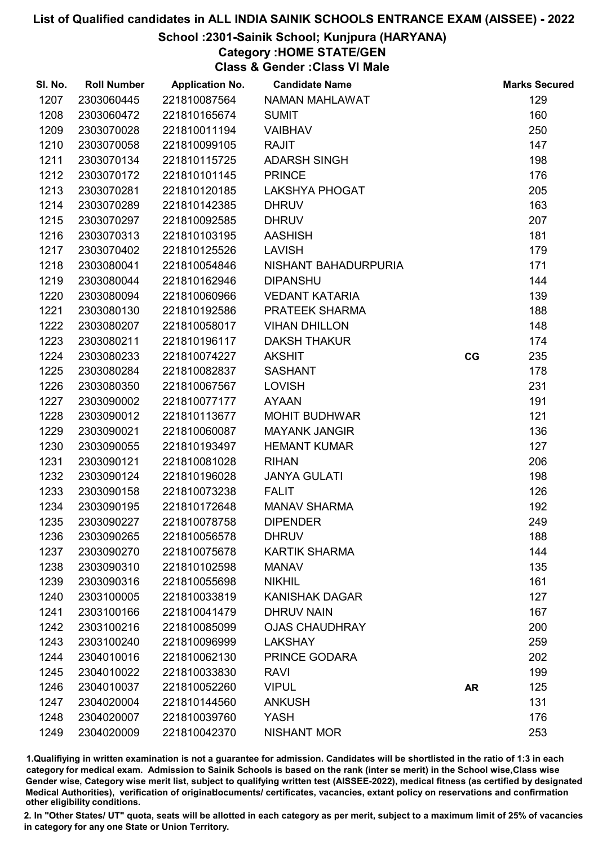## School :2301-Sainik School; Kunjpura (HARYANA)

## Category :HOME STATE/GEN

Class & Gender :Class VI Male

| SI. No. | <b>Roll Number</b> | <b>Application No.</b> | <b>Candidate Name</b> |           | <b>Marks Secured</b> |
|---------|--------------------|------------------------|-----------------------|-----------|----------------------|
| 1207    | 2303060445         | 221810087564           | NAMAN MAHLAWAT        |           | 129                  |
| 1208    | 2303060472         | 221810165674           | <b>SUMIT</b>          |           | 160                  |
| 1209    | 2303070028         | 221810011194           | <b>VAIBHAV</b>        |           | 250                  |
| 1210    | 2303070058         | 221810099105           | <b>RAJIT</b>          |           | 147                  |
| 1211    | 2303070134         | 221810115725           | <b>ADARSH SINGH</b>   |           | 198                  |
| 1212    | 2303070172         | 221810101145           | <b>PRINCE</b>         |           | 176                  |
| 1213    | 2303070281         | 221810120185           | <b>LAKSHYA PHOGAT</b> |           | 205                  |
| 1214    | 2303070289         | 221810142385           | <b>DHRUV</b>          |           | 163                  |
| 1215    | 2303070297         | 221810092585           | <b>DHRUV</b>          |           | 207                  |
| 1216    | 2303070313         | 221810103195           | <b>AASHISH</b>        |           | 181                  |
| 1217    | 2303070402         | 221810125526           | <b>LAVISH</b>         |           | 179                  |
| 1218    | 2303080041         | 221810054846           | NISHANT BAHADURPURIA  |           | 171                  |
| 1219    | 2303080044         | 221810162946           | <b>DIPANSHU</b>       |           | 144                  |
| 1220    | 2303080094         | 221810060966           | <b>VEDANT KATARIA</b> |           | 139                  |
| 1221    | 2303080130         | 221810192586           | PRATEEK SHARMA        |           | 188                  |
| 1222    | 2303080207         | 221810058017           | <b>VIHAN DHILLON</b>  |           | 148                  |
| 1223    | 2303080211         | 221810196117           | <b>DAKSH THAKUR</b>   |           | 174                  |
| 1224    | 2303080233         | 221810074227           | <b>AKSHIT</b>         | CG        | 235                  |
| 1225    | 2303080284         | 221810082837           | <b>SASHANT</b>        |           | 178                  |
| 1226    | 2303080350         | 221810067567           | <b>LOVISH</b>         |           | 231                  |
| 1227    | 2303090002         | 221810077177           | <b>AYAAN</b>          |           | 191                  |
| 1228    | 2303090012         | 221810113677           | <b>MOHIT BUDHWAR</b>  |           | 121                  |
| 1229    | 2303090021         | 221810060087           | <b>MAYANK JANGIR</b>  |           | 136                  |
| 1230    | 2303090055         | 221810193497           | <b>HEMANT KUMAR</b>   |           | 127                  |
| 1231    | 2303090121         | 221810081028           | <b>RIHAN</b>          |           | 206                  |
| 1232    | 2303090124         | 221810196028           | <b>JANYA GULATI</b>   |           | 198                  |
| 1233    | 2303090158         | 221810073238           | <b>FALIT</b>          |           | 126                  |
| 1234    | 2303090195         | 221810172648           | <b>MANAV SHARMA</b>   |           | 192                  |
| 1235    | 2303090227         | 221810078758           | <b>DIPENDER</b>       |           | 249                  |
| 1236    | 2303090265         | 221810056578           | <b>DHRUV</b>          |           | 188                  |
| 1237    | 2303090270         | 221810075678           | <b>KARTIK SHARMA</b>  |           | 144                  |
| 1238    | 2303090310         | 221810102598           | <b>MANAV</b>          |           | 135                  |
| 1239    | 2303090316         | 221810055698           | <b>NIKHIL</b>         |           | 161                  |
| 1240    | 2303100005         | 221810033819           | <b>KANISHAK DAGAR</b> |           | 127                  |
| 1241    | 2303100166         | 221810041479           | <b>DHRUV NAIN</b>     |           | 167                  |
| 1242    | 2303100216         | 221810085099           | <b>OJAS CHAUDHRAY</b> |           | 200                  |
| 1243    | 2303100240         | 221810096999           | <b>LAKSHAY</b>        |           | 259                  |
| 1244    | 2304010016         | 221810062130           | PRINCE GODARA         |           | 202                  |
| 1245    | 2304010022         | 221810033830           | <b>RAVI</b>           |           | 199                  |
| 1246    | 2304010037         | 221810052260           | <b>VIPUL</b>          | <b>AR</b> | 125                  |
| 1247    | 2304020004         | 221810144560           | <b>ANKUSH</b>         |           | 131                  |
| 1248    | 2304020007         | 221810039760           | <b>YASH</b>           |           | 176                  |
| 1249    | 2304020009         | 221810042370           | <b>NISHANT MOR</b>    |           | 253                  |

1.Qualifiying in written examination is not a guarantee for admission. Candidates will be shortlisted in the ratio of 1:3 in each category for medical exam. Admission to Sainik Schools is based on the rank (inter se merit) in the School wise,Class wise Gender wise, Category wise merit list, subject to qualifying written test (AISSEE-2022), medical fitness (as certified by designated Medical Authorities), verification of originablocuments/ certificates, vacancies, extant policy on reservations and confirmation other eligibility conditions.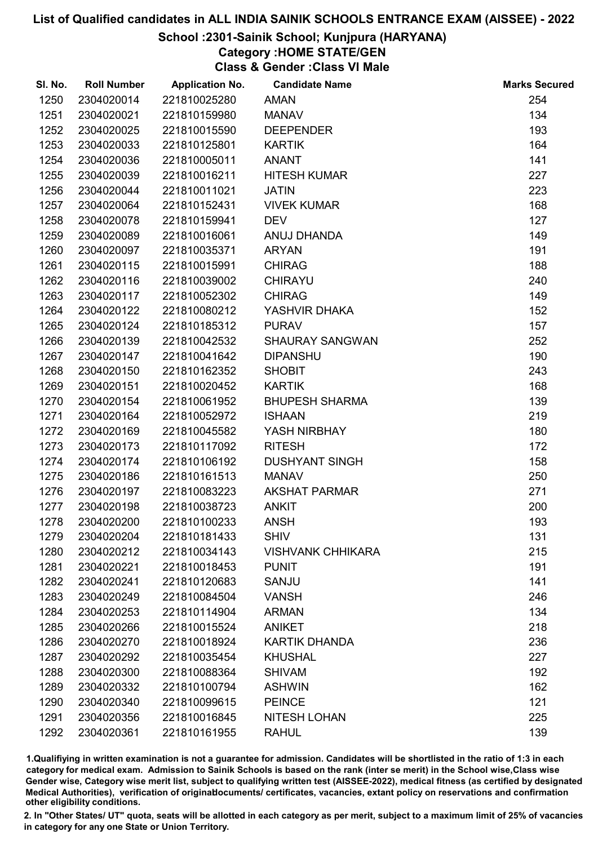#### School :2301-Sainik School; Kunjpura (HARYANA)

Category :HOME STATE/GEN

Class & Gender :Class VI Male

| SI. No. | <b>Roll Number</b> | <b>Application No.</b> | <b>Candidate Name</b>    | <b>Marks Secured</b> |
|---------|--------------------|------------------------|--------------------------|----------------------|
| 1250    | 2304020014         | 221810025280           | <b>AMAN</b>              | 254                  |
| 1251    | 2304020021         | 221810159980           | <b>MANAV</b>             | 134                  |
| 1252    | 2304020025         | 221810015590           | <b>DEEPENDER</b>         | 193                  |
| 1253    | 2304020033         | 221810125801           | <b>KARTIK</b>            | 164                  |
| 1254    | 2304020036         | 221810005011           | <b>ANANT</b>             | 141                  |
| 1255    | 2304020039         | 221810016211           | <b>HITESH KUMAR</b>      | 227                  |
| 1256    | 2304020044         | 221810011021           | <b>JATIN</b>             | 223                  |
| 1257    | 2304020064         | 221810152431           | <b>VIVEK KUMAR</b>       | 168                  |
| 1258    | 2304020078         | 221810159941           | <b>DEV</b>               | 127                  |
| 1259    | 2304020089         | 221810016061           | ANUJ DHANDA              | 149                  |
| 1260    | 2304020097         | 221810035371           | <b>ARYAN</b>             | 191                  |
| 1261    | 2304020115         | 221810015991           | <b>CHIRAG</b>            | 188                  |
| 1262    | 2304020116         | 221810039002           | <b>CHIRAYU</b>           | 240                  |
| 1263    | 2304020117         | 221810052302           | <b>CHIRAG</b>            | 149                  |
| 1264    | 2304020122         | 221810080212           | YASHVIR DHAKA            | 152                  |
| 1265    | 2304020124         | 221810185312           | <b>PURAV</b>             | 157                  |
| 1266    | 2304020139         | 221810042532           | <b>SHAURAY SANGWAN</b>   | 252                  |
| 1267    | 2304020147         | 221810041642           | <b>DIPANSHU</b>          | 190                  |
| 1268    | 2304020150         | 221810162352           | <b>SHOBIT</b>            | 243                  |
| 1269    | 2304020151         | 221810020452           | <b>KARTIK</b>            | 168                  |
| 1270    | 2304020154         | 221810061952           | <b>BHUPESH SHARMA</b>    | 139                  |
| 1271    | 2304020164         | 221810052972           | <b>ISHAAN</b>            | 219                  |
| 1272    | 2304020169         | 221810045582           | YASH NIRBHAY             | 180                  |
| 1273    | 2304020173         | 221810117092           | <b>RITESH</b>            | 172                  |
| 1274    | 2304020174         | 221810106192           | <b>DUSHYANT SINGH</b>    | 158                  |
| 1275    | 2304020186         | 221810161513           | <b>MANAV</b>             | 250                  |
| 1276    | 2304020197         | 221810083223           | <b>AKSHAT PARMAR</b>     | 271                  |
| 1277    | 2304020198         | 221810038723           | <b>ANKIT</b>             | 200                  |
| 1278    | 2304020200         | 221810100233           | <b>ANSH</b>              | 193                  |
| 1279    | 2304020204         | 221810181433           | <b>SHIV</b>              | 131                  |
| 1280    | 2304020212         | 221810034143           | <b>VISHVANK CHHIKARA</b> | 215                  |
| 1281    | 2304020221         | 221810018453           | <b>PUNIT</b>             | 191                  |
| 1282    | 2304020241         | 221810120683           | <b>SANJU</b>             | 141                  |
| 1283    | 2304020249         | 221810084504           | <b>VANSH</b>             | 246                  |
| 1284    | 2304020253         | 221810114904           | <b>ARMAN</b>             | 134                  |
| 1285    | 2304020266         | 221810015524           | <b>ANIKET</b>            | 218                  |
| 1286    | 2304020270         | 221810018924           | <b>KARTIK DHANDA</b>     | 236                  |
| 1287    | 2304020292         | 221810035454           | <b>KHUSHAL</b>           | 227                  |
| 1288    | 2304020300         | 221810088364           | <b>SHIVAM</b>            | 192                  |
| 1289    | 2304020332         | 221810100794           | <b>ASHWIN</b>            | 162                  |
| 1290    | 2304020340         | 221810099615           | <b>PEINCE</b>            | 121                  |
| 1291    | 2304020356         | 221810016845           | <b>NITESH LOHAN</b>      | 225                  |
| 1292    | 2304020361         | 221810161955           | <b>RAHUL</b>             | 139                  |

1.Qualifiying in written examination is not a guarantee for admission. Candidates will be shortlisted in the ratio of 1:3 in each category for medical exam. Admission to Sainik Schools is based on the rank (inter se merit) in the School wise,Class wise Gender wise, Category wise merit list, subject to qualifying written test (AISSEE-2022), medical fitness (as certified by designated Medical Authorities), verification of originablocuments/ certificates, vacancies, extant policy on reservations and confirmation other eligibility conditions.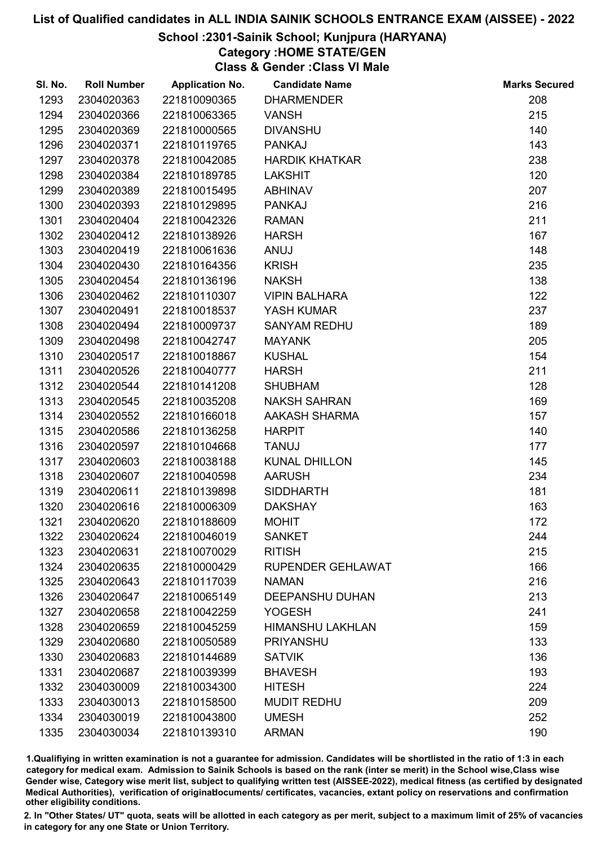## School :2301-Sainik School; Kunjpura (HARYANA)

## Category :HOME STATE/GEN

Class & Gender :Class VI Male

| SI. No. | <b>Roll Number</b> | <b>Application No.</b> | <b>Candidate Name</b>    | <b>Marks Secured</b> |
|---------|--------------------|------------------------|--------------------------|----------------------|
| 1293    | 2304020363         | 221810090365           | <b>DHARMENDER</b>        | 208                  |
| 1294    | 2304020366         | 221810063365           | <b>VANSH</b>             | 215                  |
| 1295    | 2304020369         | 221810000565           | <b>DIVANSHU</b>          | 140                  |
| 1296    | 2304020371         | 221810119765           | <b>PANKAJ</b>            | 143                  |
| 1297    | 2304020378         | 221810042085           | <b>HARDIK KHATKAR</b>    | 238                  |
| 1298    | 2304020384         | 221810189785           | <b>LAKSHIT</b>           | 120                  |
| 1299    | 2304020389         | 221810015495           | <b>ABHINAV</b>           | 207                  |
| 1300    | 2304020393         | 221810129895           | <b>PANKAJ</b>            | 216                  |
| 1301    | 2304020404         | 221810042326           | <b>RAMAN</b>             | 211                  |
| 1302    | 2304020412         | 221810138926           | <b>HARSH</b>             | 167                  |
| 1303    | 2304020419         | 221810061636           | ANUJ                     | 148                  |
| 1304    | 2304020430         | 221810164356           | <b>KRISH</b>             | 235                  |
| 1305    | 2304020454         | 221810136196           | <b>NAKSH</b>             | 138                  |
| 1306    | 2304020462         | 221810110307           | <b>VIPIN BALHARA</b>     | 122                  |
| 1307    | 2304020491         | 221810018537           | YASH KUMAR               | 237                  |
| 1308    | 2304020494         | 221810009737           | <b>SANYAM REDHU</b>      | 189                  |
| 1309    | 2304020498         | 221810042747           | <b>MAYANK</b>            | 205                  |
| 1310    | 2304020517         | 221810018867           | <b>KUSHAL</b>            | 154                  |
| 1311    | 2304020526         | 221810040777           | <b>HARSH</b>             | 211                  |
| 1312    | 2304020544         | 221810141208           | <b>SHUBHAM</b>           | 128                  |
| 1313    | 2304020545         | 221810035208           | <b>NAKSH SAHRAN</b>      | 169                  |
| 1314    | 2304020552         | 221810166018           | AAKASH SHARMA            | 157                  |
| 1315    | 2304020586         | 221810136258           | <b>HARPIT</b>            | 140                  |
| 1316    | 2304020597         | 221810104668           | <b>TANUJ</b>             | 177                  |
| 1317    | 2304020603         | 221810038188           | <b>KUNAL DHILLON</b>     | 145                  |
| 1318    | 2304020607         | 221810040598           | <b>AARUSH</b>            | 234                  |
| 1319    | 2304020611         | 221810139898           | <b>SIDDHARTH</b>         | 181                  |
| 1320    | 2304020616         | 221810006309           | <b>DAKSHAY</b>           | 163                  |
| 1321    | 2304020620         | 221810188609           | <b>MOHIT</b>             | 172                  |
| 1322    | 2304020624         | 221810046019           | <b>SANKET</b>            | 244                  |
| 1323    | 2304020631         | 221810070029           | <b>RITISH</b>            | 215                  |
| 1324    | 2304020635         | 221810000429           | <b>RUPENDER GEHLAWAT</b> | 166                  |
| 1325    | 2304020643         | 221810117039           | <b>NAMAN</b>             | 216                  |
| 1326    | 2304020647         | 221810065149           | <b>DEEPANSHU DUHAN</b>   | 213                  |
| 1327    | 2304020658         | 221810042259           | <b>YOGESH</b>            | 241                  |
| 1328    | 2304020659         | 221810045259           | <b>HIMANSHU LAKHLAN</b>  | 159                  |
| 1329    | 2304020680         | 221810050589           | <b>PRIYANSHU</b>         | 133                  |
| 1330    | 2304020683         | 221810144689           | <b>SATVIK</b>            | 136                  |
| 1331    | 2304020687         | 221810039399           | <b>BHAVESH</b>           | 193                  |
| 1332    | 2304030009         | 221810034300           | <b>HITESH</b>            | 224                  |
| 1333    | 2304030013         | 221810158500           | <b>MUDIT REDHU</b>       | 209                  |
| 1334    | 2304030019         | 221810043800           | <b>UMESH</b>             | 252                  |
| 1335    | 2304030034         | 221810139310           | <b>ARMAN</b>             | 190                  |

1.Qualifiying in written examination is not a guarantee for admission. Candidates will be shortlisted in the ratio of 1:3 in each category for medical exam. Admission to Sainik Schools is based on the rank (inter se merit) in the School wise,Class wise Gender wise, Category wise merit list, subject to qualifying written test (AISSEE-2022), medical fitness (as certified by designated Medical Authorities), verification of originablocuments/ certificates, vacancies, extant policy on reservations and confirmation other eligibility conditions.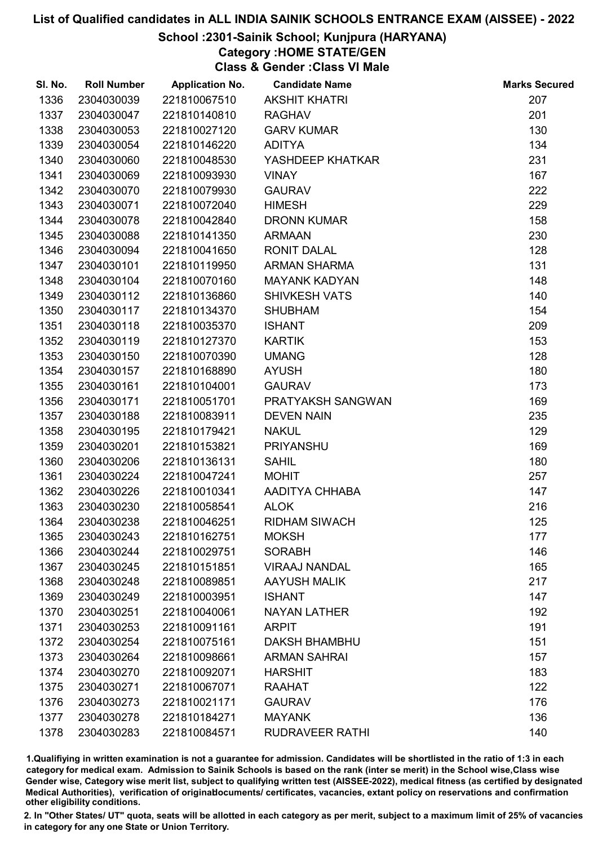## School :2301-Sainik School; Kunjpura (HARYANA)

# Category :HOME STATE/GEN

Class & Gender :Class VI Male

| SI. No. | <b>Roll Number</b> | <b>Application No.</b> | <b>Candidate Name</b> | <b>Marks Secured</b> |
|---------|--------------------|------------------------|-----------------------|----------------------|
| 1336    | 2304030039         | 221810067510           | <b>AKSHIT KHATRI</b>  | 207                  |
| 1337    | 2304030047         | 221810140810           | <b>RAGHAV</b>         | 201                  |
| 1338    | 2304030053         | 221810027120           | <b>GARV KUMAR</b>     | 130                  |
| 1339    | 2304030054         | 221810146220           | <b>ADITYA</b>         | 134                  |
| 1340    | 2304030060         | 221810048530           | YASHDEEP KHATKAR      | 231                  |
| 1341    | 2304030069         | 221810093930           | <b>VINAY</b>          | 167                  |
| 1342    | 2304030070         | 221810079930           | <b>GAURAV</b>         | 222                  |
| 1343    | 2304030071         | 221810072040           | <b>HIMESH</b>         | 229                  |
| 1344    | 2304030078         | 221810042840           | <b>DRONN KUMAR</b>    | 158                  |
| 1345    | 2304030088         | 221810141350           | <b>ARMAAN</b>         | 230                  |
| 1346    | 2304030094         | 221810041650           | <b>RONIT DALAL</b>    | 128                  |
| 1347    | 2304030101         | 221810119950           | <b>ARMAN SHARMA</b>   | 131                  |
| 1348    | 2304030104         | 221810070160           | <b>MAYANK KADYAN</b>  | 148                  |
| 1349    | 2304030112         | 221810136860           | SHIVKESH VATS         | 140                  |
| 1350    | 2304030117         | 221810134370           | <b>SHUBHAM</b>        | 154                  |
| 1351    | 2304030118         | 221810035370           | <b>ISHANT</b>         | 209                  |
| 1352    | 2304030119         | 221810127370           | <b>KARTIK</b>         | 153                  |
| 1353    | 2304030150         | 221810070390           | <b>UMANG</b>          | 128                  |
| 1354    | 2304030157         | 221810168890           | <b>AYUSH</b>          | 180                  |
| 1355    | 2304030161         | 221810104001           | <b>GAURAV</b>         | 173                  |
| 1356    | 2304030171         | 221810051701           | PRATYAKSH SANGWAN     | 169                  |
| 1357    | 2304030188         | 221810083911           | <b>DEVEN NAIN</b>     | 235                  |
| 1358    | 2304030195         | 221810179421           | <b>NAKUL</b>          | 129                  |
| 1359    | 2304030201         | 221810153821           | <b>PRIYANSHU</b>      | 169                  |
| 1360    | 2304030206         | 221810136131           | <b>SAHIL</b>          | 180                  |
| 1361    | 2304030224         | 221810047241           | <b>MOHIT</b>          | 257                  |
| 1362    | 2304030226         | 221810010341           | AADITYA CHHABA        | 147                  |
| 1363    | 2304030230         | 221810058541           | <b>ALOK</b>           | 216                  |
| 1364    | 2304030238         | 221810046251           | <b>RIDHAM SIWACH</b>  | 125                  |
| 1365    | 2304030243         | 221810162751           | <b>MOKSH</b>          | 177                  |
| 1366    | 2304030244         | 221810029751           | <b>SORABH</b>         | 146                  |
| 1367    | 2304030245         | 221810151851           | <b>VIRAAJ NANDAL</b>  | 165                  |
| 1368    | 2304030248         | 221810089851           | <b>AAYUSH MALIK</b>   | 217                  |
| 1369    | 2304030249         | 221810003951           | <b>ISHANT</b>         | 147                  |
| 1370    | 2304030251         | 221810040061           | <b>NAYAN LATHER</b>   | 192                  |
| 1371    | 2304030253         | 221810091161           | <b>ARPIT</b>          | 191                  |
| 1372    | 2304030254         | 221810075161           | <b>DAKSH BHAMBHU</b>  | 151                  |
| 1373    | 2304030264         | 221810098661           | <b>ARMAN SAHRAI</b>   | 157                  |
| 1374    | 2304030270         | 221810092071           | <b>HARSHIT</b>        | 183                  |
| 1375    | 2304030271         | 221810067071           | <b>RAAHAT</b>         | 122                  |
| 1376    | 2304030273         | 221810021171           | <b>GAURAV</b>         | 176                  |
| 1377    | 2304030278         | 221810184271           | <b>MAYANK</b>         | 136                  |
| 1378    | 2304030283         | 221810084571           | RUDRAVEER RATHI       | 140                  |

1.Qualifiying in written examination is not a guarantee for admission. Candidates will be shortlisted in the ratio of 1:3 in each category for medical exam. Admission to Sainik Schools is based on the rank (inter se merit) in the School wise,Class wise Gender wise, Category wise merit list, subject to qualifying written test (AISSEE-2022), medical fitness (as certified by designated Medical Authorities), verification of originablocuments/ certificates, vacancies, extant policy on reservations and confirmation other eligibility conditions.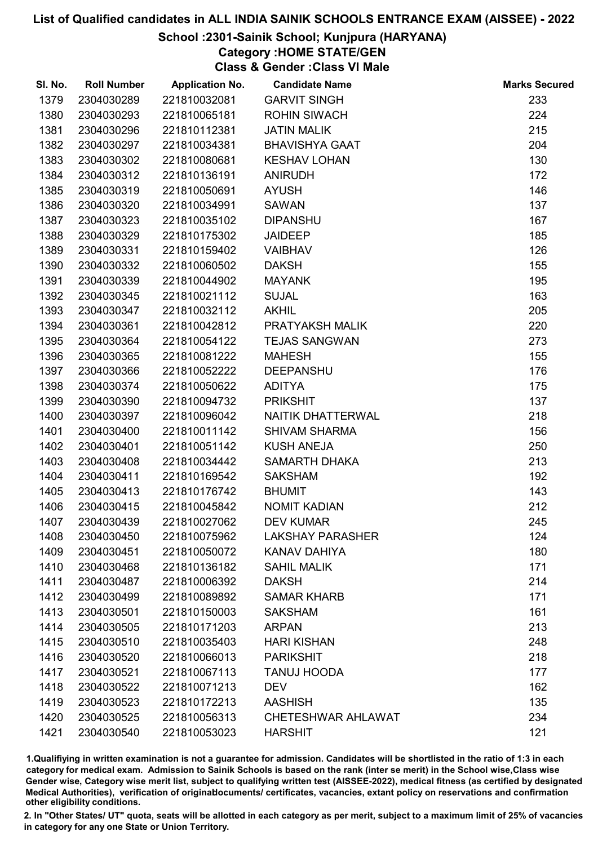## School :2301-Sainik School; Kunjpura (HARYANA)

# Category :HOME STATE/GEN

Class & Gender :Class VI Male

| SI. No. | <b>Roll Number</b> | <b>Application No.</b> | <b>Candidate Name</b>     | <b>Marks Secured</b> |
|---------|--------------------|------------------------|---------------------------|----------------------|
| 1379    | 2304030289         | 221810032081           | <b>GARVIT SINGH</b>       | 233                  |
| 1380    | 2304030293         | 221810065181           | <b>ROHIN SIWACH</b>       | 224                  |
| 1381    | 2304030296         | 221810112381           | <b>JATIN MALIK</b>        | 215                  |
| 1382    | 2304030297         | 221810034381           | <b>BHAVISHYA GAAT</b>     | 204                  |
| 1383    | 2304030302         | 221810080681           | <b>KESHAV LOHAN</b>       | 130                  |
| 1384    | 2304030312         | 221810136191           | <b>ANIRUDH</b>            | 172                  |
| 1385    | 2304030319         | 221810050691           | <b>AYUSH</b>              | 146                  |
| 1386    | 2304030320         | 221810034991           | <b>SAWAN</b>              | 137                  |
| 1387    | 2304030323         | 221810035102           | <b>DIPANSHU</b>           | 167                  |
| 1388    | 2304030329         | 221810175302           | <b>JAIDEEP</b>            | 185                  |
| 1389    | 2304030331         | 221810159402           | <b>VAIBHAV</b>            | 126                  |
| 1390    | 2304030332         | 221810060502           | <b>DAKSH</b>              | 155                  |
| 1391    | 2304030339         | 221810044902           | <b>MAYANK</b>             | 195                  |
| 1392    | 2304030345         | 221810021112           | <b>SUJAL</b>              | 163                  |
| 1393    | 2304030347         | 221810032112           | <b>AKHIL</b>              | 205                  |
| 1394    | 2304030361         | 221810042812           | <b>PRATYAKSH MALIK</b>    | 220                  |
| 1395    | 2304030364         | 221810054122           | <b>TEJAS SANGWAN</b>      | 273                  |
| 1396    | 2304030365         | 221810081222           | <b>MAHESH</b>             | 155                  |
| 1397    | 2304030366         | 221810052222           | <b>DEEPANSHU</b>          | 176                  |
| 1398    | 2304030374         | 221810050622           | <b>ADITYA</b>             | 175                  |
| 1399    | 2304030390         | 221810094732           | <b>PRIKSHIT</b>           | 137                  |
| 1400    | 2304030397         | 221810096042           | NAITIK DHATTERWAL         | 218                  |
| 1401    | 2304030400         | 221810011142           | <b>SHIVAM SHARMA</b>      | 156                  |
| 1402    | 2304030401         | 221810051142           | <b>KUSH ANEJA</b>         | 250                  |
| 1403    | 2304030408         | 221810034442           | <b>SAMARTH DHAKA</b>      | 213                  |
| 1404    | 2304030411         | 221810169542           | <b>SAKSHAM</b>            | 192                  |
| 1405    | 2304030413         | 221810176742           | <b>BHUMIT</b>             | 143                  |
| 1406    | 2304030415         | 221810045842           | <b>NOMIT KADIAN</b>       | 212                  |
| 1407    | 2304030439         | 221810027062           | <b>DEV KUMAR</b>          | 245                  |
| 1408    | 2304030450         | 221810075962           | <b>LAKSHAY PARASHER</b>   | 124                  |
| 1409    | 2304030451         | 221810050072           | <b>KANAV DAHIYA</b>       | 180                  |
| 1410    | 2304030468         | 221810136182           | <b>SAHIL MALIK</b>        | 171                  |
| 1411    | 2304030487         | 221810006392           | <b>DAKSH</b>              | 214                  |
| 1412    | 2304030499         | 221810089892           | <b>SAMAR KHARB</b>        | 171                  |
| 1413    | 2304030501         | 221810150003           | <b>SAKSHAM</b>            | 161                  |
| 1414    | 2304030505         | 221810171203           | <b>ARPAN</b>              | 213                  |
| 1415    | 2304030510         | 221810035403           | <b>HARI KISHAN</b>        | 248                  |
| 1416    | 2304030520         | 221810066013           | <b>PARIKSHIT</b>          | 218                  |
| 1417    | 2304030521         | 221810067113           | <b>TANUJ HOODA</b>        | 177                  |
| 1418    | 2304030522         | 221810071213           | <b>DEV</b>                | 162                  |
| 1419    | 2304030523         | 221810172213           | <b>AASHISH</b>            | 135                  |
| 1420    | 2304030525         | 221810056313           | <b>CHETESHWAR AHLAWAT</b> | 234                  |
| 1421    | 2304030540         | 221810053023           | <b>HARSHIT</b>            | 121                  |

1.Qualifiying in written examination is not a guarantee for admission. Candidates will be shortlisted in the ratio of 1:3 in each category for medical exam. Admission to Sainik Schools is based on the rank (inter se merit) in the School wise,Class wise Gender wise, Category wise merit list, subject to qualifying written test (AISSEE-2022), medical fitness (as certified by designated Medical Authorities), verification of originablocuments/ certificates, vacancies, extant policy on reservations and confirmation other eligibility conditions.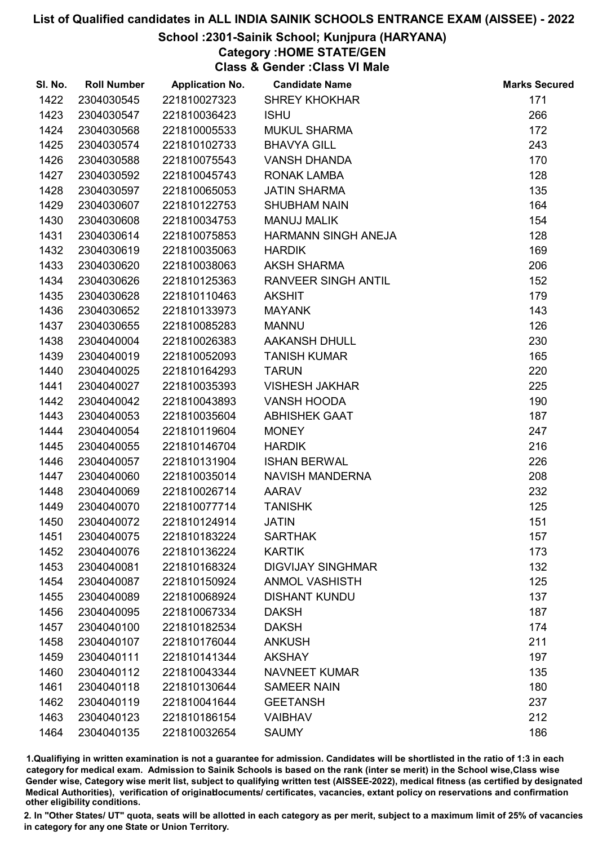### School :2301-Sainik School; Kunjpura (HARYANA)

## Category :HOME STATE/GEN

Class & Gender :Class VI Male

| SI. No. | <b>Roll Number</b> | <b>Application No.</b> | <b>Candidate Name</b>      | <b>Marks Secured</b> |
|---------|--------------------|------------------------|----------------------------|----------------------|
| 1422    | 2304030545         | 221810027323           | <b>SHREY KHOKHAR</b>       | 171                  |
| 1423    | 2304030547         | 221810036423           | <b>ISHU</b>                | 266                  |
| 1424    | 2304030568         | 221810005533           | <b>MUKUL SHARMA</b>        | 172                  |
| 1425    | 2304030574         | 221810102733           | <b>BHAVYA GILL</b>         | 243                  |
| 1426    | 2304030588         | 221810075543           | <b>VANSH DHANDA</b>        | 170                  |
| 1427    | 2304030592         | 221810045743           | <b>RONAK LAMBA</b>         | 128                  |
| 1428    | 2304030597         | 221810065053           | <b>JATIN SHARMA</b>        | 135                  |
| 1429    | 2304030607         | 221810122753           | <b>SHUBHAM NAIN</b>        | 164                  |
| 1430    | 2304030608         | 221810034753           | <b>MANUJ MALIK</b>         | 154                  |
| 1431    | 2304030614         | 221810075853           | <b>HARMANN SINGH ANEJA</b> | 128                  |
| 1432    | 2304030619         | 221810035063           | <b>HARDIK</b>              | 169                  |
| 1433    | 2304030620         | 221810038063           | <b>AKSH SHARMA</b>         | 206                  |
| 1434    | 2304030626         | 221810125363           | <b>RANVEER SINGH ANTIL</b> | 152                  |
| 1435    | 2304030628         | 221810110463           | <b>AKSHIT</b>              | 179                  |
| 1436    | 2304030652         | 221810133973           | <b>MAYANK</b>              | 143                  |
| 1437    | 2304030655         | 221810085283           | <b>MANNU</b>               | 126                  |
| 1438    | 2304040004         | 221810026383           | <b>AAKANSH DHULL</b>       | 230                  |
| 1439    | 2304040019         | 221810052093           | <b>TANISH KUMAR</b>        | 165                  |
| 1440    | 2304040025         | 221810164293           | <b>TARUN</b>               | 220                  |
| 1441    | 2304040027         | 221810035393           | <b>VISHESH JAKHAR</b>      | 225                  |
| 1442    | 2304040042         | 221810043893           | VANSH HOODA                | 190                  |
| 1443    | 2304040053         | 221810035604           | <b>ABHISHEK GAAT</b>       | 187                  |
| 1444    | 2304040054         | 221810119604           | <b>MONEY</b>               | 247                  |
| 1445    | 2304040055         | 221810146704           | <b>HARDIK</b>              | 216                  |
| 1446    | 2304040057         | 221810131904           | <b>ISHAN BERWAL</b>        | 226                  |
| 1447    | 2304040060         | 221810035014           | <b>NAVISH MANDERNA</b>     | 208                  |
| 1448    | 2304040069         | 221810026714           | <b>AARAV</b>               | 232                  |
| 1449    | 2304040070         | 221810077714           | <b>TANISHK</b>             | 125                  |
| 1450    | 2304040072         | 221810124914           | <b>JATIN</b>               | 151                  |
| 1451    | 2304040075         | 221810183224           | <b>SARTHAK</b>             | 157                  |
| 1452    | 2304040076         | 221810136224           | <b>KARTIK</b>              | 173                  |
| 1453    | 2304040081         | 221810168324           | <b>DIGVIJAY SINGHMAR</b>   | 132                  |
| 1454    | 2304040087         | 221810150924           | <b>ANMOL VASHISTH</b>      | 125                  |
| 1455    | 2304040089         | 221810068924           | <b>DISHANT KUNDU</b>       | 137                  |
| 1456    | 2304040095         | 221810067334           | <b>DAKSH</b>               | 187                  |
| 1457    | 2304040100         | 221810182534           | <b>DAKSH</b>               | 174                  |
| 1458    | 2304040107         | 221810176044           | <b>ANKUSH</b>              | 211                  |
| 1459    | 2304040111         | 221810141344           | <b>AKSHAY</b>              | 197                  |
| 1460    | 2304040112         | 221810043344           | <b>NAVNEET KUMAR</b>       | 135                  |
| 1461    | 2304040118         | 221810130644           | <b>SAMEER NAIN</b>         | 180                  |
| 1462    | 2304040119         | 221810041644           | <b>GEETANSH</b>            | 237                  |
| 1463    | 2304040123         | 221810186154           | <b>VAIBHAV</b>             | 212                  |
| 1464    | 2304040135         | 221810032654           | <b>SAUMY</b>               | 186                  |

1.Qualifiying in written examination is not a guarantee for admission. Candidates will be shortlisted in the ratio of 1:3 in each category for medical exam. Admission to Sainik Schools is based on the rank (inter se merit) in the School wise,Class wise Gender wise, Category wise merit list, subject to qualifying written test (AISSEE-2022), medical fitness (as certified by designated Medical Authorities), verification of originablocuments/ certificates, vacancies, extant policy on reservations and confirmation other eligibility conditions.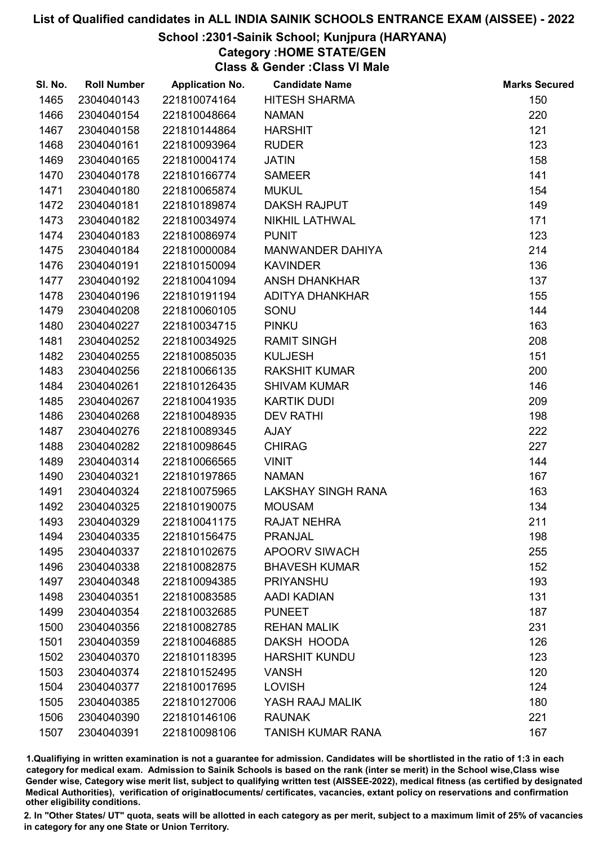## School :2301-Sainik School; Kunjpura (HARYANA)

## Category :HOME STATE/GEN

Class & Gender :Class VI Male

| SI. No. | <b>Roll Number</b> | <b>Application No.</b> | <b>Candidate Name</b>     | <b>Marks Secured</b> |
|---------|--------------------|------------------------|---------------------------|----------------------|
| 1465    | 2304040143         | 221810074164           | <b>HITESH SHARMA</b>      | 150                  |
| 1466    | 2304040154         | 221810048664           | <b>NAMAN</b>              | 220                  |
| 1467    | 2304040158         | 221810144864           | <b>HARSHIT</b>            | 121                  |
| 1468    | 2304040161         | 221810093964           | <b>RUDER</b>              | 123                  |
| 1469    | 2304040165         | 221810004174           | <b>JATIN</b>              | 158                  |
| 1470    | 2304040178         | 221810166774           | <b>SAMEER</b>             | 141                  |
| 1471    | 2304040180         | 221810065874           | <b>MUKUL</b>              | 154                  |
| 1472    | 2304040181         | 221810189874           | <b>DAKSH RAJPUT</b>       | 149                  |
| 1473    | 2304040182         | 221810034974           | NIKHIL LATHWAL            | 171                  |
| 1474    | 2304040183         | 221810086974           | <b>PUNIT</b>              | 123                  |
| 1475    | 2304040184         | 221810000084           | <b>MANWANDER DAHIYA</b>   | 214                  |
| 1476    | 2304040191         | 221810150094           | <b>KAVINDER</b>           | 136                  |
| 1477    | 2304040192         | 221810041094           | <b>ANSH DHANKHAR</b>      | 137                  |
| 1478    | 2304040196         | 221810191194           | <b>ADITYA DHANKHAR</b>    | 155                  |
| 1479    | 2304040208         | 221810060105           | SONU                      | 144                  |
| 1480    | 2304040227         | 221810034715           | <b>PINKU</b>              | 163                  |
| 1481    | 2304040252         | 221810034925           | <b>RAMIT SINGH</b>        | 208                  |
| 1482    | 2304040255         | 221810085035           | <b>KULJESH</b>            | 151                  |
| 1483    | 2304040256         | 221810066135           | <b>RAKSHIT KUMAR</b>      | 200                  |
| 1484    | 2304040261         | 221810126435           | <b>SHIVAM KUMAR</b>       | 146                  |
| 1485    | 2304040267         | 221810041935           | <b>KARTIK DUDI</b>        | 209                  |
| 1486    | 2304040268         | 221810048935           | <b>DEV RATHI</b>          | 198                  |
| 1487    | 2304040276         | 221810089345           | <b>AJAY</b>               | 222                  |
| 1488    | 2304040282         | 221810098645           | <b>CHIRAG</b>             | 227                  |
| 1489    | 2304040314         | 221810066565           | <b>VINIT</b>              | 144                  |
| 1490    | 2304040321         | 221810197865           | <b>NAMAN</b>              | 167                  |
| 1491    | 2304040324         | 221810075965           | <b>LAKSHAY SINGH RANA</b> | 163                  |
| 1492    | 2304040325         | 221810190075           | <b>MOUSAM</b>             | 134                  |
| 1493    | 2304040329         | 221810041175           | <b>RAJAT NEHRA</b>        | 211                  |
| 1494    | 2304040335         | 221810156475           | <b>PRANJAL</b>            | 198                  |
| 1495    | 2304040337         | 221810102675           | <b>APOORV SIWACH</b>      | 255                  |
| 1496    | 2304040338         | 221810082875           | <b>BHAVESH KUMAR</b>      | 152                  |
| 1497    | 2304040348         | 221810094385           | <b>PRIYANSHU</b>          | 193                  |
| 1498    | 2304040351         | 221810083585           | <b>AADI KADIAN</b>        | 131                  |
| 1499    | 2304040354         | 221810032685           | <b>PUNEET</b>             | 187                  |
| 1500    | 2304040356         | 221810082785           | <b>REHAN MALIK</b>        | 231                  |
| 1501    | 2304040359         | 221810046885           | DAKSH HOODA               | 126                  |
| 1502    | 2304040370         | 221810118395           | <b>HARSHIT KUNDU</b>      | 123                  |
| 1503    | 2304040374         | 221810152495           | <b>VANSH</b>              | 120                  |
| 1504    | 2304040377         | 221810017695           | <b>LOVISH</b>             | 124                  |
| 1505    | 2304040385         | 221810127006           | YASH RAAJ MALIK           | 180                  |
| 1506    | 2304040390         | 221810146106           | <b>RAUNAK</b>             | 221                  |
| 1507    | 2304040391         | 221810098106           | <b>TANISH KUMAR RANA</b>  | 167                  |

1.Qualifiying in written examination is not a guarantee for admission. Candidates will be shortlisted in the ratio of 1:3 in each category for medical exam. Admission to Sainik Schools is based on the rank (inter se merit) in the School wise,Class wise Gender wise, Category wise merit list, subject to qualifying written test (AISSEE-2022), medical fitness (as certified by designated Medical Authorities), verification of originablocuments/ certificates, vacancies, extant policy on reservations and confirmation other eligibility conditions.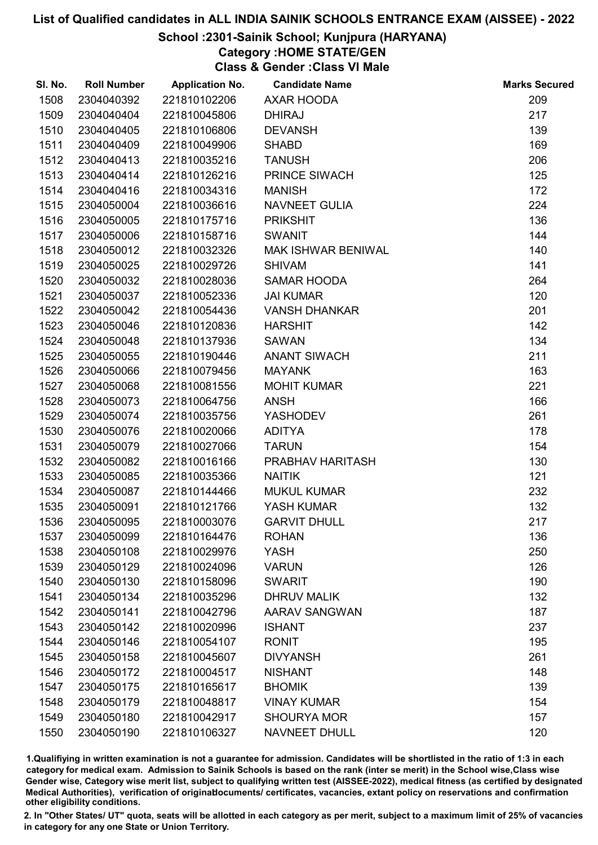#### School :2301-Sainik School; Kunjpura (HARYANA)

Category :HOME STATE/GEN

Class & Gender :Class VI Male

| SI. No. | <b>Roll Number</b> | <b>Application No.</b> | <b>Candidate Name</b>     | <b>Marks Secured</b> |
|---------|--------------------|------------------------|---------------------------|----------------------|
| 1508    | 2304040392         | 221810102206           | AXAR HOODA                | 209                  |
| 1509    | 2304040404         | 221810045806           | <b>DHIRAJ</b>             | 217                  |
| 1510    | 2304040405         | 221810106806           | <b>DEVANSH</b>            | 139                  |
| 1511    | 2304040409         | 221810049906           | <b>SHABD</b>              | 169                  |
| 1512    | 2304040413         | 221810035216           | <b>TANUSH</b>             | 206                  |
| 1513    | 2304040414         | 221810126216           | PRINCE SIWACH             | 125                  |
| 1514    | 2304040416         | 221810034316           | <b>MANISH</b>             | 172                  |
| 1515    | 2304050004         | 221810036616           | <b>NAVNEET GULIA</b>      | 224                  |
| 1516    | 2304050005         | 221810175716           | <b>PRIKSHIT</b>           | 136                  |
| 1517    | 2304050006         | 221810158716           | <b>SWANIT</b>             | 144                  |
| 1518    | 2304050012         | 221810032326           | <b>MAK ISHWAR BENIWAL</b> | 140                  |
| 1519    | 2304050025         | 221810029726           | <b>SHIVAM</b>             | 141                  |
| 1520    | 2304050032         | 221810028036           | SAMAR HOODA               | 264                  |
| 1521    | 2304050037         | 221810052336           | <b>JAI KUMAR</b>          | 120                  |
| 1522    | 2304050042         | 221810054436           | <b>VANSH DHANKAR</b>      | 201                  |
| 1523    | 2304050046         | 221810120836           | <b>HARSHIT</b>            | 142                  |
| 1524    | 2304050048         | 221810137936           | <b>SAWAN</b>              | 134                  |
| 1525    | 2304050055         | 221810190446           | <b>ANANT SIWACH</b>       | 211                  |
| 1526    | 2304050066         | 221810079456           | <b>MAYANK</b>             | 163                  |
| 1527    | 2304050068         | 221810081556           | <b>MOHIT KUMAR</b>        | 221                  |
| 1528    | 2304050073         | 221810064756           | <b>ANSH</b>               | 166                  |
| 1529    | 2304050074         | 221810035756           | <b>YASHODEV</b>           | 261                  |
| 1530    | 2304050076         | 221810020066           | <b>ADITYA</b>             | 178                  |
| 1531    | 2304050079         | 221810027066           | <b>TARUN</b>              | 154                  |
| 1532    | 2304050082         | 221810016166           | PRABHAV HARITASH          | 130                  |
| 1533    | 2304050085         | 221810035366           | <b>NAITIK</b>             | 121                  |
| 1534    | 2304050087         | 221810144466           | <b>MUKUL KUMAR</b>        | 232                  |
| 1535    | 2304050091         | 221810121766           | YASH KUMAR                | 132                  |
| 1536    | 2304050095         | 221810003076           | <b>GARVIT DHULL</b>       | 217                  |
| 1537    | 2304050099         | 221810164476           | <b>ROHAN</b>              | 136                  |
| 1538    | 2304050108         | 221810029976           | <b>YASH</b>               | 250                  |
| 1539    | 2304050129         | 221810024096           | <b>VARUN</b>              | 126                  |
| 1540    | 2304050130         | 221810158096           | <b>SWARIT</b>             | 190                  |
| 1541    | 2304050134         | 221810035296           | <b>DHRUV MALIK</b>        | 132                  |
| 1542    | 2304050141         | 221810042796           | <b>AARAV SANGWAN</b>      | 187                  |
| 1543    | 2304050142         | 221810020996           | <b>ISHANT</b>             | 237                  |
| 1544    | 2304050146         | 221810054107           | <b>RONIT</b>              | 195                  |
| 1545    | 2304050158         | 221810045607           | <b>DIVYANSH</b>           | 261                  |
| 1546    | 2304050172         | 221810004517           | <b>NISHANT</b>            | 148                  |
| 1547    | 2304050175         | 221810165617           | <b>BHOMIK</b>             | 139                  |
| 1548    | 2304050179         | 221810048817           | <b>VINAY KUMAR</b>        | 154                  |
| 1549    | 2304050180         | 221810042917           | <b>SHOURYA MOR</b>        | 157                  |
| 1550    | 2304050190         | 221810106327           | NAVNEET DHULL             | 120                  |

1.Qualifiying in written examination is not a guarantee for admission. Candidates will be shortlisted in the ratio of 1:3 in each category for medical exam. Admission to Sainik Schools is based on the rank (inter se merit) in the School wise,Class wise Gender wise, Category wise merit list, subject to qualifying written test (AISSEE-2022), medical fitness (as certified by designated Medical Authorities), verification of originablocuments/ certificates, vacancies, extant policy on reservations and confirmation other eligibility conditions.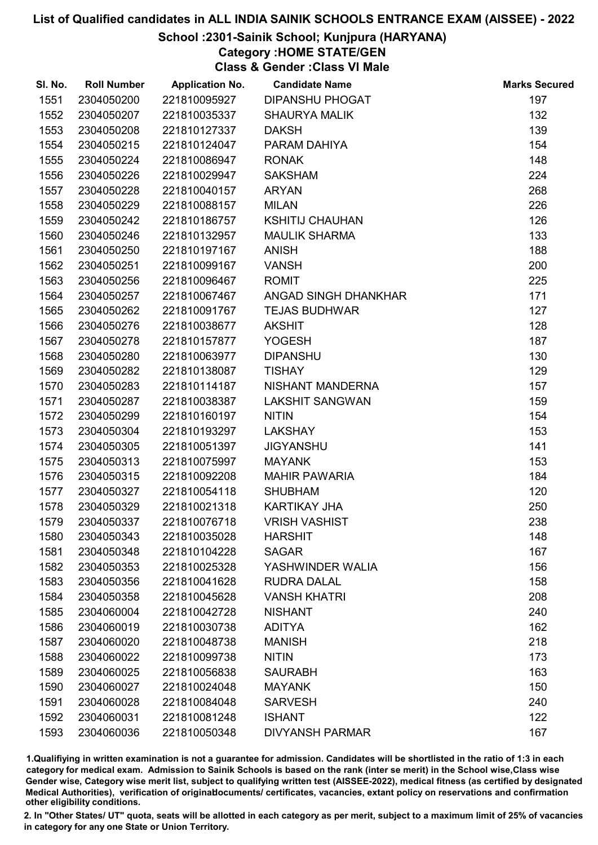## School :2301-Sainik School; Kunjpura (HARYANA)

## Category :HOME STATE/GEN

Class & Gender :Class VI Male

| SI. No. | <b>Roll Number</b> | <b>Application No.</b> | <b>Candidate Name</b>  | <b>Marks Secured</b> |
|---------|--------------------|------------------------|------------------------|----------------------|
| 1551    | 2304050200         | 221810095927           | <b>DIPANSHU PHOGAT</b> | 197                  |
| 1552    | 2304050207         | 221810035337           | <b>SHAURYA MALIK</b>   | 132                  |
| 1553    | 2304050208         | 221810127337           | <b>DAKSH</b>           | 139                  |
| 1554    | 2304050215         | 221810124047           | PARAM DAHIYA           | 154                  |
| 1555    | 2304050224         | 221810086947           | <b>RONAK</b>           | 148                  |
| 1556    | 2304050226         | 221810029947           | <b>SAKSHAM</b>         | 224                  |
| 1557    | 2304050228         | 221810040157           | <b>ARYAN</b>           | 268                  |
| 1558    | 2304050229         | 221810088157           | <b>MILAN</b>           | 226                  |
| 1559    | 2304050242         | 221810186757           | <b>KSHITIJ CHAUHAN</b> | 126                  |
| 1560    | 2304050246         | 221810132957           | <b>MAULIK SHARMA</b>   | 133                  |
| 1561    | 2304050250         | 221810197167           | <b>ANISH</b>           | 188                  |
| 1562    | 2304050251         | 221810099167           | <b>VANSH</b>           | 200                  |
| 1563    | 2304050256         | 221810096467           | <b>ROMIT</b>           | 225                  |
| 1564    | 2304050257         | 221810067467           | ANGAD SINGH DHANKHAR   | 171                  |
| 1565    | 2304050262         | 221810091767           | <b>TEJAS BUDHWAR</b>   | 127                  |
| 1566    | 2304050276         | 221810038677           | <b>AKSHIT</b>          | 128                  |
| 1567    | 2304050278         | 221810157877           | <b>YOGESH</b>          | 187                  |
| 1568    | 2304050280         | 221810063977           | <b>DIPANSHU</b>        | 130                  |
| 1569    | 2304050282         | 221810138087           | <b>TISHAY</b>          | 129                  |
| 1570    | 2304050283         | 221810114187           | NISHANT MANDERNA       | 157                  |
| 1571    | 2304050287         | 221810038387           | <b>LAKSHIT SANGWAN</b> | 159                  |
| 1572    | 2304050299         | 221810160197           | <b>NITIN</b>           | 154                  |
| 1573    | 2304050304         | 221810193297           | <b>LAKSHAY</b>         | 153                  |
| 1574    | 2304050305         | 221810051397           | <b>JIGYANSHU</b>       | 141                  |
| 1575    | 2304050313         | 221810075997           | <b>MAYANK</b>          | 153                  |
| 1576    | 2304050315         | 221810092208           | <b>MAHIR PAWARIA</b>   | 184                  |
| 1577    | 2304050327         | 221810054118           | <b>SHUBHAM</b>         | 120                  |
| 1578    | 2304050329         | 221810021318           | <b>KARTIKAY JHA</b>    | 250                  |
| 1579    | 2304050337         | 221810076718           | <b>VRISH VASHIST</b>   | 238                  |
| 1580    | 2304050343         | 221810035028           | <b>HARSHIT</b>         | 148                  |
| 1581    | 2304050348         | 221810104228           | <b>SAGAR</b>           | 167                  |
| 1582    | 2304050353         | 221810025328           | YASHWINDER WALIA       | 156                  |
| 1583    | 2304050356         | 221810041628           | <b>RUDRA DALAL</b>     | 158                  |
| 1584    | 2304050358         | 221810045628           | <b>VANSH KHATRI</b>    | 208                  |
| 1585    | 2304060004         | 221810042728           | <b>NISHANT</b>         | 240                  |
| 1586    | 2304060019         | 221810030738           | <b>ADITYA</b>          | 162                  |
| 1587    | 2304060020         | 221810048738           | <b>MANISH</b>          | 218                  |
| 1588    | 2304060022         | 221810099738           | <b>NITIN</b>           | 173                  |
| 1589    | 2304060025         | 221810056838           | <b>SAURABH</b>         | 163                  |
| 1590    | 2304060027         | 221810024048           | <b>MAYANK</b>          | 150                  |
| 1591    | 2304060028         | 221810084048           | <b>SARVESH</b>         | 240                  |
| 1592    | 2304060031         | 221810081248           | <b>ISHANT</b>          | 122                  |
| 1593    | 2304060036         | 221810050348           | <b>DIVYANSH PARMAR</b> | 167                  |

1.Qualifiying in written examination is not a guarantee for admission. Candidates will be shortlisted in the ratio of 1:3 in each category for medical exam. Admission to Sainik Schools is based on the rank (inter se merit) in the School wise,Class wise Gender wise, Category wise merit list, subject to qualifying written test (AISSEE-2022), medical fitness (as certified by designated Medical Authorities), verification of originablocuments/ certificates, vacancies, extant policy on reservations and confirmation other eligibility conditions.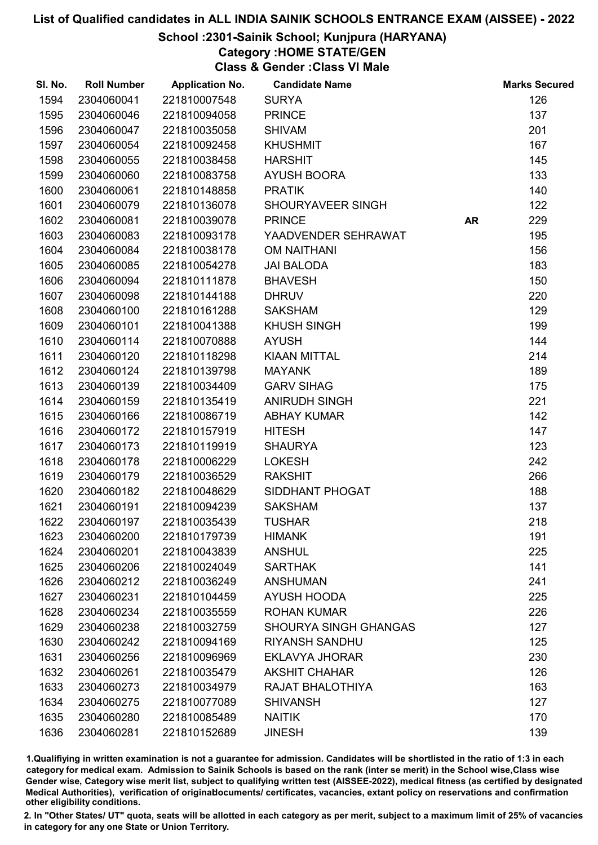#### School :2301-Sainik School; Kunjpura (HARYANA)

Category :HOME STATE/GEN

Class & Gender :Class VI Male

| SI. No. | <b>Roll Number</b> | <b>Application No.</b> | <b>Candidate Name</b>        |           | <b>Marks Secured</b> |
|---------|--------------------|------------------------|------------------------------|-----------|----------------------|
| 1594    | 2304060041         | 221810007548           | <b>SURYA</b>                 |           | 126                  |
| 1595    | 2304060046         | 221810094058           | <b>PRINCE</b>                |           | 137                  |
| 1596    | 2304060047         | 221810035058           | <b>SHIVAM</b>                |           | 201                  |
| 1597    | 2304060054         | 221810092458           | <b>KHUSHMIT</b>              |           | 167                  |
| 1598    | 2304060055         | 221810038458           | <b>HARSHIT</b>               |           | 145                  |
| 1599    | 2304060060         | 221810083758           | <b>AYUSH BOORA</b>           |           | 133                  |
| 1600    | 2304060061         | 221810148858           | <b>PRATIK</b>                |           | 140                  |
| 1601    | 2304060079         | 221810136078           | SHOURYAVEER SINGH            |           | 122                  |
| 1602    | 2304060081         | 221810039078           | <b>PRINCE</b>                | <b>AR</b> | 229                  |
| 1603    | 2304060083         | 221810093178           | YAADVENDER SEHRAWAT          |           | 195                  |
| 1604    | 2304060084         | 221810038178           | <b>OM NAITHANI</b>           |           | 156                  |
| 1605    | 2304060085         | 221810054278           | <b>JAI BALODA</b>            |           | 183                  |
| 1606    | 2304060094         | 221810111878           | <b>BHAVESH</b>               |           | 150                  |
| 1607    | 2304060098         | 221810144188           | <b>DHRUV</b>                 |           | 220                  |
| 1608    | 2304060100         | 221810161288           | <b>SAKSHAM</b>               |           | 129                  |
| 1609    | 2304060101         | 221810041388           | <b>KHUSH SINGH</b>           |           | 199                  |
| 1610    | 2304060114         | 221810070888           | <b>AYUSH</b>                 |           | 144                  |
| 1611    | 2304060120         | 221810118298           | <b>KIAAN MITTAL</b>          |           | 214                  |
| 1612    | 2304060124         | 221810139798           | <b>MAYANK</b>                |           | 189                  |
| 1613    | 2304060139         | 221810034409           | <b>GARV SIHAG</b>            |           | 175                  |
| 1614    | 2304060159         | 221810135419           | <b>ANIRUDH SINGH</b>         |           | 221                  |
| 1615    | 2304060166         | 221810086719           | <b>ABHAY KUMAR</b>           |           | 142                  |
| 1616    | 2304060172         | 221810157919           | <b>HITESH</b>                |           | 147                  |
| 1617    | 2304060173         | 221810119919           | <b>SHAURYA</b>               |           | 123                  |
| 1618    | 2304060178         | 221810006229           | <b>LOKESH</b>                |           | 242                  |
| 1619    | 2304060179         | 221810036529           | <b>RAKSHIT</b>               |           | 266                  |
| 1620    | 2304060182         | 221810048629           | SIDDHANT PHOGAT              |           | 188                  |
| 1621    | 2304060191         | 221810094239           | <b>SAKSHAM</b>               |           | 137                  |
| 1622    | 2304060197         | 221810035439           | <b>TUSHAR</b>                |           | 218                  |
| 1623    | 2304060200         | 221810179739           | <b>HIMANK</b>                |           | 191                  |
| 1624    | 2304060201         | 221810043839           | <b>ANSHUL</b>                |           | 225                  |
| 1625    | 2304060206         | 221810024049           | <b>SARTHAK</b>               |           | 141                  |
| 1626    | 2304060212         | 221810036249           | <b>ANSHUMAN</b>              |           | 241                  |
| 1627    | 2304060231         | 221810104459           | <b>AYUSH HOODA</b>           |           | 225                  |
| 1628    | 2304060234         | 221810035559           | <b>ROHAN KUMAR</b>           |           | 226                  |
| 1629    | 2304060238         | 221810032759           | <b>SHOURYA SINGH GHANGAS</b> |           | 127                  |
| 1630    | 2304060242         | 221810094169           | <b>RIYANSH SANDHU</b>        |           | 125                  |
| 1631    | 2304060256         | 221810096969           | <b>EKLAVYA JHORAR</b>        |           | 230                  |
| 1632    | 2304060261         | 221810035479           | <b>AKSHIT CHAHAR</b>         |           | 126                  |
| 1633    | 2304060273         | 221810034979           | RAJAT BHALOTHIYA             |           | 163                  |
| 1634    | 2304060275         | 221810077089           | <b>SHIVANSH</b>              |           | 127                  |
| 1635    | 2304060280         | 221810085489           | <b>NAITIK</b>                |           | 170                  |
| 1636    | 2304060281         | 221810152689           | <b>JINESH</b>                |           | 139                  |
|         |                    |                        |                              |           |                      |

1.Qualifiying in written examination is not a guarantee for admission. Candidates will be shortlisted in the ratio of 1:3 in each category for medical exam. Admission to Sainik Schools is based on the rank (inter se merit) in the School wise,Class wise Gender wise, Category wise merit list, subject to qualifying written test (AISSEE-2022), medical fitness (as certified by designated Medical Authorities), verification of originablocuments/ certificates, vacancies, extant policy on reservations and confirmation other eligibility conditions.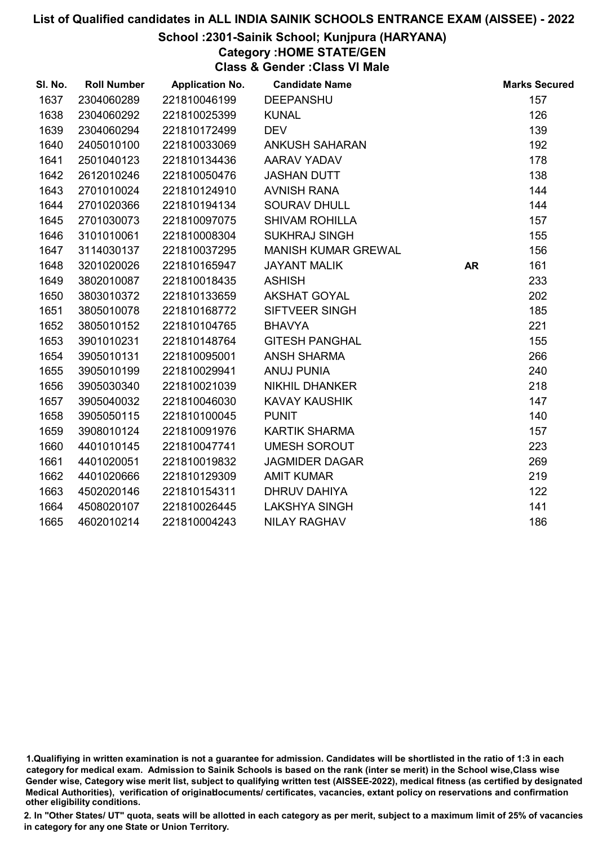#### School :2301-Sainik School; Kunjpura (HARYANA)

Category :HOME STATE/GEN

Class & Gender :Class VI Male

| SI. No. | <b>Roll Number</b> | <b>Application No.</b> | <b>Candidate Name</b>      |           | <b>Marks Secured</b> |
|---------|--------------------|------------------------|----------------------------|-----------|----------------------|
| 1637    | 2304060289         | 221810046199           | <b>DEEPANSHU</b>           |           | 157                  |
| 1638    | 2304060292         | 221810025399           | <b>KUNAL</b>               |           | 126                  |
| 1639    | 2304060294         | 221810172499           | <b>DEV</b>                 |           | 139                  |
| 1640    | 2405010100         | 221810033069           | <b>ANKUSH SAHARAN</b>      |           | 192                  |
| 1641    | 2501040123         | 221810134436           | AARAV YADAV                |           | 178                  |
| 1642    | 2612010246         | 221810050476           | <b>JASHAN DUTT</b>         |           | 138                  |
| 1643    | 2701010024         | 221810124910           | <b>AVNISH RANA</b>         |           | 144                  |
| 1644    | 2701020366         | 221810194134           | <b>SOURAV DHULL</b>        |           | 144                  |
| 1645    | 2701030073         | 221810097075           | <b>SHIVAM ROHILLA</b>      |           | 157                  |
| 1646    | 3101010061         | 221810008304           | <b>SUKHRAJ SINGH</b>       |           | 155                  |
| 1647    | 3114030137         | 221810037295           | <b>MANISH KUMAR GREWAL</b> |           | 156                  |
| 1648    | 3201020026         | 221810165947           | <b>JAYANT MALIK</b>        | <b>AR</b> | 161                  |
| 1649    | 3802010087         | 221810018435           | <b>ASHISH</b>              |           | 233                  |
| 1650    | 3803010372         | 221810133659           | <b>AKSHAT GOYAL</b>        |           | 202                  |
| 1651    | 3805010078         | 221810168772           | SIFTVEER SINGH             |           | 185                  |
| 1652    | 3805010152         | 221810104765           | <b>BHAVYA</b>              |           | 221                  |
| 1653    | 3901010231         | 221810148764           | <b>GITESH PANGHAL</b>      |           | 155                  |
| 1654    | 3905010131         | 221810095001           | <b>ANSH SHARMA</b>         |           | 266                  |
| 1655    | 3905010199         | 221810029941           | <b>ANUJ PUNIA</b>          |           | 240                  |
| 1656    | 3905030340         | 221810021039           | <b>NIKHIL DHANKER</b>      |           | 218                  |
| 1657    | 3905040032         | 221810046030           | <b>KAVAY KAUSHIK</b>       |           | 147                  |
| 1658    | 3905050115         | 221810100045           | <b>PUNIT</b>               |           | 140                  |
| 1659    | 3908010124         | 221810091976           | <b>KARTIK SHARMA</b>       |           | 157                  |
| 1660    | 4401010145         | 221810047741           | <b>UMESH SOROUT</b>        |           | 223                  |
| 1661    | 4401020051         | 221810019832           | <b>JAGMIDER DAGAR</b>      |           | 269                  |
| 1662    | 4401020666         | 221810129309           | <b>AMIT KUMAR</b>          |           | 219                  |
| 1663    | 4502020146         | 221810154311           | DHRUV DAHIYA               |           | 122                  |
| 1664    | 4508020107         | 221810026445           | <b>LAKSHYA SINGH</b>       |           | 141                  |
| 1665    | 4602010214         | 221810004243           | <b>NILAY RAGHAV</b>        |           | 186                  |

<sup>1.</sup>Qualifiying in written examination is not a guarantee for admission. Candidates will be shortlisted in the ratio of 1:3 in each category for medical exam. Admission to Sainik Schools is based on the rank (inter se merit) in the School wise,Class wise Gender wise, Category wise merit list, subject to qualifying written test (AISSEE-2022), medical fitness (as certified by designated Medical Authorities), verification of originablocuments/ certificates, vacancies, extant policy on reservations and confirmation other eligibility conditions.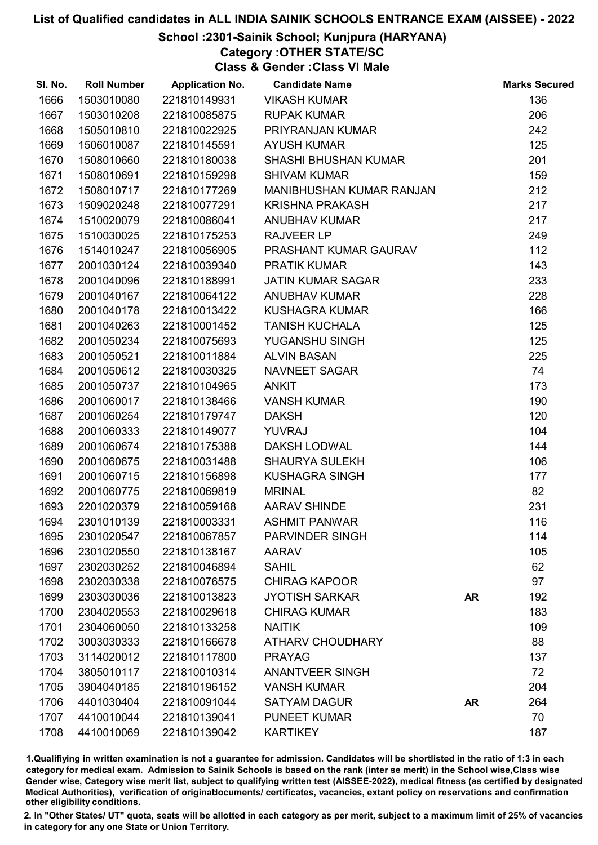## School :2301-Sainik School; Kunjpura (HARYANA)

Category :OTHER STATE/SC

Class & Gender :Class VI Male

| SI. No. | <b>Roll Number</b> | <b>Application No.</b> | <b>Candidate Name</b>           |           | <b>Marks Secured</b> |
|---------|--------------------|------------------------|---------------------------------|-----------|----------------------|
| 1666    | 1503010080         | 221810149931           | <b>VIKASH KUMAR</b>             |           | 136                  |
| 1667    | 1503010208         | 221810085875           | <b>RUPAK KUMAR</b>              |           | 206                  |
| 1668    | 1505010810         | 221810022925           | PRIYRANJAN KUMAR                |           | 242                  |
| 1669    | 1506010087         | 221810145591           | <b>AYUSH KUMAR</b>              |           | 125                  |
| 1670    | 1508010660         | 221810180038           | <b>SHASHI BHUSHAN KUMAR</b>     |           | 201                  |
| 1671    | 1508010691         | 221810159298           | <b>SHIVAM KUMAR</b>             |           | 159                  |
| 1672    | 1508010717         | 221810177269           | <b>MANIBHUSHAN KUMAR RANJAN</b> |           | 212                  |
| 1673    | 1509020248         | 221810077291           | <b>KRISHNA PRAKASH</b>          |           | 217                  |
| 1674    | 1510020079         | 221810086041           | <b>ANUBHAV KUMAR</b>            |           | 217                  |
| 1675    | 1510030025         | 221810175253           | <b>RAJVEER LP</b>               |           | 249                  |
| 1676    | 1514010247         | 221810056905           | PRASHANT KUMAR GAURAV           |           | 112                  |
| 1677    | 2001030124         | 221810039340           | <b>PRATIK KUMAR</b>             |           | 143                  |
| 1678    | 2001040096         | 221810188991           | <b>JATIN KUMAR SAGAR</b>        |           | 233                  |
| 1679    | 2001040167         | 221810064122           | <b>ANUBHAV KUMAR</b>            |           | 228                  |
| 1680    | 2001040178         | 221810013422           | <b>KUSHAGRA KUMAR</b>           |           | 166                  |
| 1681    | 2001040263         | 221810001452           | <b>TANISH KUCHALA</b>           |           | 125                  |
| 1682    | 2001050234         | 221810075693           | <b>YUGANSHU SINGH</b>           |           | 125                  |
| 1683    | 2001050521         | 221810011884           | <b>ALVIN BASAN</b>              |           | 225                  |
| 1684    | 2001050612         | 221810030325           | NAVNEET SAGAR                   |           | 74                   |
| 1685    | 2001050737         | 221810104965           | <b>ANKIT</b>                    |           | 173                  |
| 1686    | 2001060017         | 221810138466           | <b>VANSH KUMAR</b>              |           | 190                  |
| 1687    | 2001060254         | 221810179747           | <b>DAKSH</b>                    |           | 120                  |
| 1688    | 2001060333         | 221810149077           | <b>YUVRAJ</b>                   |           | 104                  |
| 1689    | 2001060674         | 221810175388           | DAKSH LODWAL                    |           | 144                  |
| 1690    | 2001060675         | 221810031488           | <b>SHAURYA SULEKH</b>           |           | 106                  |
| 1691    | 2001060715         | 221810156898           | <b>KUSHAGRA SINGH</b>           |           | 177                  |
| 1692    | 2001060775         | 221810069819           | <b>MRINAL</b>                   |           | 82                   |
| 1693    | 2201020379         | 221810059168           | <b>AARAV SHINDE</b>             |           | 231                  |
| 1694    | 2301010139         | 221810003331           | <b>ASHMIT PANWAR</b>            |           | 116                  |
| 1695    | 2301020547         | 221810067857           | PARVINDER SINGH                 |           | 114                  |
| 1696    | 2301020550         | 221810138167           | <b>AARAV</b>                    |           | 105                  |
| 1697    | 2302030252         | 221810046894           | <b>SAHIL</b>                    |           | 62                   |
| 1698    | 2302030338         | 221810076575           | <b>CHIRAG KAPOOR</b>            |           | 97                   |
| 1699    | 2303030036         | 221810013823           | <b>JYOTISH SARKAR</b>           | <b>AR</b> | 192                  |
| 1700    | 2304020553         | 221810029618           | <b>CHIRAG KUMAR</b>             |           | 183                  |
| 1701    | 2304060050         | 221810133258           | <b>NAITIK</b>                   |           | 109                  |
| 1702    | 3003030333         | 221810166678           | <b>ATHARV CHOUDHARY</b>         |           | 88                   |
| 1703    | 3114020012         | 221810117800           | <b>PRAYAG</b>                   |           | 137                  |
| 1704    | 3805010117         | 221810010314           | <b>ANANTVEER SINGH</b>          |           | 72                   |
| 1705    | 3904040185         | 221810196152           | <b>VANSH KUMAR</b>              |           | 204                  |
| 1706    | 4401030404         | 221810091044           | <b>SATYAM DAGUR</b>             | <b>AR</b> | 264                  |
| 1707    | 4410010044         | 221810139041           | <b>PUNEET KUMAR</b>             |           | 70                   |
| 1708    | 4410010069         | 221810139042           | <b>KARTIKEY</b>                 |           | 187                  |

1.Qualifiying in written examination is not a guarantee for admission. Candidates will be shortlisted in the ratio of 1:3 in each category for medical exam. Admission to Sainik Schools is based on the rank (inter se merit) in the School wise,Class wise Gender wise, Category wise merit list, subject to qualifying written test (AISSEE-2022), medical fitness (as certified by designated Medical Authorities), verification of originablocuments/ certificates, vacancies, extant policy on reservations and confirmation other eligibility conditions.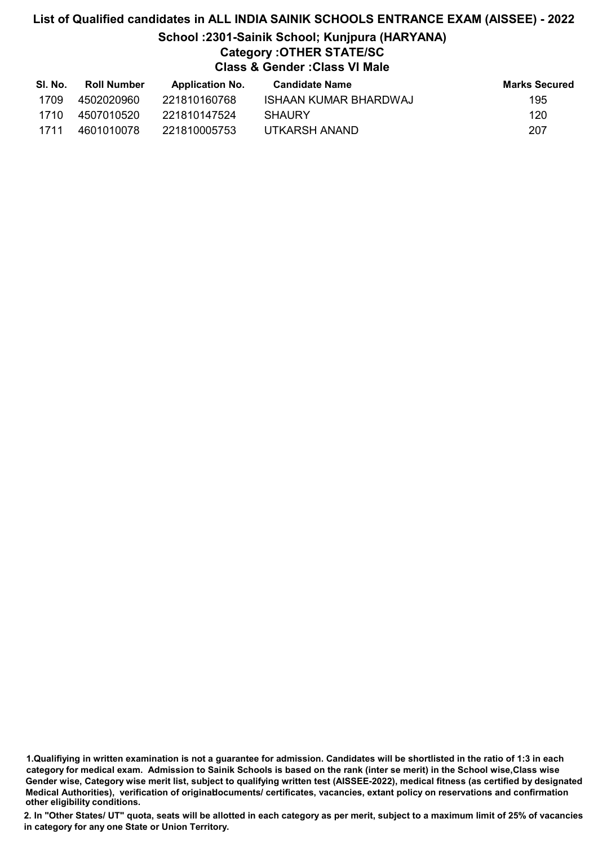# List of Qualified candidates in ALL INDIA SAINIK SCHOOLS ENTRANCE EXAM (AISSEE) - 2022 School :2301-Sainik School; Kunjpura (HARYANA) Category :OTHER STATE/SC Class & Gender :Class VI Male

| SI. No. | <b>Roll Number</b> | <b>Application No.</b> | Candidate Name        | Marks Secured |
|---------|--------------------|------------------------|-----------------------|---------------|
| 1709    | 4502020960         | 221810160768           | ISHAAN KUMAR BHARDWAJ | 195           |
| 1710.   | 4507010520         | 221810147524           | <b>SHAURY</b>         | 120           |
| 1711    | 4601010078         | 221810005753           | UTKARSH ANAND         | 207           |

1.Qualifiying in written examination is not a guarantee for admission. Candidates will be shortlisted in the ratio of 1:3 in each category for medical exam. Admission to Sainik Schools is based on the rank (inter se merit) in the School wise,Class wise Gender wise, Category wise merit list, subject to qualifying written test (AISSEE-2022), medical fitness (as certified by designated Medical Authorities), verification of originablocuments/ certificates, vacancies, extant policy on reservations and confirmation other eligibility conditions.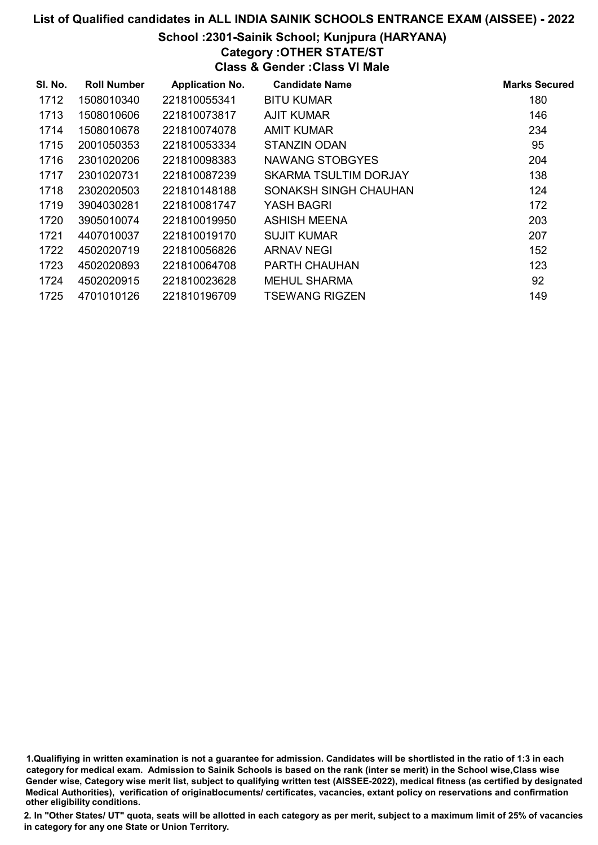## School :2301-Sainik School; Kunjpura (HARYANA)

Category :OTHER STATE/ST Class & Gender :Class VI Male

| SI. No. | <b>Roll Number</b> | <b>Application No.</b> | <b>Candidate Name</b>        | <b>Marks Secured</b> |
|---------|--------------------|------------------------|------------------------------|----------------------|
| 1712    | 1508010340         | 221810055341           | <b>BITU KUMAR</b>            | 180                  |
| 1713    | 1508010606         | 221810073817           | <b>AJIT KUMAR</b>            | 146                  |
| 1714    | 1508010678         | 221810074078           | <b>AMIT KUMAR</b>            | 234                  |
| 1715    | 2001050353         | 221810053334           | <b>STANZIN ODAN</b>          | 95                   |
| 1716    | 2301020206         | 221810098383           | NAWANG STOBGYES              | 204                  |
| 1717    | 2301020731         | 221810087239           | <b>SKARMA TSULTIM DORJAY</b> | 138                  |
| 1718    | 2302020503         | 221810148188           | SONAKSH SINGH CHAUHAN        | 124                  |
| 1719    | 3904030281         | 221810081747           | YASH BAGRI                   | 172                  |
| 1720    | 3905010074         | 221810019950           | ASHISH MEENA                 | 203                  |
| 1721    | 4407010037         | 221810019170           | <b>SUJIT KUMAR</b>           | 207                  |
| 1722    | 4502020719         | 221810056826           | ARNAV NEGI                   | 152                  |
| 1723    | 4502020893         | 221810064708           | PARTH CHAUHAN                | 123                  |
| 1724    | 4502020915         | 221810023628           | <b>MEHUL SHARMA</b>          | 92                   |
| 1725    | 4701010126         | 221810196709           | <b>TSEWANG RIGZEN</b>        | 149                  |

1.Qualifiying in written examination is not a guarantee for admission. Candidates will be shortlisted in the ratio of 1:3 in each category for medical exam. Admission to Sainik Schools is based on the rank (inter se merit) in the School wise,Class wise Gender wise, Category wise merit list, subject to qualifying written test (AISSEE-2022), medical fitness (as certified by designated Medical Authorities), verification of originablocuments/ certificates, vacancies, extant policy on reservations and confirmation other eligibility conditions.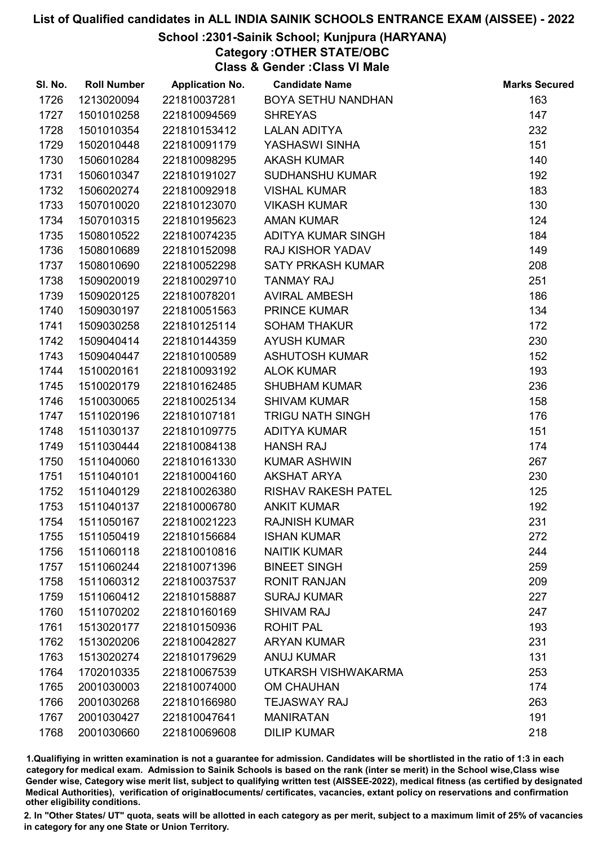## School :2301-Sainik School; Kunjpura (HARYANA)

Category :OTHER STATE/OBC

Class & Gender :Class VI Male

| SI. No. | <b>Roll Number</b> | <b>Application No.</b> | <b>Candidate Name</b>      | <b>Marks Secured</b> |
|---------|--------------------|------------------------|----------------------------|----------------------|
| 1726    | 1213020094         | 221810037281           | <b>BOYA SETHU NANDHAN</b>  | 163                  |
| 1727    | 1501010258         | 221810094569           | <b>SHREYAS</b>             | 147                  |
| 1728    | 1501010354         | 221810153412           | <b>LALAN ADITYA</b>        | 232                  |
| 1729    | 1502010448         | 221810091179           | YASHASWI SINHA             | 151                  |
| 1730    | 1506010284         | 221810098295           | <b>AKASH KUMAR</b>         | 140                  |
| 1731    | 1506010347         | 221810191027           | <b>SUDHANSHU KUMAR</b>     | 192                  |
| 1732    | 1506020274         | 221810092918           | <b>VISHAL KUMAR</b>        | 183                  |
| 1733    | 1507010020         | 221810123070           | <b>VIKASH KUMAR</b>        | 130                  |
| 1734    | 1507010315         | 221810195623           | <b>AMAN KUMAR</b>          | 124                  |
| 1735    | 1508010522         | 221810074235           | ADITYA KUMAR SINGH         | 184                  |
| 1736    | 1508010689         | 221810152098           | <b>RAJ KISHOR YADAV</b>    | 149                  |
| 1737    | 1508010690         | 221810052298           | <b>SATY PRKASH KUMAR</b>   | 208                  |
| 1738    | 1509020019         | 221810029710           | <b>TANMAY RAJ</b>          | 251                  |
| 1739    | 1509020125         | 221810078201           | <b>AVIRAL AMBESH</b>       | 186                  |
| 1740    | 1509030197         | 221810051563           | PRINCE KUMAR               | 134                  |
| 1741    | 1509030258         | 221810125114           | <b>SOHAM THAKUR</b>        | 172                  |
| 1742    | 1509040414         | 221810144359           | <b>AYUSH KUMAR</b>         | 230                  |
| 1743    | 1509040447         | 221810100589           | <b>ASHUTOSH KUMAR</b>      | 152                  |
| 1744    | 1510020161         | 221810093192           | <b>ALOK KUMAR</b>          | 193                  |
| 1745    | 1510020179         | 221810162485           | <b>SHUBHAM KUMAR</b>       | 236                  |
| 1746    | 1510030065         | 221810025134           | <b>SHIVAM KUMAR</b>        | 158                  |
| 1747    | 1511020196         | 221810107181           | <b>TRIGU NATH SINGH</b>    | 176                  |
| 1748    | 1511030137         | 221810109775           | <b>ADITYA KUMAR</b>        | 151                  |
| 1749    | 1511030444         | 221810084138           | <b>HANSH RAJ</b>           | 174                  |
| 1750    | 1511040060         | 221810161330           | <b>KUMAR ASHWIN</b>        | 267                  |
| 1751    | 1511040101         | 221810004160           | <b>AKSHAT ARYA</b>         | 230                  |
| 1752    | 1511040129         | 221810026380           | <b>RISHAV RAKESH PATEL</b> | 125                  |
| 1753    | 1511040137         | 221810006780           | <b>ANKIT KUMAR</b>         | 192                  |
| 1754    | 1511050167         | 221810021223           | <b>RAJNISH KUMAR</b>       | 231                  |
| 1755    | 1511050419         | 221810156684           | <b>ISHAN KUMAR</b>         | 272                  |
| 1756    | 1511060118         | 221810010816           | <b>NAITIK KUMAR</b>        | 244                  |
| 1757    | 1511060244         | 221810071396           | <b>BINEET SINGH</b>        | 259                  |
| 1758    | 1511060312         | 221810037537           | <b>RONIT RANJAN</b>        | 209                  |
| 1759    | 1511060412         | 221810158887           | <b>SURAJ KUMAR</b>         | 227                  |
| 1760    | 1511070202         | 221810160169           | <b>SHIVAM RAJ</b>          | 247                  |
| 1761    | 1513020177         | 221810150936           | <b>ROHIT PAL</b>           | 193                  |
| 1762    | 1513020206         | 221810042827           | <b>ARYAN KUMAR</b>         | 231                  |
| 1763    | 1513020274         | 221810179629           | <b>ANUJ KUMAR</b>          | 131                  |
| 1764    | 1702010335         | 221810067539           | UTKARSH VISHWAKARMA        | 253                  |
| 1765    | 2001030003         | 221810074000           | <b>OM CHAUHAN</b>          | 174                  |
| 1766    | 2001030268         | 221810166980           | <b>TEJASWAY RAJ</b>        | 263                  |
| 1767    | 2001030427         | 221810047641           | <b>MANIRATAN</b>           | 191                  |
| 1768    | 2001030660         | 221810069608           | <b>DILIP KUMAR</b>         | 218                  |

1.Qualifiying in written examination is not a guarantee for admission. Candidates will be shortlisted in the ratio of 1:3 in each category for medical exam. Admission to Sainik Schools is based on the rank (inter se merit) in the School wise,Class wise Gender wise, Category wise merit list, subject to qualifying written test (AISSEE-2022), medical fitness (as certified by designated Medical Authorities), verification of originablocuments/ certificates, vacancies, extant policy on reservations and confirmation other eligibility conditions.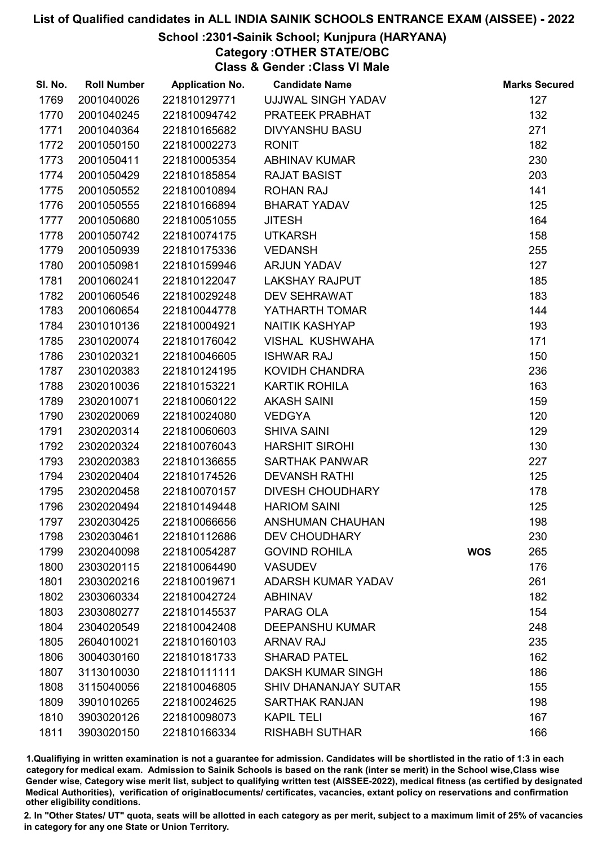## School :2301-Sainik School; Kunjpura (HARYANA)

Category :OTHER STATE/OBC

Class & Gender :Class VI Male

| SI. No. | <b>Roll Number</b> | <b>Application No.</b> | <b>Candidate Name</b>       |            | <b>Marks Secured</b> |
|---------|--------------------|------------------------|-----------------------------|------------|----------------------|
| 1769    | 2001040026         | 221810129771           | UJJWAL SINGH YADAV          |            | 127                  |
| 1770    | 2001040245         | 221810094742           | PRATEEK PRABHAT             |            | 132                  |
| 1771    | 2001040364         | 221810165682           | <b>DIVYANSHU BASU</b>       |            | 271                  |
| 1772    | 2001050150         | 221810002273           | <b>RONIT</b>                |            | 182                  |
| 1773    | 2001050411         | 221810005354           | <b>ABHINAV KUMAR</b>        |            | 230                  |
| 1774    | 2001050429         | 221810185854           | <b>RAJAT BASIST</b>         |            | 203                  |
| 1775    | 2001050552         | 221810010894           | <b>ROHAN RAJ</b>            |            | 141                  |
| 1776    | 2001050555         | 221810166894           | <b>BHARAT YADAV</b>         |            | 125                  |
| 1777    | 2001050680         | 221810051055           | <b>JITESH</b>               |            | 164                  |
| 1778    | 2001050742         | 221810074175           | <b>UTKARSH</b>              |            | 158                  |
| 1779    | 2001050939         | 221810175336           | <b>VEDANSH</b>              |            | 255                  |
| 1780    | 2001050981         | 221810159946           | <b>ARJUN YADAV</b>          |            | 127                  |
| 1781    | 2001060241         | 221810122047           | <b>LAKSHAY RAJPUT</b>       |            | 185                  |
| 1782    | 2001060546         | 221810029248           | <b>DEV SEHRAWAT</b>         |            | 183                  |
| 1783    | 2001060654         | 221810044778           | YATHARTH TOMAR              |            | 144                  |
| 1784    | 2301010136         | 221810004921           | <b>NAITIK KASHYAP</b>       |            | 193                  |
| 1785    | 2301020074         | 221810176042           | VISHAL KUSHWAHA             |            | 171                  |
| 1786    | 2301020321         | 221810046605           | <b>ISHWAR RAJ</b>           |            | 150                  |
| 1787    | 2301020383         | 221810124195           | <b>KOVIDH CHANDRA</b>       |            | 236                  |
| 1788    | 2302010036         | 221810153221           | <b>KARTIK ROHILA</b>        |            | 163                  |
| 1789    | 2302010071         | 221810060122           | <b>AKASH SAINI</b>          |            | 159                  |
| 1790    | 2302020069         | 221810024080           | <b>VEDGYA</b>               |            | 120                  |
| 1791    | 2302020314         | 221810060603           | <b>SHIVA SAINI</b>          |            | 129                  |
| 1792    | 2302020324         | 221810076043           | <b>HARSHIT SIROHI</b>       |            | 130                  |
| 1793    | 2302020383         | 221810136655           | <b>SARTHAK PANWAR</b>       |            | 227                  |
| 1794    | 2302020404         | 221810174526           | <b>DEVANSH RATHI</b>        |            | 125                  |
| 1795    | 2302020458         | 221810070157           | <b>DIVESH CHOUDHARY</b>     |            | 178                  |
| 1796    | 2302020494         | 221810149448           | <b>HARIOM SAINI</b>         |            | 125                  |
| 1797    | 2302030425         | 221810066656           | <b>ANSHUMAN CHAUHAN</b>     |            | 198                  |
| 1798    | 2302030461         | 221810112686           | <b>DEV CHOUDHARY</b>        |            | 230                  |
| 1799    | 2302040098         | 221810054287           | <b>GOVIND ROHILA</b>        | <b>WOS</b> | 265                  |
| 1800    | 2303020115         | 221810064490           | <b>VASUDEV</b>              |            | 176                  |
| 1801    | 2303020216         | 221810019671           | <b>ADARSH KUMAR YADAV</b>   |            | 261                  |
| 1802    | 2303060334         | 221810042724           | <b>ABHINAV</b>              |            | 182                  |
| 1803    | 2303080277         | 221810145537           | PARAG OLA                   |            | 154                  |
| 1804    | 2304020549         | 221810042408           | <b>DEEPANSHU KUMAR</b>      |            | 248                  |
| 1805    | 2604010021         | 221810160103           | <b>ARNAV RAJ</b>            |            | 235                  |
| 1806    | 3004030160         | 221810181733           | <b>SHARAD PATEL</b>         |            | 162                  |
| 1807    | 3113010030         | 221810111111           | DAKSH KUMAR SINGH           |            | 186                  |
| 1808    | 3115040056         | 221810046805           | <b>SHIV DHANANJAY SUTAR</b> |            | 155                  |
| 1809    | 3901010265         | 221810024625           | <b>SARTHAK RANJAN</b>       |            | 198                  |
| 1810    | 3903020126         | 221810098073           | <b>KAPIL TELI</b>           |            | 167                  |
| 1811    | 3903020150         | 221810166334           | <b>RISHABH SUTHAR</b>       |            | 166                  |

1.Qualifiying in written examination is not a guarantee for admission. Candidates will be shortlisted in the ratio of 1:3 in each category for medical exam. Admission to Sainik Schools is based on the rank (inter se merit) in the School wise,Class wise Gender wise, Category wise merit list, subject to qualifying written test (AISSEE-2022), medical fitness (as certified by designated Medical Authorities), verification of originablocuments/ certificates, vacancies, extant policy on reservations and confirmation other eligibility conditions.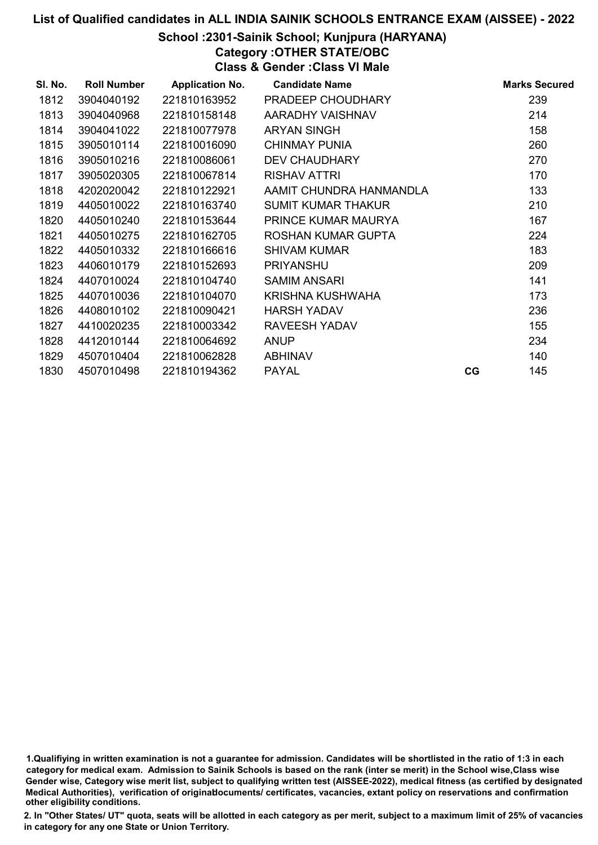### School :2301-Sainik School; Kunjpura (HARYANA)

Category :OTHER STATE/OBC

Class & Gender :Class VI Male

| SI. No. | <b>Roll Number</b> | <b>Application No.</b> | <b>Candidate Name</b>     |             | <b>Marks Secured</b> |
|---------|--------------------|------------------------|---------------------------|-------------|----------------------|
| 1812    | 3904040192         | 221810163952           | PRADEEP CHOUDHARY         |             | 239                  |
| 1813    | 3904040968         | 221810158148           | AARADHY VAISHNAV          |             | 214                  |
| 1814    | 3904041022         | 221810077978           | <b>ARYAN SINGH</b>        |             | 158                  |
| 1815    | 3905010114         | 221810016090           | <b>CHINMAY PUNIA</b>      |             | 260                  |
| 1816    | 3905010216         | 221810086061           | DEV CHAUDHARY             |             | 270                  |
| 1817    | 3905020305         | 221810067814           | <b>RISHAV ATTRI</b>       |             | 170                  |
| 1818    | 4202020042         | 221810122921           | AAMIT CHUNDRA HANMANDLA   |             | 133                  |
| 1819    | 4405010022         | 221810163740           | <b>SUMIT KUMAR THAKUR</b> |             | 210                  |
| 1820    | 4405010240         | 221810153644           | PRINCE KUMAR MAURYA       |             | 167                  |
| 1821    | 4405010275         | 221810162705           | ROSHAN KUMAR GUPTA        |             | 224                  |
| 1822    | 4405010332         | 221810166616           | <b>SHIVAM KUMAR</b>       |             | 183                  |
| 1823    | 4406010179         | 221810152693           | <b>PRIYANSHU</b>          |             | 209                  |
| 1824    | 4407010024         | 221810104740           | <b>SAMIM ANSARI</b>       |             | 141                  |
| 1825    | 4407010036         | 221810104070           | <b>KRISHNA KUSHWAHA</b>   |             | 173                  |
| 1826    | 4408010102         | 221810090421           | <b>HARSH YADAV</b>        |             | 236                  |
| 1827    | 4410020235         | 221810003342           | RAVEESH YADAV             |             | 155                  |
| 1828    | 4412010144         | 221810064692           | <b>ANUP</b>               |             | 234                  |
| 1829    | 4507010404         | 221810062828           | <b>ABHINAV</b>            |             | 140                  |
| 1830    | 4507010498         | 221810194362           | <b>PAYAL</b>              | $_{\rm CG}$ | 145                  |

<sup>1.</sup>Qualifiying in written examination is not a guarantee for admission. Candidates will be shortlisted in the ratio of 1:3 in each category for medical exam. Admission to Sainik Schools is based on the rank (inter se merit) in the School wise,Class wise Gender wise, Category wise merit list, subject to qualifying written test (AISSEE-2022), medical fitness (as certified by designated Medical Authorities), verification of originablocuments/ certificates, vacancies, extant policy on reservations and confirmation other eligibility conditions.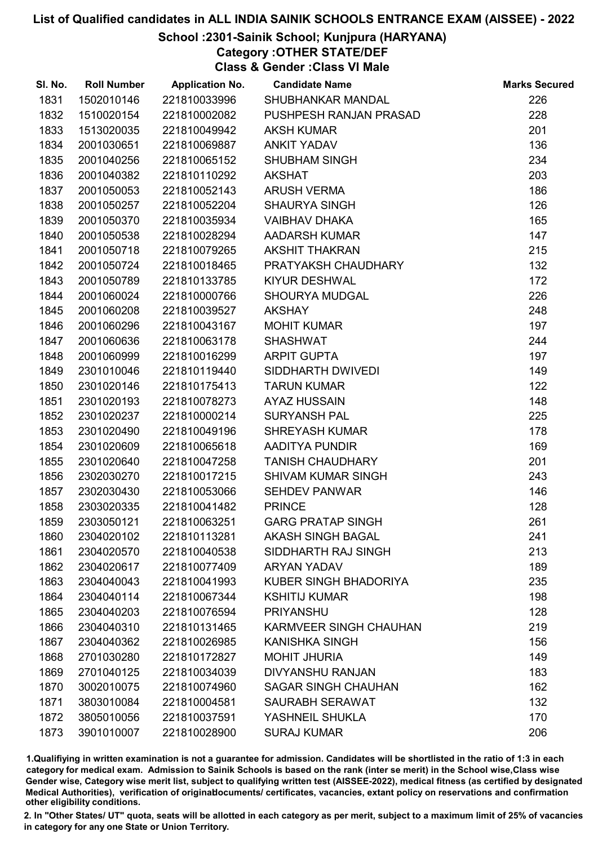## School :2301-Sainik School; Kunjpura (HARYANA)

Category :OTHER STATE/DEF

Class & Gender :Class VI Male

| SI. No. | <b>Roll Number</b> | <b>Application No.</b> | <b>Candidate Name</b>         | <b>Marks Secured</b> |
|---------|--------------------|------------------------|-------------------------------|----------------------|
| 1831    | 1502010146         | 221810033996           | SHUBHANKAR MANDAL             | 226                  |
| 1832    | 1510020154         | 221810002082           | PUSHPESH RANJAN PRASAD        | 228                  |
| 1833    | 1513020035         | 221810049942           | <b>AKSH KUMAR</b>             | 201                  |
| 1834    | 2001030651         | 221810069887           | <b>ANKIT YADAV</b>            | 136                  |
| 1835    | 2001040256         | 221810065152           | <b>SHUBHAM SINGH</b>          | 234                  |
| 1836    | 2001040382         | 221810110292           | <b>AKSHAT</b>                 | 203                  |
| 1837    | 2001050053         | 221810052143           | <b>ARUSH VERMA</b>            | 186                  |
| 1838    | 2001050257         | 221810052204           | <b>SHAURYA SINGH</b>          | 126                  |
| 1839    | 2001050370         | 221810035934           | <b>VAIBHAV DHAKA</b>          | 165                  |
| 1840    | 2001050538         | 221810028294           | AADARSH KUMAR                 | 147                  |
| 1841    | 2001050718         | 221810079265           | <b>AKSHIT THAKRAN</b>         | 215                  |
| 1842    | 2001050724         | 221810018465           | PRATYAKSH CHAUDHARY           | 132                  |
| 1843    | 2001050789         | 221810133785           | <b>KIYUR DESHWAL</b>          | 172                  |
| 1844    | 2001060024         | 221810000766           | <b>SHOURYA MUDGAL</b>         | 226                  |
| 1845    | 2001060208         | 221810039527           | <b>AKSHAY</b>                 | 248                  |
| 1846    | 2001060296         | 221810043167           | <b>MOHIT KUMAR</b>            | 197                  |
| 1847    | 2001060636         | 221810063178           | <b>SHASHWAT</b>               | 244                  |
| 1848    | 2001060999         | 221810016299           | <b>ARPIT GUPTA</b>            | 197                  |
| 1849    | 2301010046         | 221810119440           | SIDDHARTH DWIVEDI             | 149                  |
| 1850    | 2301020146         | 221810175413           | <b>TARUN KUMAR</b>            | 122                  |
| 1851    | 2301020193         | 221810078273           | <b>AYAZ HUSSAIN</b>           | 148                  |
| 1852    | 2301020237         | 221810000214           | <b>SURYANSH PAL</b>           | 225                  |
| 1853    | 2301020490         | 221810049196           | <b>SHREYASH KUMAR</b>         | 178                  |
| 1854    | 2301020609         | 221810065618           | <b>AADITYA PUNDIR</b>         | 169                  |
| 1855    | 2301020640         | 221810047258           | <b>TANISH CHAUDHARY</b>       | 201                  |
| 1856    | 2302030270         | 221810017215           | <b>SHIVAM KUMAR SINGH</b>     | 243                  |
| 1857    | 2302030430         | 221810053066           | <b>SEHDEV PANWAR</b>          | 146                  |
| 1858    | 2303020335         | 221810041482           | <b>PRINCE</b>                 | 128                  |
| 1859    | 2303050121         | 221810063251           | <b>GARG PRATAP SINGH</b>      | 261                  |
| 1860    | 2304020102         | 221810113281           | <b>AKASH SINGH BAGAL</b>      | 241                  |
| 1861    | 2304020570         | 221810040538           | SIDDHARTH RAJ SINGH           | 213                  |
| 1862    | 2304020617         | 221810077409           | <b>ARYAN YADAV</b>            | 189                  |
| 1863    | 2304040043         | 221810041993           | <b>KUBER SINGH BHADORIYA</b>  | 235                  |
| 1864    | 2304040114         | 221810067344           | <b>KSHITIJ KUMAR</b>          | 198                  |
| 1865    | 2304040203         | 221810076594           | <b>PRIYANSHU</b>              | 128                  |
| 1866    | 2304040310         | 221810131465           | <b>KARMVEER SINGH CHAUHAN</b> | 219                  |
| 1867    | 2304040362         | 221810026985           | <b>KANISHKA SINGH</b>         | 156                  |
| 1868    | 2701030280         | 221810172827           | <b>MOHIT JHURIA</b>           | 149                  |
| 1869    | 2701040125         | 221810034039           | <b>DIVYANSHU RANJAN</b>       | 183                  |
| 1870    | 3002010075         | 221810074960           | <b>SAGAR SINGH CHAUHAN</b>    | 162                  |
| 1871    | 3803010084         | 221810004581           | <b>SAURABH SERAWAT</b>        | 132                  |
| 1872    | 3805010056         | 221810037591           | YASHNEIL SHUKLA               | 170                  |
| 1873    | 3901010007         | 221810028900           | <b>SURAJ KUMAR</b>            | 206                  |

1.Qualifiying in written examination is not a guarantee for admission. Candidates will be shortlisted in the ratio of 1:3 in each category for medical exam. Admission to Sainik Schools is based on the rank (inter se merit) in the School wise,Class wise Gender wise, Category wise merit list, subject to qualifying written test (AISSEE-2022), medical fitness (as certified by designated Medical Authorities), verification of originablocuments/ certificates, vacancies, extant policy on reservations and confirmation other eligibility conditions.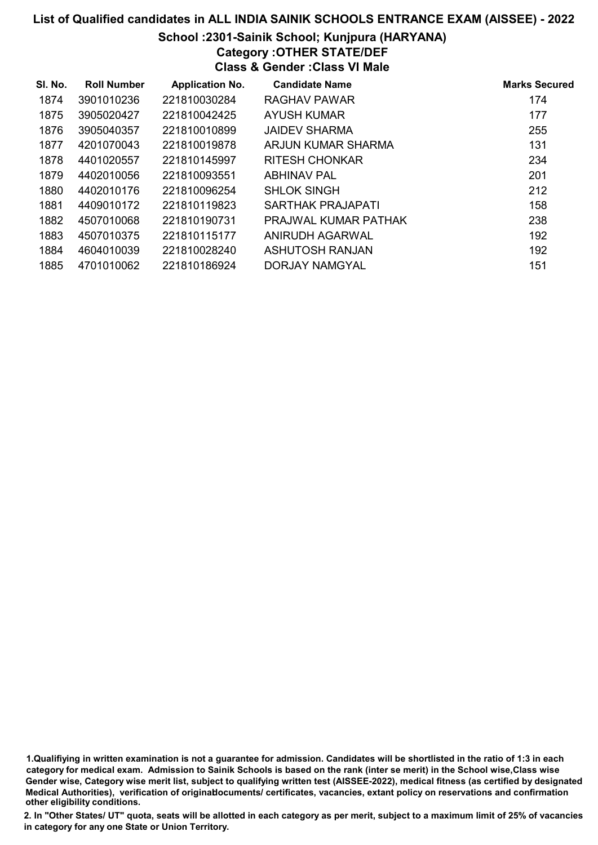## School :2301-Sainik School; Kunjpura (HARYANA)

Category :OTHER STATE/DEF

Class & Gender :Class VI Male

| SI. No. | <b>Roll Number</b> | <b>Application No.</b> | <b>Candidate Name</b>    | <b>Marks Secured</b> |
|---------|--------------------|------------------------|--------------------------|----------------------|
| 1874    | 3901010236         | 221810030284           | RAGHAV PAWAR             | 174                  |
| 1875    | 3905020427         | 221810042425           | AYUSH KUMAR              | 177                  |
| 1876    | 3905040357         | 221810010899           | JAIDEV SHARMA            | 255                  |
| 1877    | 4201070043         | 221810019878           | ARJUN KUMAR SHARMA       | 131                  |
| 1878    | 4401020557         | 221810145997           | <b>RITESH CHONKAR</b>    | 234                  |
| 1879    | 4402010056         | 221810093551           | <b>ABHINAV PAL</b>       | 201                  |
| 1880    | 4402010176         | 221810096254           | <b>SHLOK SINGH</b>       | 212                  |
| 1881    | 4409010172         | 221810119823           | <b>SARTHAK PRAJAPATI</b> | 158                  |
| 1882    | 4507010068         | 221810190731           | PRAJWAL KUMAR PATHAK     | 238                  |
| 1883    | 4507010375         | 221810115177           | ANIRUDH AGARWAL          | 192                  |
| 1884    | 4604010039         | 221810028240           | ASHUTOSH RANJAN          | 192                  |
| 1885    | 4701010062         | 221810186924           | DORJAY NAMGYAL           | 151                  |

1.Qualifiying in written examination is not a guarantee for admission. Candidates will be shortlisted in the ratio of 1:3 in each category for medical exam. Admission to Sainik Schools is based on the rank (inter se merit) in the School wise,Class wise Gender wise, Category wise merit list, subject to qualifying written test (AISSEE-2022), medical fitness (as certified by designated Medical Authorities), verification of originablocuments/ certificates, vacancies, extant policy on reservations and confirmation other eligibility conditions.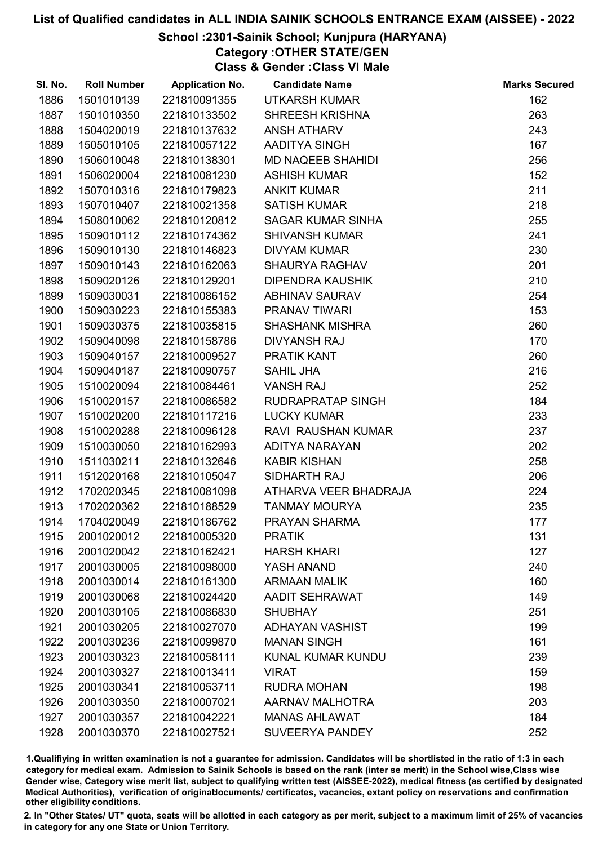## School :2301-Sainik School; Kunjpura (HARYANA)

Category :OTHER STATE/GEN

Class & Gender :Class VI Male

| SI. No. | <b>Roll Number</b> | <b>Application No.</b> | <b>Candidate Name</b>    | <b>Marks Secured</b> |
|---------|--------------------|------------------------|--------------------------|----------------------|
| 1886    | 1501010139         | 221810091355           | <b>UTKARSH KUMAR</b>     | 162                  |
| 1887    | 1501010350         | 221810133502           | <b>SHREESH KRISHNA</b>   | 263                  |
| 1888    | 1504020019         | 221810137632           | <b>ANSH ATHARV</b>       | 243                  |
| 1889    | 1505010105         | 221810057122           | AADITYA SINGH            | 167                  |
| 1890    | 1506010048         | 221810138301           | <b>MD NAQEEB SHAHIDI</b> | 256                  |
| 1891    | 1506020004         | 221810081230           | <b>ASHISH KUMAR</b>      | 152                  |
| 1892    | 1507010316         | 221810179823           | <b>ANKIT KUMAR</b>       | 211                  |
| 1893    | 1507010407         | 221810021358           | <b>SATISH KUMAR</b>      | 218                  |
| 1894    | 1508010062         | 221810120812           | <b>SAGAR KUMAR SINHA</b> | 255                  |
| 1895    | 1509010112         | 221810174362           | <b>SHIVANSH KUMAR</b>    | 241                  |
| 1896    | 1509010130         | 221810146823           | <b>DIVYAM KUMAR</b>      | 230                  |
| 1897    | 1509010143         | 221810162063           | <b>SHAURYA RAGHAV</b>    | 201                  |
| 1898    | 1509020126         | 221810129201           | <b>DIPENDRA KAUSHIK</b>  | 210                  |
| 1899    | 1509030031         | 221810086152           | <b>ABHINAV SAURAV</b>    | 254                  |
| 1900    | 1509030223         | 221810155383           | <b>PRANAV TIWARI</b>     | 153                  |
| 1901    | 1509030375         | 221810035815           | <b>SHASHANK MISHRA</b>   | 260                  |
| 1902    | 1509040098         | 221810158786           | <b>DIVYANSH RAJ</b>      | 170                  |
| 1903    | 1509040157         | 221810009527           | PRATIK KANT              | 260                  |
| 1904    | 1509040187         | 221810090757           | <b>SAHIL JHA</b>         | 216                  |
| 1905    | 1510020094         | 221810084461           | <b>VANSH RAJ</b>         | 252                  |
| 1906    | 1510020157         | 221810086582           | RUDRAPRATAP SINGH        | 184                  |
| 1907    | 1510020200         | 221810117216           | <b>LUCKY KUMAR</b>       | 233                  |
| 1908    | 1510020288         | 221810096128           | RAVI RAUSHAN KUMAR       | 237                  |
| 1909    | 1510030050         | 221810162993           | <b>ADITYA NARAYAN</b>    | 202                  |
| 1910    | 1511030211         | 221810132646           | <b>KABIR KISHAN</b>      | 258                  |
| 1911    | 1512020168         | 221810105047           | SIDHARTH RAJ             | 206                  |
| 1912    | 1702020345         | 221810081098           | ATHARVA VEER BHADRAJA    | 224                  |
| 1913    | 1702020362         | 221810188529           | <b>TANMAY MOURYA</b>     | 235                  |
| 1914    | 1704020049         | 221810186762           | PRAYAN SHARMA            | 177                  |
| 1915    | 2001020012         | 221810005320           | <b>PRATIK</b>            | 131                  |
| 1916    | 2001020042         | 221810162421           | <b>HARSH KHARI</b>       | 127                  |
| 1917    | 2001030005         | 221810098000           | YASH ANAND               | 240                  |
| 1918    | 2001030014         | 221810161300           | <b>ARMAAN MALIK</b>      | 160                  |
| 1919    | 2001030068         | 221810024420           | <b>AADIT SEHRAWAT</b>    | 149                  |
| 1920    | 2001030105         | 221810086830           | <b>SHUBHAY</b>           | 251                  |
| 1921    | 2001030205         | 221810027070           | <b>ADHAYAN VASHIST</b>   | 199                  |
| 1922    | 2001030236         | 221810099870           | <b>MANAN SINGH</b>       | 161                  |
| 1923    | 2001030323         | 221810058111           | KUNAL KUMAR KUNDU        | 239                  |
| 1924    | 2001030327         | 221810013411           | <b>VIRAT</b>             | 159                  |
| 1925    | 2001030341         | 221810053711           | <b>RUDRA MOHAN</b>       | 198                  |
| 1926    | 2001030350         | 221810007021           | AARNAV MALHOTRA          | 203                  |
| 1927    | 2001030357         | 221810042221           | <b>MANAS AHLAWAT</b>     | 184                  |
| 1928    | 2001030370         | 221810027521           | <b>SUVEERYA PANDEY</b>   | 252                  |

1.Qualifiying in written examination is not a guarantee for admission. Candidates will be shortlisted in the ratio of 1:3 in each category for medical exam. Admission to Sainik Schools is based on the rank (inter se merit) in the School wise,Class wise Gender wise, Category wise merit list, subject to qualifying written test (AISSEE-2022), medical fitness (as certified by designated Medical Authorities), verification of originablocuments/ certificates, vacancies, extant policy on reservations and confirmation other eligibility conditions.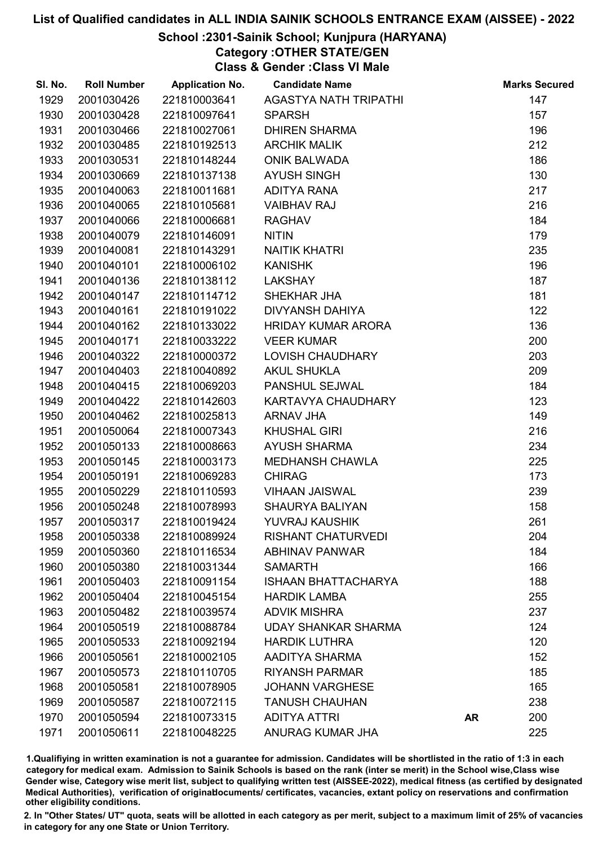#### School :2301-Sainik School; Kunjpura (HARYANA)

# Category :OTHER STATE/GEN

Class & Gender :Class VI Male

| SI. No. | <b>Roll Number</b> | <b>Application No.</b> | <b>Candidate Name</b>      |           | <b>Marks Secured</b> |
|---------|--------------------|------------------------|----------------------------|-----------|----------------------|
| 1929    | 2001030426         | 221810003641           | AGASTYA NATH TRIPATHI      |           | 147                  |
| 1930    | 2001030428         | 221810097641           | <b>SPARSH</b>              |           | 157                  |
| 1931    | 2001030466         | 221810027061           | <b>DHIREN SHARMA</b>       |           | 196                  |
| 1932    | 2001030485         | 221810192513           | <b>ARCHIK MALIK</b>        |           | 212                  |
| 1933    | 2001030531         | 221810148244           | <b>ONIK BALWADA</b>        |           | 186                  |
| 1934    | 2001030669         | 221810137138           | <b>AYUSH SINGH</b>         |           | 130                  |
| 1935    | 2001040063         | 221810011681           | <b>ADITYA RANA</b>         |           | 217                  |
| 1936    | 2001040065         | 221810105681           | <b>VAIBHAV RAJ</b>         |           | 216                  |
| 1937    | 2001040066         | 221810006681           | <b>RAGHAV</b>              |           | 184                  |
| 1938    | 2001040079         | 221810146091           | <b>NITIN</b>               |           | 179                  |
| 1939    | 2001040081         | 221810143291           | <b>NAITIK KHATRI</b>       |           | 235                  |
| 1940    | 2001040101         | 221810006102           | <b>KANISHK</b>             |           | 196                  |
| 1941    | 2001040136         | 221810138112           | <b>LAKSHAY</b>             |           | 187                  |
| 1942    | 2001040147         | 221810114712           | SHEKHAR JHA                |           | 181                  |
| 1943    | 2001040161         | 221810191022           | <b>DIVYANSH DAHIYA</b>     |           | 122                  |
| 1944    | 2001040162         | 221810133022           | <b>HRIDAY KUMAR ARORA</b>  |           | 136                  |
| 1945    | 2001040171         | 221810033222           | <b>VEER KUMAR</b>          |           | 200                  |
| 1946    | 2001040322         | 221810000372           | LOVISH CHAUDHARY           |           | 203                  |
| 1947    | 2001040403         | 221810040892           | <b>AKUL SHUKLA</b>         |           | 209                  |
| 1948    | 2001040415         | 221810069203           | PANSHUL SEJWAL             |           | 184                  |
| 1949    | 2001040422         | 221810142603           | KARTAVYA CHAUDHARY         |           | 123                  |
| 1950    | 2001040462         | 221810025813           | <b>ARNAV JHA</b>           |           | 149                  |
| 1951    | 2001050064         | 221810007343           | <b>KHUSHAL GIRI</b>        |           | 216                  |
| 1952    | 2001050133         | 221810008663           | <b>AYUSH SHARMA</b>        |           | 234                  |
| 1953    | 2001050145         | 221810003173           | <b>MEDHANSH CHAWLA</b>     |           | 225                  |
| 1954    | 2001050191         | 221810069283           | <b>CHIRAG</b>              |           | 173                  |
| 1955    | 2001050229         | 221810110593           | <b>VIHAAN JAISWAL</b>      |           | 239                  |
| 1956    | 2001050248         | 221810078993           | <b>SHAURYA BALIYAN</b>     |           | 158                  |
| 1957    | 2001050317         | 221810019424           | <b>YUVRAJ KAUSHIK</b>      |           | 261                  |
| 1958    | 2001050338         | 221810089924           | <b>RISHANT CHATURVEDI</b>  |           | 204                  |
| 1959    | 2001050360         | 221810116534           | <b>ABHINAV PANWAR</b>      |           | 184                  |
| 1960    | 2001050380         | 221810031344           | <b>SAMARTH</b>             |           | 166                  |
| 1961    | 2001050403         | 221810091154           | <b>ISHAAN BHATTACHARYA</b> |           | 188                  |
| 1962    | 2001050404         | 221810045154           | <b>HARDIK LAMBA</b>        |           | 255                  |
| 1963    | 2001050482         | 221810039574           | <b>ADVIK MISHRA</b>        |           | 237                  |
| 1964    | 2001050519         | 221810088784           | <b>UDAY SHANKAR SHARMA</b> |           | 124                  |
| 1965    | 2001050533         | 221810092194           | <b>HARDIK LUTHRA</b>       |           | 120                  |
| 1966    | 2001050561         | 221810002105           | AADITYA SHARMA             |           | 152                  |
| 1967    | 2001050573         | 221810110705           | <b>RIYANSH PARMAR</b>      |           | 185                  |
| 1968    | 2001050581         | 221810078905           | <b>JOHANN VARGHESE</b>     |           | 165                  |
| 1969    | 2001050587         | 221810072115           | <b>TANUSH CHAUHAN</b>      |           | 238                  |
| 1970    | 2001050594         | 221810073315           | <b>ADITYA ATTRI</b>        | <b>AR</b> | 200                  |
| 1971    | 2001050611         | 221810048225           | ANURAG KUMAR JHA           |           | 225                  |

1.Qualifiying in written examination is not a guarantee for admission. Candidates will be shortlisted in the ratio of 1:3 in each category for medical exam. Admission to Sainik Schools is based on the rank (inter se merit) in the School wise,Class wise Gender wise, Category wise merit list, subject to qualifying written test (AISSEE-2022), medical fitness (as certified by designated Medical Authorities), verification of originablocuments/ certificates, vacancies, extant policy on reservations and confirmation other eligibility conditions.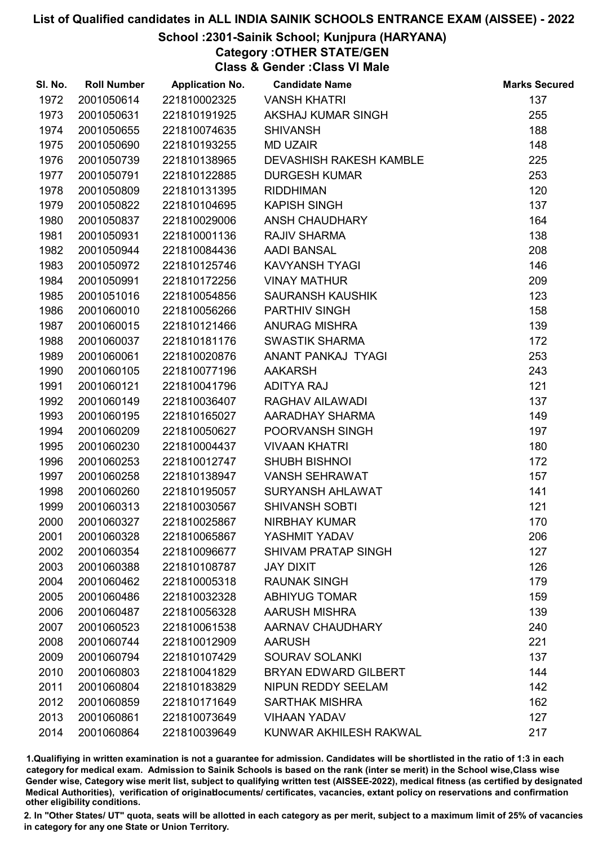## School :2301-Sainik School; Kunjpura (HARYANA)

Category :OTHER STATE/GEN

Class & Gender :Class VI Male

| SI. No. | <b>Roll Number</b> | <b>Application No.</b> | <b>Candidate Name</b>          | <b>Marks Secured</b> |
|---------|--------------------|------------------------|--------------------------------|----------------------|
| 1972    | 2001050614         | 221810002325           | <b>VANSH KHATRI</b>            | 137                  |
| 1973    | 2001050631         | 221810191925           | AKSHAJ KUMAR SINGH             | 255                  |
| 1974    | 2001050655         | 221810074635           | <b>SHIVANSH</b>                | 188                  |
| 1975    | 2001050690         | 221810193255           | <b>MD UZAIR</b>                | 148                  |
| 1976    | 2001050739         | 221810138965           | <b>DEVASHISH RAKESH KAMBLE</b> | 225                  |
| 1977    | 2001050791         | 221810122885           | <b>DURGESH KUMAR</b>           | 253                  |
| 1978    | 2001050809         | 221810131395           | <b>RIDDHIMAN</b>               | 120                  |
| 1979    | 2001050822         | 221810104695           | <b>KAPISH SINGH</b>            | 137                  |
| 1980    | 2001050837         | 221810029006           | ANSH CHAUDHARY                 | 164                  |
| 1981    | 2001050931         | 221810001136           | RAJIV SHARMA                   | 138                  |
| 1982    | 2001050944         | 221810084436           | <b>AADI BANSAL</b>             | 208                  |
| 1983    | 2001050972         | 221810125746           | <b>KAVYANSH TYAGI</b>          | 146                  |
| 1984    | 2001050991         | 221810172256           | <b>VINAY MATHUR</b>            | 209                  |
| 1985    | 2001051016         | 221810054856           | <b>SAURANSH KAUSHIK</b>        | 123                  |
| 1986    | 2001060010         | 221810056266           | <b>PARTHIV SINGH</b>           | 158                  |
| 1987    | 2001060015         | 221810121466           | <b>ANURAG MISHRA</b>           | 139                  |
| 1988    | 2001060037         | 221810181176           | <b>SWASTIK SHARMA</b>          | 172                  |
| 1989    | 2001060061         | 221810020876           | ANANT PANKAJ TYAGI             | 253                  |
| 1990    | 2001060105         | 221810077196           | <b>AAKARSH</b>                 | 243                  |
| 1991    | 2001060121         | 221810041796           | <b>ADITYA RAJ</b>              | 121                  |
| 1992    | 2001060149         | 221810036407           | RAGHAV AILAWADI                | 137                  |
| 1993    | 2001060195         | 221810165027           | AARADHAY SHARMA                | 149                  |
| 1994    | 2001060209         | 221810050627           | POORVANSH SINGH                | 197                  |
| 1995    | 2001060230         | 221810004437           | <b>VIVAAN KHATRI</b>           | 180                  |
| 1996    | 2001060253         | 221810012747           | <b>SHUBH BISHNOI</b>           | 172                  |
| 1997    | 2001060258         | 221810138947           | <b>VANSH SEHRAWAT</b>          | 157                  |
| 1998    | 2001060260         | 221810195057           | SURYANSH AHLAWAT               | 141                  |
| 1999    | 2001060313         | 221810030567           | <b>SHIVANSH SOBTI</b>          | 121                  |
| 2000    | 2001060327         | 221810025867           | <b>NIRBHAY KUMAR</b>           | 170                  |
| 2001    | 2001060328         | 221810065867           | YASHMIT YADAV                  | 206                  |
| 2002    | 2001060354         | 221810096677           | <b>SHIVAM PRATAP SINGH</b>     | 127                  |
| 2003    | 2001060388         | 221810108787           | <b>JAY DIXIT</b>               | 126                  |
| 2004    | 2001060462         | 221810005318           | <b>RAUNAK SINGH</b>            | 179                  |
| 2005    | 2001060486         | 221810032328           | <b>ABHIYUG TOMAR</b>           | 159                  |
| 2006    | 2001060487         | 221810056328           | <b>AARUSH MISHRA</b>           | 139                  |
| 2007    | 2001060523         | 221810061538           | AARNAV CHAUDHARY               | 240                  |
| 2008    | 2001060744         | 221810012909           | <b>AARUSH</b>                  | 221                  |
| 2009    | 2001060794         | 221810107429           | <b>SOURAV SOLANKI</b>          | 137                  |
| 2010    | 2001060803         | 221810041829           | <b>BRYAN EDWARD GILBERT</b>    | 144                  |
| 2011    | 2001060804         | 221810183829           | NIPUN REDDY SEELAM             | 142                  |
| 2012    | 2001060859         | 221810171649           | <b>SARTHAK MISHRA</b>          | 162                  |
| 2013    | 2001060861         | 221810073649           | <b>VIHAAN YADAV</b>            | 127                  |
| 2014    | 2001060864         | 221810039649           | KUNWAR AKHILESH RAKWAL         | 217                  |

1.Qualifiying in written examination is not a guarantee for admission. Candidates will be shortlisted in the ratio of 1:3 in each category for medical exam. Admission to Sainik Schools is based on the rank (inter se merit) in the School wise,Class wise Gender wise, Category wise merit list, subject to qualifying written test (AISSEE-2022), medical fitness (as certified by designated Medical Authorities), verification of originablocuments/ certificates, vacancies, extant policy on reservations and confirmation other eligibility conditions.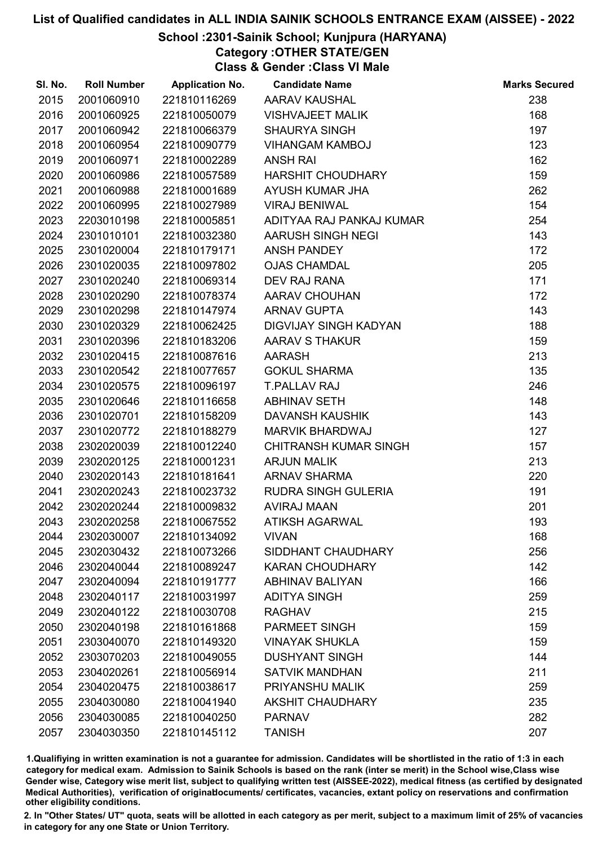## School :2301-Sainik School; Kunjpura (HARYANA)

Category :OTHER STATE/GEN

Class & Gender :Class VI Male

| SI. No. | <b>Roll Number</b> | <b>Application No.</b> | <b>Candidate Name</b>        | <b>Marks Secured</b> |
|---------|--------------------|------------------------|------------------------------|----------------------|
| 2015    | 2001060910         | 221810116269           | <b>AARAV KAUSHAL</b>         | 238                  |
| 2016    | 2001060925         | 221810050079           | <b>VISHVAJEET MALIK</b>      | 168                  |
| 2017    | 2001060942         | 221810066379           | <b>SHAURYA SINGH</b>         | 197                  |
| 2018    | 2001060954         | 221810090779           | <b>VIHANGAM KAMBOJ</b>       | 123                  |
| 2019    | 2001060971         | 221810002289           | <b>ANSH RAI</b>              | 162                  |
| 2020    | 2001060986         | 221810057589           | HARSHIT CHOUDHARY            | 159                  |
| 2021    | 2001060988         | 221810001689           | AYUSH KUMAR JHA              | 262                  |
| 2022    | 2001060995         | 221810027989           | <b>VIRAJ BENIWAL</b>         | 154                  |
| 2023    | 2203010198         | 221810005851           | ADITYAA RAJ PANKAJ KUMAR     | 254                  |
| 2024    | 2301010101         | 221810032380           | AARUSH SINGH NEGI            | 143                  |
| 2025    | 2301020004         | 221810179171           | <b>ANSH PANDEY</b>           | 172                  |
| 2026    | 2301020035         | 221810097802           | <b>OJAS CHAMDAL</b>          | 205                  |
| 2027    | 2301020240         | 221810069314           | DEV RAJ RANA                 | 171                  |
| 2028    | 2301020290         | 221810078374           | AARAV CHOUHAN                | 172                  |
| 2029    | 2301020298         | 221810147974           | <b>ARNAV GUPTA</b>           | 143                  |
| 2030    | 2301020329         | 221810062425           | DIGVIJAY SINGH KADYAN        | 188                  |
| 2031    | 2301020396         | 221810183206           | AARAV S THAKUR               | 159                  |
| 2032    | 2301020415         | 221810087616           | <b>AARASH</b>                | 213                  |
| 2033    | 2301020542         | 221810077657           | <b>GOKUL SHARMA</b>          | 135                  |
| 2034    | 2301020575         | 221810096197           | <b>T.PALLAV RAJ</b>          | 246                  |
| 2035    | 2301020646         | 221810116658           | <b>ABHINAV SETH</b>          | 148                  |
| 2036    | 2301020701         | 221810158209           | <b>DAVANSH KAUSHIK</b>       | 143                  |
| 2037    | 2301020772         | 221810188279           | MARVIK BHARDWAJ              | 127                  |
| 2038    | 2302020039         | 221810012240           | <b>CHITRANSH KUMAR SINGH</b> | 157                  |
| 2039    | 2302020125         | 221810001231           | <b>ARJUN MALIK</b>           | 213                  |
| 2040    | 2302020143         | 221810181641           | <b>ARNAV SHARMA</b>          | 220                  |
| 2041    | 2302020243         | 221810023732           | <b>RUDRA SINGH GULERIA</b>   | 191                  |
| 2042    | 2302020244         | 221810009832           | <b>AVIRAJ MAAN</b>           | 201                  |
| 2043    | 2302020258         | 221810067552           | <b>ATIKSH AGARWAL</b>        | 193                  |
| 2044    | 2302030007         | 221810134092           | <b>VIVAN</b>                 | 168                  |
| 2045    | 2302030432         | 221810073266           | SIDDHANT CHAUDHARY           | 256                  |
| 2046    | 2302040044         | 221810089247           | <b>KARAN CHOUDHARY</b>       | 142                  |
| 2047    | 2302040094         | 221810191777           | <b>ABHINAV BALIYAN</b>       | 166                  |
| 2048    | 2302040117         | 221810031997           | <b>ADITYA SINGH</b>          | 259                  |
| 2049    | 2302040122         | 221810030708           | <b>RAGHAV</b>                | 215                  |
| 2050    | 2302040198         | 221810161868           | <b>PARMEET SINGH</b>         | 159                  |
| 2051    | 2303040070         | 221810149320           | <b>VINAYAK SHUKLA</b>        | 159                  |
| 2052    | 2303070203         | 221810049055           | <b>DUSHYANT SINGH</b>        | 144                  |
| 2053    | 2304020261         | 221810056914           | <b>SATVIK MANDHAN</b>        | 211                  |
| 2054    | 2304020475         | 221810038617           | PRIYANSHU MALIK              | 259                  |
| 2055    | 2304030080         | 221810041940           | <b>AKSHIT CHAUDHARY</b>      | 235                  |
| 2056    | 2304030085         | 221810040250           | <b>PARNAV</b>                | 282                  |
| 2057    | 2304030350         | 221810145112           | <b>TANISH</b>                | 207                  |

1.Qualifiying in written examination is not a guarantee for admission. Candidates will be shortlisted in the ratio of 1:3 in each category for medical exam. Admission to Sainik Schools is based on the rank (inter se merit) in the School wise,Class wise Gender wise, Category wise merit list, subject to qualifying written test (AISSEE-2022), medical fitness (as certified by designated Medical Authorities), verification of originablocuments/ certificates, vacancies, extant policy on reservations and confirmation other eligibility conditions.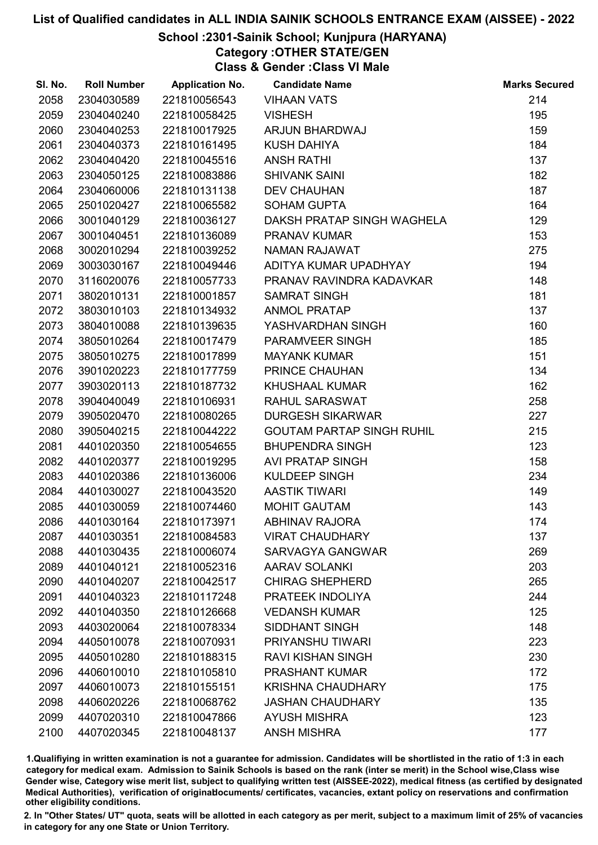## School :2301-Sainik School; Kunjpura (HARYANA)

Category :OTHER STATE/GEN

Class & Gender :Class VI Male

| SI. No. | <b>Roll Number</b> | <b>Application No.</b> | <b>Candidate Name</b>            | <b>Marks Secured</b> |
|---------|--------------------|------------------------|----------------------------------|----------------------|
| 2058    | 2304030589         | 221810056543           | <b>VIHAAN VATS</b>               | 214                  |
| 2059    | 2304040240         | 221810058425           | <b>VISHESH</b>                   | 195                  |
| 2060    | 2304040253         | 221810017925           | ARJUN BHARDWAJ                   | 159                  |
| 2061    | 2304040373         | 221810161495           | <b>KUSH DAHIYA</b>               | 184                  |
| 2062    | 2304040420         | 221810045516           | <b>ANSH RATHI</b>                | 137                  |
| 2063    | 2304050125         | 221810083886           | <b>SHIVANK SAINI</b>             | 182                  |
| 2064    | 2304060006         | 221810131138           | <b>DEV CHAUHAN</b>               | 187                  |
| 2065    | 2501020427         | 221810065582           | <b>SOHAM GUPTA</b>               | 164                  |
| 2066    | 3001040129         | 221810036127           | DAKSH PRATAP SINGH WAGHELA       | 129                  |
| 2067    | 3001040451         | 221810136089           | <b>PRANAV KUMAR</b>              | 153                  |
| 2068    | 3002010294         | 221810039252           | <b>NAMAN RAJAWAT</b>             | 275                  |
| 2069    | 3003030167         | 221810049446           | ADITYA KUMAR UPADHYAY            | 194                  |
| 2070    | 3116020076         | 221810057733           | PRANAV RAVINDRA KADAVKAR         | 148                  |
| 2071    | 3802010131         | 221810001857           | <b>SAMRAT SINGH</b>              | 181                  |
| 2072    | 3803010103         | 221810134932           | <b>ANMOL PRATAP</b>              | 137                  |
| 2073    | 3804010088         | 221810139635           | YASHVARDHAN SINGH                | 160                  |
| 2074    | 3805010264         | 221810017479           | <b>PARAMVEER SINGH</b>           | 185                  |
| 2075    | 3805010275         | 221810017899           | <b>MAYANK KUMAR</b>              | 151                  |
| 2076    | 3901020223         | 221810177759           | PRINCE CHAUHAN                   | 134                  |
| 2077    | 3903020113         | 221810187732           | <b>KHUSHAAL KUMAR</b>            | 162                  |
| 2078    | 3904040049         | 221810106931           | <b>RAHUL SARASWAT</b>            | 258                  |
| 2079    | 3905020470         | 221810080265           | <b>DURGESH SIKARWAR</b>          | 227                  |
| 2080    | 3905040215         | 221810044222           | <b>GOUTAM PARTAP SINGH RUHIL</b> | 215                  |
| 2081    | 4401020350         | 221810054655           | <b>BHUPENDRA SINGH</b>           | 123                  |
| 2082    | 4401020377         | 221810019295           | AVI PRATAP SINGH                 | 158                  |
| 2083    | 4401020386         | 221810136006           | <b>KULDEEP SINGH</b>             | 234                  |
| 2084    | 4401030027         | 221810043520           | <b>AASTIK TIWARI</b>             | 149                  |
| 2085    | 4401030059         | 221810074460           | <b>MOHIT GAUTAM</b>              | 143                  |
| 2086    | 4401030164         | 221810173971           | <b>ABHINAV RAJORA</b>            | 174                  |
| 2087    | 4401030351         | 221810084583           | <b>VIRAT CHAUDHARY</b>           | 137                  |
| 2088    | 4401030435         | 221810006074           | <b>SARVAGYA GANGWAR</b>          | 269                  |
| 2089    | 4401040121         | 221810052316           | <b>AARAV SOLANKI</b>             | 203                  |
| 2090    | 4401040207         | 221810042517           | <b>CHIRAG SHEPHERD</b>           | 265                  |
| 2091    | 4401040323         | 221810117248           | PRATEEK INDOLIYA                 | 244                  |
| 2092    | 4401040350         | 221810126668           | <b>VEDANSH KUMAR</b>             | 125                  |
| 2093    | 4403020064         | 221810078334           | SIDDHANT SINGH                   | 148                  |
| 2094    | 4405010078         | 221810070931           | PRIYANSHU TIWARI                 | 223                  |
| 2095    | 4405010280         | 221810188315           | <b>RAVI KISHAN SINGH</b>         | 230                  |
| 2096    | 4406010010         | 221810105810           | <b>PRASHANT KUMAR</b>            | 172                  |
| 2097    | 4406010073         | 221810155151           | <b>KRISHNA CHAUDHARY</b>         | 175                  |
| 2098    | 4406020226         | 221810068762           | <b>JASHAN CHAUDHARY</b>          | 135                  |
| 2099    | 4407020310         | 221810047866           | <b>AYUSH MISHRA</b>              | 123                  |
| 2100    | 4407020345         | 221810048137           | <b>ANSH MISHRA</b>               | 177                  |

1.Qualifiying in written examination is not a guarantee for admission. Candidates will be shortlisted in the ratio of 1:3 in each category for medical exam. Admission to Sainik Schools is based on the rank (inter se merit) in the School wise,Class wise Gender wise, Category wise merit list, subject to qualifying written test (AISSEE-2022), medical fitness (as certified by designated Medical Authorities), verification of originablocuments/ certificates, vacancies, extant policy on reservations and confirmation other eligibility conditions.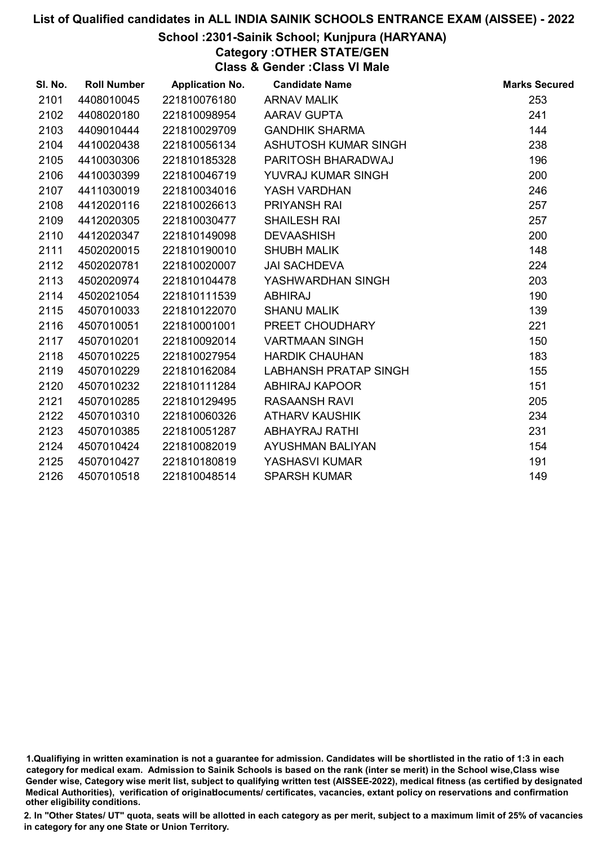## School :2301-Sainik School; Kunjpura (HARYANA)

Category :OTHER STATE/GEN

Class & Gender :Class VI Male

| SI. No. | <b>Roll Number</b> | <b>Application No.</b> | <b>Candidate Name</b>        | <b>Marks Secured</b> |
|---------|--------------------|------------------------|------------------------------|----------------------|
| 2101    | 4408010045         | 221810076180           | <b>ARNAV MALIK</b>           | 253                  |
| 2102    | 4408020180         | 221810098954           | <b>AARAV GUPTA</b>           | 241                  |
| 2103    | 4409010444         | 221810029709           | <b>GANDHIK SHARMA</b>        | 144                  |
| 2104    | 4410020438         | 221810056134           | ASHUTOSH KUMAR SINGH         | 238                  |
| 2105    | 4410030306         | 221810185328           | PARITOSH BHARADWAJ           | 196                  |
| 2106    | 4410030399         | 221810046719           | YUVRAJ KUMAR SINGH           | 200                  |
| 2107    | 4411030019         | 221810034016           | YASH VARDHAN                 | 246                  |
| 2108    | 4412020116         | 221810026613           | <b>PRIYANSH RAI</b>          | 257                  |
| 2109    | 4412020305         | 221810030477           | <b>SHAILESH RAI</b>          | 257                  |
| 2110    | 4412020347         | 221810149098           | <b>DEVAASHISH</b>            | 200                  |
| 2111    | 4502020015         | 221810190010           | <b>SHUBH MALIK</b>           | 148                  |
| 2112    | 4502020781         | 221810020007           | <b>JAI SACHDEVA</b>          | 224                  |
| 2113    | 4502020974         | 221810104478           | YASHWARDHAN SINGH            | 203                  |
| 2114    | 4502021054         | 221810111539           | <b>ABHIRAJ</b>               | 190                  |
| 2115    | 4507010033         | 221810122070           | <b>SHANU MALIK</b>           | 139                  |
| 2116    | 4507010051         | 221810001001           | PREET CHOUDHARY              | 221                  |
| 2117    | 4507010201         | 221810092014           | <b>VARTMAAN SINGH</b>        | 150                  |
| 2118    | 4507010225         | 221810027954           | <b>HARDIK CHAUHAN</b>        | 183                  |
| 2119    | 4507010229         | 221810162084           | <b>LABHANSH PRATAP SINGH</b> | 155                  |
| 2120    | 4507010232         | 221810111284           | ABHIRAJ KAPOOR               | 151                  |
| 2121    | 4507010285         | 221810129495           | <b>RASAANSH RAVI</b>         | 205                  |
| 2122    | 4507010310         | 221810060326           | <b>ATHARV KAUSHIK</b>        | 234                  |
| 2123    | 4507010385         | 221810051287           | <b>ABHAYRAJ RATHI</b>        | 231                  |
| 2124    | 4507010424         | 221810082019           | AYUSHMAN BALIYAN             | 154                  |
| 2125    | 4507010427         | 221810180819           | YASHASVI KUMAR               | 191                  |
| 2126    | 4507010518         | 221810048514           | <b>SPARSH KUMAR</b>          | 149                  |

<sup>1.</sup>Qualifiying in written examination is not a guarantee for admission. Candidates will be shortlisted in the ratio of 1:3 in each category for medical exam. Admission to Sainik Schools is based on the rank (inter se merit) in the School wise,Class wise Gender wise, Category wise merit list, subject to qualifying written test (AISSEE-2022), medical fitness (as certified by designated Medical Authorities), verification of originablocuments/ certificates, vacancies, extant policy on reservations and confirmation other eligibility conditions.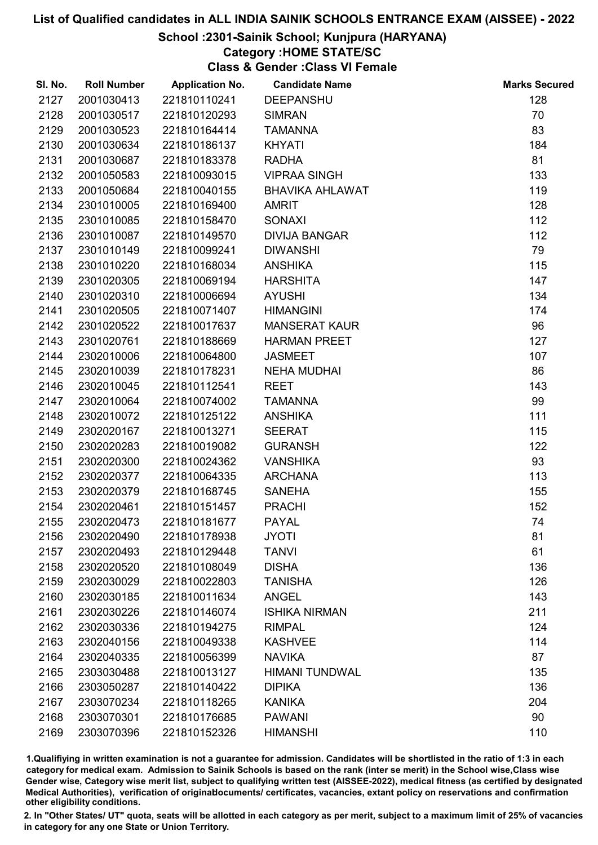### School :2301-Sainik School; Kunjpura (HARYANA)

### Category :HOME STATE/SC

Class & Gender :Class VI Female

| SI. No. | <b>Roll Number</b> | <b>Application No.</b> | <b>Candidate Name</b>  | <b>Marks Secured</b> |
|---------|--------------------|------------------------|------------------------|----------------------|
| 2127    | 2001030413         | 221810110241           | <b>DEEPANSHU</b>       | 128                  |
| 2128    | 2001030517         | 221810120293           | <b>SIMRAN</b>          | 70                   |
| 2129    | 2001030523         | 221810164414           | <b>TAMANNA</b>         | 83                   |
| 2130    | 2001030634         | 221810186137           | <b>KHYATI</b>          | 184                  |
| 2131    | 2001030687         | 221810183378           | <b>RADHA</b>           | 81                   |
| 2132    | 2001050583         | 221810093015           | <b>VIPRAA SINGH</b>    | 133                  |
| 2133    | 2001050684         | 221810040155           | <b>BHAVIKA AHLAWAT</b> | 119                  |
| 2134    | 2301010005         | 221810169400           | <b>AMRIT</b>           | 128                  |
| 2135    | 2301010085         | 221810158470           | <b>SONAXI</b>          | 112                  |
| 2136    | 2301010087         | 221810149570           | <b>DIVIJA BANGAR</b>   | 112                  |
| 2137    | 2301010149         | 221810099241           | <b>DIWANSHI</b>        | 79                   |
| 2138    | 2301010220         | 221810168034           | <b>ANSHIKA</b>         | 115                  |
| 2139    | 2301020305         | 221810069194           | <b>HARSHITA</b>        | 147                  |
| 2140    | 2301020310         | 221810006694           | <b>AYUSHI</b>          | 134                  |
| 2141    | 2301020505         | 221810071407           | <b>HIMANGINI</b>       | 174                  |
| 2142    | 2301020522         | 221810017637           | <b>MANSERAT KAUR</b>   | 96                   |
| 2143    | 2301020761         | 221810188669           | <b>HARMAN PREET</b>    | 127                  |
| 2144    | 2302010006         | 221810064800           | <b>JASMEET</b>         | 107                  |
| 2145    | 2302010039         | 221810178231           | <b>NEHA MUDHAI</b>     | 86                   |
| 2146    | 2302010045         | 221810112541           | <b>REET</b>            | 143                  |
| 2147    | 2302010064         | 221810074002           | <b>TAMANNA</b>         | 99                   |
| 2148    | 2302010072         | 221810125122           | <b>ANSHIKA</b>         | 111                  |
| 2149    | 2302020167         | 221810013271           | <b>SEERAT</b>          | 115                  |
| 2150    | 2302020283         | 221810019082           | <b>GURANSH</b>         | 122                  |
| 2151    | 2302020300         | 221810024362           | <b>VANSHIKA</b>        | 93                   |
| 2152    | 2302020377         | 221810064335           | <b>ARCHANA</b>         | 113                  |
| 2153    | 2302020379         | 221810168745           | <b>SANEHA</b>          | 155                  |
| 2154    | 2302020461         | 221810151457           | <b>PRACHI</b>          | 152                  |
| 2155    | 2302020473         | 221810181677           | <b>PAYAL</b>           | 74                   |
| 2156    | 2302020490         | 221810178938           | <b>JYOTI</b>           | 81                   |
| 2157    | 2302020493         | 221810129448           | <b>TANVI</b>           | 61                   |
| 2158    | 2302020520         | 221810108049           | <b>DISHA</b>           | 136                  |
| 2159    | 2302030029         | 221810022803           | <b>TANISHA</b>         | 126                  |
| 2160    | 2302030185         | 221810011634           | <b>ANGEL</b>           | 143                  |
| 2161    | 2302030226         | 221810146074           | <b>ISHIKA NIRMAN</b>   | 211                  |
| 2162    | 2302030336         | 221810194275           | <b>RIMPAL</b>          | 124                  |
| 2163    | 2302040156         | 221810049338           | <b>KASHVEE</b>         | 114                  |
| 2164    | 2302040335         | 221810056399           | <b>NAVIKA</b>          | 87                   |
| 2165    | 2303030488         | 221810013127           | <b>HIMANI TUNDWAL</b>  | 135                  |
| 2166    | 2303050287         | 221810140422           | <b>DIPIKA</b>          | 136                  |
| 2167    | 2303070234         | 221810118265           | <b>KANIKA</b>          | 204                  |
| 2168    | 2303070301         | 221810176685           | <b>PAWANI</b>          | 90                   |
| 2169    | 2303070396         | 221810152326           | <b>HIMANSHI</b>        | 110                  |

1.Qualifiying in written examination is not a guarantee for admission. Candidates will be shortlisted in the ratio of 1:3 in each category for medical exam. Admission to Sainik Schools is based on the rank (inter se merit) in the School wise,Class wise Gender wise, Category wise merit list, subject to qualifying written test (AISSEE-2022), medical fitness (as certified by designated Medical Authorities), verification of originablocuments/ certificates, vacancies, extant policy on reservations and confirmation other eligibility conditions.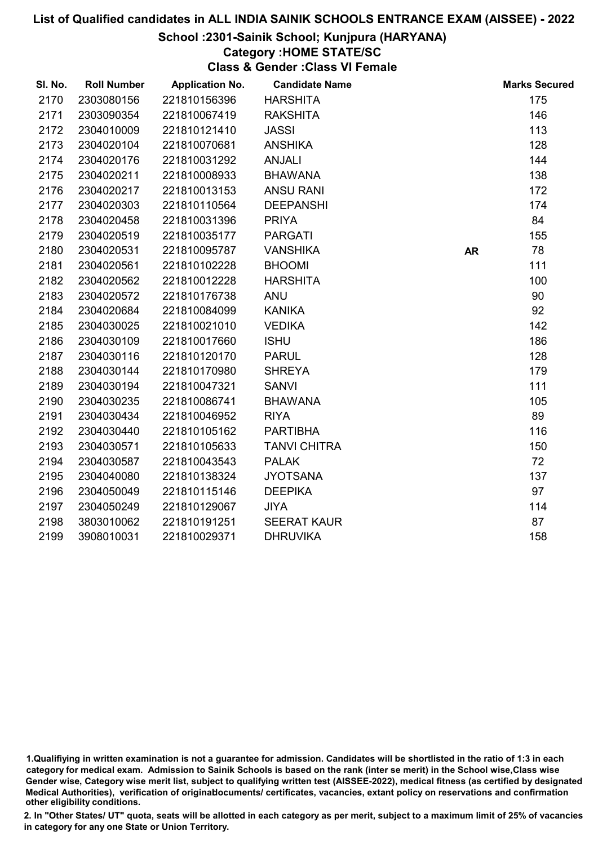#### School :2301-Sainik School; Kunjpura (HARYANA)

#### Category :HOME STATE/SC

Class & Gender :Class VI Female

| SI. No. | <b>Roll Number</b> | <b>Application No.</b> | <b>Candidate Name</b> |           | <b>Marks Secured</b> |
|---------|--------------------|------------------------|-----------------------|-----------|----------------------|
| 2170    | 2303080156         | 221810156396           | <b>HARSHITA</b>       |           | 175                  |
| 2171    | 2303090354         | 221810067419           | <b>RAKSHITA</b>       |           | 146                  |
| 2172    | 2304010009         | 221810121410           | <b>JASSI</b>          |           | 113                  |
| 2173    | 2304020104         | 221810070681           | <b>ANSHIKA</b>        |           | 128                  |
| 2174    | 2304020176         | 221810031292           | <b>ANJALI</b>         |           | 144                  |
| 2175    | 2304020211         | 221810008933           | <b>BHAWANA</b>        |           | 138                  |
| 2176    | 2304020217         | 221810013153           | <b>ANSU RANI</b>      |           | 172                  |
| 2177    | 2304020303         | 221810110564           | <b>DEEPANSHI</b>      |           | 174                  |
| 2178    | 2304020458         | 221810031396           | <b>PRIYA</b>          |           | 84                   |
| 2179    | 2304020519         | 221810035177           | <b>PARGATI</b>        |           | 155                  |
| 2180    | 2304020531         | 221810095787           | <b>VANSHIKA</b>       | <b>AR</b> | 78                   |
| 2181    | 2304020561         | 221810102228           | <b>BHOOMI</b>         |           | 111                  |
| 2182    | 2304020562         | 221810012228           | <b>HARSHITA</b>       |           | 100                  |
| 2183    | 2304020572         | 221810176738           | ANU                   |           | 90                   |
| 2184    | 2304020684         | 221810084099           | <b>KANIKA</b>         |           | 92                   |
| 2185    | 2304030025         | 221810021010           | <b>VEDIKA</b>         |           | 142                  |
| 2186    | 2304030109         | 221810017660           | <b>ISHU</b>           |           | 186                  |
| 2187    | 2304030116         | 221810120170           | <b>PARUL</b>          |           | 128                  |
| 2188    | 2304030144         | 221810170980           | <b>SHREYA</b>         |           | 179                  |
| 2189    | 2304030194         | 221810047321           | <b>SANVI</b>          |           | 111                  |
| 2190    | 2304030235         | 221810086741           | <b>BHAWANA</b>        |           | 105                  |
| 2191    | 2304030434         | 221810046952           | <b>RIYA</b>           |           | 89                   |
| 2192    | 2304030440         | 221810105162           | <b>PARTIBHA</b>       |           | 116                  |
| 2193    | 2304030571         | 221810105633           | <b>TANVI CHITRA</b>   |           | 150                  |
| 2194    | 2304030587         | 221810043543           | <b>PALAK</b>          |           | 72                   |
| 2195    | 2304040080         | 221810138324           | <b>JYOTSANA</b>       |           | 137                  |
| 2196    | 2304050049         | 221810115146           | <b>DEEPIKA</b>        |           | 97                   |
| 2197    | 2304050249         | 221810129067           | <b>JIYA</b>           |           | 114                  |
| 2198    | 3803010062         | 221810191251           | <b>SEERAT KAUR</b>    |           | 87                   |
| 2199    | 3908010031         | 221810029371           | <b>DHRUVIKA</b>       |           | 158                  |

<sup>1.</sup>Qualifiying in written examination is not a guarantee for admission. Candidates will be shortlisted in the ratio of 1:3 in each category for medical exam. Admission to Sainik Schools is based on the rank (inter se merit) in the School wise,Class wise Gender wise, Category wise merit list, subject to qualifying written test (AISSEE-2022), medical fitness (as certified by designated Medical Authorities), verification of originablocuments/ certificates, vacancies, extant policy on reservations and confirmation other eligibility conditions.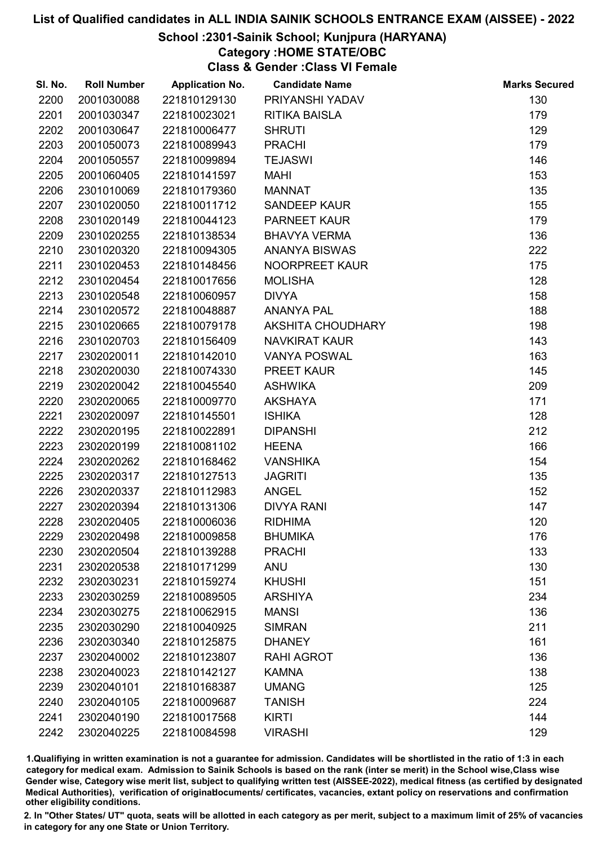## School :2301-Sainik School; Kunjpura (HARYANA)

## Category :HOME STATE/OBC

Class & Gender :Class VI Female

| SI. No. | <b>Roll Number</b> | <b>Application No.</b> | <b>Candidate Name</b> | <b>Marks Secured</b> |
|---------|--------------------|------------------------|-----------------------|----------------------|
| 2200    | 2001030088         | 221810129130           | PRIYANSHI YADAV       | 130                  |
| 2201    | 2001030347         | 221810023021           | <b>RITIKA BAISLA</b>  | 179                  |
| 2202    | 2001030647         | 221810006477           | <b>SHRUTI</b>         | 129                  |
| 2203    | 2001050073         | 221810089943           | <b>PRACHI</b>         | 179                  |
| 2204    | 2001050557         | 221810099894           | <b>TEJASWI</b>        | 146                  |
| 2205    | 2001060405         | 221810141597           | <b>MAHI</b>           | 153                  |
| 2206    | 2301010069         | 221810179360           | <b>MANNAT</b>         | 135                  |
| 2207    | 2301020050         | 221810011712           | <b>SANDEEP KAUR</b>   | 155                  |
| 2208    | 2301020149         | 221810044123           | <b>PARNEET KAUR</b>   | 179                  |
| 2209    | 2301020255         | 221810138534           | <b>BHAVYA VERMA</b>   | 136                  |
| 2210    | 2301020320         | 221810094305           | <b>ANANYA BISWAS</b>  | 222                  |
| 2211    | 2301020453         | 221810148456           | NOORPREET KAUR        | 175                  |
| 2212    | 2301020454         | 221810017656           | <b>MOLISHA</b>        | 128                  |
| 2213    | 2301020548         | 221810060957           | <b>DIVYA</b>          | 158                  |
| 2214    | 2301020572         | 221810048887           | <b>ANANYA PAL</b>     | 188                  |
| 2215    | 2301020665         | 221810079178           | AKSHITA CHOUDHARY     | 198                  |
| 2216    | 2301020703         | 221810156409           | <b>NAVKIRAT KAUR</b>  | 143                  |
| 2217    | 2302020011         | 221810142010           | <b>VANYA POSWAL</b>   | 163                  |
| 2218    | 2302020030         | 221810074330           | <b>PREET KAUR</b>     | 145                  |
| 2219    | 2302020042         | 221810045540           | <b>ASHWIKA</b>        | 209                  |
| 2220    | 2302020065         | 221810009770           | <b>AKSHAYA</b>        | 171                  |
| 2221    | 2302020097         | 221810145501           | <b>ISHIKA</b>         | 128                  |
| 2222    | 2302020195         | 221810022891           | <b>DIPANSHI</b>       | 212                  |
| 2223    | 2302020199         | 221810081102           | <b>HEENA</b>          | 166                  |
| 2224    | 2302020262         | 221810168462           | <b>VANSHIKA</b>       | 154                  |
| 2225    | 2302020317         | 221810127513           | <b>JAGRITI</b>        | 135                  |
| 2226    | 2302020337         | 221810112983           | <b>ANGEL</b>          | 152                  |
| 2227    | 2302020394         | 221810131306           | <b>DIVYA RANI</b>     | 147                  |
| 2228    | 2302020405         | 221810006036           | <b>RIDHIMA</b>        | 120                  |
| 2229    | 2302020498         | 221810009858           | <b>BHUMIKA</b>        | 176                  |
| 2230    | 2302020504         | 221810139288           | <b>PRACHI</b>         | 133                  |
| 2231    | 2302020538         | 221810171299           | ANU                   | 130                  |
| 2232    | 2302030231         | 221810159274           | <b>KHUSHI</b>         | 151                  |
| 2233    | 2302030259         | 221810089505           | <b>ARSHIYA</b>        | 234                  |
| 2234    | 2302030275         | 221810062915           | <b>MANSI</b>          | 136                  |
| 2235    | 2302030290         | 221810040925           | <b>SIMRAN</b>         | 211                  |
| 2236    | 2302030340         | 221810125875           | <b>DHANEY</b>         | 161                  |
| 2237    | 2302040002         | 221810123807           | <b>RAHI AGROT</b>     | 136                  |
| 2238    | 2302040023         | 221810142127           | <b>KAMNA</b>          | 138                  |
| 2239    | 2302040101         | 221810168387           | <b>UMANG</b>          | 125                  |
| 2240    | 2302040105         | 221810009687           | <b>TANISH</b>         | 224                  |
| 2241    | 2302040190         | 221810017568           | <b>KIRTI</b>          | 144                  |
| 2242    | 2302040225         | 221810084598           | <b>VIRASHI</b>        | 129                  |

1.Qualifiying in written examination is not a guarantee for admission. Candidates will be shortlisted in the ratio of 1:3 in each category for medical exam. Admission to Sainik Schools is based on the rank (inter se merit) in the School wise,Class wise Gender wise, Category wise merit list, subject to qualifying written test (AISSEE-2022), medical fitness (as certified by designated Medical Authorities), verification of originablocuments/ certificates, vacancies, extant policy on reservations and confirmation other eligibility conditions.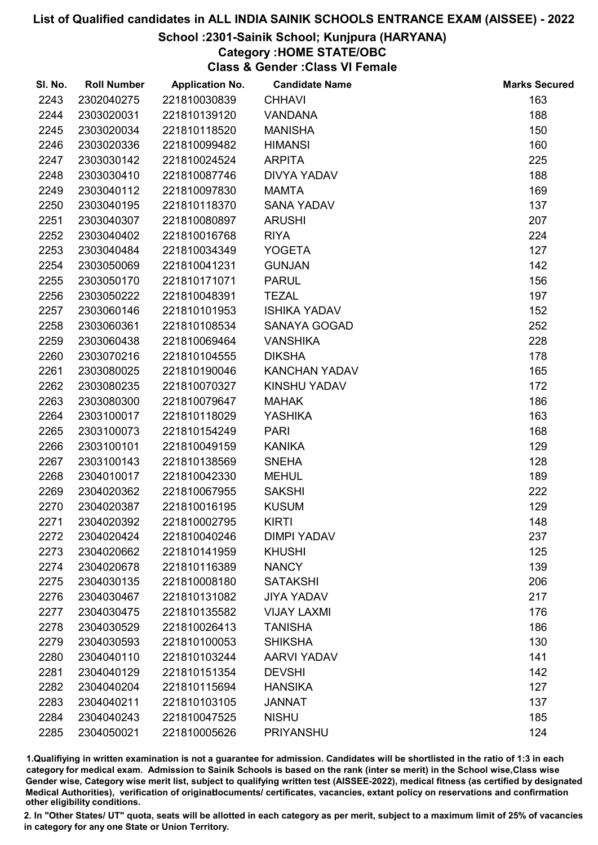### School :2301-Sainik School; Kunjpura (HARYANA)

## Category :HOME STATE/OBC

Class & Gender :Class VI Female

| SI. No. | <b>Roll Number</b> | <b>Application No.</b> | <b>Candidate Name</b> | <b>Marks Secured</b> |
|---------|--------------------|------------------------|-----------------------|----------------------|
| 2243    | 2302040275         | 221810030839           | <b>CHHAVI</b>         | 163                  |
| 2244    | 2303020031         | 221810139120           | <b>VANDANA</b>        | 188                  |
| 2245    | 2303020034         | 221810118520           | <b>MANISHA</b>        | 150                  |
| 2246    | 2303020336         | 221810099482           | <b>HIMANSI</b>        | 160                  |
| 2247    | 2303030142         | 221810024524           | <b>ARPITA</b>         | 225                  |
| 2248    | 2303030410         | 221810087746           | <b>DIVYA YADAV</b>    | 188                  |
| 2249    | 2303040112         | 221810097830           | <b>MAMTA</b>          | 169                  |
| 2250    | 2303040195         | 221810118370           | <b>SANA YADAV</b>     | 137                  |
| 2251    | 2303040307         | 221810080897           | <b>ARUSHI</b>         | 207                  |
| 2252    | 2303040402         | 221810016768           | <b>RIYA</b>           | 224                  |
| 2253    | 2303040484         | 221810034349           | <b>YOGETA</b>         | 127                  |
| 2254    | 2303050069         | 221810041231           | <b>GUNJAN</b>         | 142                  |
| 2255    | 2303050170         | 221810171071           | <b>PARUL</b>          | 156                  |
| 2256    | 2303050222         | 221810048391           | <b>TEZAL</b>          | 197                  |
| 2257    | 2303060146         | 221810101953           | <b>ISHIKA YADAV</b>   | 152                  |
| 2258    | 2303060361         | 221810108534           | SANAYA GOGAD          | 252                  |
| 2259    | 2303060438         | 221810069464           | <b>VANSHIKA</b>       | 228                  |
| 2260    | 2303070216         | 221810104555           | <b>DIKSHA</b>         | 178                  |
| 2261    | 2303080025         | 221810190046           | <b>KANCHAN YADAV</b>  | 165                  |
| 2262    | 2303080235         | 221810070327           | <b>KINSHU YADAV</b>   | 172                  |
| 2263    | 2303080300         | 221810079647           | <b>MAHAK</b>          | 186                  |
| 2264    | 2303100017         | 221810118029           | YASHIKA               | 163                  |
| 2265    | 2303100073         | 221810154249           | <b>PARI</b>           | 168                  |
| 2266    | 2303100101         | 221810049159           | <b>KANIKA</b>         | 129                  |
| 2267    | 2303100143         | 221810138569           | <b>SNEHA</b>          | 128                  |
| 2268    | 2304010017         | 221810042330           | <b>MEHUL</b>          | 189                  |
| 2269    | 2304020362         | 221810067955           | <b>SAKSHI</b>         | 222                  |
| 2270    | 2304020387         | 221810016195           | <b>KUSUM</b>          | 129                  |
| 2271    | 2304020392         | 221810002795           | <b>KIRTI</b>          | 148                  |
| 2272    | 2304020424         | 221810040246           | <b>DIMPI YADAV</b>    | 237                  |
| 2273    | 2304020662         | 221810141959           | <b>KHUSHI</b>         | 125                  |
| 2274    | 2304020678         | 221810116389           | <b>NANCY</b>          | 139                  |
| 2275    | 2304030135         | 221810008180           | <b>SATAKSHI</b>       | 206                  |
| 2276    | 2304030467         | 221810131082           | <b>JIYA YADAV</b>     | 217                  |
| 2277    | 2304030475         | 221810135582           | <b>VIJAY LAXMI</b>    | 176                  |
| 2278    | 2304030529         | 221810026413           | <b>TANISHA</b>        | 186                  |
| 2279    | 2304030593         | 221810100053           | <b>SHIKSHA</b>        | 130                  |
| 2280    | 2304040110         | 221810103244           | <b>AARVI YADAV</b>    | 141                  |
| 2281    | 2304040129         | 221810151354           | <b>DEVSHI</b>         | 142                  |
| 2282    | 2304040204         | 221810115694           | <b>HANSIKA</b>        | 127                  |
| 2283    | 2304040211         | 221810103105           | <b>JANNAT</b>         | 137                  |
| 2284    | 2304040243         | 221810047525           | <b>NISHU</b>          | 185                  |
| 2285    | 2304050021         | 221810005626           | <b>PRIYANSHU</b>      | 124                  |
|         |                    |                        |                       |                      |

1.Qualifiying in written examination is not a guarantee for admission. Candidates will be shortlisted in the ratio of 1:3 in each category for medical exam. Admission to Sainik Schools is based on the rank (inter se merit) in the School wise,Class wise Gender wise, Category wise merit list, subject to qualifying written test (AISSEE-2022), medical fitness (as certified by designated Medical Authorities), verification of originablocuments/ certificates, vacancies, extant policy on reservations and confirmation other eligibility conditions.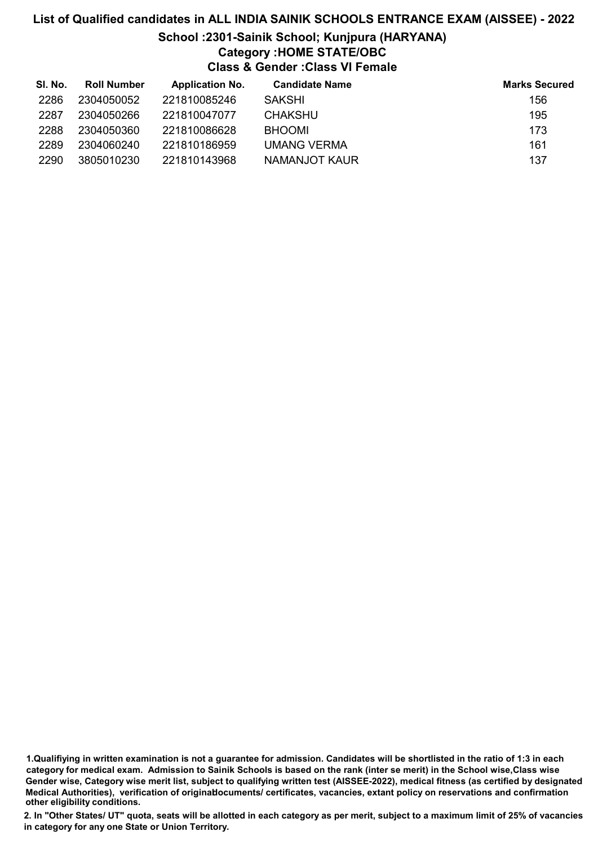# List of Qualified candidates in ALL INDIA SAINIK SCHOOLS ENTRANCE EXAM (AISSEE) - 2022 School :2301-Sainik School; Kunjpura (HARYANA) Category :HOME STATE/OBC Class & Gender :Class VI Female

| SI. No. | <b>Roll Number</b> | <b>Application No.</b> | <b>Candidate Name</b> | <b>Marks Secured</b> |
|---------|--------------------|------------------------|-----------------------|----------------------|
| 2286    | 2304050052         | 221810085246           | <b>SAKSHI</b>         | 156                  |
| 2287    | 2304050266         | 221810047077           | <b>CHAKSHU</b>        | 195                  |
| 2288    | 2304050360         | 221810086628           | <b>BHOOMI</b>         | 173                  |
| 2289    | 2304060240         | 221810186959           | UMANG VERMA           | 161                  |
| 2290    | 3805010230         | 221810143968           | NAMANJOT KAUR         | 137                  |

1.Qualifiying in written examination is not a guarantee for admission. Candidates will be shortlisted in the ratio of 1:3 in each category for medical exam. Admission to Sainik Schools is based on the rank (inter se merit) in the School wise,Class wise Gender wise, Category wise merit list, subject to qualifying written test (AISSEE-2022), medical fitness (as certified by designated Medical Authorities), verification of originablocuments/ certificates, vacancies, extant policy on reservations and confirmation other eligibility conditions.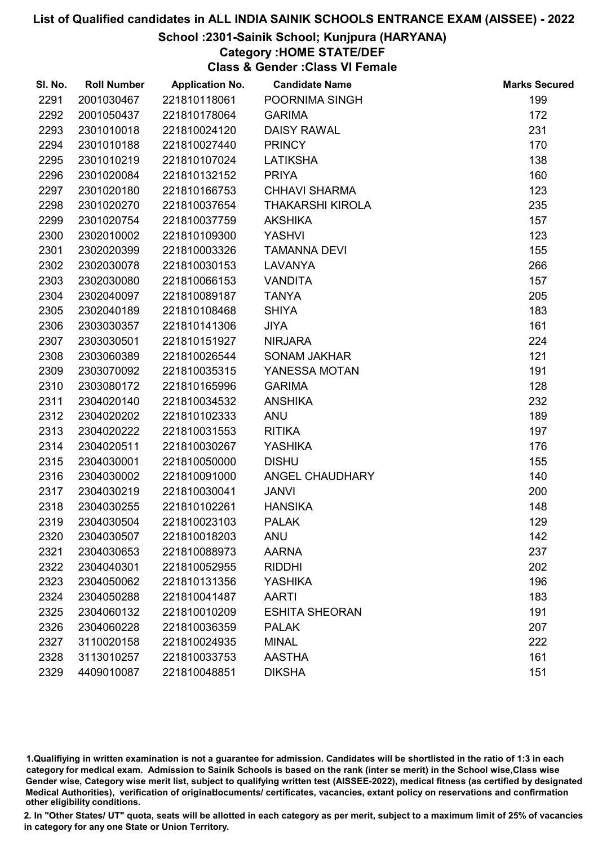## School :2301-Sainik School; Kunjpura (HARYANA)

## Category :HOME STATE/DEF

Class & Gender :Class VI Female

| SI. No. | <b>Roll Number</b> | <b>Application No.</b> | <b>Candidate Name</b>  | <b>Marks Secured</b> |
|---------|--------------------|------------------------|------------------------|----------------------|
| 2291    | 2001030467         | 221810118061           | POORNIMA SINGH         | 199                  |
| 2292    | 2001050437         | 221810178064           | <b>GARIMA</b>          | 172                  |
| 2293    | 2301010018         | 221810024120           | <b>DAISY RAWAL</b>     | 231                  |
| 2294    | 2301010188         | 221810027440           | <b>PRINCY</b>          | 170                  |
| 2295    | 2301010219         | 221810107024           | <b>LATIKSHA</b>        | 138                  |
| 2296    | 2301020084         | 221810132152           | <b>PRIYA</b>           | 160                  |
| 2297    | 2301020180         | 221810166753           | <b>CHHAVI SHARMA</b>   | 123                  |
| 2298    | 2301020270         | 221810037654           | THAKARSHI KIROLA       | 235                  |
| 2299    | 2301020754         | 221810037759           | <b>AKSHIKA</b>         | 157                  |
| 2300    | 2302010002         | 221810109300           | YASHVI                 | 123                  |
| 2301    | 2302020399         | 221810003326           | <b>TAMANNA DEVI</b>    | 155                  |
| 2302    | 2302030078         | 221810030153           | <b>LAVANYA</b>         | 266                  |
| 2303    | 2302030080         | 221810066153           | <b>VANDITA</b>         | 157                  |
| 2304    | 2302040097         | 221810089187           | <b>TANYA</b>           | 205                  |
| 2305    | 2302040189         | 221810108468           | <b>SHIYA</b>           | 183                  |
| 2306    | 2303030357         | 221810141306           | <b>JIYA</b>            | 161                  |
| 2307    | 2303030501         | 221810151927           | <b>NIRJARA</b>         | 224                  |
| 2308    | 2303060389         | 221810026544           | <b>SONAM JAKHAR</b>    | 121                  |
| 2309    | 2303070092         | 221810035315           | YANESSA MOTAN          | 191                  |
| 2310    | 2303080172         | 221810165996           | <b>GARIMA</b>          | 128                  |
| 2311    | 2304020140         | 221810034532           | <b>ANSHIKA</b>         | 232                  |
| 2312    | 2304020202         | 221810102333           | <b>ANU</b>             | 189                  |
| 2313    | 2304020222         | 221810031553           | <b>RITIKA</b>          | 197                  |
| 2314    | 2304020511         | 221810030267           | <b>YASHIKA</b>         | 176                  |
| 2315    | 2304030001         | 221810050000           | <b>DISHU</b>           | 155                  |
| 2316    | 2304030002         | 221810091000           | <b>ANGEL CHAUDHARY</b> | 140                  |
| 2317    | 2304030219         | 221810030041           | <b>JANVI</b>           | 200                  |
| 2318    | 2304030255         | 221810102261           | <b>HANSIKA</b>         | 148                  |
| 2319    | 2304030504         | 221810023103           | <b>PALAK</b>           | 129                  |
| 2320    | 2304030507         | 221810018203           | ANU                    | 142                  |
| 2321    | 2304030653         | 221810088973           | <b>AARNA</b>           | 237                  |
| 2322    | 2304040301         | 221810052955           | <b>RIDDHI</b>          | 202                  |
| 2323    | 2304050062         | 221810131356           | <b>YASHIKA</b>         | 196                  |
| 2324    | 2304050288         | 221810041487           | <b>AARTI</b>           | 183                  |
| 2325    | 2304060132         | 221810010209           | <b>ESHITA SHEORAN</b>  | 191                  |
| 2326    | 2304060228         | 221810036359           | <b>PALAK</b>           | 207                  |
| 2327    | 3110020158         | 221810024935           | <b>MINAL</b>           | 222                  |
| 2328    | 3113010257         | 221810033753           | <b>AASTHA</b>          | 161                  |
| 2329    | 4409010087         | 221810048851           | <b>DIKSHA</b>          | 151                  |

1.Qualifiying in written examination is not a guarantee for admission. Candidates will be shortlisted in the ratio of 1:3 in each category for medical exam. Admission to Sainik Schools is based on the rank (inter se merit) in the School wise,Class wise Gender wise, Category wise merit list, subject to qualifying written test (AISSEE-2022), medical fitness (as certified by designated Medical Authorities), verification of originablocuments/ certificates, vacancies, extant policy on reservations and confirmation other eligibility conditions.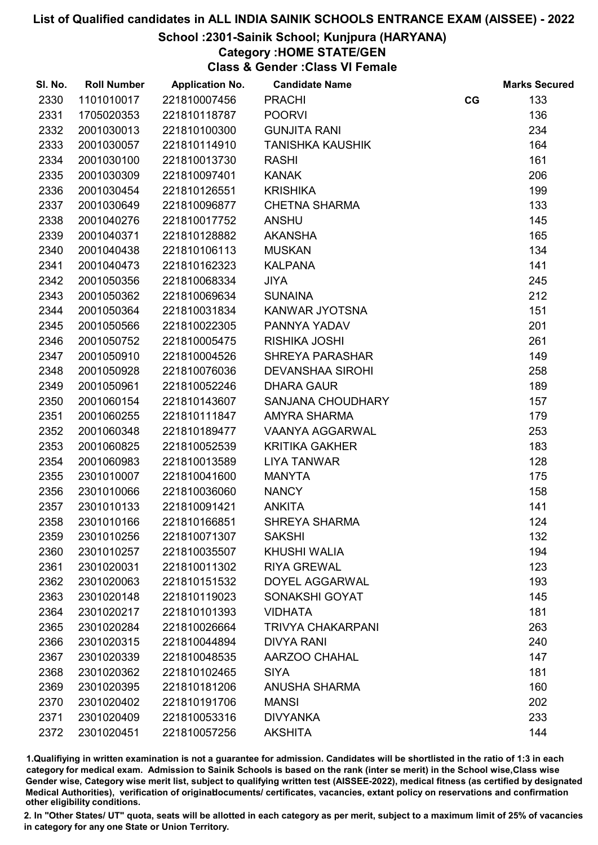## School :2301-Sainik School; Kunjpura (HARYANA)

## Category :HOME STATE/GEN

Class & Gender :Class VI Female

| <b>Roll Number</b> | <b>Application No.</b> | <b>Candidate Name</b>    |    | <b>Marks Secured</b> |
|--------------------|------------------------|--------------------------|----|----------------------|
| 1101010017         | 221810007456           | <b>PRACHI</b>            | CG | 133                  |
| 1705020353         | 221810118787           | <b>POORVI</b>            |    | 136                  |
| 2001030013         | 221810100300           | <b>GUNJITA RANI</b>      |    | 234                  |
| 2001030057         | 221810114910           | <b>TANISHKA KAUSHIK</b>  |    | 164                  |
| 2001030100         | 221810013730           | <b>RASHI</b>             |    | 161                  |
| 2001030309         | 221810097401           | <b>KANAK</b>             |    | 206                  |
| 2001030454         | 221810126551           | <b>KRISHIKA</b>          |    | 199                  |
| 2001030649         | 221810096877           | <b>CHETNA SHARMA</b>     |    | 133                  |
| 2001040276         | 221810017752           | <b>ANSHU</b>             |    | 145                  |
| 2001040371         | 221810128882           | <b>AKANSHA</b>           |    | 165                  |
| 2001040438         | 221810106113           | <b>MUSKAN</b>            |    | 134                  |
| 2001040473         | 221810162323           | <b>KALPANA</b>           |    | 141                  |
| 2001050356         | 221810068334           | <b>JIYA</b>              |    | 245                  |
| 2001050362         | 221810069634           | <b>SUNAINA</b>           |    | 212                  |
| 2001050364         | 221810031834           | KANWAR JYOTSNA           |    | 151                  |
| 2001050566         | 221810022305           | PANNYA YADAV             |    | 201                  |
| 2001050752         | 221810005475           | <b>RISHIKA JOSHI</b>     |    | 261                  |
| 2001050910         | 221810004526           | <b>SHREYA PARASHAR</b>   |    | 149                  |
| 2001050928         | 221810076036           | <b>DEVANSHAA SIROHI</b>  |    | 258                  |
| 2001050961         | 221810052246           | <b>DHARA GAUR</b>        |    | 189                  |
| 2001060154         | 221810143607           | <b>SANJANA CHOUDHARY</b> |    | 157                  |
| 2001060255         | 221810111847           | AMYRA SHARMA             |    | 179                  |
| 2001060348         | 221810189477           | VAANYA AGGARWAL          |    | 253                  |
| 2001060825         | 221810052539           | <b>KRITIKA GAKHER</b>    |    | 183                  |
| 2001060983         | 221810013589           | <b>LIYA TANWAR</b>       |    | 128                  |
| 2301010007         | 221810041600           | <b>MANYTA</b>            |    | 175                  |
| 2301010066         | 221810036060           | <b>NANCY</b>             |    | 158                  |
| 2301010133         | 221810091421           | <b>ANKITA</b>            |    | 141                  |
| 2301010166         | 221810166851           | <b>SHREYA SHARMA</b>     |    | 124                  |
| 2301010256         | 221810071307           | <b>SAKSHI</b>            |    | 132                  |
| 2301010257         | 221810035507           | <b>KHUSHI WALIA</b>      |    | 194                  |
| 2301020031         | 221810011302           | <b>RIYA GREWAL</b>       |    | 123                  |
| 2301020063         | 221810151532           | DOYEL AGGARWAL           |    | 193                  |
| 2301020148         | 221810119023           | SONAKSHI GOYAT           |    | 145                  |
| 2301020217         | 221810101393           | <b>VIDHATA</b>           |    | 181                  |
| 2301020284         | 221810026664           | <b>TRIVYA CHAKARPANI</b> |    | 263                  |
| 2301020315         | 221810044894           | <b>DIVYA RANI</b>        |    | 240                  |
| 2301020339         | 221810048535           | AARZOO CHAHAL            |    | 147                  |
| 2301020362         | 221810102465           | <b>SIYA</b>              |    | 181                  |
| 2301020395         | 221810181206           | <b>ANUSHA SHARMA</b>     |    | 160                  |
| 2301020402         | 221810191706           | <b>MANSI</b>             |    | 202                  |
| 2301020409         | 221810053316           | <b>DIVYANKA</b>          |    | 233                  |
| 2301020451         | 221810057256           | <b>AKSHITA</b>           |    | 144                  |
|                    |                        |                          |    |                      |

1.Qualifiying in written examination is not a guarantee for admission. Candidates will be shortlisted in the ratio of 1:3 in each category for medical exam. Admission to Sainik Schools is based on the rank (inter se merit) in the School wise,Class wise Gender wise, Category wise merit list, subject to qualifying written test (AISSEE-2022), medical fitness (as certified by designated Medical Authorities), verification of originablocuments/ certificates, vacancies, extant policy on reservations and confirmation other eligibility conditions.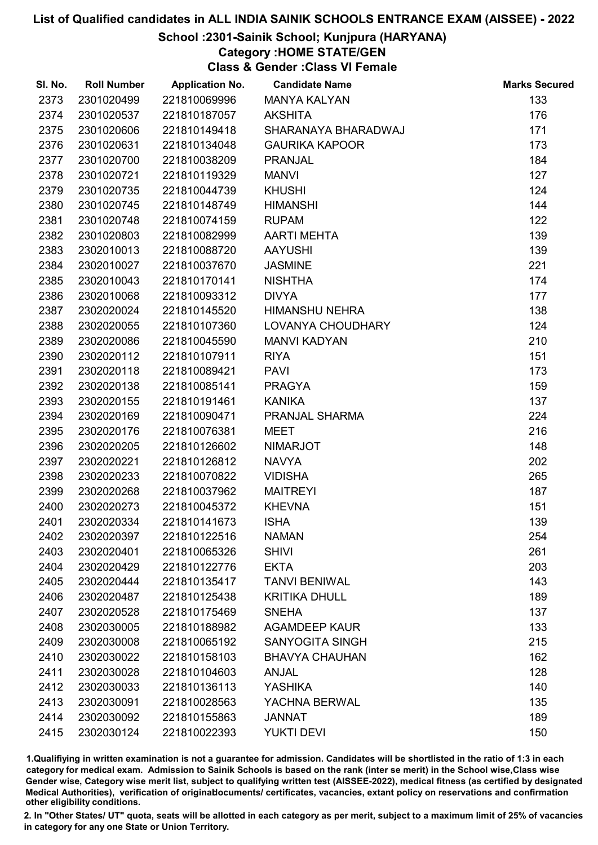## School :2301-Sainik School; Kunjpura (HARYANA)

## Category :HOME STATE/GEN

Class & Gender :Class VI Female

| SI. No. | <b>Roll Number</b> | <b>Application No.</b> | <b>Candidate Name</b>  | <b>Marks Secured</b> |
|---------|--------------------|------------------------|------------------------|----------------------|
| 2373    | 2301020499         | 221810069996           | <b>MANYA KALYAN</b>    | 133                  |
| 2374    | 2301020537         | 221810187057           | <b>AKSHITA</b>         | 176                  |
| 2375    | 2301020606         | 221810149418           | SHARANAYA BHARADWAJ    | 171                  |
| 2376    | 2301020631         | 221810134048           | <b>GAURIKA KAPOOR</b>  | 173                  |
| 2377    | 2301020700         | 221810038209           | <b>PRANJAL</b>         | 184                  |
| 2378    | 2301020721         | 221810119329           | <b>MANVI</b>           | 127                  |
| 2379    | 2301020735         | 221810044739           | <b>KHUSHI</b>          | 124                  |
| 2380    | 2301020745         | 221810148749           | <b>HIMANSHI</b>        | 144                  |
| 2381    | 2301020748         | 221810074159           | <b>RUPAM</b>           | 122                  |
| 2382    | 2301020803         | 221810082999           | <b>AARTI MEHTA</b>     | 139                  |
| 2383    | 2302010013         | 221810088720           | <b>AAYUSHI</b>         | 139                  |
| 2384    | 2302010027         | 221810037670           | <b>JASMINE</b>         | 221                  |
| 2385    | 2302010043         | 221810170141           | <b>NISHTHA</b>         | 174                  |
| 2386    | 2302010068         | 221810093312           | <b>DIVYA</b>           | 177                  |
| 2387    | 2302020024         | 221810145520           | <b>HIMANSHU NEHRA</b>  | 138                  |
| 2388    | 2302020055         | 221810107360           | LOVANYA CHOUDHARY      | 124                  |
| 2389    | 2302020086         | 221810045590           | <b>MANVI KADYAN</b>    | 210                  |
| 2390    | 2302020112         | 221810107911           | <b>RIYA</b>            | 151                  |
| 2391    | 2302020118         | 221810089421           | <b>PAVI</b>            | 173                  |
| 2392    | 2302020138         | 221810085141           | <b>PRAGYA</b>          | 159                  |
| 2393    | 2302020155         | 221810191461           | <b>KANIKA</b>          | 137                  |
| 2394    | 2302020169         | 221810090471           | PRANJAL SHARMA         | 224                  |
| 2395    | 2302020176         | 221810076381           | <b>MEET</b>            | 216                  |
| 2396    | 2302020205         | 221810126602           | <b>NIMARJOT</b>        | 148                  |
| 2397    | 2302020221         | 221810126812           | <b>NAVYA</b>           | 202                  |
| 2398    | 2302020233         | 221810070822           | <b>VIDISHA</b>         | 265                  |
| 2399    | 2302020268         | 221810037962           | <b>MAITREYI</b>        | 187                  |
| 2400    | 2302020273         | 221810045372           | <b>KHEVNA</b>          | 151                  |
| 2401    | 2302020334         | 221810141673           | <b>ISHA</b>            | 139                  |
| 2402    | 2302020397         | 221810122516           | <b>NAMAN</b>           | 254                  |
| 2403    | 2302020401         | 221810065326           | <b>SHIVI</b>           | 261                  |
| 2404    | 2302020429         | 221810122776           | <b>EKTA</b>            | 203                  |
| 2405    | 2302020444         | 221810135417           | <b>TANVI BENIWAL</b>   | 143                  |
| 2406    | 2302020487         | 221810125438           | <b>KRITIKA DHULL</b>   | 189                  |
| 2407    | 2302020528         | 221810175469           | <b>SNEHA</b>           | 137                  |
| 2408    | 2302030005         | 221810188982           | <b>AGAMDEEP KAUR</b>   | 133                  |
| 2409    | 2302030008         | 221810065192           | <b>SANYOGITA SINGH</b> | 215                  |
| 2410    | 2302030022         | 221810158103           | <b>BHAVYA CHAUHAN</b>  | 162                  |
| 2411    | 2302030028         | 221810104603           | <b>ANJAL</b>           | 128                  |
| 2412    | 2302030033         | 221810136113           | <b>YASHIKA</b>         | 140                  |
| 2413    | 2302030091         | 221810028563           | YACHNA BERWAL          | 135                  |
| 2414    | 2302030092         | 221810155863           | <b>JANNAT</b>          | 189                  |
| 2415    | 2302030124         | 221810022393           | YUKTI DEVI             | 150                  |

1.Qualifiying in written examination is not a guarantee for admission. Candidates will be shortlisted in the ratio of 1:3 in each category for medical exam. Admission to Sainik Schools is based on the rank (inter se merit) in the School wise,Class wise Gender wise, Category wise merit list, subject to qualifying written test (AISSEE-2022), medical fitness (as certified by designated Medical Authorities), verification of originablocuments/ certificates, vacancies, extant policy on reservations and confirmation other eligibility conditions.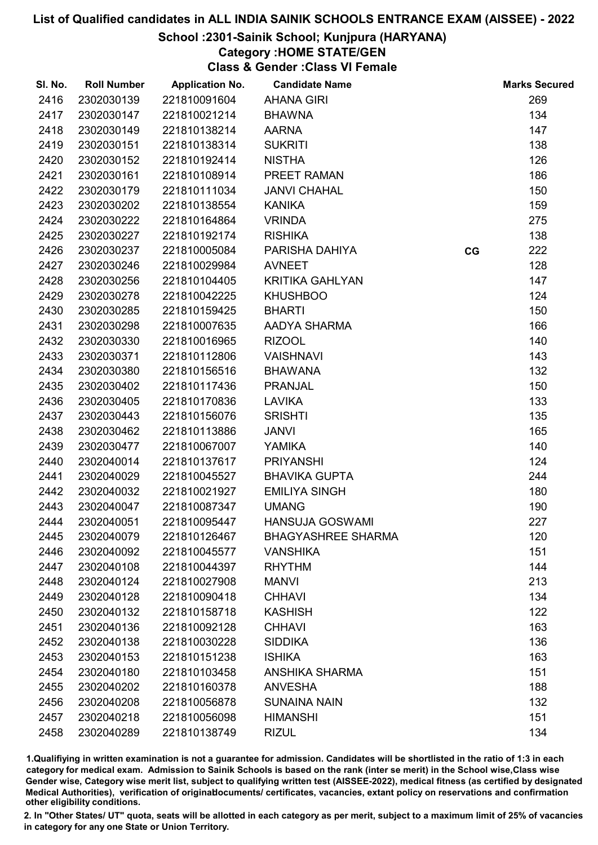## School :2301-Sainik School; Kunjpura (HARYANA)

## Category :HOME STATE/GEN

Class & Gender :Class VI Female

| SI. No. | <b>Roll Number</b> | <b>Application No.</b> | <b>Candidate Name</b>     |    | <b>Marks Secured</b> |
|---------|--------------------|------------------------|---------------------------|----|----------------------|
| 2416    | 2302030139         | 221810091604           | <b>AHANA GIRI</b>         |    | 269                  |
| 2417    | 2302030147         | 221810021214           | <b>BHAWNA</b>             |    | 134                  |
| 2418    | 2302030149         | 221810138214           | <b>AARNA</b>              |    | 147                  |
| 2419    | 2302030151         | 221810138314           | <b>SUKRITI</b>            |    | 138                  |
| 2420    | 2302030152         | 221810192414           | <b>NISTHA</b>             |    | 126                  |
| 2421    | 2302030161         | 221810108914           | PREET RAMAN               |    | 186                  |
| 2422    | 2302030179         | 221810111034           | <b>JANVI CHAHAL</b>       |    | 150                  |
| 2423    | 2302030202         | 221810138554           | <b>KANIKA</b>             |    | 159                  |
| 2424    | 2302030222         | 221810164864           | <b>VRINDA</b>             |    | 275                  |
| 2425    | 2302030227         | 221810192174           | <b>RISHIKA</b>            |    | 138                  |
| 2426    | 2302030237         | 221810005084           | PARISHA DAHIYA            | CG | 222                  |
| 2427    | 2302030246         | 221810029984           | <b>AVNEET</b>             |    | 128                  |
| 2428    | 2302030256         | 221810104405           | <b>KRITIKA GAHLYAN</b>    |    | 147                  |
| 2429    | 2302030278         | 221810042225           | <b>KHUSHBOO</b>           |    | 124                  |
| 2430    | 2302030285         | 221810159425           | <b>BHARTI</b>             |    | 150                  |
| 2431    | 2302030298         | 221810007635           | AADYA SHARMA              |    | 166                  |
| 2432    | 2302030330         | 221810016965           | <b>RIZOOL</b>             |    | 140                  |
| 2433    | 2302030371         | 221810112806           | <b>VAISHNAVI</b>          |    | 143                  |
| 2434    | 2302030380         | 221810156516           | <b>BHAWANA</b>            |    | 132                  |
| 2435    | 2302030402         | 221810117436           | <b>PRANJAL</b>            |    | 150                  |
| 2436    | 2302030405         | 221810170836           | <b>LAVIKA</b>             |    | 133                  |
| 2437    | 2302030443         | 221810156076           | <b>SRISHTI</b>            |    | 135                  |
| 2438    | 2302030462         | 221810113886           | <b>JANVI</b>              |    | 165                  |
| 2439    | 2302030477         | 221810067007           | <b>YAMIKA</b>             |    | 140                  |
| 2440    | 2302040014         | 221810137617           | <b>PRIYANSHI</b>          |    | 124                  |
| 2441    | 2302040029         | 221810045527           | <b>BHAVIKA GUPTA</b>      |    | 244                  |
| 2442    | 2302040032         | 221810021927           | <b>EMILIYA SINGH</b>      |    | 180                  |
| 2443    | 2302040047         | 221810087347           | <b>UMANG</b>              |    | 190                  |
| 2444    | 2302040051         | 221810095447           | <b>HANSUJA GOSWAMI</b>    |    | 227                  |
| 2445    | 2302040079         | 221810126467           | <b>BHAGYASHREE SHARMA</b> |    | 120                  |
| 2446    | 2302040092         | 221810045577           | <b>VANSHIKA</b>           |    | 151                  |
| 2447    | 2302040108         | 221810044397           | <b>RHYTHM</b>             |    | 144                  |
| 2448    | 2302040124         | 221810027908           | <b>MANVI</b>              |    | 213                  |
| 2449    | 2302040128         | 221810090418           | <b>CHHAVI</b>             |    | 134                  |
| 2450    | 2302040132         | 221810158718           | <b>KASHISH</b>            |    | 122                  |
| 2451    | 2302040136         | 221810092128           | <b>CHHAVI</b>             |    | 163                  |
| 2452    | 2302040138         | 221810030228           | <b>SIDDIKA</b>            |    | 136                  |
| 2453    | 2302040153         | 221810151238           | <b>ISHIKA</b>             |    | 163                  |
| 2454    | 2302040180         | 221810103458           | <b>ANSHIKA SHARMA</b>     |    | 151                  |
| 2455    | 2302040202         | 221810160378           | <b>ANVESHA</b>            |    | 188                  |
| 2456    | 2302040208         | 221810056878           | <b>SUNAINA NAIN</b>       |    | 132                  |
| 2457    | 2302040218         | 221810056098           | <b>HIMANSHI</b>           |    | 151                  |
| 2458    | 2302040289         | 221810138749           | <b>RIZUL</b>              |    | 134                  |

1.Qualifiying in written examination is not a guarantee for admission. Candidates will be shortlisted in the ratio of 1:3 in each category for medical exam. Admission to Sainik Schools is based on the rank (inter se merit) in the School wise,Class wise Gender wise, Category wise merit list, subject to qualifying written test (AISSEE-2022), medical fitness (as certified by designated Medical Authorities), verification of originablocuments/ certificates, vacancies, extant policy on reservations and confirmation other eligibility conditions.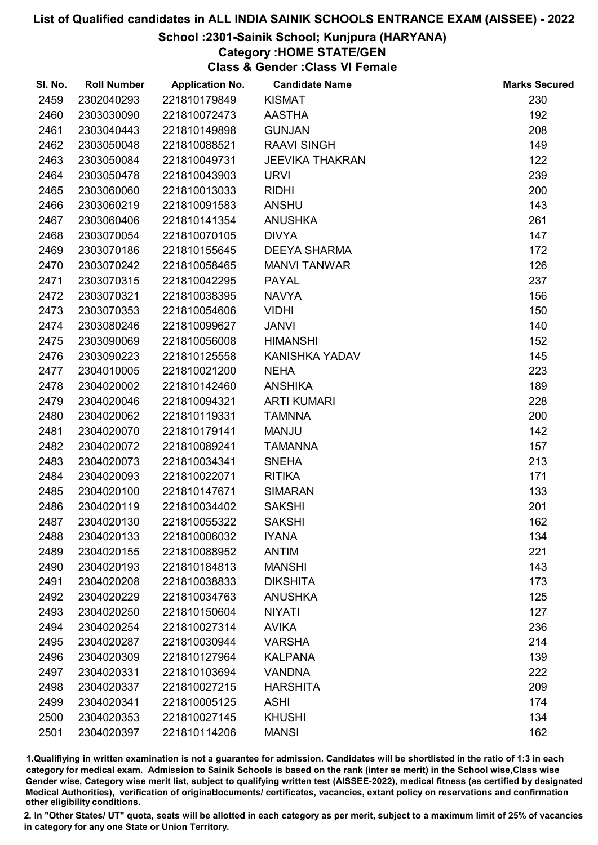## School :2301-Sainik School; Kunjpura (HARYANA)

## Category :HOME STATE/GEN

Class & Gender :Class VI Female

| SI. No. | <b>Roll Number</b> | <b>Application No.</b> | <b>Candidate Name</b>  | <b>Marks Secured</b> |
|---------|--------------------|------------------------|------------------------|----------------------|
| 2459    | 2302040293         | 221810179849           | <b>KISMAT</b>          | 230                  |
| 2460    | 2303030090         | 221810072473           | <b>AASTHA</b>          | 192                  |
| 2461    | 2303040443         | 221810149898           | <b>GUNJAN</b>          | 208                  |
| 2462    | 2303050048         | 221810088521           | <b>RAAVI SINGH</b>     | 149                  |
| 2463    | 2303050084         | 221810049731           | <b>JEEVIKA THAKRAN</b> | 122                  |
| 2464    | 2303050478         | 221810043903           | <b>URVI</b>            | 239                  |
| 2465    | 2303060060         | 221810013033           | <b>RIDHI</b>           | 200                  |
| 2466    | 2303060219         | 221810091583           | <b>ANSHU</b>           | 143                  |
| 2467    | 2303060406         | 221810141354           | <b>ANUSHKA</b>         | 261                  |
| 2468    | 2303070054         | 221810070105           | <b>DIVYA</b>           | 147                  |
| 2469    | 2303070186         | 221810155645           | <b>DEEYA SHARMA</b>    | 172                  |
| 2470    | 2303070242         | 221810058465           | <b>MANVI TANWAR</b>    | 126                  |
| 2471    | 2303070315         | 221810042295           | <b>PAYAL</b>           | 237                  |
| 2472    | 2303070321         | 221810038395           | <b>NAVYA</b>           | 156                  |
| 2473    | 2303070353         | 221810054606           | <b>VIDHI</b>           | 150                  |
| 2474    | 2303080246         | 221810099627           | <b>JANVI</b>           | 140                  |
| 2475    | 2303090069         | 221810056008           | <b>HIMANSHI</b>        | 152                  |
| 2476    | 2303090223         | 221810125558           | KANISHKA YADAV         | 145                  |
| 2477    | 2304010005         | 221810021200           | <b>NEHA</b>            | 223                  |
| 2478    | 2304020002         | 221810142460           | <b>ANSHIKA</b>         | 189                  |
| 2479    | 2304020046         | 221810094321           | <b>ARTI KUMARI</b>     | 228                  |
| 2480    | 2304020062         | 221810119331           | <b>TAMNNA</b>          | 200                  |
| 2481    | 2304020070         | 221810179141           | <b>MANJU</b>           | 142                  |
| 2482    | 2304020072         | 221810089241           | <b>TAMANNA</b>         | 157                  |
| 2483    | 2304020073         | 221810034341           | <b>SNEHA</b>           | 213                  |
| 2484    | 2304020093         | 221810022071           | <b>RITIKA</b>          | 171                  |
| 2485    | 2304020100         | 221810147671           | <b>SIMARAN</b>         | 133                  |
| 2486    | 2304020119         | 221810034402           | <b>SAKSHI</b>          | 201                  |
| 2487    | 2304020130         | 221810055322           | <b>SAKSHI</b>          | 162                  |
| 2488    | 2304020133         | 221810006032           | <b>IYANA</b>           | 134                  |
| 2489    | 2304020155         | 221810088952           | <b>ANTIM</b>           | 221                  |
| 2490    | 2304020193         | 221810184813           | <b>MANSHI</b>          | 143                  |
| 2491    | 2304020208         | 221810038833           | <b>DIKSHITA</b>        | 173                  |
| 2492    | 2304020229         | 221810034763           | <b>ANUSHKA</b>         | 125                  |
| 2493    | 2304020250         | 221810150604           | <b>NIYATI</b>          | 127                  |
| 2494    | 2304020254         | 221810027314           | <b>AVIKA</b>           | 236                  |
| 2495    | 2304020287         | 221810030944           | <b>VARSHA</b>          | 214                  |
| 2496    | 2304020309         | 221810127964           | <b>KALPANA</b>         | 139                  |
| 2497    | 2304020331         | 221810103694           | <b>VANDNA</b>          | 222                  |
| 2498    | 2304020337         | 221810027215           | <b>HARSHITA</b>        | 209                  |
| 2499    | 2304020341         | 221810005125           | <b>ASHI</b>            | 174                  |
| 2500    | 2304020353         | 221810027145           | <b>KHUSHI</b>          | 134                  |
| 2501    | 2304020397         | 221810114206           | <b>MANSI</b>           | 162                  |

1.Qualifiying in written examination is not a guarantee for admission. Candidates will be shortlisted in the ratio of 1:3 in each category for medical exam. Admission to Sainik Schools is based on the rank (inter se merit) in the School wise,Class wise Gender wise, Category wise merit list, subject to qualifying written test (AISSEE-2022), medical fitness (as certified by designated Medical Authorities), verification of originablocuments/ certificates, vacancies, extant policy on reservations and confirmation other eligibility conditions.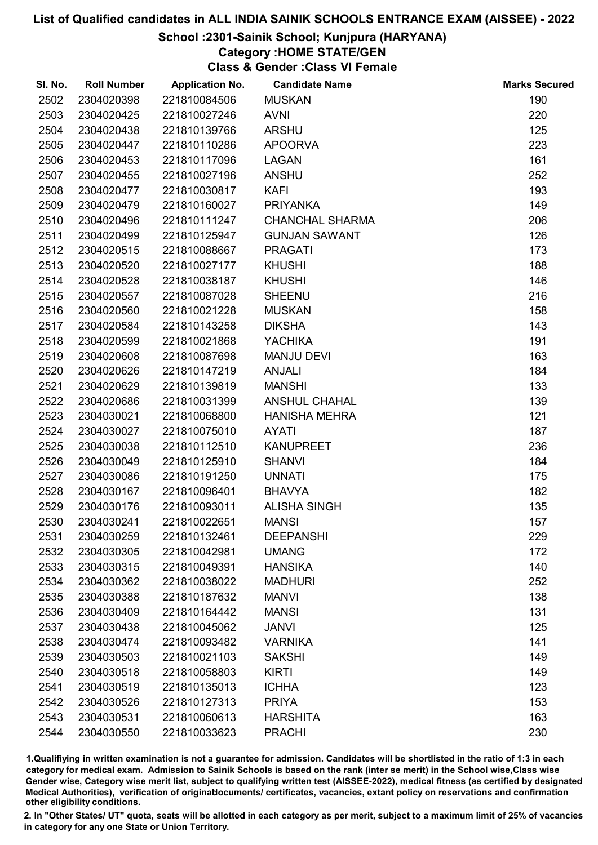#### School :2301-Sainik School; Kunjpura (HARYANA)

Category :HOME STATE/GEN

Class & Gender :Class VI Female

| SI. No. | <b>Roll Number</b> | <b>Application No.</b> | <b>Candidate Name</b>  | <b>Marks Secured</b> |
|---------|--------------------|------------------------|------------------------|----------------------|
| 2502    | 2304020398         | 221810084506           | <b>MUSKAN</b>          | 190                  |
| 2503    | 2304020425         | 221810027246           | <b>AVNI</b>            | 220                  |
| 2504    | 2304020438         | 221810139766           | <b>ARSHU</b>           | 125                  |
| 2505    | 2304020447         | 221810110286           | <b>APOORVA</b>         | 223                  |
| 2506    | 2304020453         | 221810117096           | <b>LAGAN</b>           | 161                  |
| 2507    | 2304020455         | 221810027196           | <b>ANSHU</b>           | 252                  |
| 2508    | 2304020477         | 221810030817           | <b>KAFI</b>            | 193                  |
| 2509    | 2304020479         | 221810160027           | <b>PRIYANKA</b>        | 149                  |
| 2510    | 2304020496         | 221810111247           | <b>CHANCHAL SHARMA</b> | 206                  |
| 2511    | 2304020499         | 221810125947           | <b>GUNJAN SAWANT</b>   | 126                  |
| 2512    | 2304020515         | 221810088667           | <b>PRAGATI</b>         | 173                  |
| 2513    | 2304020520         | 221810027177           | <b>KHUSHI</b>          | 188                  |
| 2514    | 2304020528         | 221810038187           | <b>KHUSHI</b>          | 146                  |
| 2515    | 2304020557         | 221810087028           | <b>SHEENU</b>          | 216                  |
| 2516    | 2304020560         | 221810021228           | <b>MUSKAN</b>          | 158                  |
| 2517    | 2304020584         | 221810143258           | <b>DIKSHA</b>          | 143                  |
| 2518    | 2304020599         | 221810021868           | <b>YACHIKA</b>         | 191                  |
| 2519    | 2304020608         | 221810087698           | <b>MANJU DEVI</b>      | 163                  |
| 2520    | 2304020626         | 221810147219           | <b>ANJALI</b>          | 184                  |
| 2521    | 2304020629         | 221810139819           | <b>MANSHI</b>          | 133                  |
| 2522    | 2304020686         | 221810031399           | <b>ANSHUL CHAHAL</b>   | 139                  |
| 2523    | 2304030021         | 221810068800           | <b>HANISHA MEHRA</b>   | 121                  |
| 2524    | 2304030027         | 221810075010           | <b>AYATI</b>           | 187                  |
| 2525    | 2304030038         | 221810112510           | <b>KANUPREET</b>       | 236                  |
| 2526    | 2304030049         | 221810125910           | <b>SHANVI</b>          | 184                  |
| 2527    | 2304030086         | 221810191250           | <b>UNNATI</b>          | 175                  |
| 2528    | 2304030167         | 221810096401           | <b>BHAVYA</b>          | 182                  |
| 2529    | 2304030176         | 221810093011           | <b>ALISHA SINGH</b>    | 135                  |
| 2530    | 2304030241         | 221810022651           | <b>MANSI</b>           | 157                  |
| 2531    | 2304030259         | 221810132461           | <b>DEEPANSHI</b>       | 229                  |
| 2532    | 2304030305         | 221810042981           | <b>UMANG</b>           | 172                  |
| 2533    | 2304030315         | 221810049391           | <b>HANSIKA</b>         | 140                  |
| 2534    | 2304030362         | 221810038022           | <b>MADHURI</b>         | 252                  |
| 2535    | 2304030388         | 221810187632           | <b>MANVI</b>           | 138                  |
| 2536    | 2304030409         | 221810164442           | <b>MANSI</b>           | 131                  |
| 2537    | 2304030438         | 221810045062           | <b>JANVI</b>           | 125                  |
| 2538    | 2304030474         | 221810093482           | <b>VARNIKA</b>         | 141                  |
| 2539    | 2304030503         | 221810021103           | <b>SAKSHI</b>          | 149                  |
| 2540    | 2304030518         | 221810058803           | <b>KIRTI</b>           | 149                  |
| 2541    | 2304030519         | 221810135013           | <b>ICHHA</b>           | 123                  |
| 2542    | 2304030526         | 221810127313           | <b>PRIYA</b>           | 153                  |
| 2543    | 2304030531         | 221810060613           | <b>HARSHITA</b>        | 163                  |
| 2544    | 2304030550         | 221810033623           | <b>PRACHI</b>          | 230                  |

1.Qualifiying in written examination is not a guarantee for admission. Candidates will be shortlisted in the ratio of 1:3 in each category for medical exam. Admission to Sainik Schools is based on the rank (inter se merit) in the School wise,Class wise Gender wise, Category wise merit list, subject to qualifying written test (AISSEE-2022), medical fitness (as certified by designated Medical Authorities), verification of originablocuments/ certificates, vacancies, extant policy on reservations and confirmation other eligibility conditions.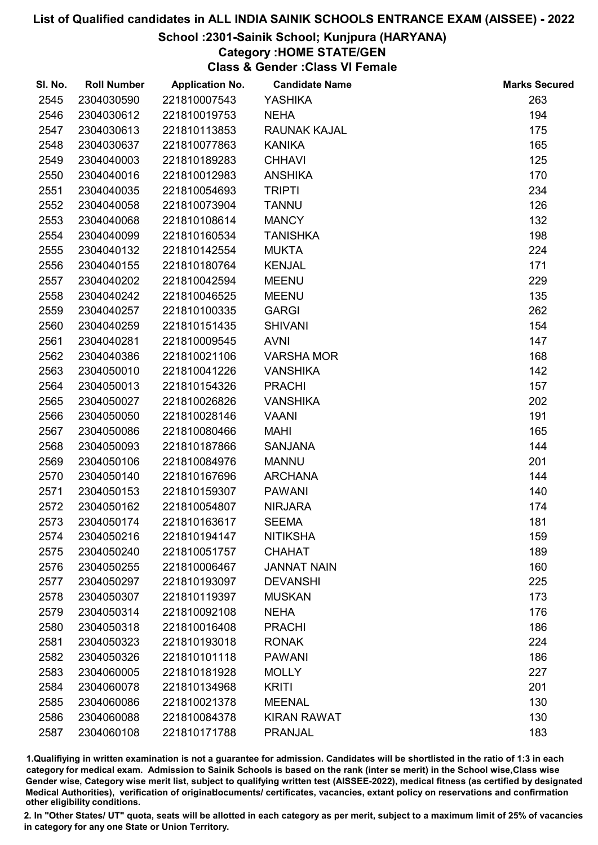## School :2301-Sainik School; Kunjpura (HARYANA)

## Category :HOME STATE/GEN

Class & Gender :Class VI Female

| SI. No. | <b>Roll Number</b> | <b>Application No.</b> | <b>Candidate Name</b> | <b>Marks Secured</b> |
|---------|--------------------|------------------------|-----------------------|----------------------|
| 2545    | 2304030590         | 221810007543           | <b>YASHIKA</b>        | 263                  |
| 2546    | 2304030612         | 221810019753           | <b>NEHA</b>           | 194                  |
| 2547    | 2304030613         | 221810113853           | <b>RAUNAK KAJAL</b>   | 175                  |
| 2548    | 2304030637         | 221810077863           | <b>KANIKA</b>         | 165                  |
| 2549    | 2304040003         | 221810189283           | <b>CHHAVI</b>         | 125                  |
| 2550    | 2304040016         | 221810012983           | <b>ANSHIKA</b>        | 170                  |
| 2551    | 2304040035         | 221810054693           | <b>TRIPTI</b>         | 234                  |
| 2552    | 2304040058         | 221810073904           | <b>TANNU</b>          | 126                  |
| 2553    | 2304040068         | 221810108614           | <b>MANCY</b>          | 132                  |
| 2554    | 2304040099         | 221810160534           | <b>TANISHKA</b>       | 198                  |
| 2555    | 2304040132         | 221810142554           | <b>MUKTA</b>          | 224                  |
| 2556    | 2304040155         | 221810180764           | <b>KENJAL</b>         | 171                  |
| 2557    | 2304040202         | 221810042594           | <b>MEENU</b>          | 229                  |
| 2558    | 2304040242         | 221810046525           | <b>MEENU</b>          | 135                  |
| 2559    | 2304040257         | 221810100335           | <b>GARGI</b>          | 262                  |
| 2560    | 2304040259         | 221810151435           | <b>SHIVANI</b>        | 154                  |
| 2561    | 2304040281         | 221810009545           | <b>AVNI</b>           | 147                  |
| 2562    | 2304040386         | 221810021106           | <b>VARSHA MOR</b>     | 168                  |
| 2563    | 2304050010         | 221810041226           | <b>VANSHIKA</b>       | 142                  |
| 2564    | 2304050013         | 221810154326           | <b>PRACHI</b>         | 157                  |
| 2565    | 2304050027         | 221810026826           | <b>VANSHIKA</b>       | 202                  |
| 2566    | 2304050050         | 221810028146           | <b>VAANI</b>          | 191                  |
| 2567    | 2304050086         | 221810080466           | <b>MAHI</b>           | 165                  |
| 2568    | 2304050093         | 221810187866           | <b>SANJANA</b>        | 144                  |
| 2569    | 2304050106         | 221810084976           | <b>MANNU</b>          | 201                  |
| 2570    | 2304050140         | 221810167696           | <b>ARCHANA</b>        | 144                  |
| 2571    | 2304050153         | 221810159307           | <b>PAWANI</b>         | 140                  |
| 2572    | 2304050162         | 221810054807           | <b>NIRJARA</b>        | 174                  |
| 2573    | 2304050174         | 221810163617           | <b>SEEMA</b>          | 181                  |
| 2574    | 2304050216         | 221810194147           | <b>NITIKSHA</b>       | 159                  |
| 2575    | 2304050240         | 221810051757           | <b>CHAHAT</b>         | 189                  |
| 2576    | 2304050255         | 221810006467           | <b>JANNAT NAIN</b>    | 160                  |
| 2577    | 2304050297         | 221810193097           | <b>DEVANSHI</b>       | 225                  |
| 2578    | 2304050307         | 221810119397           | <b>MUSKAN</b>         | 173                  |
| 2579    | 2304050314         | 221810092108           | <b>NEHA</b>           | 176                  |
| 2580    | 2304050318         | 221810016408           | <b>PRACHI</b>         | 186                  |
| 2581    | 2304050323         | 221810193018           | <b>RONAK</b>          | 224                  |
| 2582    | 2304050326         | 221810101118           | <b>PAWANI</b>         | 186                  |
| 2583    | 2304060005         | 221810181928           | <b>MOLLY</b>          | 227                  |
| 2584    | 2304060078         | 221810134968           | <b>KRITI</b>          | 201                  |
| 2585    | 2304060086         | 221810021378           | <b>MEENAL</b>         | 130                  |
| 2586    | 2304060088         | 221810084378           | <b>KIRAN RAWAT</b>    | 130                  |
| 2587    | 2304060108         | 221810171788           | <b>PRANJAL</b>        | 183                  |

1.Qualifiying in written examination is not a guarantee for admission. Candidates will be shortlisted in the ratio of 1:3 in each category for medical exam. Admission to Sainik Schools is based on the rank (inter se merit) in the School wise,Class wise Gender wise, Category wise merit list, subject to qualifying written test (AISSEE-2022), medical fitness (as certified by designated Medical Authorities), verification of originablocuments/ certificates, vacancies, extant policy on reservations and confirmation other eligibility conditions.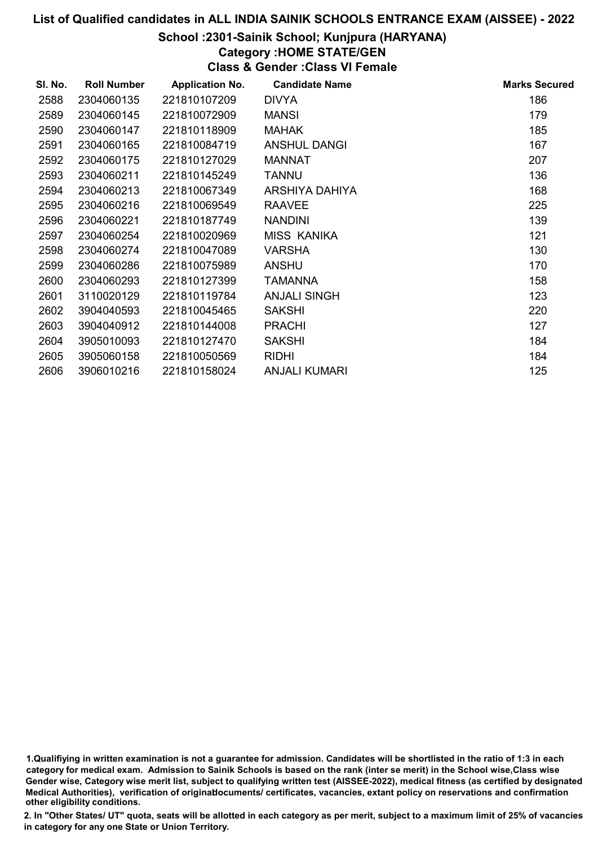## School :2301-Sainik School; Kunjpura (HARYANA)

Category :HOME STATE/GEN

Class & Gender :Class VI Female

| SI. No. | <b>Roll Number</b> | <b>Application No.</b> | <b>Candidate Name</b> | <b>Marks Secured</b> |
|---------|--------------------|------------------------|-----------------------|----------------------|
| 2588    | 2304060135         | 221810107209           | <b>DIVYA</b>          | 186                  |
| 2589    | 2304060145         | 221810072909           | <b>MANSI</b>          | 179                  |
| 2590    | 2304060147         | 221810118909           | <b>MAHAK</b>          | 185                  |
| 2591    | 2304060165         | 221810084719           | <b>ANSHUL DANGI</b>   | 167                  |
| 2592    | 2304060175         | 221810127029           | <b>MANNAT</b>         | 207                  |
| 2593    | 2304060211         | 221810145249           | <b>TANNU</b>          | 136                  |
| 2594    | 2304060213         | 221810067349           | ARSHIYA DAHIYA        | 168                  |
| 2595    | 2304060216         | 221810069549           | <b>RAAVEE</b>         | 225                  |
| 2596    | 2304060221         | 221810187749           | <b>NANDINI</b>        | 139                  |
| 2597    | 2304060254         | 221810020969           | <b>MISS KANIKA</b>    | 121                  |
| 2598    | 2304060274         | 221810047089           | <b>VARSHA</b>         | 130                  |
| 2599    | 2304060286         | 221810075989           | <b>ANSHU</b>          | 170                  |
| 2600    | 2304060293         | 221810127399           | <b>TAMANNA</b>        | 158                  |
| 2601    | 3110020129         | 221810119784           | <b>ANJALI SINGH</b>   | 123                  |
| 2602    | 3904040593         | 221810045465           | <b>SAKSHI</b>         | 220                  |
| 2603    | 3904040912         | 221810144008           | <b>PRACHI</b>         | 127                  |
| 2604    | 3905010093         | 221810127470           | <b>SAKSHI</b>         | 184                  |
| 2605    | 3905060158         | 221810050569           | <b>RIDHI</b>          | 184                  |
| 2606    | 3906010216         | 221810158024           | <b>ANJALI KUMARI</b>  | 125                  |

<sup>1.</sup>Qualifiying in written examination is not a guarantee for admission. Candidates will be shortlisted in the ratio of 1:3 in each category for medical exam. Admission to Sainik Schools is based on the rank (inter se merit) in the School wise,Class wise Gender wise, Category wise merit list, subject to qualifying written test (AISSEE-2022), medical fitness (as certified by designated Medical Authorities), verification of originablocuments/ certificates, vacancies, extant policy on reservations and confirmation other eligibility conditions.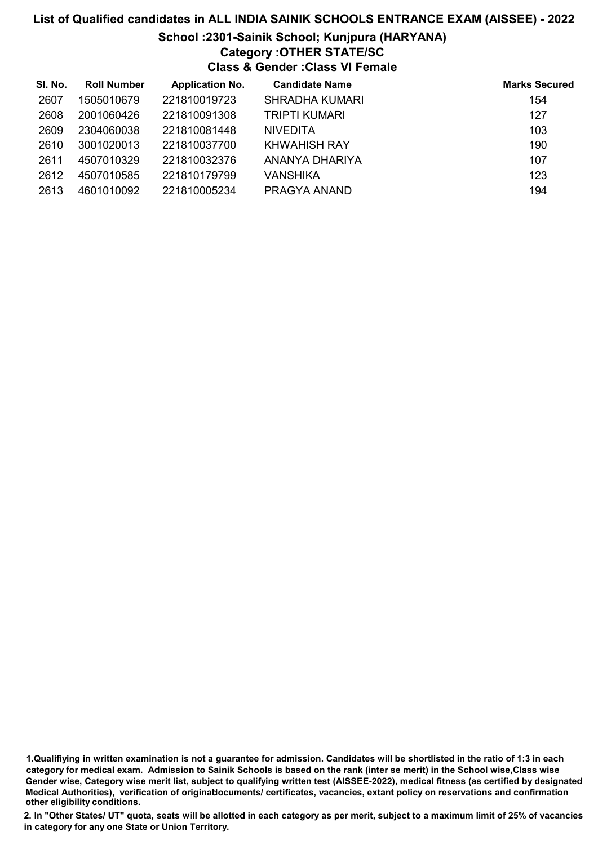# List of Qualified candidates in ALL INDIA SAINIK SCHOOLS ENTRANCE EXAM (AISSEE) - 2022 School :2301-Sainik School; Kunjpura (HARYANA)

# Category :OTHER STATE/SC

Class & Gender :Class VI Female

| SI. No. | <b>Roll Number</b> | <b>Application No.</b> | <b>Candidate Name</b> | <b>Marks Secured</b> |
|---------|--------------------|------------------------|-----------------------|----------------------|
| 2607    | 1505010679         | 221810019723           | <b>SHRADHA KUMARI</b> | 154                  |
| 2608    | 2001060426         | 221810091308           | TRIPTI KUMARI         | 127                  |
| 2609    | 2304060038         | 221810081448           | <b>NIVEDITA</b>       | 103                  |
| 2610    | 3001020013         | 221810037700           | <b>KHWAHISH RAY</b>   | 190                  |
| 2611    | 4507010329         | 221810032376           | ANANYA DHARIYA        | 107                  |
| 2612    | 4507010585         | 221810179799           | VANSHIKA              | 123                  |
| 2613    | 4601010092         | 221810005234           | PRAGYA ANAND          | 194                  |

<sup>1.</sup>Qualifiying in written examination is not a guarantee for admission. Candidates will be shortlisted in the ratio of 1:3 in each category for medical exam. Admission to Sainik Schools is based on the rank (inter se merit) in the School wise,Class wise Gender wise, Category wise merit list, subject to qualifying written test (AISSEE-2022), medical fitness (as certified by designated Medical Authorities), verification of originablocuments/ certificates, vacancies, extant policy on reservations and confirmation other eligibility conditions.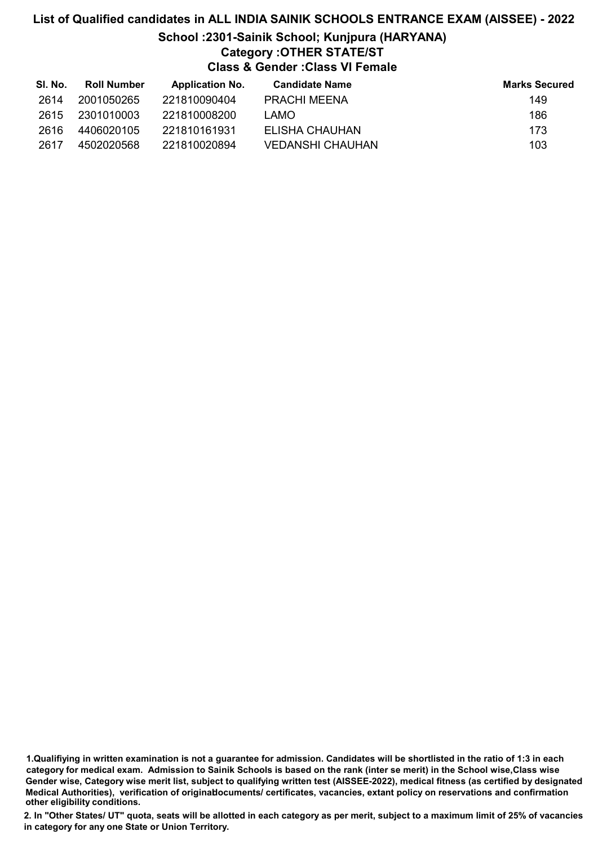# List of Qualified candidates in ALL INDIA SAINIK SCHOOLS ENTRANCE EXAM (AISSEE) - 2022 School :2301-Sainik School; Kunjpura (HARYANA) Category :OTHER STATE/ST Class & Gender :Class VI Female

| SI. No. | <b>Roll Number</b> | <b>Application No.</b> | <b>Candidate Name</b>   | <b>Marks Secured</b> |
|---------|--------------------|------------------------|-------------------------|----------------------|
| 2614    | 2001050265         | 221810090404           | <b>PRACHI MEENA</b>     | 149                  |
| 2615    | 2301010003         | 221810008200           | LAMO                    | 186                  |
| 2616    | 4406020105         | 221810161931           | ELISHA CHAUHAN          | 173                  |
| 2617    | 4502020568         | 221810020894           | <b>VEDANSHI CHAUHAN</b> | 103                  |

<sup>1.</sup>Qualifiying in written examination is not a guarantee for admission. Candidates will be shortlisted in the ratio of 1:3 in each category for medical exam. Admission to Sainik Schools is based on the rank (inter se merit) in the School wise,Class wise Gender wise, Category wise merit list, subject to qualifying written test (AISSEE-2022), medical fitness (as certified by designated Medical Authorities), verification of originablocuments/ certificates, vacancies, extant policy on reservations and confirmation other eligibility conditions.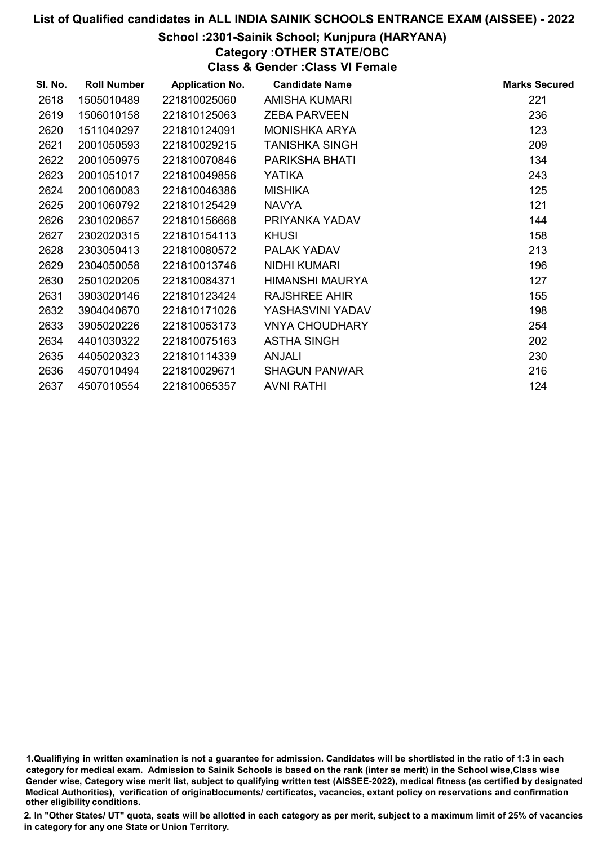## School :2301-Sainik School; Kunjpura (HARYANA)

## Category :OTHER STATE/OBC

Class & Gender :Class VI Female

| SI. No. | <b>Roll Number</b> | <b>Application No.</b> | <b>Candidate Name</b> | <b>Marks Secured</b> |
|---------|--------------------|------------------------|-----------------------|----------------------|
| 2618    | 1505010489         | 221810025060           | AMISHA KUMARI         | 221                  |
| 2619    | 1506010158         | 221810125063           | <b>ZEBA PARVEEN</b>   | 236                  |
| 2620    | 1511040297         | 221810124091           | <b>MONISHKA ARYA</b>  | 123                  |
| 2621    | 2001050593         | 221810029215           | TANISHKA SINGH        | 209                  |
| 2622    | 2001050975         | 221810070846           | PARIKSHA BHATI        | 134                  |
| 2623    | 2001051017         | 221810049856           | <b>YATIKA</b>         | 243                  |
| 2624    | 2001060083         | 221810046386           | <b>MISHIKA</b>        | 125                  |
| 2625    | 2001060792         | 221810125429           | <b>NAVYA</b>          | 121                  |
| 2626    | 2301020657         | 221810156668           | PRIYANKA YADAV        | 144                  |
| 2627    | 2302020315         | 221810154113           | <b>KHUSI</b>          | 158                  |
| 2628    | 2303050413         | 221810080572           | PALAK YADAV           | 213                  |
| 2629    | 2304050058         | 221810013746           | <b>NIDHI KUMARI</b>   | 196                  |
| 2630    | 2501020205         | 221810084371           | HIMANSHI MAURYA       | 127                  |
| 2631    | 3903020146         | 221810123424           | <b>RAJSHREE AHIR</b>  | 155                  |
| 2632    | 3904040670         | 221810171026           | YASHASVINI YADAV      | 198                  |
| 2633    | 3905020226         | 221810053173           | <b>VNYA CHOUDHARY</b> | 254                  |
| 2634    | 4401030322         | 221810075163           | <b>ASTHA SINGH</b>    | 202                  |
| 2635    | 4405020323         | 221810114339           | <b>ANJALI</b>         | 230                  |
| 2636    | 4507010494         | 221810029671           | <b>SHAGUN PANWAR</b>  | 216                  |
| 2637    | 4507010554         | 221810065357           | <b>AVNI RATHI</b>     | 124                  |

1.Qualifiying in written examination is not a guarantee for admission. Candidates will be shortlisted in the ratio of 1:3 in each category for medical exam. Admission to Sainik Schools is based on the rank (inter se merit) in the School wise,Class wise Gender wise, Category wise merit list, subject to qualifying written test (AISSEE-2022), medical fitness (as certified by designated Medical Authorities), verification of originablocuments/ certificates, vacancies, extant policy on reservations and confirmation other eligibility conditions.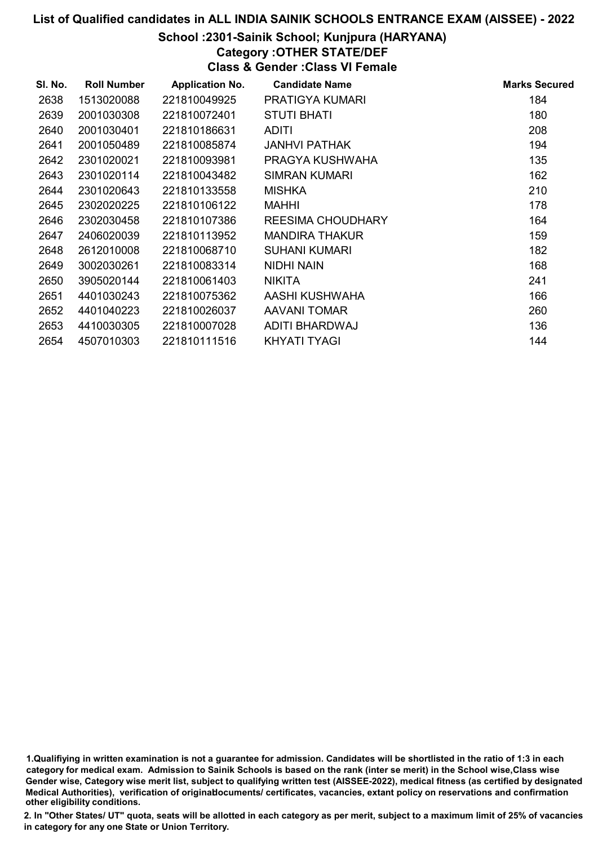### List of Qualified candidates in ALL INDIA SAINIK SCHOOLS ENTRANCE EXAM (AISSEE) - 2022

# School :2301-Sainik School; Kunjpura (HARYANA)

# Category :OTHER STATE/DEF

Class & Gender :Class VI Female

| SI. No. | <b>Roll Number</b> | <b>Application No.</b> | <b>Candidate Name</b>    | <b>Marks Secured</b> |
|---------|--------------------|------------------------|--------------------------|----------------------|
| 2638    | 1513020088         | 221810049925           | PRATIGYA KUMARI          | 184                  |
| 2639    | 2001030308         | 221810072401           | <b>STUTI BHATI</b>       | 180                  |
| 2640    | 2001030401         | 221810186631           | <b>ADITI</b>             | 208                  |
| 2641    | 2001050489         | 221810085874           | JANHVI PATHAK            | 194                  |
| 2642    | 2301020021         | 221810093981           | PRAGYA KUSHWAHA          | 135                  |
| 2643    | 2301020114         | 221810043482           | <b>SIMRAN KUMARI</b>     | 162                  |
| 2644    | 2301020643         | 221810133558           | <b>MISHKA</b>            | 210                  |
| 2645    | 2302020225         | 221810106122           | <b>MAHHI</b>             | 178                  |
| 2646    | 2302030458         | 221810107386           | <b>REESIMA CHOUDHARY</b> | 164                  |
| 2647    | 2406020039         | 221810113952           | <b>MANDIRA THAKUR</b>    | 159                  |
| 2648    | 2612010008         | 221810068710           | <b>SUHANI KUMARI</b>     | 182                  |
| 2649    | 3002030261         | 221810083314           | NIDHI NAIN               | 168                  |
| 2650    | 3905020144         | 221810061403           | <b>NIKITA</b>            | 241                  |
| 2651    | 4401030243         | 221810075362           | AASHI KUSHWAHA           | 166                  |
| 2652    | 4401040223         | 221810026037           | AAVANI TOMAR             | 260                  |
| 2653    | 4410030305         | 221810007028           | ADITI BHARDWAJ           | 136                  |
| 2654    | 4507010303         | 221810111516           | KHYATI TYAGI             | 144                  |

2. In "Other States/ UT" quota, seats will be allotted in each category as per merit, subject to a maximum limit of 25% of vacancies in category for any one State or Union Territory.

<sup>1.</sup>Qualifiying in written examination is not a guarantee for admission. Candidates will be shortlisted in the ratio of 1:3 in each category for medical exam. Admission to Sainik Schools is based on the rank (inter se merit) in the School wise,Class wise Gender wise, Category wise merit list, subject to qualifying written test (AISSEE-2022), medical fitness (as certified by designated Medical Authorities), verification of originablocuments/ certificates, vacancies, extant policy on reservations and confirmation other eligibility conditions.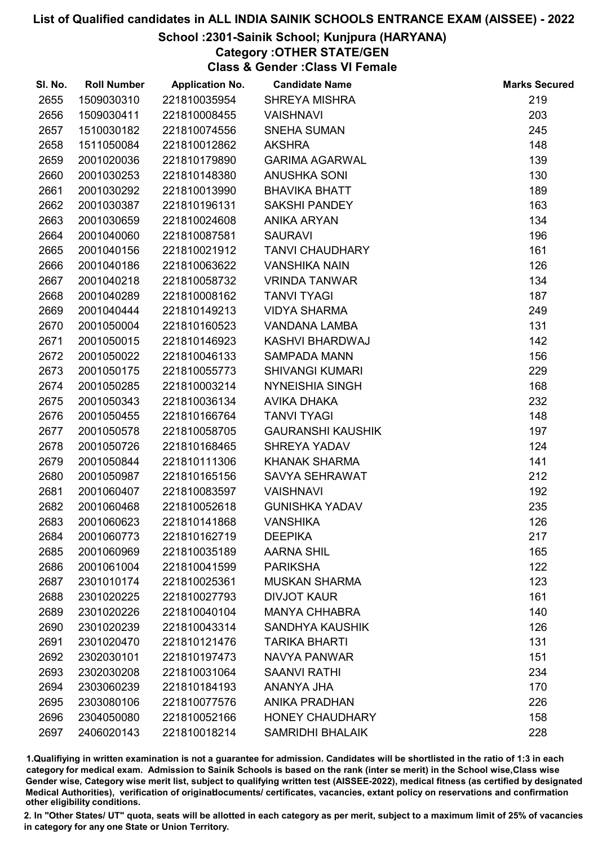### List of Qualified candidates in ALL INDIA SAINIK SCHOOLS ENTRANCE EXAM (AISSEE) - 2022

## School :2301-Sainik School; Kunjpura (HARYANA)

Category :OTHER STATE/GEN

Class & Gender :Class VI Female

| SI. No. | <b>Roll Number</b> | <b>Application No.</b> | <b>Candidate Name</b>    | <b>Marks Secured</b> |
|---------|--------------------|------------------------|--------------------------|----------------------|
| 2655    | 1509030310         | 221810035954           | <b>SHREYA MISHRA</b>     | 219                  |
| 2656    | 1509030411         | 221810008455           | <b>VAISHNAVI</b>         | 203                  |
| 2657    | 1510030182         | 221810074556           | <b>SNEHA SUMAN</b>       | 245                  |
| 2658    | 1511050084         | 221810012862           | <b>AKSHRA</b>            | 148                  |
| 2659    | 2001020036         | 221810179890           | <b>GARIMA AGARWAL</b>    | 139                  |
| 2660    | 2001030253         | 221810148380           | <b>ANUSHKA SONI</b>      | 130                  |
| 2661    | 2001030292         | 221810013990           | <b>BHAVIKA BHATT</b>     | 189                  |
| 2662    | 2001030387         | 221810196131           | <b>SAKSHI PANDEY</b>     | 163                  |
| 2663    | 2001030659         | 221810024608           | <b>ANIKA ARYAN</b>       | 134                  |
| 2664    | 2001040060         | 221810087581           | <b>SAURAVI</b>           | 196                  |
| 2665    | 2001040156         | 221810021912           | <b>TANVI CHAUDHARY</b>   | 161                  |
| 2666    | 2001040186         | 221810063622           | <b>VANSHIKA NAIN</b>     | 126                  |
| 2667    | 2001040218         | 221810058732           | <b>VRINDA TANWAR</b>     | 134                  |
| 2668    | 2001040289         | 221810008162           | <b>TANVI TYAGI</b>       | 187                  |
| 2669    | 2001040444         | 221810149213           | <b>VIDYA SHARMA</b>      | 249                  |
| 2670    | 2001050004         | 221810160523           | <b>VANDANA LAMBA</b>     | 131                  |
| 2671    | 2001050015         | 221810146923           | KASHVI BHARDWAJ          | 142                  |
| 2672    | 2001050022         | 221810046133           | <b>SAMPADA MANN</b>      | 156                  |
| 2673    | 2001050175         | 221810055773           | <b>SHIVANGI KUMARI</b>   | 229                  |
| 2674    | 2001050285         | 221810003214           | <b>NYNEISHIA SINGH</b>   | 168                  |
| 2675    | 2001050343         | 221810036134           | AVIKA DHAKA              | 232                  |
| 2676    | 2001050455         | 221810166764           | <b>TANVI TYAGI</b>       | 148                  |
| 2677    | 2001050578         | 221810058705           | <b>GAURANSHI KAUSHIK</b> | 197                  |
| 2678    | 2001050726         | 221810168465           | <b>SHREYA YADAV</b>      | 124                  |
| 2679    | 2001050844         | 221810111306           | <b>KHANAK SHARMA</b>     | 141                  |
| 2680    | 2001050987         | 221810165156           | SAVYA SEHRAWAT           | 212                  |
| 2681    | 2001060407         | 221810083597           | <b>VAISHNAVI</b>         | 192                  |
| 2682    | 2001060468         | 221810052618           | <b>GUNISHKA YADAV</b>    | 235                  |
| 2683    | 2001060623         | 221810141868           | <b>VANSHIKA</b>          | 126                  |
| 2684    | 2001060773         | 221810162719           | <b>DEEPIKA</b>           | 217                  |
| 2685    | 2001060969         | 221810035189           | <b>AARNA SHIL</b>        | 165                  |
| 2686    | 2001061004         | 221810041599           | <b>PARIKSHA</b>          | 122                  |
| 2687    | 2301010174         | 221810025361           | <b>MUSKAN SHARMA</b>     | 123                  |
| 2688    | 2301020225         | 221810027793           | <b>DIVJOT KAUR</b>       | 161                  |
| 2689    | 2301020226         | 221810040104           | <b>MANYA CHHABRA</b>     | 140                  |
| 2690    | 2301020239         | 221810043314           | <b>SANDHYA KAUSHIK</b>   | 126                  |
| 2691    | 2301020470         | 221810121476           | <b>TARIKA BHARTI</b>     | 131                  |
| 2692    | 2302030101         | 221810197473           | NAVYA PANWAR             | 151                  |
| 2693    | 2302030208         | 221810031064           | <b>SAANVI RATHI</b>      | 234                  |
| 2694    | 2303060239         | 221810184193           | ANANYA JHA               | 170                  |
| 2695    | 2303080106         | 221810077576           | <b>ANIKA PRADHAN</b>     | 226                  |
| 2696    | 2304050080         | 221810052166           | <b>HONEY CHAUDHARY</b>   | 158                  |
| 2697    | 2406020143         | 221810018214           | <b>SAMRIDHI BHALAIK</b>  | 228                  |

1.Qualifiying in written examination is not a guarantee for admission. Candidates will be shortlisted in the ratio of 1:3 in each category for medical exam. Admission to Sainik Schools is based on the rank (inter se merit) in the School wise,Class wise Gender wise, Category wise merit list, subject to qualifying written test (AISSEE-2022), medical fitness (as certified by designated Medical Authorities), verification of originablocuments/ certificates, vacancies, extant policy on reservations and confirmation other eligibility conditions.

2. In "Other States/ UT" quota, seats will be allotted in each category as per merit, subject to a maximum limit of 25% of vacancies in category for any one State or Union Territory.